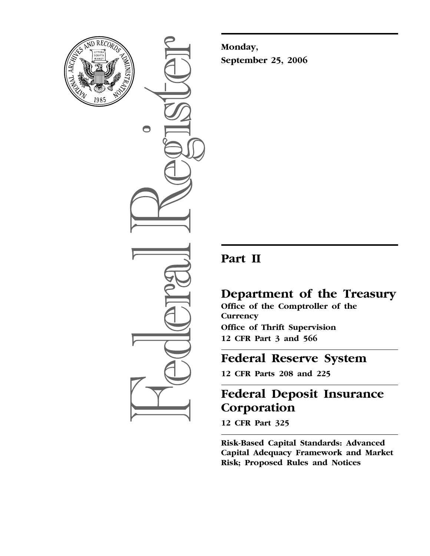

 $\bigcirc$ 

**Monday, September 25, 2006** 

# **Part II**

## **Department of the Treasury**

**Office of the Comptroller of the Currency Office of Thrift Supervision 12 CFR Part 3 and 566** 

## **Federal Reserve System**

**12 CFR Parts 208 and 225** 

# **Federal Deposit Insurance Corporation**

**12 CFR Part 325** 

**Risk-Based Capital Standards: Advanced Capital Adequacy Framework and Market Risk; Proposed Rules and Notices**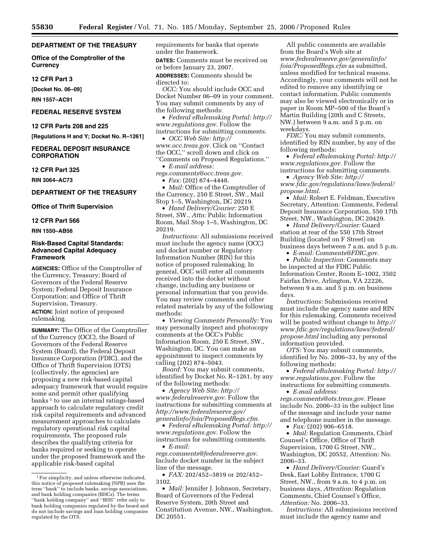## **DEPARTMENT OF THE TREASURY**

**Office of the Comptroller of the Currency** 

#### **12 CFR Part 3**

**[Docket No. 06–09]** 

**RIN 1557–AC91** 

## **FEDERAL RESERVE SYSTEM**

**12 CFR Parts 208 and 225** 

**[Regulations H and Y; Docket No. R–1261]** 

#### **FEDERAL DEPOSIT INSURANCE CORPORATION**

**12 CFR Part 325** 

**RIN 3064–AC73** 

## **DEPARTMENT OF THE TREASURY**

**Office of Thrift Supervision** 

#### **12 CFR Part 566**

**RIN 1550–AB56** 

#### **Risk-Based Capital Standards: Advanced Capital Adequacy Framework**

**AGENCIES:** Office of the Comptroller of the Currency, Treasury; Board of Governors of the Federal Reserve System; Federal Deposit Insurance Corporation; and Office of Thrift Supervision, Treasury.

**ACTION:** Joint notice of proposed rulemaking.

**SUMMARY:** The Office of the Comptroller of the Currency (OCC), the Board of Governors of the Federal Reserve System (Board), the Federal Deposit Insurance Corporation (FDIC), and the Office of Thrift Supervision (OTS) (collectively, the agencies) are proposing a new risk-based capital adequacy framework that would require some and permit other qualifying banks 1 to use an internal ratings-based approach to calculate regulatory credit risk capital requirements and advanced measurement approaches to calculate regulatory operational risk capital requirements. The proposed rule describes the qualifying criteria for banks required or seeking to operate under the proposed framework and the applicable risk-based capital

requirements for banks that operate under the framework.

**DATES:** Comments must be received on or before January 23, 2007.

**ADDRESSES:** Comments should be directed to:

*OCC:* You should include OCC and Docket Number 06–09 in your comment. You may submit comments by any of the following methods:

• *Federal eRulemaking Portal: [http://](http://www.regulations.gov)  [www.regulations.gov.](http://www.regulations.gov)* Follow the instructions for submitting comments.

• *OCC Web Site: [http://](http://www.occ.treas.gov) [www.occ.treas.gov.](http://www.occ.treas.gov)* Click on ''Contact

the OCC,'' scroll down and click on ''Comments on Proposed Regulations.''

• *E-mail address:* 

*[regs.comments@occ.treas.gov.](mailto:regs.comments@occ.treas.gov)* 

• *Fax:* (202) 874–4448.

• *Mail:* Office of the Comptroller of the Currency, 250 E Street, SW., Mail Stop 1–5, Washington, DC 20219.

• *Hand Delivery/Courier:* 250 E Street, SW., *Attn:* Public Information Room, Mail Stop 1–5, Washington, DC 20219.

*Instructions:* All submissions received must include the agency name (OCC) and docket number or Regulatory Information Number (RIN) for this notice of proposed rulemaking. In general, OCC will enter all comments received into the docket without change, including any business or personal information that you provide. You may review comments and other related materials by any of the following methods:

• *Viewing Comments Personally:* You may personally inspect and photocopy comments at the OCC's Public Information Room, 250 E Street, SW., Washington, DC. You can make an appointment to inspect comments by calling (202) 874–5043.

*Board:* You may submit comments, identified by Docket No. R–1261, by any of the following methods:

• *Agency Web Site: [http://](http://www.federalreserve.gov)  [www.federalreserve.gov.](http://www.federalreserve.gov)* Follow the instructions for submitting comments at *http://www.federalreserve.gov/ [generalinfo/foia/ProposedRegs.cfm.](http://www.federalreserve.gov/generalinfo/foia/ProposedRegs.cfm)* 

• *Federal eRulemaking Portal: [http://](http://www.regulations.gov)  [www.regulations.gov.](http://www.regulations.gov)* Follow the instructions for submitting comments. • *E-mail:* 

*[regs.comments@federalreserve.gov.](mailto:regs.comments@federalreserve.gov)*  Include docket number in the subject line of the message.

• *FAX:* 202/452–3819 or 202/452– 3102.

• *Mail:* Jennifer J. Johnson, Secretary, Board of Governors of the Federal Reserve System, 20th Street and Constitution Avenue, NW., Washington, DC 20551.

All public comments are available from the Board's Web site at *[www.federalreserve.gov/generalinfo/](http://www.federalreserve.gov/generalinfo/foia/ProposedRegs.cfm)  foia/ProposedRegs.cfm* as submitted, unless modified for technical reasons. Accordingly, your comments will not be edited to remove any identifying or contact information. Public comments may also be viewed electronically or in paper in Room MP–500 of the Board's Martin Building (20th and C Streets, NW.) between 9 a.m. and 5 p.m. on weekdays.

*FDIC:* You may submit comments, identified by RIN number, by any of the following methods:

• *Federal eRulemaking Portal: [http://](http://www.regulations.gov)  [www.regulations.gov.](http://www.regulations.gov)* Follow the instructions for submitting comments.

• *Agency Web Site: http:// [www.fdic.gov/regulations/laws/federal/](http://www.fdic.gov/regulations/laws/federal/propose.html)  propose.html.* 

• *Mail:* Robert E. Feldman, Executive Secretary, Attention: Comments, Federal Deposit Insurance Corporation, 550 17th Street, NW., Washington, DC 20429.

• *Hand Delivery/Courier:* Guard station at rear of the 550 17th Street Building (located on F Street) on business days between 7 a.m. and 5 p.m.

• *E-mail: [Comments@FDIC.gov.](mailto:Comments@FDIC.gov)* 

• *Public Inspection:* Comments may be inspected at the FDIC Public Information Center, Room E–1002, 3502 Fairfax Drive, Arlington, VA 22226, between 9 a.m. and 5 p.m. on business days.

*Instructions:* Submissions received must include the agency name and RIN for this rulemaking. Comments received will be posted without change to *http:// [www.fdic.gov/regulations/laws/federal/](http://www.fdic.gov/regulations/laws/federal/propose.html)  propose.html* including any personal information provided.

*OTS:* You may submit comments, identified by No. 2006–33, by any of the following methods:

• *Federal eRulemaking Portal: [http://](http://www.regulations.gov)  [www.regulations.gov.](http://www.regulations.gov)* Follow the instructions for submitting comments.

• *E-mail address: [regs.comments@ots.treas.gov.](mailto:regs.comments@ots.treas.gov)* Please include No. 2006–33 in the subject line

of the message and include your name and telephone number in the message. • *Fax:* (202) 906–6518.

• *Mail:* Regulation Comments, Chief Counsel's Office, Office of Thrift Supervision, 1700 G Street, NW., Washington, DC 20552, Attention: No. 2006–33.

• *Hand Delivery/Courier:* Guard's Desk, East Lobby Entrance, 1700 G Street, NW., from 9 a.m. to 4 p.m. on business days, *Attention:* Regulation Comments, Chief Counsel's Office, *Attention:* No. 2006–33.

*Instructions:* All submissions received must include the agency name and

<sup>&</sup>lt;sup>1</sup> For simplicity, and unless otherwise indicated, this notice of proposed rulemaking (NPR) uses the term ''bank'' to include banks, savings associations, and bank holding companies (BHCs). The terms ''bank holding company'' and ''BHS'' refer only to bank holding companies regulated by the board and do not include savings and loan holding companies regulated by the OTS.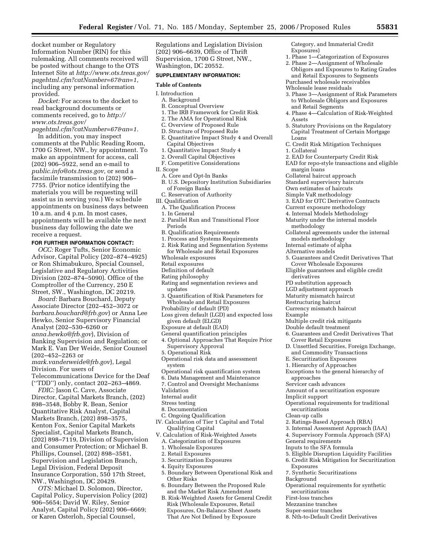docket number or Regulatory Information Number (RIN) for this rulemaking. All comments received will be posted without change to the OTS Internet Site at *http://www.ots.treas.gov/ [pagehtml.cfm?catNumber=67&an=1,](http://www.ots.treas.gov/pagehtml.cfm?catNumber=67&an=1)*  including any personal information provided.

*Docket:* For access to the docket to read background documents or comments received, go to *http:// www.ots.treas.gov/* 

*[pagehtml.cfm?catNumber=67&an=1.](http://www.ots.treas.gov/pagehtml.cfm?catNumber=67&an=1)*  In addition, you may inspect comments at the Public Reading Room, 1700 G Street, NW., by appointment. To make an appointment for access, call (202) 906–5922, send an e-mail to *[public.info@ots.treas.gov,](mailto:public.info@ots.treas.gov)* or send a facsimile transmission to (202) 906– 7755. (Prior notice identifying the materials you will be requesting will assist us in serving you.) We schedule appointments on business days between 10 a.m. and 4 p.m. In most cases, appointments will be available the next

business day following the date we receive a request.

## **FOR FURTHER INFORMATION CONTACT:**

*OCC:* Roger Tufts, Senior Economic Advisor, Capital Policy (202–874–4925) or Ron Shimabukuro, Special Counsel, Legislative and Regulatory Activities Division (202–874–5090). Office of the Comptroller of the Currency, 250 E Street, SW., Washington, DC 20219.

*Board:* Barbara Bouchard, Deputy Associate Director (202–452–3072 or *[barbara.bouchard@frb.gov](mailto:barbara.bouchard@frb.gov)*) or Anna Lee Hewko, Senior Supervisory Financial Analyst (202–530–6260 or *[anna.hewko@frb.gov](mailto:anna.hewko@frb.gov)*), Division of Banking Supervision and Regulation; or Mark E. Van Der Weide, Senior Counsel (202–452–2263 or *[mark.vanderweide@frb.gov](mailto:mark.vanderweide@frb.gov)*), Legal Division. For users of Telecommunications Device for the Deaf (''TDD'') only, contact 202–263–4869.

*FDIC:* Jason C. Cave, Associate Director, Capital Markets Branch, (202) 898–3548, Bobby R. Bean, Senior Quantitative Risk Analyst, Capital Markets Branch, (202) 898–3575, Kenton Fox, Senior Capital Markets Specialist, Capital Markets Branch, (202) 898–7119, Division of Supervision and Consumer Protection; or Michael B. Phillips, Counsel, (202) 898–3581, Supervision and Legislation Branch, Legal Division, Federal Deposit Insurance Corporation, 550 17th Street, NW., Washington, DC 20429.

*OTS:* Michael D. Solomon, Director, Capital Policy, Supervision Policy (202) 906–5654; David W. Riley, Senior Analyst, Capital Policy (202) 906–6669; or Karen Osterloh, Special Counsel,

Regulations and Legislation Division (202) 906–6639, Office of Thrift Supervision, 1700 G Street, NW., Washington, DC 20552.

#### **SUPPLEMENTARY INFORMATION:**

#### **Table of Contents**

- I. Introduction
	- A. Background
	- B. Conceptual Overview
	- 1. The IRB Framework for Credit Risk
	- 2. The AMA for Operational Risk
	- C. Overview of Proposed Rule
	- D. Structure of Proposed Rule
	- E. Quantitative Impact Study 4 and Overall Capital Objectives
	- 1. Quantitative Impact Study 4
	- 2. Overall Capital Objectives
	- F. Competitive Considerations
- II. Scope
	- A. Core and Opt-In Banks
	- B. U.S. Depository Institution Subsidiaries
	- of Foreign Banks
	- C. Reservation of Authority
- III. Qualification
- A. The Qualification Process
- 1. In General
- 2. Parallel Run and Transitional Floor Periods
- B. Qualification Requirements
- 1. Process and Systems Requirements
- 2. Risk Rating and Segmentation Systems for Wholesale and Retail Exposures
- Wholesale exposures
- Retail exposures
- Definition of default
- Rating philosophy
- Rating and segmentation reviews and updates
- 3. Quantification of Risk Parameters for Wholesale and Retail Exposures
- Probability of default (PD)
- Loss given default (LGD) and expected loss given default (ELGD)
- Exposure at default (EAD)
- General quantification principles
- 4. Optional Approaches That Require Prior Supervisory Approval
- 5. Operational Risk
- Operational risk data and assessment system
- Operational risk quantification system
- 6. Data Management and Maintenance
- 7. Control and Oversight Mechanisms
- Validation
- Internal audit
- Stress testing
- 8. Documentation
- C. Ongoing Qualification
- IV. Calculation of Tier 1 Capital and Total Qualifying Capital
- V. Calculation of Risk-Weighted Assets
	- A. Categorization of Exposures
	- 1. Wholesale Exposures
	- 2. Retail Exposures
- 3. Securitization Exposures
- 4. Equity Exposures
- 5. Boundary Between Operational Risk and Other Risks
- 6. Boundary Between the Proposed Rule and the Market Risk Amendment
- B. Risk-Weighted Assets for General Credit Risk (Wholesale Exposures, Retail Exposures, On-Balance Sheet Assets That Are Not Defined by Exposure

Category, and Immaterial Credit Exposures)

- 1. Phase 1—Categorization of Exposures
- 2. Phase 2—Assignment of Wholesale Obligors and Exposures to Rating Grades and Retail Exposures to Segments Purchased wholesale receivables
- Wholesale lease residuals
- 3. Phase 3—Assignment of Risk Parameters to Wholesale Obligors and Exposures and Retail Segments
- 4. Phase 4—Calculation of Risk-Weighted Assets
- 5. Statutory Provisions on the Regulatory Capital Treatment of Certain Mortgage Loans
- C. Credit Risk Mitigation Techniques 1. Collateral
- 2. EAD for Counterparty Credit Risk
- EAD for repo-style transactions and eligible margin loans
- Collateral haircut approach
- Standard supervisory haircuts
- Own estimates of haircuts
- Simple VaR methodology
- 3. EAD for OTC Derivative Contracts
- Current exposure methodology
- 4. Internal Models Methodology
- Maturity under the internal models methodology
- Collateral agreements under the internal models methodology
- Internal estimate of alpha
- Alternative models
- 5. Guarantees and Credit Derivatives That Cover Wholesale Exposures
- Eligible guarantees and eligible credit derivatives
- PD substitution approach
- LGD adjustment approach
- Maturity mismatch haircut
- Restructuring haircut
- Currency mismatch haircut
- Example
	- Multiple credit risk mitigants

E. Securitization Exposures 1. Hierarchy of Approaches

approaches Servicer cash advances

Implicit support

securitizations Clean-up calls

General requirements Inputs to the SFA formula

7. Synthetic Securitizations

Exposures

securitizations First-loss tranches Mezzanine tranches Super-senior tranches

Background

- Double default treatment
- 6. Guarantees and Credit Derivatives That Cover Retail Exposures
- D. Unsettled Securities, Foreign Exchange, and Commodity Transactions

Exceptions to the general hierarchy of

Amount of a securitization exposure

2. Ratings-Based Approach (RBA) 3. Internal Assessment Approach (IAA) 4. Supervisory Formula Approach (SFA)

Operational requirements for traditional

5. Eligible Disruption Liquidity Facilities 6. Credit Risk Mitigation for Securitization

Operational requirements for synthetic

8. Nth-to-Default Credit Derivatives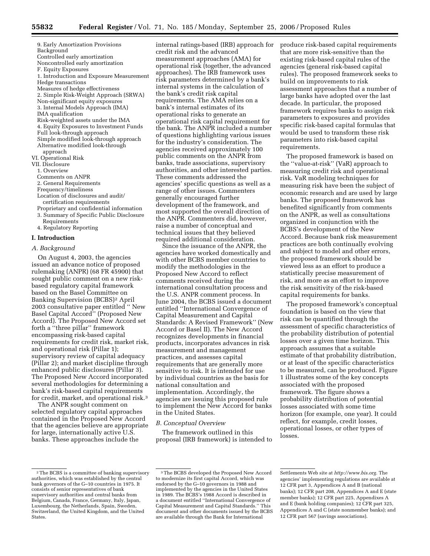9. Early Amortization Provisions Background Controlled early amortization Noncontrolled early amortization F. Equity Exposures 1. Introduction and Exposure Measurement Hedge transactions Measures of hedge effectiveness 2. Simple Risk-Weight Approach (SRWA) Non-significant equity exposures 3. Internal Models Approach (IMA) IMA qualification Risk-weighted assets under the IMA 4. Equity Exposures to Investment Funds Full look-through approach Simple modified look-through approach Alternative modified look-through approach VI. Operational Risk VII. Disclosure 1. Overview Comments on ANPR 2. General Requirements Frequency/timeliness Location of disclosures and audit/ certification requirements Proprietary and confidential information 3. Summary of Specific Public Disclosure Requirements

4. Regulatory Reporting

#### **I. Introduction**

#### *A. Background*

On August 4, 2003, the agencies issued an advance notice of proposed rulemaking (ANPR) (68 FR 45900) that sought public comment on a new riskbased regulatory capital framework based on the Basel Committee on Banking Supervision (BCBS)2 April 2003 consultative paper entitled '' New Basel Capital Accord'' (Proposed New Accord). The Proposed New Accord set forth a ''three pillar'' framework encompassing risk-based capital requirements for credit risk, market risk, and operational risk (Pillar 1); supervisory review of capital adequacy (Pillar 2); and market discipline through enhanced public disclosures (Pillar 3). The Proposed New Accord incorporated several methodologies for determining a bank's risk-based capital requirements for credit, market, and operational risk.3

The ANPR sought comment on selected regulatory capital approaches contained in the Proposed New Accord that the agencies believe are appropriate for large, internationally active U.S. banks. These approaches include the

internal ratings-based (IRB) approach for credit risk and the advanced measurement approaches (AMA) for operational risk (together, the advanced approaches). The IRB framework uses risk parameters determined by a bank's internal systems in the calculation of the bank's credit risk capital requirements. The AMA relies on a bank's internal estimates of its operational risks to generate an operational risk capital requirement for the bank. The ANPR included a number of questions highlighting various issues for the industry's consideration. The agencies received approximately 100 public comments on the ANPR from banks, trade associations, supervisory authorities, and other interested parties. These comments addressed the agencies' specific questions as well as a range of other issues. Commenters generally encouraged further development of the framework, and most supported the overall direction of the ANPR. Commenters did, however, raise a number of conceptual and technical issues that they believed required additional consideration.

Since the issuance of the ANPR, the agencies have worked domestically and with other BCBS member countries to modify the methodologies in the Proposed New Accord to reflect comments received during the international consultation process and the U.S. ANPR comment process. In June 2004, the BCBS issued a document entitled ''International Convergence of Capital Measurement and Capital Standards: A Revised Framework'' (New Accord or Basel II). The New Accord recognizes developments in financial products, incorporates advances in risk measurement and management practices, and assesses capital requirements that are generally more sensitive to risk. It is intended for use by individual countries as the basis for national consultation and implementation. Accordingly, the agencies are issuing this proposed rule to implement the New Accord for banks in the United States.

#### *B. Conceptual Overview*

The framework outlined in this proposal (IRB framework) is intended to

The proposed framework is based on the ''value-at-risk'' (VaR) approach to measuring credit risk and operational risk. VaR modeling techniques for measuring risk have been the subject of economic research and are used by large banks. The proposed framework has benefited significantly from comments on the ANPR, as well as consultations organized in conjunction with the BCBS's development of the New Accord. Because bank risk measurement practices are both continually evolving and subject to model and other errors, the proposed framework should be viewed less as an effort to produce a statistically precise measurement of risk, and more as an effort to improve the risk sensitivity of the risk-based capital requirements for banks.

The proposed framework's conceptual foundation is based on the view that risk can be quantified through the assessment of specific characteristics of the probability distribution of potential losses over a given time horizon. This approach assumes that a suitable estimate of that probability distribution, or at least of the specific characteristics to be measured, can be produced. Figure 1 illustrates some of the key concepts associated with the proposed framework. The figure shows a probability distribution of potential losses associated with some time horizon (for example, one year). It could reflect, for example, credit losses, operational losses, or other types of losses.

produce risk-based capital requirements that are more risk-sensitive than the existing risk-based capital rules of the agencies (general risk-based capital rules). The proposed framework seeks to build on improvements to risk assessment approaches that a number of large banks have adopted over the last decade. In particular, the proposed framework requires banks to assign risk parameters to exposures and provides specific risk-based capital formulas that would be used to transform these risk parameters into risk-based capital requirements.

<sup>2</sup>The BCBS is a committee of banking supervisory authorities, which was established by the central bank governors of the G–10 countries in 1975. It consists of senior representatives of bank supervisory authorities and central banks from Belgium, Canada, France, Germany, Italy, Japan, Luxembourg, the Netherlands, Spain, Sweden, Switzerland, the United Kingdom, and the United States.

<sup>3</sup>The BCBS developed the Proposed New Accord to modernize its first capital Accord, which was endorsed by the G–10 governors in 1988 and implemented by the agencies in the United States in 1989. The BCBS's 1988 Accord is described in a document entitled ''International Convergence of Capital Measurement and Capital Standards.'' This document and other documents issued by the BCBS are available through the Bank for International

Settlements Web site at *[http://www.bis.org.](http://www.bis.org)* The agencies' implementing regulations are available at 12 CFR part 3, Appendices A and B (national banks); 12 CFR part 208, Appendices A and E (state member banks); 12 CFR part 225, Appendixes A and E (bank holding companies); 12 CFR part 325, Appendices A and C (state nonmember banks); and 12 CFR part 567 (savings associations).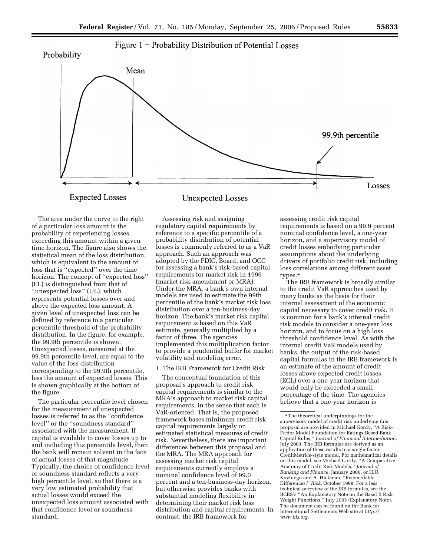Figure  $1$  – Probability Distribution of Potential Losses



The area under the curve to the right of a particular loss amount is the probability of experiencing losses exceeding this amount within a given time horizon. The figure also shows the statistical mean of the loss distribution, which is equivalent to the amount of loss that is ''expected'' over the time horizon. The concept of ''expected loss'' (EL) is distinguished from that of ''unexpected loss'' (UL), which represents potential losses over and above the expected loss amount. A given level of unexpected loss can be defined by reference to a particular percentile threshold of the probability distribution. In the figure, for example, the 99.9th percentile is shown. Unexpected losses, measured at the 99.9th percentile level, are equal to the value of the loss distribution corresponding to the 99.9th percentile, less the amount of expected losses. This is shown graphically at the bottom of the figure.

The particular percentile level chosen for the measurement of unexpected losses is referred to as the ''confidence level'' or the ''soundness standard'' associated with the measurement. If capital is available to cover losses up to and including this percentile level, then the bank will remain solvent in the face of actual losses of that magnitude. Typically, the choice of confidence level or soundness standard reflects a very high percentile level, so that there is a very low estimated probability that actual losses would exceed the unexpected loss amount associated with that confidence level or soundness standard.

Assessing risk and assigning regulatory capital requirements by reference to a specific percentile of a probability distribution of potential losses is commonly referred to as a VaR approach. Such an approach was adopted by the FDIC, Board, and OCC for assessing a bank's risk-based capital requirements for market risk in 1996 (market risk amendment or MRA). Under the MRA, a bank's own internal models are used to estimate the 99th percentile of the bank's market risk loss distribution over a ten-business-day horizon. The bank's market risk capital requirement is based on this VaR estimate, generally multiplied by a factor of three. The agencies implemented this multiplication factor to provide a prudential buffer for market volatility and modeling error.

## 1. The IRB Framework for Credit Risk

The conceptual foundation of this proposal's approach to credit risk capital requirements is similar to the MRA's approach to market risk capital requirements, in the sense that each is VaR-oriented. That is, the proposed framework bases minimum credit risk capital requirements largely on estimated statistical measures of credit risk. Nevertheless, there are important differences between this proposal and the MRA. The MRA approach for assessing market risk capital requirements currently employs a nominal confidence level of 99.0 percent and a ten-business-day horizon, but otherwise provides banks with substantial modeling flexibility in determining their market risk loss distribution and capital requirements. In contrast, the IRB framework for

assessing credit risk capital requirements is based on a 99.9 percent nominal confidence level, a one-year horizon, and a supervisory model of credit losses embodying particular assumptions about the underlying drivers of portfolio credit risk, including loss correlations among different asset types.4

The IRB framework is broadly similar to the credit VaR approaches used by many banks as the basis for their internal assessment of the economic capital necessary to cover credit risk. It is common for a bank's internal credit risk models to consider a one-year loss horizon, and to focus on a high loss threshold confidence level. As with the internal credit VaR models used by banks, the output of the risk-based capital formulas in the IRB framework is an estimate of the amount of credit losses above expected credit losses (ECL) over a one-year horizon that would only be exceeded a small percentage of the time. The agencies believe that a one-year horizon is

<sup>4</sup>The theoretical underpinnings for the supervisory model of credit risk underlying this proposal are provided in Michael Gordy, ''A Risk-Factor Model Foundation for Ratings-Based Bank Capital Rules,'' *Journal of Financial Intermediation,*  July 2003. The IRB formulas are derived as an application of these results to a single-factor CreditMetrics-style model. For mathematical details on this model, see Michael Gordy, ''A Comparative Anatomy of Credit Risk Models,'' *Journal of Banking and Finance,* January 2000, or H.U. Koyluogu and A. Hickman, ''Reconcilable Differences,'' *Risk,* October 1998. For a less technical overview of the IRB formulas, see the BCBS's ''An Explanatory Note on the Basel II Risk Weight Functions,'' July 2005 (Explanatory Note). The document can be found on the Bank for International Settlements Web site at *[http://](http://www.bis.org) [www.bis.org.](http://www.bis.org)*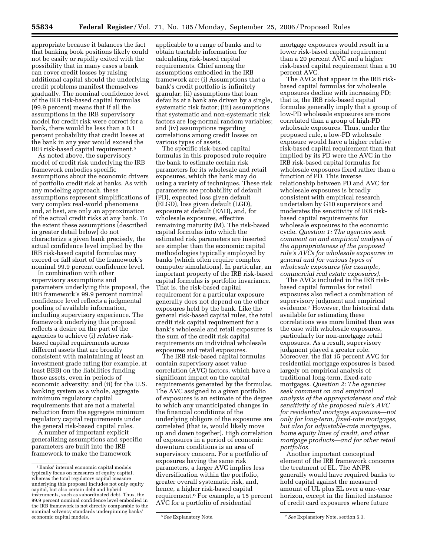appropriate because it balances the fact that banking book positions likely could not be easily or rapidly exited with the possibility that in many cases a bank can cover credit losses by raising additional capital should the underlying credit problems manifest themselves gradually. The nominal confidence level of the IRB risk-based capital formulas (99.9 percent) means that if all the assumptions in the IRB supervisory model for credit risk were correct for a bank, there would be less than a 0.1 percent probability that credit losses at the bank in any year would exceed the IRB risk-based capital requirement.5

As noted above, the supervisory model of credit risk underlying the IRB framework embodies specific assumptions about the economic drivers of portfolio credit risk at banks. As with any modeling approach, these assumptions represent simplifications of very complex real-world phenomena and, at best, are only an approximation of the actual credit risks at any bank. To the extent these assumptions (described in greater detail below) do not characterize a given bank precisely, the actual confidence level implied by the IRB risk-based capital formulas may exceed or fall short of the framework's nominal 99.9 percent confidence level.

In combination with other supervisory assumptions and parameters underlying this proposal, the IRB framework's 99.9 percent nominal confidence level reflects a judgmental pooling of available information, including supervisory experience. The framework underlying this proposal reflects a desire on the part of the agencies to achieve (i) *relative* riskbased capital requirements across different assets that are broadly consistent with maintaining at least an investment grade rating (for example, at least BBB) on the liabilities funding those assets, even in periods of economic adversity; and (ii) for the U.S. banking system as a whole, aggregate minimum regulatory capital requirements that are not a material reduction from the aggregate minimum regulatory capital requirements under the general risk-based capital rules.

A number of important explicit generalizing assumptions and specific parameters are built into the IRB framework to make the framework

applicable to a range of banks and to obtain tractable information for calculating risk-based capital requirements. Chief among the assumptions embodied in the IRB framework are: (i) Assumptions that a bank's credit portfolio is infinitely granular; (ii) assumptions that loan defaults at a bank are driven by a single, systematic risk factor; (iii) assumptions that systematic and non-systematic risk factors are log-normal random variables; and (iv) assumptions regarding correlations among credit losses on various types of assets.

The specific risk-based capital formulas in this proposed rule require the bank to estimate certain risk parameters for its wholesale and retail exposures, which the bank may do using a variety of techniques. These risk parameters are probability of default (PD), expected loss given default (ELGD), loss given default (LGD), exposure at default (EAD), and, for wholesale exposures, effective remaining maturity (M). The risk-based capital formulas into which the estimated risk parameters are inserted are simpler than the economic capital methodologies typically employed by banks (which often require complex computer simulations). In particular, an important property of the IRB risk-based capital formulas is portfolio invariance. That is, the risk-based capital requirement for a particular exposure generally does not depend on the other exposures held by the bank. Like the general risk-based capital rules, the total credit risk capital requirement for a bank's wholesale and retail exposures is the sum of the credit risk capital requirements on individual wholesale exposures and retail exposures.

The IRB risk-based capital formulas contain supervisory asset value correlation (AVC) factors, which have a significant impact on the capital requirements generated by the formulas. The AVC assigned to a given portfolio of exposures is an estimate of the degree to which any unanticipated changes in the financial conditions of the underlying obligors of the exposures are correlated (that is, would likely move up and down together). High correlation of exposures in a period of economic downturn conditions is an area of supervisory concern. For a portfolio of exposures having the same risk parameters, a larger AVC implies less diversification within the portfolio, greater overall systematic risk, and, hence, a higher risk-based capital requirement.6 For example, a 15 percent AVC for a portfolio of residential

mortgage exposures would result in a lower risk-based capital requirement than a 20 percent AVC and a higher risk-based capital requirement than a 10 percent AVC.

The AVCs that appear in the IRB riskbased capital formulas for wholesale exposures decline with increasing PD; that is, the IRB risk-based capital formulas generally imply that a group of low-PD wholesale exposures are more correlated than a group of high-PD wholesale exposures. Thus, under the proposed rule, a low-PD wholesale exposure would have a higher relative risk-based capital requirement than that implied by its PD were the AVC in the IRB risk-based capital formulas for wholesale exposures fixed rather than a function of PD. This inverse relationship between PD and AVC for wholesale exposures is broadly consistent with empirical research undertaken by G10 supervisors and moderates the sensitivity of IRB riskbased capital requirements for wholesale exposures to the economic cycle. *Question 1: The agencies seek comment on and empirical analysis of the appropriateness of the proposed rule's AVCs for wholesale exposures in general and for various types of wholesale exposures (for example, commercial real estate exposures).* 

The AVCs included in the IRB riskbased capital formulas for retail exposures also reflect a combination of supervisory judgment and empirical evidence.7 However, the historical data available for estimating these correlations was more limited than was the case with wholesale exposures, particularly for non-mortgage retail exposures. As a result, supervisory judgment played a greater role. Moreover, the flat 15 percent AVC for residential mortgage exposures is based largely on empirical analysis of traditional long-term, fixed-rate mortgages. *Question 2: The agencies seek comment on and empirical analysis of the appropriateness and risk sensitivity of the proposed rule's AVC for residential mortgage exposures—not only for long-term, fixed-rate mortgages, but also for adjustable-rate mortgages, home equity lines of credit, and other mortgage products—and for other retail portfolios.* 

Another important conceptual element of the IRB framework concerns the treatment of EL. The ANPR generally would have required banks to hold capital against the measured amount of UL plus EL over a one-year horizon, except in the limited instance of credit card exposures where future

<sup>5</sup>Banks' internal economic capital models typically focus on measures of equity capital, whereas the total regulatory capital measure underlying this proposal includes not only equity capital, but also certain debt and hybrid instruments, such as subordinated debt. Thus, the 99.9 percent nominal confidence level embodied in the IRB framework is not directly comparable to the nominal solvency standards underpinning banks'

<sup>&</sup>lt;sup>6</sup> See Explanatory Note.  $\degree$  *T* See Explanatory Note, section 5.3.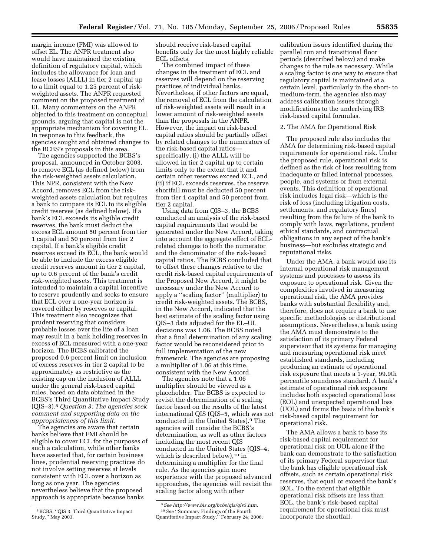margin income (FMI) was allowed to offset EL. The ANPR treatment also would have maintained the existing definition of regulatory capital, which includes the allowance for loan and lease losses (ALLL) in tier 2 capital up to a limit equal to 1.25 percent of riskweighted assets. The ANPR requested comment on the proposed treatment of EL. Many commenters on the ANPR objected to this treatment on conceptual grounds, arguing that capital is not the appropriate mechanism for covering EL. In response to this feedback, the agencies sought and obtained changes to the BCBS's proposals in this area.

The agencies supported the BCBS's proposal, announced in October 2003, to remove ECL (as defined below) from the risk-weighted assets calculation. This NPR, consistent with the New Accord, removes ECL from the riskweighted assets calculation but requires a bank to compare its ECL to its eligible credit reserves (as defined below). If a bank's ECL exceeds its eligible credit reserves, the bank must deduct the excess ECL amount 50 percent from tier 1 capital and 50 percent from tier 2 capital. If a bank's eligible credit reserves exceed its ECL, the bank would be able to include the excess eligible credit reserves amount in tier 2 capital, up to 0.6 percent of the bank's credit risk-weighted assets. This treatment is intended to maintain a capital incentive to reserve prudently and seeks to ensure that ECL over a one-year horizon is covered either by reserves or capital. This treatment also recognizes that prudent reserving that considers probable losses over the life of a loan may result in a bank holding reserves in excess of ECL measured with a one-year horizon. The BCBS calibrated the proposed 0.6 percent limit on inclusion of excess reserves in tier 2 capital to be approximately as restrictive as the existing cap on the inclusion of ALLL under the general risk-based capital rules, based on data obtained in the BCBS's Third Quantitative Impact Study (QIS–3).8 *Question 3: The agencies seek comment and supporting data on the appropriateness of this limit.* 

The agencies are aware that certain banks believe that FMI should be eligible to cover ECL for the purposes of such a calculation, while other banks have asserted that, for certain business lines, prudential reserving practices do not involve setting reserves at levels consistent with ECL over a horizon as long as one year. The agencies nevertheless believe that the proposed approach is appropriate because banks

should receive risk-based capital benefits only for the most highly reliable ECL offsets.

The combined impact of these changes in the treatment of ECL and reserves will depend on the reserving practices of individual banks. Nevertheless, if other factors are equal, the removal of ECL from the calculation of risk-weighted assets will result in a lower amount of risk-weighted assets than the proposals in the ANPR. However, the impact on risk-based capital ratios should be partially offset by related changes to the numerators of the risk-based capital ratios specifically, (i) the ALLL will be allowed in tier 2 capital up to certain limits only to the extent that it and certain other reserves exceed ECL, and (ii) if ECL exceeds reserves, the reserve shortfall must be deducted 50 percent from tier 1 capital and 50 percent from tier 2 capital.

Using data from QIS–3, the BCBS conducted an analysis of the risk-based capital requirements that would be generated under the New Accord, taking into account the aggregate effect of ECLrelated changes to both the numerator and the denominator of the risk-based capital ratios. The BCBS concluded that to offset these changes relative to the credit risk-based capital requirements of the Proposed New Accord, it might be necessary under the New Accord to apply a ''scaling factor'' (multiplier) to credit risk-weighted assets. The BCBS, in the New Accord, indicated that the best estimate of the scaling factor using QIS–3 data adjusted for the EL–UL decisions was 1.06. The BCBS noted that a final determination of any scaling factor would be reconsidered prior to full implementation of the new framework. The agencies are proposing a multiplier of 1.06 at this time, consistent with the New Accord.

The agencies note that a 1.06 multiplier should be viewed as a placeholder. The BCBS is expected to revisit the determination of a scaling factor based on the results of the latest international QIS (QIS–5, which was not conducted in the United States).9 The agencies will consider the BCBS's determination, as well as other factors including the most recent QIS conducted in the United States (QIS–4, which is described below),<sup>10</sup> in determining a multiplier for the final rule. As the agencies gain more experience with the proposed advanced approaches, the agencies will revisit the scaling factor along with other

calibration issues identified during the parallel run and transitional floor periods (described below) and make changes to the rule as necessary. While a scaling factor is one way to ensure that regulatory capital is maintained at a certain level, particularly in the short- to medium-term, the agencies also may address calibration issues through modifications to the underlying IRB risk-based capital formulas.

#### 2. The AMA for Operational Risk

The proposed rule also includes the AMA for determining risk-based capital requirements for operational risk. Under the proposed rule, operational risk is defined as the risk of loss resulting from inadequate or failed internal processes, people, and systems or from external events. This definition of operational risk includes legal risk—which is the risk of loss (including litigation costs, settlements, and regulatory fines) resulting from the failure of the bank to comply with laws, regulations, prudent ethical standards, and contractual obligations in any aspect of the bank's business—but excludes strategic and reputational risks.

Under the AMA, a bank would use its internal operational risk management systems and processes to assess its exposure to operational risk. Given the complexities involved in measuring operational risk, the AMA provides banks with substantial flexibility and, therefore, does not require a bank to use specific methodologies or distributional assumptions. Nevertheless, a bank using the AMA must demonstrate to the satisfaction of its primary Federal supervisor that its systems for managing and measuring operational risk meet established standards, including producing an estimate of operational risk exposure that meets a 1-year, 99.9th percentile soundness standard. A bank's estimate of operational risk exposure includes both expected operational loss (EOL) and unexpected operational loss (UOL) and forms the basis of the bank's risk-based capital requirement for operational risk.

The AMA allows a bank to base its risk-based capital requirement for operational risk on UOL alone if the bank can demonstrate to the satisfaction of its primary Federal supervisor that the bank has eligible operational risk offsets, such as certain operational risk reserves, that equal or exceed the bank's EOL. To the extent that eligible operational risk offsets are less than EOL, the bank's risk-based capital requirement for operational risk must incorporate the shortfall.

<sup>8</sup>BCBS, ''QIS 3: Third Quantitative Impact Study,'' May 2003.

<sup>9</sup>*See [http://www.bis.org/bcbs/qis/qis5.htm.](http://www.bis.org/bcbs/qis/qis5.htm)*  10*See* ''Summary Findings of the Fourth Quantitative Impact Study,'' February 24, 2006.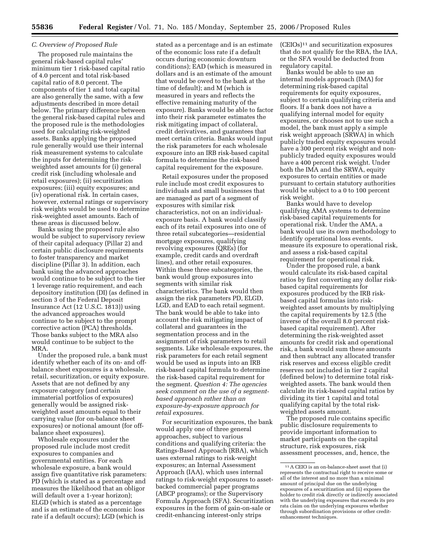#### *C. Overview of Proposed Rule*

The proposed rule maintains the general risk-based capital rules' minimum tier 1 risk-based capital ratio of 4.0 percent and total risk-based capital ratio of 8.0 percent. The components of tier 1 and total capital are also generally the same, with a few adjustments described in more detail below. The primary difference between the general risk-based capital rules and the proposed rule is the methodologies used for calculating risk-weighted assets. Banks applying the proposed rule generally would use their internal risk measurement systems to calculate the inputs for determining the riskweighted asset amounts for (i) general credit risk (including wholesale and retail exposures); (ii) securitization exposures; (iii) equity exposures; and (iv) operational risk. In certain cases, however, external ratings or supervisory risk weights would be used to determine risk-weighted asset amounts. Each of these areas is discussed below.

Banks using the proposed rule also would be subject to supervisory review of their capital adequacy (Pillar 2) and certain public disclosure requirements to foster transparency and market discipline (Pillar 3). In addition, each bank using the advanced approaches would continue to be subject to the tier 1 leverage ratio requirement, and each depository institution (DI) (as defined in section 3 of the Federal Deposit Insurance Act (12 U.S.C. 1813)) using the advanced approaches would continue to be subject to the prompt corrective action (PCA) thresholds. Those banks subject to the MRA also would continue to be subject to the MRA.

Under the proposed rule, a bank must identify whether each of its on- and offbalance sheet exposures is a wholesale, retail, securitization, or equity exposure. Assets that are not defined by any exposure category (and certain immaterial portfolios of exposures) generally would be assigned riskweighted asset amounts equal to their carrying value (for on-balance sheet exposures) or notional amount (for offbalance sheet exposures).

Wholesale exposures under the proposed rule include most credit exposures to companies and governmental entities. For each wholesale exposure, a bank would assign five quantitative risk parameters: PD (which is stated as a percentage and measures the likelihood that an obligor will default over a 1-year horizon); ELGD (which is stated as a percentage and is an estimate of the economic loss rate if a default occurs); LGD (which is

stated as a percentage and is an estimate of the economic loss rate if a default occurs during economic downturn conditions); EAD (which is measured in dollars and is an estimate of the amount that would be owed to the bank at the time of default); and M (which is measured in years and reflects the effective remaining maturity of the exposure). Banks would be able to factor into their risk parameter estimates the risk mitigating impact of collateral, credit derivatives, and guarantees that meet certain criteria. Banks would input the risk parameters for each wholesale exposure into an IRB risk-based capital formula to determine the risk-based capital requirement for the exposure.

Retail exposures under the proposed rule include most credit exposures to individuals and small businesses that are managed as part of a segment of exposures with similar risk characteristics, not on an individualexposure basis. A bank would classify each of its retail exposures into one of three retail subcategories—residential mortgage exposures, qualifying revolving exposures (QREs) (for example, credit cards and overdraft lines), and other retail exposures. Within these three subcategories, the bank would group exposures into segments with similar risk characteristics. The bank would then assign the risk parameters PD, ELGD, LGD, and EAD to each retail segment. The bank would be able to take into account the risk mitigating impact of collateral and guarantees in the segmentation process and in the assignment of risk parameters to retail segments. Like wholesale exposures, the risk parameters for each retail segment would be used as inputs into an IRB risk-based capital formula to determine the risk-based capital requirement for the segment. *Question 4: The agencies seek comment on the use of a segmentbased approach rather than an exposure-by-exposure approach for retail exposures.* 

For securitization exposures, the bank would apply one of three general approaches, subject to various conditions and qualifying criteria: the Ratings-Based Approach (RBA), which uses external ratings to risk-weight exposures; an Internal Assessment Approach (IAA), which uses internal ratings to risk-weight exposures to assetbacked commercial paper programs (ABCP programs); or the Supervisory Formula Approach (SFA). Securitization exposures in the form of gain-on-sale or credit-enhancing interest-only strips

 $(CEIOs)^{11}$  and securitization exposures that do not qualify for the RBA, the IAA, or the SFA would be deducted from regulatory capital.

Banks would be able to use an internal models approach (IMA) for determining risk-based capital requirements for equity exposures, subject to certain qualifying criteria and floors. If a bank does not have a qualifying internal model for equity exposures, or chooses not to use such a model, the bank must apply a simple risk weight approach (SRWA) in which publicly traded equity exposures would have a 300 percent risk weight and nonpublicly traded equity exposures would have a 400 percent risk weight. Under both the IMA and the SRWA, equity exposures to certain entities or made pursuant to certain statutory authorities would be subject to a 0 to 100 percent risk weight.

Banks would have to develop qualifying AMA systems to determine risk-based capital requirements for operational risk. Under the AMA, a bank would use its own methodology to identify operational loss events, measure its exposure to operational risk, and assess a risk-based capital requirement for operational risk.

Under the proposed rule, a bank would calculate its risk-based capital ratios by first converting any dollar riskbased capital requirements for exposures produced by the IRB riskbased capital formulas into riskweighted asset amounts by multiplying the capital requirements by 12.5 (the inverse of the overall 8.0 percent riskbased capital requirement). After determining the risk-weighted asset amounts for credit risk and operational risk, a bank would sum these amounts and then subtract any allocated transfer risk reserves and excess eligible credit reserves not included in tier 2 capital (defined below) to determine total riskweighted assets. The bank would then calculate its risk-based capital ratios by dividing its tier 1 capital and total qualifying capital by the total riskweighted assets amount.

The proposed rule contains specific public disclosure requirements to provide important information to market participants on the capital structure, risk exposures, risk assessment processes, and, hence, the

<sup>11</sup>A CEIO is an on-balance-sheet asset that (i) represents the contractual right to receive some or all of the interest and no more than a minimal amount of principal due on the underlying exposures of a securitization and (ii) exposes the holder to credit risk directly or indirectly associated with the underlying exposures that exceeds its pro rata claim on the underlying exposures whether through subordination provisions or other creditenhancement techniques.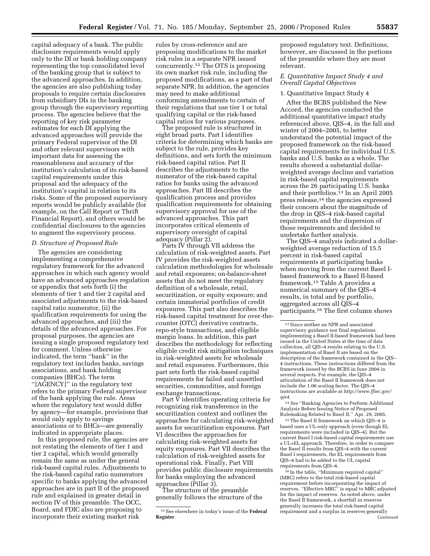capital adequacy of a bank. The public disclosure requirements would apply only to the DI or bank holding company representing the top consolidated level of the banking group that is subject to the advanced approaches. In addition, the agencies are also publishing today proposals to require certain disclosures from subsidiary DIs in the banking group through the supervisory reporting process. The agencies believe that the reporting of key risk parameter estimates for each DI applying the advanced approaches will provide the primary Federal supervisor of the DI and other relevant supervisors with important data for assessing the reasonableness and accuracy of the institution's calculation of its risk-based capital requirements under this proposal and the adequacy of the institution's capital in relation to its risks. Some of the proposed supervisory reports would be publicly available (for example, on the Call Report or Thrift Financial Report), and others would be confidential disclosures to the agencies to augment the supervisory process.

#### *D. Structure of Proposed Rule*

The agencies are considering implementing a comprehensive regulatory framework for the advanced approaches in which each agency would have an advanced approaches regulation or appendix that sets forth (i) the elements of tier 1 and tier 2 capital and associated adjustments to the risk-based capital ratio numerator, (ii) the qualification requirements for using the advanced approaches, and (iii) the details of the advanced approaches. For proposal purposes, the agencies are issuing a single proposed regulatory text for comment. Unless otherwise indicated, the term ''bank'' in the regulatory text includes banks, savings associations, and bank holding companies (BHCs). The term ''[AGENCY]'' in the regulatory text refers to the primary Federal supervisor of the bank applying the rule. Areas where the regulatory text would differ by agency—for example, provisions that would only apply to savings associations or to BHCs—are generally indicated in appropriate places.

In this proposed rule, the agencies are not restating the elements of tier 1 and tier 2 capital, which would generally remain the same as under the general risk-based capital rules. Adjustments to the risk-based capital ratio numerators specific to banks applying the advanced approaches are in part II of the proposed rule and explained in greater detail in section IV of this preamble. The OCC, Board, and FDIC also are proposing to incorporate their existing market risk

rules by cross-reference and are proposing modifications to the market risk rules in a separate NPR issued concurrently.12 The OTS is proposing its own market risk rule, including the proposed modifications, as a part of that separate NPR. In addition, the agencies may need to make additional conforming amendments to certain of their regulations that use tier 1 or total qualifying capital or the risk-based capital ratios for various purposes.

The proposed rule is structured in eight broad parts. Part I identifies criteria for determining which banks are subject to the rule, provides key definitions, and sets forth the minimum risk-based capital ratios. Part II describes the adjustments to the numerator of the risk-based capital ratios for banks using the advanced approaches. Part III describes the qualification process and provides qualification requirements for obtaining supervisory approval for use of the advanced approaches. This part incorporates critical elements of supervisory oversight of capital adequacy (Pillar 2).

Parts IV through VII address the calculation of risk-weighted assets. Part IV provides the risk-weighted assets calculation methodologies for wholesale and retail exposures; on-balance-sheet assets that do not meet the regulatory definition of a wholesale, retail, securitization, or equity exposure; and certain immaterial portfolios of credit exposures. This part also describes the risk-based capital treatment for over-thecounter (OTC) derivative contracts, repo-style transactions, and eligible margin loans. In addition, this part describes the methodology for reflecting eligible credit risk mitigation techniques in risk-weighted assets for wholesale and retail exposures. Furthermore, this part sets forth the risk-based capital requirements for failed and unsettled securities, commodities, and foreign exchange transactions.

Part V identifies operating criteria for recognizing risk transference in the securitization context and outlines the approaches for calculating risk-weighted assets for securitization exposures. Part VI describes the approaches for calculating risk-weighted assets for equity exposures. Part VII describes the calculation of risk-weighted assets for operational risk. Finally, Part VIII provides public disclosure requirements for banks employing the advanced approaches (Pillar 3).

The structure of the preamble generally follows the structure of the

proposed regulatory text. Definitions, however, are discussed in the portions of the preamble where they are most relevant.

## *E. Quantitative Impact Study 4 and Overall Capital Objectives*

#### 1. Quantitative Impact Study 4

After the BCBS published the New Accord, the agencies conducted the additional quantitative impact study referenced above, QIS–4, in the fall and winter of 2004–2005, to better understand the potential impact of the proposed framework on the risk-based capital requirements for individual U.S. banks and U.S. banks as a whole. The results showed a substantial dollarweighted average decline and variation in risk-based capital requirements across the 26 participating U.S. banks and their portfolios.<sup>13</sup> In an April 2005 press release,14 the agencies expressed their concern about the magnitude of the drop in QIS–4 risk-based capital requirements and the dispersion of those requirements and decided to undertake further analysis.

The QIS–4 analysis indicated a dollarweighted average reduction of 15.5 percent in risk-based capital requirements at participating banks when moving from the current Basel Ibased framework to a Basel II-based framework.15 Table A provides a numerical summary of the QIS–4 results, in total and by portfolio, aggregated across all QIS–4 participants.16 The first column shows

14*See* ''Banking Agencies to Perform Additional Analysis Before Issuing Notice of Proposed Rulemaking Related to Basel II,'' Apr. 29, 2005.

15The Basel II framework on which QIS–4 is based uses a UL-only approach (even though EL requirements were included in QIS–4). But the current Basel I risk-based capital requirements use a UL+EL approach. Therefore, in order to compare the Basel II results from QIS–4 with the current Basel I requirements, the EL requirements from QIS–4 had to be added to the UL capital requirements from QIS–4.

16 In the table, ''Minimum required capital'' (MRC) refers to the total risk-based capital requirement before incorporating the impact of reserves. ''Effective MRC'' is equal to MRC adjusted for the impact of reserves. As noted above, under the Basel II framework, a shortfall in reserves generally increases the total risk-based capital requirement and a surplus in reserves generally Continued

<sup>12</sup>See elsewhere in today's issue of the **Federal Register**.

<sup>13</sup>Since neither an NPR and associated supervisory guidance nor final regulations implementing a Basel II-based framework had been issued in the United States at the time of data collection, all QIS–4 results relating to the U.S. implementation of Basel II are based on the description of the framework contained in the QIS– 4 instructions. These instructions differed from the framework issued by the BCBS in June 2004 in several respects. For example, the QIS–4 articulation of the Basel II framework does not include the 1.06 scaling factor. The QIS–4 [instructions are available at](http://www.ffiec.gov/qis4) *http://www.ffiec.gov/ qis4*.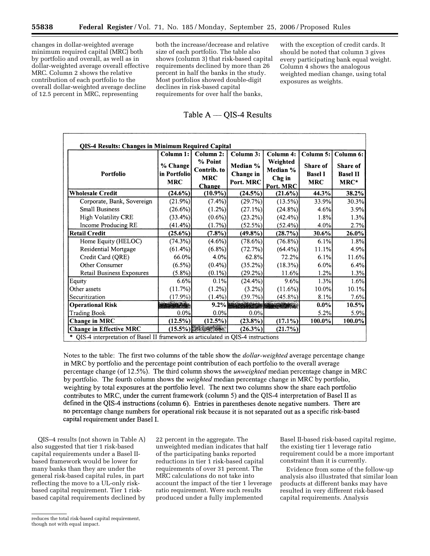changes in dollar-weighted average minimum required capital (MRC) both by portfolio and overall, as well as in dollar-weighted average overall effective MRC. Column 2 shows the relative contribution of each portfolio to the overall dollar-weighted average decline of 12.5 percent in MRC, representing

both the increase/decrease and relative size of each portfolio. The table also shows (column 3) that risk-based capital requirements declined by more than 26 percent in half the banks in the study. Most portfolios showed double-digit declines in risk-based capital requirements for over half the banks,

## Table  $A - QIS-4$  Results

|                                | Column 1:                              | Column 2:                                             | Column 3:                          | Column 4:                                   | Column 5:                                | Column 6:                           |
|--------------------------------|----------------------------------------|-------------------------------------------------------|------------------------------------|---------------------------------------------|------------------------------------------|-------------------------------------|
| Portfolio                      | % Change<br>in Portfolio<br><b>MRC</b> | % Point<br>Contrib. to<br><b>MRC</b><br><b>Change</b> | Median %<br>Change in<br>Port. MRC | Weighted<br>Median %<br>Chg in<br>Port. MRC | Share of<br><b>Basel I</b><br><b>MRC</b> | Share of<br><b>Basel II</b><br>MRC* |
| <b>Wholesale Credit</b>        | $(24.6\%)$                             | $(10.9\%)$                                            | (24.5%)                            | (21.6%)                                     | 44.3%                                    | 38.2%                               |
| Corporate, Bank, Sovereign     | (21.9%)                                | (7.4%)                                                | (29.7%)                            | $(13.5\%)$                                  | 33.9%                                    | 30.3%                               |
| <b>Small Business</b>          | (26.6%)                                | (1.2%)                                                | (27.1%)                            | $(24.8\%)$                                  | 4.6%                                     | 3.9%                                |
| High Volatility CRE            | $(33.4\%)$                             | $(0.6\%)$                                             | (23.2%)                            | $(42.4\%)$                                  | 1.8%                                     | 1.3%                                |
| Income Producing RE            | $(41.4\%)$                             | (1.7%)                                                | (52.5%)                            | $(52.4\%)$                                  | 4.0%                                     | 2.7%                                |
| <b>Retail Credit</b>           | $(25.6\%)$                             | $(7.8\%)$                                             | $(49.8\%)$                         | (28.7%)                                     | 30.6%                                    | 26.0%                               |
| Home Equity (HELOC)            | (74.3%)                                | $(4.6\%)$                                             | (78.6%)                            | $(76.8\%)$                                  | 6.1%                                     | 1.8%                                |
| Residential Mortgage           | $(61.4\%)$                             | $(6.8\%)$                                             | (72.7%)                            | $(64.4\%)$                                  | 11.1%                                    | 4.9%                                |
| Credit Card (QRE)              | 66.0%                                  | 4.0%                                                  | 62.8%                              | 72.2%                                       | 6.1%                                     | 11.6%                               |
| Other Consumer                 | $(6.5\%)$                              | $(0.4\%)$                                             | $(35.2\%)$                         | $(18.3\%)$                                  | 6.0%                                     | 6.4%                                |
| Retail Business Exposures      | $(5.8\%)$                              | $(0.1\%)$                                             | (29.2%)                            | 11.6%                                       | 1.2%                                     | 1.3%                                |
| Equity                         | 6.6%                                   | 0.1%                                                  | $(24.4\%)$                         | 9.6%                                        | 1.3%                                     | 1.6%                                |
| Other assets                   | (11.7%)                                | $(1.2\%)$                                             | $(3.2\%)$                          | $(11.6\%)$                                  | 10.0%                                    | 10.1%                               |
| Securitization                 | $(17.9\%)$                             | $(1.4\%)$                                             | (39.7%)                            | $(45.8\%)$                                  | 8.1%                                     | 7.6%                                |
| <b>Operational Risk</b>        |                                        |                                                       | 9.2%                               |                                             | $0.0\%$                                  | 10.5%                               |
| <b>Trading Book</b>            | 0.0%                                   | 0.0%                                                  | 0.0%                               |                                             | 5.2%                                     | 5.9%                                |
| Change in MRC                  | (12.5%)                                | $(12.5\%)$                                            | $(23.8\%)$                         | $(17.1\%)$                                  | 100.0%                                   | 100.0%                              |
| <b>Change in Effective MRC</b> | $(15.5\%)$                             |                                                       | $(26.3\%)$                         | (21.7%)                                     |                                          |                                     |

Notes to the table: The first two columns of the table show the *dollar-weighted* average percentage change in MRC by portfolio and the percentage point contribution of each portfolio to the overall average percentage change (of 12.5%). The third column shows the *unweighted* median percentage change in MRC by portfolio. The fourth column shows the *weighted* median percentage change in MRC by portfolio, weighting by total exposures at the portfolio level. The next two columns show the share each portfolio contributes to MRC, under the current framework (column 5) and the QIS-4 interpretation of Basel II as defined in the QIS-4 instructions (column  $6$ ). Entries in parentheses denote negative numbers. There are no percentage change numbers for operational risk because it is not separated out as a specific risk-based capital requirement under Basel I.

QIS–4 results (not shown in Table A) also suggested that tier 1 risk-based capital requirements under a Basel IIbased framework would be lower for many banks than they are under the general risk-based capital rules, in part reflecting the move to a UL-only riskbased capital requirement. Tier 1 riskbased capital requirements declined by

22 percent in the aggregate. The unweighted median indicates that half of the participating banks reported reductions in tier 1 risk-based capital requirements of over 31 percent. The MRC calculations do not take into account the impact of the tier 1 leverage ratio requirement. Were such results produced under a fully implemented

Basel II-based risk-based capital regime, the existing tier 1 leverage ratio requirement could be a more important constraint than it is currently.

with the exception of credit cards. It should be noted that column 3 gives every participating bank equal weight. Column 4 shows the analogous weighted median change, using total

exposures as weights.

Evidence from some of the follow-up analysis also illustrated that similar loan products at different banks may have resulted in very different risk-based capital requirements. Analysis

reduces the total risk-based capital requirement, though not with equal impact.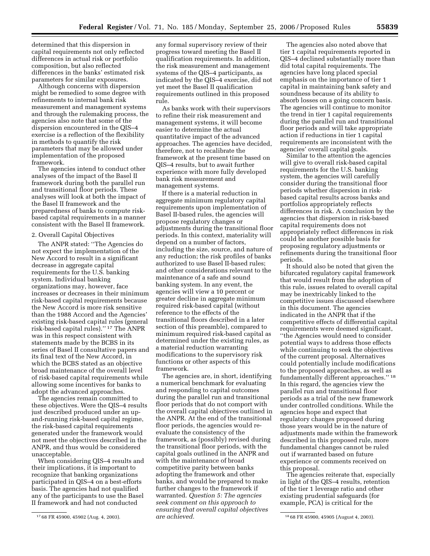determined that this dispersion in capital requirements not only reflected differences in actual risk or portfolio composition, but also reflected differences in the banks' estimated risk parameters for similar exposures.

Although concerns with dispersion might be remedied to some degree with refinements to internal bank risk measurement and management systems and through the rulemaking process, the agencies also note that some of the dispersion encountered in the QIS–4 exercise is a reflection of the flexibility in methods to quantify the risk parameters that may be allowed under implementation of the proposed framework.

The agencies intend to conduct other analyses of the impact of the Basel II framework during both the parallel run and transitional floor periods. These analyses will look at both the impact of the Basel II framework and the preparedness of banks to compute riskbased capital requirements in a manner consistent with the Basel II framework.

#### 2. Overall Capital Objectives

The ANPR stated: ''The Agencies do not expect the implementation of the New Accord to result in a significant decrease in aggregate capital requirements for the U.S. banking system. Individual banking organizations may, however, face increases or decreases in their minimum risk-based capital requirements because the New Accord is more risk sensitive than the 1988 Accord and the Agencies' existing risk-based capital rules (general risk-based capital rules).'' 17 The ANPR was in this respect consistent with statements made by the BCBS in its series of Basel II consultative papers and its final text of the New Accord, in which the BCBS stated as an objective broad maintenance of the overall level of risk-based capital requirements while allowing some incentives for banks to adopt the advanced approaches.

The agencies remain committed to these objectives. Were the QIS–4 results just described produced under an upand-running risk-based capital regime, the risk-based capital requirements generated under the framework would not meet the objectives described in the ANPR, and thus would be considered unacceptable.

When considering QIS–4 results and their implications, it is important to recognize that banking organizations participated in QIS–4 on a best-efforts basis. The agencies had not qualified any of the participants to use the Basel II framework and had not conducted

any formal supervisory review of their progress toward meeting the Basel II qualification requirements. In addition, the risk measurement and management systems of the QIS–4 participants, as indicated by the QIS–4 exercise, did not yet meet the Basel II qualification requirements outlined in this proposed rule.

As banks work with their supervisors to refine their risk measurement and management systems, it will become easier to determine the actual quantitative impact of the advanced approaches. The agencies have decided, therefore, not to recalibrate the framework at the present time based on QIS–4 results, but to await further experience with more fully developed bank risk measurement and management systems.

If there is a material reduction in aggregate minimum regulatory capital requirements upon implementation of Basel II-based rules, the agencies will propose regulatory changes or adjustments during the transitional floor periods. In this context, materiality will depend on a number of factors, including the size, source, and nature of any reduction; the risk profiles of banks authorized to use Basel II-based rules; and other considerations relevant to the maintenance of a safe and sound banking system. In any event, the agencies will view a 10 percent or greater decline in aggregate minimum required risk-based capital (without reference to the effects of the transitional floors described in a later section of this preamble), compared to minimum required risk-based capital as determined under the existing rules, as a material reduction warranting modifications to the supervisory risk functions or other aspects of this framework.

17 68 FR 45900, 45902 (Aug. 4, 2003). 18 68 FR 45900, 45905 (August 4, 2003). The agencies are, in short, identifying a numerical benchmark for evaluating and responding to capital outcomes during the parallel run and transitional floor periods that do not comport with the overall capital objectives outlined in the ANPR. At the end of the transitional floor periods, the agencies would reevaluate the consistency of the framework, as (possibly) revised during the transitional floor periods, with the capital goals outlined in the ANPR and with the maintenance of broad competitive parity between banks adopting the framework and other banks, and would be prepared to make further changes to the framework if warranted. *Question 5: The agencies seek comment on this approach to ensuring that overall capital objectives are achieved.* 

The agencies also noted above that tier 1 capital requirements reported in QIS–4 declined substantially more than did total capital requirements. The agencies have long placed special emphasis on the importance of tier 1 capital in maintaining bank safety and soundness because of its ability to absorb losses on a going concern basis. The agencies will continue to monitor the trend in tier 1 capital requirements during the parallel run and transitional floor periods and will take appropriate action if reductions in tier 1 capital requirements are inconsistent with the agencies' overall capital goals.

Similar to the attention the agencies will give to overall risk-based capital requirements for the U.S. banking system, the agencies will carefully consider during the transitional floor periods whether dispersion in riskbased capital results across banks and portfolios appropriately reflects differences in risk. A conclusion by the agencies that dispersion in risk-based capital requirements does not appropriately reflect differences in risk could be another possible basis for proposing regulatory adjustments or refinements during the transitional floor periods.

It should also be noted that given the bifurcated regulatory capital framework that would result from the adoption of this rule, issues related to overall capital may be inextricably linked to the competitive issues discussed elsewhere in this document. The agencies indicated in the ANPR that if the competitive effects of differential capital requirements were deemed significant, ''the Agencies would need to consider potential ways to address those effects while continuing to seek the objectives of the current proposal. Alternatives could potentially include modifications to the proposed approaches, as well as fundamentally different approaches.'' 18 In this regard, the agencies view the parallel run and transitional floor periods as a trial of the new framework under controlled conditions. While the agencies hope and expect that regulatory changes proposed during those years would be in the nature of adjustments made within the framework described in this proposed rule, more fundamental changes cannot be ruled out if warranted based on future experience or comments received on this proposal.

The agencies reiterate that, especially in light of the QIS–4 results, retention of the tier 1 leverage ratio and other existing prudential safeguards (for example, PCA) is critical for the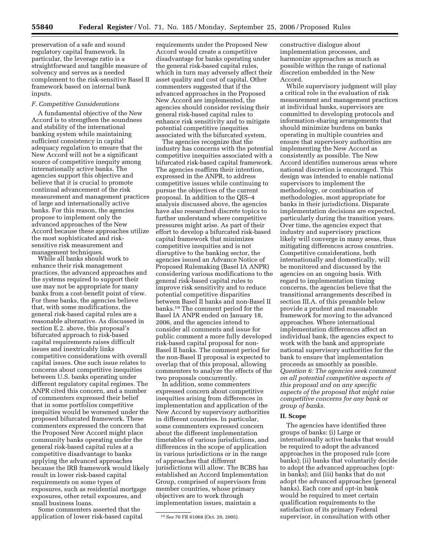preservation of a safe and sound regulatory capital framework. In particular, the leverage ratio is a straightforward and tangible measure of solvency and serves as a needed complement to the risk-sensitive Basel II framework based on internal bank inputs.

#### *F. Competitive Considerations*

A fundamental objective of the New Accord is to strengthen the soundness and stability of the international banking system while maintaining sufficient consistency in capital adequacy regulation to ensure that the New Accord will not be a significant source of competitive inequity among internationally active banks. The agencies support this objective and believe that it is crucial to promote continual advancement of the risk measurement and management practices of large and internationally active banks. For this reason, the agencies propose to implement only the advanced approaches of the New Accord because these approaches utilize the most sophisticated and risksensitive risk measurement and management techniques.

While all banks should work to enhance their risk management practices, the advanced approaches and the systems required to support their use may not be appropriate for many banks from a cost-benefit point of view. For these banks, the agencies believe that, with some modifications, the general risk-based capital rules are a reasonable alternative. As discussed in section E.2. above, this proposal's bifurcated approach to risk-based capital requirements raises difficult issues and inextricably links competitive considerations with overall capital issues. One such issue relates to concerns about competitive inequities between U.S. banks operating under different regulatory capital regimes. The ANPR cited this concern, and a number of commenters expressed their belief that in some portfolios competitive inequities would be worsened under the proposed bifurcated framework. These commenters expressed the concern that the Proposed New Accord might place community banks operating under the general risk-based capital rules at a competitive disadvantage to banks applying the advanced approaches because the IRB framework would likely result in lower risk-based capital requirements on some types of exposures, such as residential mortgage exposures, other retail exposures, and small business loans.

Some commenters asserted that the application of lower risk-based capital

requirements under the Proposed New Accord would create a competitive disadvantage for banks operating under the general risk-based capital rules, which in turn may adversely affect their asset quality and cost of capital. Other commenters suggested that if the advanced approaches in the Proposed New Accord are implemented, the agencies should consider revising their general risk-based capital rules to enhance risk sensitivity and to mitigate potential competitive inequities associated with the bifurcated system.

The agencies recognize that the industry has concerns with the potential competitive inequities associated with a bifurcated risk-based capital framework. The agencies reaffirm their intention, expressed in the ANPR, to address competitive issues while continuing to pursue the objectives of the current proposal. In addition to the QIS–4 analysis discussed above, the agencies have also researched discrete topics to further understand where competitive pressures might arise. As part of their effort to develop a bifurcated risk-based capital framework that minimizes competitive inequities and is not disruptive to the banking sector, the agencies issued an Advance Notice of Proposed Rulemaking (Basel IA ANPR) considering various modifications to the general risk-based capital rules to improve risk sensitivity and to reduce potential competitive disparities between Basel II banks and non-Basel II banks.19 The comment period for the Basel IA ANPR ended on January 18, 2006, and the agencies intend to consider all comments and issue for public comment a more fully developed risk-based capital proposal for non-Basel II banks. The comment period for the non-Basel II proposal is expected to overlap that of this proposal, allowing commenters to analyze the effects of the two proposals concurrently.

In addition, some commenters expressed concern about competitive inequities arising from differences in implementation and application of the New Accord by supervisory authorities in different countries. In particular, some commenters expressed concern about the different implementation timetables of various jurisdictions, and differences in the scope of application in various jurisdictions or in the range of approaches that different jurisdictions will allow. The BCBS has established an Accord Implementation Group, comprised of supervisors from member countries, whose primary objectives are to work through implementation issues, maintain a

constructive dialogue about implementation processes, and harmonize approaches as much as possible within the range of national discretion embedded in the New Accord.

While supervisory judgment will play a critical role in the evaluation of risk measurement and management practices at individual banks, supervisors are committed to developing protocols and information-sharing arrangements that should minimize burdens on banks operating in multiple countries and ensure that supervisory authorities are implementing the New Accord as consistently as possible. The New Accord identifies numerous areas where national discretion is encouraged. This design was intended to enable national supervisors to implement the methodology, or combination of methodologies, most appropriate for banks in their jurisdictions. Disparate implementation decisions are expected, particularly during the transition years. Over time, the agencies expect that industry and supervisory practices likely will converge in many areas, thus mitigating differences across countries. Competitive considerations, both internationally and domestically, will be monitored and discussed by the agencies on an ongoing basis. With regard to implementation timing concerns, the agencies believe that the transitional arrangements described in section III.A. of this preamble below provide a prudent and reasonable framework for moving to the advanced approaches. Where international implementation differences affect an individual bank, the agencies expect to work with the bank and appropriate national supervisory authorities for the bank to ensure that implementation proceeds as smoothly as possible. *Question 6: The agencies seek comment on all potential competitive aspects of this proposal and on any specific aspects of the proposal that might raise competitive concerns for any bank or group of banks.* 

#### **II. Scope**

The agencies have identified three groups of banks: (i) Large or internationally active banks that would be required to adopt the advanced approaches in the proposed rule (core banks); (ii) banks that voluntarily decide to adopt the advanced approaches (optin banks); and (iii) banks that do not adopt the advanced approaches (general banks). Each core and opt-in bank would be required to meet certain qualification requirements to the satisfaction of its primary Federal supervisor, in consultation with other

<sup>19</sup>*See* 70 FR 61068 (Oct. 20, 2005).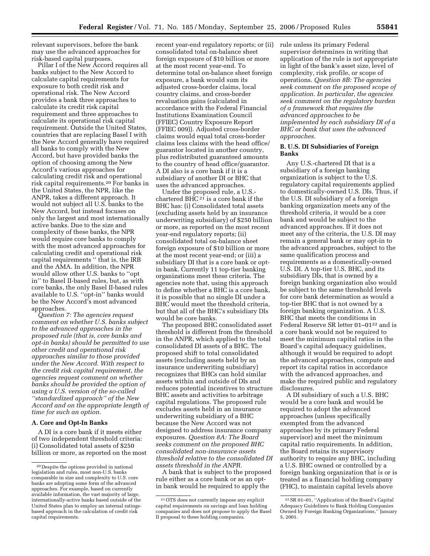relevant supervisors, before the bank may use the advanced approaches for risk-based capital purposes.

Pillar I of the New Accord requires all banks subject to the New Accord to calculate capital requirements for exposure to both credit risk and operational risk. The New Accord provides a bank three approaches to calculate its credit risk capital requirement and three approaches to calculate its operational risk capital requirement. Outside the United States, countries that are replacing Basel I with the New Accord generally have required all banks to comply with the New Accord, but have provided banks the option of choosing among the New Accord's various approaches for calculating credit risk and operational risk capital requirements.20 For banks in the United States, the NPR, like the ANPR, takes a different approach. It would not subject all U.S. banks to the New Accord, but instead focuses on only the largest and most internationally active banks. Due to the size and complexity of these banks, the NPR would require core banks to comply with the most advanced approaches for calculating credit and operational risk capital requirements '' that is, the IRB and the AMA. In addition, the NPR would allow other U.S. banks to ''opt in'' to Basel II-based rules, but, as with core banks, the only Basel II-based rules available to U.S. ''opt-in'' banks would be the New Accord's most advanced approaches.

*Question 7: The agencies request comment on whether U.S. banks subject to the advanced approaches in the proposed rule (that is, core banks and opt-in banks) should be permitted to use other credit and operational risk approaches similar to those provided under the New Accord. With respect to the credit risk capital requirement, the agencies request comment on whether banks should be provided the option of using a U.S. version of the so-called ''standardized approach'' of the New Accord and on the appropriate length of time for such an option.* 

## **A. Core and Opt-In Banks**

A DI is a core bank if it meets either of two independent threshold criteria: (i) Consolidated total assets of \$250 billion or more, as reported on the most recent year-end regulatory reports; or (ii) consolidated total on-balance sheet foreign exposure of \$10 billion or more at the most recent year-end. To determine total on-balance sheet foreign exposure, a bank would sum its adjusted cross-border claims, local country claims, and cross-border revaluation gains (calculated in accordance with the Federal Financial Institutions Examination Council (FFIEC) Country Exposure Report (FFIEC 009)). Adjusted cross-border claims would equal total cross-border claims less claims with the head office/ guarantor located in another country, plus redistributed guaranteed amounts to the country of head office/guarantor. A DI also is a core bank if it is a subsidiary of another DI or BHC that uses the advanced approaches.

Under the proposed rule, a U.S. chartered BHC<sup>21</sup> is a core bank if the BHC has: (i) Consolidated total assets (excluding assets held by an insurance underwriting subsidiary) of \$250 billion or more, as reported on the most recent year-end regulatory reports; (ii) consolidated total on-balance sheet foreign exposure of \$10 billion or more at the most recent year-end; or (iii) a subsidiary DI that is a core bank or optin bank. Currently 11 top-tier banking organizations meet these criteria. The agencies note that, using this approach to define whether a BHC is a core bank, it is possible that no single DI under a BHC would meet the threshold criteria, but that all of the BHC's subsidiary DIs would be core banks.

The proposed BHC consolidated asset threshold is different from the threshold in the ANPR, which applied to the total consolidated DI assets of a BHC. The proposed shift to total consolidated assets (excluding assets held by an insurance underwriting subsidiary) recognizes that BHCs can hold similar assets within and outside of DIs and reduces potential incentives to structure BHC assets and activities to arbitrage capital regulations. The proposed rule excludes assets held in an insurance underwriting subsidiary of a BHC because the New Accord was not designed to address insurance company exposures. *Question 8A: The Board seeks comment on the proposed BHC consolidated non-insurance assets threshold relative to the consolidated DI assets threshold in the ANPR.* 

A bank that is subject to the proposed rule either as a core bank or as an optin bank would be required to apply the

rule unless its primary Federal supervisor determines in writing that application of the rule is not appropriate in light of the bank's asset size, level of complexity, risk profile, or scope of operations. *Question 8B: The agencies seek comment on the proposed scope of application. In particular, the agencies seek comment on the regulatory burden of a framework that requires the advanced approaches to be implemented by each subsidiary DI of a BHC or bank that uses the advanced approaches.* 

#### **B. U.S. DI Subsidiaries of Foreign Banks**

Any U.S.-chartered DI that is a subsidiary of a foreign banking organization is subject to the U.S. regulatory capital requirements applied to domestically-owned U.S. DIs. Thus, if the U.S. DI subsidiary of a foreign banking organization meets any of the threshold criteria, it would be a core bank and would be subject to the advanced approaches. If it does not meet any of the criteria, the U.S. DI may remain a general bank or may opt-in to the advanced approaches, subject to the same qualification process and requirements as a domestically-owned U.S. DI. A top-tier U.S. BHC, and its subsidiary DIs, that is owned by a foreign banking organization also would be subject to the same threshold levels for core bank determination as would a top-tier BHC that is not owned by a foreign banking organization. A U.S. BHC that meets the conditions in Federal Reserve SR letter 01-01<sup>22</sup> and is a core bank would not be required to meet the minimum capital ratios in the Board's capital adequacy guidelines, although it would be required to adopt the advanced approaches, compute and report its capital ratios in accordance with the advanced approaches, and make the required public and regulatory disclosures.

A DI subsidiary of such a U.S. BHC would be a core bank and would be required to adopt the advanced approaches (unless specifically exempted from the advanced approaches by its primary Federal supervisor) and meet the minimum capital ratio requirements. In addition, the Board retains its supervisory authority to require any BHC, including a U.S. BHC owned or controlled by a foreign banking organization that is or is treated as a financial holding company (FHC), to maintain capital levels above

<sup>20</sup> Despite the options provided in national legislation and rules, most non-U.S. banks comparable in size and complexity to U.S. core banks are adopting some form of the advanced approaches. For example, based on currently available information, the vast majority of large, internationally-active banks based outside of the United States plan to employ an internal ratingsbased approach in the calculation of credit risk capital requirements.

<sup>21</sup>OTS does not currently impose any explicit capital requirements on savings and loan holding companies and does not propose to apply the Basel II proposal to these holding companies.

<sup>22</sup>SR 01–01, ''Application of the Board's Capital Adequacy Guidelines to Bank Holding Companies Owned by Foreign Banking Organizations,'' January 5, 2001.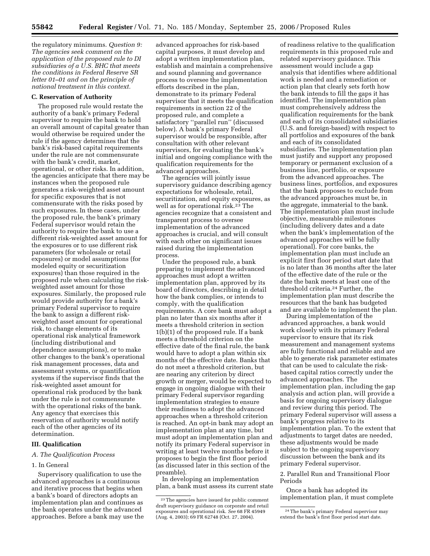the regulatory minimums. *Question 9: The agencies seek comment on the application of the proposed rule to DI subsidiaries of a U.S. BHC that meets the conditions in Federal Reserve SR letter 01–01 and on the principle of national treatment in this context.* 

#### **C. Reservation of Authority**

The proposed rule would restate the authority of a bank's primary Federal supervisor to require the bank to hold an overall amount of capital greater than would otherwise be required under the rule if the agency determines that the bank's risk-based capital requirements under the rule are not commensurate with the bank's credit, market, operational, or other risks. In addition, the agencies anticipate that there may be instances when the proposed rule generates a risk-weighted asset amount for specific exposures that is not commensurate with the risks posed by such exposures. In these cases, under the proposed rule, the bank's primary Federal supervisor would retain the authority to require the bank to use a different risk-weighted asset amount for the exposures or to use different risk parameters (for wholesale or retail exposures) or model assumptions (for modeled equity or securitization exposures) than those required in the proposed rule when calculating the riskweighted asset amount for those exposures. Similarly, the proposed rule would provide authority for a bank's primary Federal supervisor to require the bank to assign a different riskweighted asset amount for operational risk, to change elements of its operational risk analytical framework (including distributional and dependence assumptions), or to make other changes to the bank's operational risk management processes, data and assessment systems, or quantification systems if the supervisor finds that the risk-weighted asset amount for operational risk produced by the bank under the rule is not commensurate with the operational risks of the bank. Any agency that exercises this reservation of authority would notify each of the other agencies of its determination.

## **III. Qualification**

#### *A. The Qualification Process*

#### 1. In General

Supervisory qualification to use the advanced approaches is a continuous and iterative process that begins when a bank's board of directors adopts an implementation plan and continues as the bank operates under the advanced approaches. Before a bank may use the

advanced approaches for risk-based capital purposes, it must develop and adopt a written implementation plan, establish and maintain a comprehensive and sound planning and governance process to oversee the implementation efforts described in the plan, demonstrate to its primary Federal supervisor that it meets the qualification requirements in section 22 of the proposed rule, and complete a satisfactory ''parallel run'' (discussed below). A bank's primary Federal supervisor would be responsible, after consultation with other relevant supervisors, for evaluating the bank's initial and ongoing compliance with the qualification requirements for the advanced approaches.

The agencies will jointly issue supervisory guidance describing agency expectations for wholesale, retail, securitization, and equity exposures, as well as for operational risk.23 The agencies recognize that a consistent and transparent process to oversee implementation of the advanced approaches is crucial, and will consult with each other on significant issues raised during the implementation process.

Under the proposed rule, a bank preparing to implement the advanced approaches must adopt a written implementation plan, approved by its board of directors, describing in detail how the bank complies, or intends to comply, with the qualification requirements. A core bank must adopt a plan no later than six months after it meets a threshold criterion in section 1(b)(1) of the proposed rule. If a bank meets a threshold criterion on the effective date of the final rule, the bank would have to adopt a plan within six months of the effective date. Banks that do not meet a threshold criterion, but are nearing any criterion by direct growth or merger, would be expected to engage in ongoing dialogue with their primary Federal supervisor regarding implementation strategies to ensure their readiness to adopt the advanced approaches when a threshold criterion is reached. An opt-in bank may adopt an implementation plan at any time, but must adopt an implementation plan and notify its primary Federal supervisor in writing at least twelve months before it proposes to begin the first floor period (as discussed later in this section of the preamble).

In developing an implementation plan, a bank must assess its current state

of readiness relative to the qualification requirements in this proposed rule and related supervisory guidance. This assessment would include a gap analysis that identifies where additional work is needed and a remediation or action plan that clearly sets forth how the bank intends to fill the gaps it has identified. The implementation plan must comprehensively address the qualification requirements for the bank and each of its consolidated subsidiaries (U.S. and foreign-based) with respect to all portfolios and exposures of the bank and each of its consolidated subsidiaries. The implementation plan must justify and support any proposed temporary or permanent exclusion of a business line, portfolio, or exposure from the advanced approaches. The business lines, portfolios, and exposures that the bank proposes to exclude from the advanced approaches must be, in the aggregate, immaterial to the bank. The implementation plan must include objective, measurable milestones (including delivery dates and a date when the bank's implementation of the advanced approaches will be fully operational). For core banks, the implementation plan must include an explicit first floor period start date that is no later than 36 months after the later of the effective date of the rule or the date the bank meets at least one of the threshold criteria.24 Further, the implementation plan must describe the resources that the bank has budgeted and are available to implement the plan.

During implementation of the advanced approaches, a bank would work closely with its primary Federal supervisor to ensure that its risk measurement and management systems are fully functional and reliable and are able to generate risk parameter estimates that can be used to calculate the riskbased capital ratios correctly under the advanced approaches. The implementation plan, including the gap analysis and action plan, will provide a basis for ongoing supervisory dialogue and review during this period. The primary Federal supervisor will assess a bank's progress relative to its implementation plan. To the extent that adjustments to target dates are needed, these adjustments would be made subject to the ongoing supervisory discussion between the bank and its primary Federal supervisor.

2. Parallel Run and Transitional Floor Periods

Once a bank has adopted its implementation plan, it must complete

<sup>23</sup>The agencies have issued for public comment draft supervisory guidance on corporate and retail exposures and operational risk. *See* 68 FR 45949 (Aug. 4, 2003); 69 FR 62748 (Oct. 27, 2004).

<sup>24</sup>The bank's primary Federal supervisor may extend the bank's first floor period start date.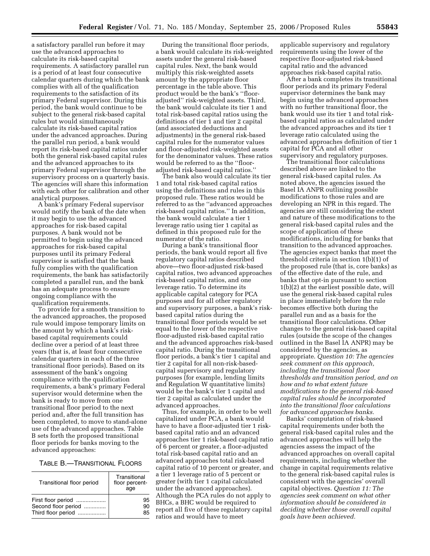a satisfactory parallel run before it may use the advanced approaches to calculate its risk-based capital requirements. A satisfactory parallel run is a period of at least four consecutive calendar quarters during which the bank complies with all of the qualification requirements to the satisfaction of its primary Federal supervisor. During this period, the bank would continue to be subject to the general risk-based capital rules but would simultaneously calculate its risk-based capital ratios under the advanced approaches. During the parallel run period, a bank would report its risk-based capital ratios under both the general risk-based capital rules and the advanced approaches to its primary Federal supervisor through the supervisory process on a quarterly basis. The agencies will share this information with each other for calibration and other analytical purposes.

A bank's primary Federal supervisor would notify the bank of the date when it may begin to use the advanced approaches for risk-based capital purposes. A bank would not be permitted to begin using the advanced approaches for risk-based capital purposes until its primary Federal supervisor is satisfied that the bank fully complies with the qualification requirements, the bank has satisfactorily completed a parallel run, and the bank has an adequate process to ensure ongoing compliance with the qualification requirements.

To provide for a smooth transition to the advanced approaches, the proposed rule would impose temporary limits on the amount by which a bank's riskbased capital requirements could decline over a period of at least three years (that is, at least four consecutive calendar quarters in each of the three transitional floor periods). Based on its assessment of the bank's ongoing compliance with the qualification requirements, a bank's primary Federal supervisor would determine when the bank is ready to move from one transitional floor period to the next period and, after the full transition has been completed, to move to stand-alone use of the advanced approaches. Table B sets forth the proposed transitional floor periods for banks moving to the advanced approaches:

## TABLE B.—TRANSITIONAL FLOORS

| Transitional floor period | Transitional<br>floor percent-<br>age |
|---------------------------|---------------------------------------|
| First floor period        | 95                                    |
| Second floor period       | 90                                    |
| Third floor period        | 85                                    |

During the transitional floor periods, a bank would calculate its risk-weighted assets under the general risk-based capital rules. Next, the bank would multiply this risk-weighted assets amount by the appropriate floor percentage in the table above. This product would be the bank's ''flooradjusted'' risk-weighted assets. Third, the bank would calculate its tier 1 and total risk-based capital ratios using the definitions of tier 1 and tier 2 capital (and associated deductions and adjustments) in the general risk-based capital rules for the numerator values and floor-adjusted risk-weighted assets for the denominator values. These ratios would be referred to as the ''flooradjusted risk-based capital ratios.''

The bank also would calculate its tier 1 and total risk-based capital ratios using the definitions and rules in this proposed rule. These ratios would be referred to as the ''advanced approaches risk-based capital ratios.'' In addition, the bank would calculate a tier 1 leverage ratio using tier 1 capital as defined in this proposed rule for the numerator of the ratio.

During a bank's transitional floor periods, the bank would report all five regulatory capital ratios described above—two floor-adjusted risk-based capital ratios, two advanced approaches risk-based capital ratios, and one leverage ratio. To determine its applicable capital category for PCA purposes and for all other regulatory and supervisory purposes, a bank's riskbased capital ratios during the transitional floor periods would be set equal to the lower of the respective floor-adjusted risk-based capital ratio and the advanced approaches risk-based capital ratio. During the transitional floor periods, a bank's tier 1 capital and tier 2 capital for all non-risk-basedcapital supervisory and regulatory purposes (for example, lending limits and Regulation W quantitative limits) would be the bank's tier 1 capital and tier 2 capital as calculated under the advanced approaches.

Thus, for example, in order to be well capitalized under PCA, a bank would have to have a floor-adjusted tier 1 riskbased capital ratio and an advanced approaches tier 1 risk-based capital ratio of 6 percent or greater, a floor-adjusted total risk-based capital ratio and an advanced approaches total risk-based capital ratio of 10 percent or greater, and a tier 1 leverage ratio of 5 percent or greater (with tier 1 capital calculated under the advanced approaches). Although the PCA rules do not apply to BHCs, a BHC would be required to report all five of these regulatory capital ratios and would have to meet

applicable supervisory and regulatory requirements using the lower of the respective floor-adjusted risk-based capital ratio and the advanced approaches risk-based capital ratio.

After a bank completes its transitional floor periods and its primary Federal supervisor determines the bank may begin using the advanced approaches with no further transitional floor, the bank would use its tier 1 and total riskbased capital ratios as calculated under the advanced approaches and its tier 1 leverage ratio calculated using the advanced approaches definition of tier 1 capital for PCA and all other supervisory and regulatory purposes.

The transitional floor calculations described above are linked to the general risk-based capital rules. As noted above, the agencies issued the Basel IA ANPR outlining possible modifications to those rules and are developing an NPR in this regard. The agencies are still considering the extent and nature of these modifications to the general risk-based capital rules and the scope of application of these modifications, including for banks that transition to the advanced approaches. The agencies expect banks that meet the threshold criteria in section 1(b)(1) of the proposed rule (that is, core banks) as of the effective date of the rule, and banks that opt-in pursuant to section 1(b)(2) at the earliest possible date, will use the general risk-based capital rules in place immediately before the rule becomes effective both during the parallel run and as a basis for the transitional floor calculations. Other changes to the general risk-based capital rules (outside the scope of the changes outlined in the Basel IA ANPR) may be considered by the agencies, as appropriate. *Question 10: The agencies seek comment on this approach, including the transitional floor thresholds and transition period, and on how and to what extent future modifications to the general risk-based capital rules should be incorporated into the transitional floor calculations for advanced approaches banks.* 

Banks' computation of risk-based capital requirements under both the general risk-based capital rules and the advanced approaches will help the agencies assess the impact of the advanced approaches on overall capital requirements, including whether the change in capital requirements relative to the general risk-based capital rules is consistent with the agencies' overall capital objectives. *Question 11: The agencies seek comment on what other information should be considered in deciding whether those overall capital goals have been achieved.*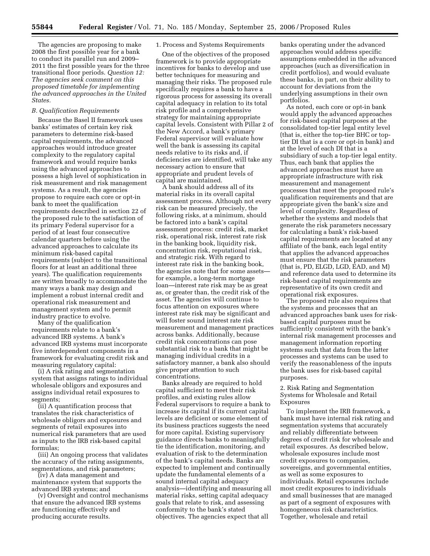The agencies are proposing to make 2008 the first possible year for a bank to conduct its parallel run and 2009– 2011 the first possible years for the three transitional floor periods. *Question 12: The agencies seek comment on this proposed timetable for implementing the advanced approaches in the United States.* 

## *B. Qualification Requirements*

Because the Basel II framework uses banks' estimates of certain key risk parameters to determine risk-based capital requirements, the advanced approaches would introduce greater complexity to the regulatory capital framework and would require banks using the advanced approaches to possess a high level of sophistication in risk measurement and risk management systems. As a result, the agencies propose to require each core or opt-in bank to meet the qualification requirements described in section 22 of the proposed rule to the satisfaction of its primary Federal supervisor for a period of at least four consecutive calendar quarters before using the advanced approaches to calculate its minimum risk-based capital requirements (subject to the transitional floors for at least an additional three years). The qualification requirements are written broadly to accommodate the many ways a bank may design and implement a robust internal credit and operational risk measurement and management system and to permit industry practice to evolve.

Many of the qualification requirements relate to a bank's advanced IRB systems. A bank's advanced IRB systems must incorporate five interdependent components in a framework for evaluating credit risk and

measuring regulatory capital: (i) A risk rating and segmentation system that assigns ratings to individual wholesale obligors and exposures and assigns individual retail exposures to segments;

(ii) A quantification process that translates the risk characteristics of wholesale obligors and exposures and segments of retail exposures into numerical risk parameters that are used as inputs to the IRB risk-based capital formulas;

(iii) An ongoing process that validates the accuracy of the rating assignments, segmentations, and risk parameters;

(iv) A data management and maintenance system that supports the advanced IRB systems; and

(v) Oversight and control mechanisms that ensure the advanced IRB systems are functioning effectively and producing accurate results.

#### 1. Process and Systems Requirements

One of the objectives of the proposed framework is to provide appropriate incentives for banks to develop and use better techniques for measuring and managing their risks. The proposed rule specifically requires a bank to have a rigorous process for assessing its overall capital adequacy in relation to its total risk profile and a comprehensive strategy for maintaining appropriate capital levels. Consistent with Pillar 2 of the New Accord, a bank's primary Federal supervisor will evaluate how well the bank is assessing its capital needs relative to its risks and, if deficiencies are identified, will take any necessary action to ensure that appropriate and prudent levels of capital are maintained.

A bank should address all of its material risks in its overall capital assessment process. Although not every risk can be measured precisely, the following risks, at a minimum, should be factored into a bank's capital assessment process: credit risk, market risk, operational risk, interest rate risk in the banking book, liquidity risk, concentration risk, reputational risk, and strategic risk. With regard to interest rate risk in the banking book, the agencies note that for some assets for example, a long-term mortgage loan—interest rate risk may be as great as, or greater than, the credit risk of the asset. The agencies will continue to focus attention on exposures where interest rate risk may be significant and will foster sound interest rate risk measurement and management practices across banks. Additionally, because credit risk concentrations can pose substantial risk to a bank that might be managing individual credits in a satisfactory manner, a bank also should give proper attention to such concentrations.

Banks already are required to hold capital sufficient to meet their risk profiles, and existing rules allow Federal supervisors to require a bank to increase its capital if its current capital levels are deficient or some element of its business practices suggests the need for more capital. Existing supervisory guidance directs banks to meaningfully tie the identification, monitoring, and evaluation of risk to the determination of the bank's capital needs. Banks are expected to implement and continually update the fundamental elements of a sound internal capital adequacy analysis—identifying and measuring all material risks, setting capital adequacy goals that relate to risk, and assessing conformity to the bank's stated objectives. The agencies expect that all

banks operating under the advanced approaches would address specific assumptions embedded in the advanced approaches (such as diversification in credit portfolios), and would evaluate these banks, in part, on their ability to account for deviations from the underlying assumptions in their own portfolios.

As noted, each core or opt-in bank would apply the advanced approaches for risk-based capital purposes at the consolidated top-tier legal entity level (that is, either the top-tier BHC or toptier DI that is a core or opt-in bank) and at the level of each DI that is a subsidiary of such a top-tier legal entity. Thus, each bank that applies the advanced approaches must have an appropriate infrastructure with risk measurement and management processes that meet the proposed rule's qualification requirements and that are appropriate given the bank's size and level of complexity. Regardless of whether the systems and models that generate the risk parameters necessary for calculating a bank's risk-based capital requirements are located at any affiliate of the bank, each legal entity that applies the advanced approaches must ensure that the risk parameters (that is, PD, ELGD, LGD, EAD, and M) and reference data used to determine its risk-based capital requirements are representative of its own credit and operational risk exposures.

The proposed rule also requires that the systems and processes that an advanced approaches bank uses for riskbased capital purposes must be sufficiently consistent with the bank's internal risk management processes and management information reporting systems such that data from the latter processes and systems can be used to verify the reasonableness of the inputs the bank uses for risk-based capital purposes.

## 2. Risk Rating and Segmentation Systems for Wholesale and Retail Exposures

To implement the IRB framework, a bank must have internal risk rating and segmentation systems that accurately and reliably differentiate between degrees of credit risk for wholesale and retail exposures. As described below, wholesale exposures include most credit exposures to companies, sovereigns, and governmental entities, as well as some exposures to individuals. Retail exposures include most credit exposures to individuals and small businesses that are managed as part of a segment of exposures with homogeneous risk characteristics. Together, wholesale and retail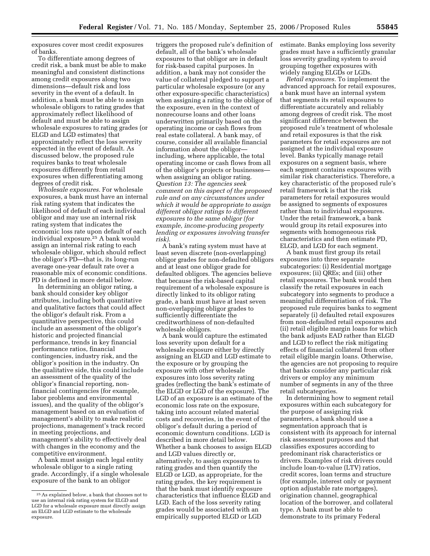exposures cover most credit exposures of banks.

To differentiate among degrees of credit risk, a bank must be able to make meaningful and consistent distinctions among credit exposures along two dimensions—default risk and loss severity in the event of a default. In addition, a bank must be able to assign wholesale obligors to rating grades that approximately reflect likelihood of default and must be able to assign wholesale exposures to rating grades (or ELGD and LGD estimates) that approximately reflect the loss severity expected in the event of default. As discussed below, the proposed rule requires banks to treat wholesale exposures differently from retail exposures when differentiating among degrees of credit risk.

*Wholesale exposures.* For wholesale exposures, a bank must have an internal risk rating system that indicates the likelihood of default of each individual obligor and may use an internal risk rating system that indicates the economic loss rate upon default of each individual exposure.25 A bank would assign an internal risk rating to each wholesale obligor, which should reflect the obligor's PD—that is, its long-run average one-year default rate over a reasonable mix of economic conditions. PD is defined in more detail below.

In determining an obligor rating, a bank should consider key obligor attributes, including both quantitative and qualitative factors that could affect the obligor's default risk. From a quantitative perspective, this could include an assessment of the obligor's historic and projected financial performance, trends in key financial performance ratios, financial contingencies, industry risk, and the obligor's position in the industry. On the qualitative side, this could include an assessment of the quality of the obligor's financial reporting, nonfinancial contingencies (for example, labor problems and environmental issues), and the quality of the obligor's management based on an evaluation of management's ability to make realistic projections, management's track record in meeting projections, and management's ability to effectively deal with changes in the economy and the competitive environment.

A bank must assign each legal entity wholesale obligor to a single rating grade. Accordingly, if a single wholesale exposure of the bank to an obligor

triggers the proposed rule's definition of default, all of the bank's wholesale exposures to that obligor are in default for risk-based capital purposes. In addition, a bank may not consider the value of collateral pledged to support a particular wholesale exposure (or any other exposure-specific characteristics) when assigning a rating to the obligor of the exposure, even in the context of nonrecourse loans and other loans underwritten primarily based on the operating income or cash flows from real estate collateral. A bank may, of course, consider all available financial information about the obligor including, where applicable, the total operating income or cash flows from all of the obligor's projects or businesses when assigning an obligor rating. *Question 13: The agencies seek comment on this aspect of the proposed rule and on any circumstances under which it would be appropriate to assign different obligor ratings to different exposures to the same obligor (for example, income-producing property lending or exposures involving transfer risk).* 

A bank's rating system must have at least seven discrete (non-overlapping) obligor grades for non-defaulted obligors and at least one obligor grade for defaulted obligors. The agencies believe that because the risk-based capital requirement of a wholesale exposure is directly linked to its obligor rating grade, a bank must have at least seven non-overlapping obligor grades to sufficiently differentiate the creditworthiness of non-defaulted wholesale obligors.

A bank would capture the estimated loss severity upon default for a wholesale exposure either by directly assigning an ELGD and LGD estimate to the exposure or by grouping the exposure with other wholesale exposures into loss severity rating grades (reflecting the bank's estimate of the ELGD or LGD of the exposure). The LGD of an exposure is an estimate of the economic loss rate on the exposure, taking into account related material costs and recoveries, in the event of the obligor's default during a period of economic downturn conditions. LGD is described in more detail below. Whether a bank chooses to assign ELGD and LGD values directly or, alternatively, to assign exposures to rating grades and then quantify the ELGD or LGD, as appropriate, for the rating grades, the key requirement is that the bank must identify exposure characteristics that influence ELGD and LGD. Each of the loss severity rating grades would be associated with an empirically supported ELGD or LGD

estimate. Banks employing loss severity grades must have a sufficiently granular loss severity grading system to avoid grouping together exposures with widely ranging ELGDs or LGDs.

*Retail exposures.* To implement the advanced approach for retail exposures, a bank must have an internal system that segments its retail exposures to differentiate accurately and reliably among degrees of credit risk. The most significant difference between the proposed rule's treatment of wholesale and retail exposures is that the risk parameters for retail exposures are not assigned at the individual exposure level. Banks typically manage retail exposures on a segment basis, where each segment contains exposures with similar risk characteristics. Therefore, a key characteristic of the proposed rule's retail framework is that the risk parameters for retail exposures would be assigned to segments of exposures rather than to individual exposures. Under the retail framework, a bank would group its retail exposures into segments with homogeneous risk characteristics and then estimate PD, ELGD, and LGD for each segment.

A bank must first group its retail exposures into three separate subcategories: (i) Residential mortgage exposures; (ii) QREs; and (iii) other retail exposures. The bank would then classify the retail exposures in each subcategory into segments to produce a meaningful differentiation of risk. The proposed rule requires banks to segment separately (i) defaulted retail exposures from non-defaulted retail exposures and (ii) retail eligible margin loans for which the bank adjusts EAD rather than ELGD and LGD to reflect the risk mitigating effects of financial collateral from other retail eligible margin loans. Otherwise, the agencies are not proposing to require that banks consider any particular risk drivers or employ any minimum number of segments in any of the three retail subcategories.

In determining how to segment retail exposures within each subcategory for the purpose of assigning risk parameters, a bank should use a segmentation approach that is consistent with its approach for internal risk assessment purposes and that classifies exposures according to predominant risk characteristics or drivers. Examples of risk drivers could include loan-to-value (LTV) ratios, credit scores, loan terms and structure (for example, interest only or payment option adjustable rate mortgages), origination channel, geographical location of the borrower, and collateral type. A bank must be able to demonstrate to its primary Federal

<sup>25</sup>As explained below, a bank that chooses not to use an internal risk rating system for ELGD and LGD for a wholesale exposure must directly assign an ELGD and LGD estimate to the wholesale exposure.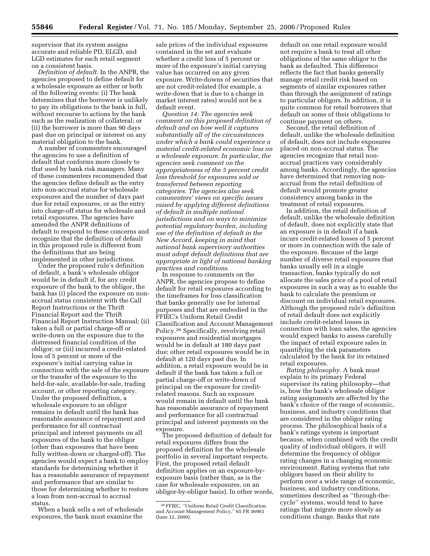supervisor that its system assigns accurate and reliable PD, ELGD, and LGD estimates for each retail segment on a consistent basis.

*Definition of default.* In the ANPR, the agencies proposed to define default for a wholesale exposure as either or both of the following events: (i) The bank determines that the borrower is unlikely to pay its obligations to the bank in full, without recourse to actions by the bank such as the realization of collateral; or (ii) the borrower is more than 90 days past due on principal or interest on any material obligation to the bank.

A number of commenters encouraged the agencies to use a definition of default that conforms more closely to that used by bank risk managers. Many of these commenters recommended that the agencies define default as the entry into non-accrual status for wholesale exposures and the number of days past due for retail exposures, or as the entry into charge-off status for wholesale and retail exposures. The agencies have amended the ANPR definitions of default to respond to these concerns and recognize that the definition of default in this proposed rule is different from the definitions that are being implemented in other jurisdictions.

Under the proposed rule's definition of default, a bank's wholesale obligor would be in default if, for any credit exposure of the bank to the obligor, the bank has (i) placed the exposure on nonaccrual status consistent with the Call Report Instructions or the Thrift Financial Report and the Thrift Financial Report Instruction Manual; (ii) taken a full or partial charge-off or write-down on the exposure due to the distressed financial condition of the obligor; or (iii) incurred a credit-related loss of 5 percent or more of the exposure's initial carrying value in connection with the sale of the exposure or the transfer of the exposure to the held-for-sale, available-for-sale, trading account, or other reporting category. Under the proposed definition, a wholesale exposure to an obligor remains in default until the bank has reasonable assurance of repayment and performance for all contractual principal and interest payments on all exposures of the bank to the obligor (other than exposures that have been fully written-down or charged-off). The agencies would expect a bank to employ standards for determining whether it has a reasonable assurance of repayment and performance that are similar to those for determining whether to restore a loan from non-accrual to accrual status.

When a bank sells a set of wholesale exposures, the bank must examine the

sale prices of the individual exposures contained in the set and evaluate whether a credit loss of 5 percent or more of the exposure's initial carrying value has occurred on any given exposure. Write-downs of securities that are not credit-related (for example, a write-down that is due to a change in market interest rates) would not be a default event.

*Question 14: The agencies seek comment on this proposed definition of default and on how well it captures substantially all of the circumstances under which a bank could experience a material credit-related economic loss on a wholesale exposure. In particular, the agencies seek comment on the appropriateness of the 5 percent credit loss threshold for exposures sold or transferred between reporting categories. The agencies also seek commenters' views on specific issues raised by applying different definitions of default in multiple national jurisdictions and on ways to minimize potential regulatory burden, including use of the definition of default in the New Accord, keeping in mind that national bank supervisory authorities must adopt default definitions that are appropriate in light of national banking practices and conditions.* 

In response to comments on the ANPR, the agencies propose to define default for retail exposures according to the timeframes for loss classification that banks generally use for internal purposes and that are embodied in the FFIEC's Uniform Retail Credit Classification and Account Management Policy.26 Specifically, revolving retail exposures and residential mortgages would be in default at 180 days past due; other retail exposures would be in default at 120 days past due. In addition, a retail exposure would be in default if the bank has taken a full or partial charge-off or write-down of principal on the exposure for creditrelated reasons. Such an exposure would remain in default until the bank has reasonable assurance of repayment and performance for all contractual principal and interest payments on the exposure.

The proposed definition of default for retail exposures differs from the proposed definition for the wholesale portfolio in several important respects. First, the proposed retail default definition applies on an exposure-byexposure basis (rather than, as is the case for wholesale exposures, on an obligor-by-obligor basis). In other words,

default on one retail exposure would not require a bank to treat all other obligations of the same obligor to the bank as defaulted. This difference reflects the fact that banks generally manage retail credit risk based on segments of similar exposures rather than through the assignment of ratings to particular obligors. In addition, it is quite common for retail borrowers that default on some of their obligations to continue payment on others.

Second, the retail definition of default, unlike the wholesale definition of default, does not include exposures placed on non-accrual status. The agencies recognize that retail nonaccrual practices vary considerably among banks. Accordingly, the agencies have determined that removing nonaccrual from the retail definition of default would promote greater consistency among banks in the treatment of retail exposures.

In addition, the retail definition of default, unlike the wholesale definition of default, does not explicitly state that an exposure is in default if a bank incurs credit-related losses of 5 percent or more in connection with the sale of the exposure. Because of the large number of diverse retail exposures that banks usually sell in a single transaction, banks typically do not allocate the sales price of a pool of retail exposures in such a way as to enable the bank to calculate the premium or discount on individual retail exposures. Although the proposed rule's definition of retail default does not explicitly include credit-related losses in connection with loan sales, the agencies would expect banks to assess carefully the impact of retail exposure sales in quantifying the risk parameters calculated by the bank for its retained retail exposures.

*Rating philosophy.* A bank must explain to its primary Federal supervisor its rating philosophy—that is, how the bank's wholesale obligor rating assignments are affected by the bank's choice of the range of economic, business, and industry conditions that are considered in the obligor rating process. The philosophical basis of a bank's ratings system is important because, when combined with the credit quality of individual obligors, it will determine the frequency of obligor rating changes in a changing economic environment. Rating systems that rate obligors based on their ability to perform over a wide range of economic, business, and industry conditions, sometimes described as ''through-thecycle'' systems, would tend to have ratings that migrate more slowly as conditions change. Banks that rate

<sup>26</sup>FFIEC, ''Uniform Retail Credit Classification and Account Management Policy,'' 65 FR 36903 (June 12, 2000).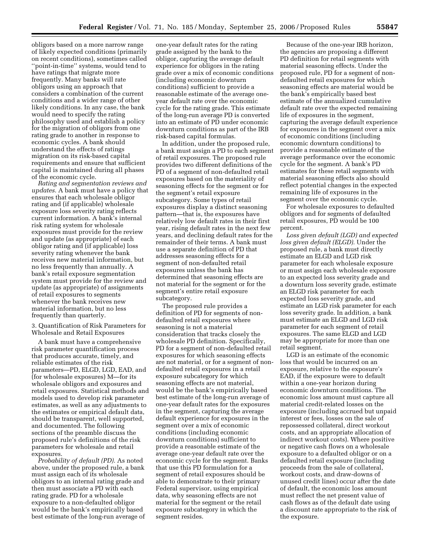obligors based on a more narrow range of likely expected conditions (primarily on recent conditions), sometimes called ''point-in-time'' systems, would tend to have ratings that migrate more frequently. Many banks will rate obligors using an approach that considers a combination of the current conditions and a wider range of other likely conditions. In any case, the bank would need to specify the rating philosophy used and establish a policy for the migration of obligors from one rating grade to another in response to economic cycles. A bank should understand the effects of ratings migration on its risk-based capital requirements and ensure that sufficient capital is maintained during all phases of the economic cycle.

*Rating and segmentation reviews and updates.* A bank must have a policy that ensures that each wholesale obligor rating and (if applicable) wholesale exposure loss severity rating reflects current information. A bank's internal risk rating system for wholesale exposures must provide for the review and update (as appropriate) of each obligor rating and (if applicable) loss severity rating whenever the bank receives new material information, but no less frequently than annually. A bank's retail exposure segmentation system must provide for the review and update (as appropriate) of assignments of retail exposures to segments whenever the bank receives new material information, but no less frequently than quarterly.

3. Quantification of Risk Parameters for Wholesale and Retail Exposures

A bank must have a comprehensive risk parameter quantification process that produces accurate, timely, and reliable estimates of the risk parameters—PD, ELGD, LGD, EAD, and (for wholesale exposures) M—for its wholesale obligors and exposures and retail exposures. Statistical methods and models used to develop risk parameter estimates, as well as any adjustments to the estimates or empirical default data, should be transparent, well supported, and documented. The following sections of the preamble discuss the proposed rule's definitions of the risk parameters for wholesale and retail exposures.

*Probability of default (PD).* As noted above, under the proposed rule, a bank must assign each of its wholesale obligors to an internal rating grade and then must associate a PD with each rating grade. PD for a wholesale exposure to a non-defaulted obligor would be the bank's empirically based best estimate of the long-run average of

one-year default rates for the rating grade assigned by the bank to the obligor, capturing the average default experience for obligors in the rating grade over a mix of economic conditions (including economic downturn conditions) sufficient to provide a reasonable estimate of the average oneyear default rate over the economic cycle for the rating grade. This estimate of the long-run average PD is converted into an estimate of PD under economic downturn conditions as part of the IRB risk-based capital formulas.

In addition, under the proposed rule, a bank must assign a PD to each segment of retail exposures. The proposed rule provides two different definitions of the PD of a segment of non-defaulted retail exposures based on the materiality of seasoning effects for the segment or for the segment's retail exposure subcategory. Some types of retail exposures display a distinct seasoning pattern—that is, the exposures have relatively low default rates in their first year, rising default rates in the next few years, and declining default rates for the remainder of their terms. A bank must use a separate definition of PD that addresses seasoning effects for a segment of non-defaulted retail exposures unless the bank has determined that seasoning effects are not material for the segment or for the segment's entire retail exposure subcategory.

The proposed rule provides a definition of PD for segments of nondefaulted retail exposures where seasoning is not a material consideration that tracks closely the wholesale PD definition. Specifically, PD for a segment of non-defaulted retail exposures for which seasoning effects are not material, or for a segment of nondefaulted retail exposures in a retail exposure subcategory for which seasoning effects are not material, would be the bank's empirically based best estimate of the long-run average of one-year default rates for the exposures in the segment, capturing the average default experience for exposures in the segment over a mix of economic conditions (including economic downturn conditions) sufficient to provide a reasonable estimate of the average one-year default rate over the economic cycle for the segment. Banks that use this PD formulation for a segment of retail exposures should be able to demonstrate to their primary Federal supervisor, using empirical data, why seasoning effects are not material for the segment or the retail exposure subcategory in which the segment resides.

Because of the one-year IRB horizon, the agencies are proposing a different PD definition for retail segments with material seasoning effects. Under the proposed rule, PD for a segment of nondefaulted retail exposures for which seasoning effects are material would be the bank's empirically based best estimate of the annualized cumulative default rate over the expected remaining life of exposures in the segment, capturing the average default experience for exposures in the segment over a mix of economic conditions (including economic downturn conditions) to provide a reasonable estimate of the average performance over the economic cycle for the segment. A bank's PD estimates for these retail segments with material seasoning effects also should reflect potential changes in the expected remaining life of exposures in the segment over the economic cycle.

For wholesale exposures to defaulted obligors and for segments of defaulted retail exposures, PD would be 100 percent.

*Loss given default (LGD) and expected loss given default (ELGD).* Under the proposed rule, a bank must directly estimate an ELGD and LGD risk parameter for each wholesale exposure or must assign each wholesale exposure to an expected loss severity grade and a downturn loss severity grade, estimate an ELGD risk parameter for each expected loss severity grade, and estimate an LGD risk parameter for each loss severity grade. In addition, a bank must estimate an ELGD and LGD risk parameter for each segment of retail exposures. The same ELGD and LGD may be appropriate for more than one retail segment.

LGD is an estimate of the economic loss that would be incurred on an exposure, relative to the exposure's EAD, if the exposure were to default within a one-year horizon during economic downturn conditions. The economic loss amount must capture all material credit-related losses on the exposure (including accrued but unpaid interest or fees, losses on the sale of repossessed collateral, direct workout costs, and an appropriate allocation of indirect workout costs). Where positive or negative cash flows on a wholesale exposure to a defaulted obligor or on a defaulted retail exposure (including proceeds from the sale of collateral, workout costs, and draw-downs of unused credit lines) occur after the date of default, the economic loss amount must reflect the net present value of cash flows as of the default date using a discount rate appropriate to the risk of the exposure.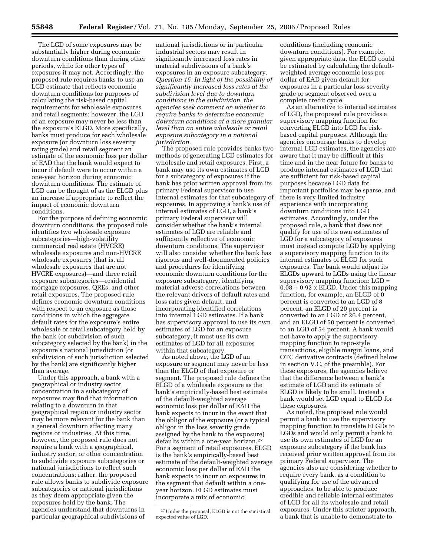The LGD of some exposures may be substantially higher during economic downturn conditions than during other periods, while for other types of exposures it may not. Accordingly, the proposed rule requires banks to use an LGD estimate that reflects economic downturn conditions for purposes of calculating the risk-based capital requirements for wholesale exposures and retail segments; however, the LGD of an exposure may never be less than the exposure's ELGD. More specifically, banks must produce for each wholesale exposure (or downturn loss severity rating grade) and retail segment an estimate of the economic loss per dollar of EAD that the bank would expect to incur if default were to occur within a one-year horizon during economic downturn conditions. The estimate of LGD can be thought of as the ELGD plus an increase if appropriate to reflect the impact of economic downturn conditions.

For the purpose of defining economic downturn conditions, the proposed rule identifies two wholesale exposure subcategories—high-volatility commercial real estate (HVCRE) wholesale exposures and non-HVCRE wholesale exposures (that is, all wholesale exposures that are not HVCRE exposures)—and three retail exposure subcategories—residential mortgage exposures, QREs, and other retail exposures. The proposed rule defines economic downturn conditions with respect to an exposure as those conditions in which the aggregate default rates for the exposure's entire wholesale or retail subcategory held by the bank (or subdivision of such subcategory selected by the bank) in the exposure's national jurisdiction (or subdivision of such jurisdiction selected by the bank) are significantly higher than average.

Under this approach, a bank with a geographical or industry sector concentration in a subcategory of exposures may find that information relating to a downturn in that geographical region or industry sector may be more relevant for the bank than a general downturn affecting many regions or industries. At this time, however, the proposed rule does not require a bank with a geographical, industry sector, or other concentration to subdivide exposure subcategories or national jurisdictions to reflect such concentrations; rather, the proposed rule allows banks to subdivide exposure subcategories or national jurisdictions as they deem appropriate given the exposures held by the bank. The agencies understand that downturns in particular geographical subdivisions of

national jurisdictions or in particular industrial sectors may result in significantly increased loss rates in material subdivisions of a bank's exposures in an exposure subcategory. *Question 15: In light of the possibility of significantly increased loss rates at the subdivision level due to downturn conditions in the subdivision, the agencies seek comment on whether to require banks to determine economic downturn conditions at a more granular level than an entire wholesale or retail exposure subcategory in a national jurisdiction.* 

The proposed rule provides banks two methods of generating LGD estimates for wholesale and retail exposures. First, a bank may use its own estimates of LGD for a subcategory of exposures if the bank has prior written approval from its primary Federal supervisor to use internal estimates for that subcategory of exposures. In approving a bank's use of internal estimates of LGD, a bank's primary Federal supervisor will consider whether the bank's internal estimates of LGD are reliable and sufficiently reflective of economic downturn conditions. The supervisor will also consider whether the bank has rigorous and well-documented policies and procedures for identifying economic downturn conditions for the exposure subcategory, identifying material adverse correlations between the relevant drivers of default rates and loss rates given default, and incorporating identified correlations into internal LGD estimates. If a bank has supervisory approval to use its own estimates of LGD for an exposure subcategory, it must use its own estimates of LGD for all exposures within that subcategory.

As noted above, the LGD of an exposure or segment may never be less than the ELGD of that exposure or segment. The proposed rule defines the ELGD of a wholesale exposure as the bank's empirically-based best estimate of the default-weighted average economic loss per dollar of EAD the bank expects to incur in the event that the obligor of the exposure (or a typical obligor in the loss severity grade assigned by the bank to the exposure) defaults within a one-year horizon.27 For a segment of retail exposures, ELGD is the bank's empirically-based best estimate of the default-weighted average economic loss per dollar of EAD the bank expects to incur on exposures in the segment that default within a oneyear horizon. ELGD estimates must incorporate a mix of economic

conditions (including economic downturn conditions). For example, given appropriate data, the ELGD could be estimated by calculating the defaultweighted average economic loss per dollar of EAD given default for exposures in a particular loss severity grade or segment observed over a complete credit cycle.

As an alternative to internal estimates of LGD, the proposed rule provides a supervisory mapping function for converting ELGD into LGD for riskbased capital purposes. Although the agencies encourage banks to develop internal LGD estimates, the agencies are aware that it may be difficult at this time and in the near future for banks to produce internal estimates of LGD that are sufficient for risk-based capital purposes because LGD data for important portfolios may be sparse, and there is very limited industry experience with incorporating downturn conditions into LGD estimates. Accordingly, under the proposed rule, a bank that does not qualify for use of its own estimates of LGD for a subcategory of exposures must instead compute LGD by applying a supervisory mapping function to its internal estimates of ELGD for such exposures. The bank would adjust its ELGDs upward to LGDs using the linear supervisory mapping function: LGD =  $0.08 + 0.92 \times$  ELGD. Under this mapping function, for example, an ELGD of 0 percent is converted to an LGD of 8 percent, an ELGD of 20 percent is converted to an LGD of 26.4 percent, and an ELGD of 50 percent is converted to an LGD of 54 percent. A bank would not have to apply the supervisory mapping function to repo-style transactions, eligible margin loans, and OTC derivative contracts (defined below in section V.C. of the preamble). For these exposures, the agencies believe that the difference between a bank's estimate of LGD and its estimate of ELGD is likely to be small. Instead a bank would set LGD equal to ELGD for these exposures.

As noted, the proposed rule would permit a bank to use the supervisory mapping function to translate ELGDs to LGDs and would only permit a bank to use its own estimates of LGD for an exposure subcategory if the bank has received prior written approval from its primary Federal supervisor. The agencies also are considering whether to require every bank, as a condition to qualifying for use of the advanced approaches, to be able to produce credible and reliable internal estimates of LGD for all its wholesale and retail exposures. Under this stricter approach, a bank that is unable to demonstrate to

<sup>27</sup>Under the proposal, ELGD is not the statistical expected value of LGD.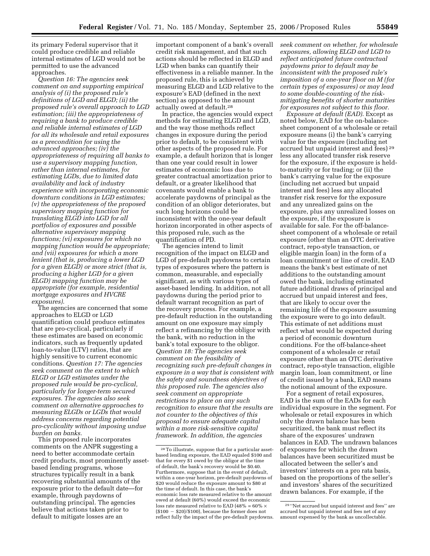its primary Federal supervisor that it could produce credible and reliable internal estimates of LGD would not be permitted to use the advanced approaches.

*Question 16: The agencies seek comment on and supporting empirical analysis of (i) the proposed rule's definitions of LGD and ELGD; (ii) the proposed rule's overall approach to LGD estimation; (iii) the appropriateness of requiring a bank to produce credible and reliable internal estimates of LGD for all its wholesale and retail exposures as a precondition for using the advanced approaches; (iv) the appropriateness of requiring all banks to use a supervisory mapping function, rather than internal estimates, for estimating LGDs, due to limited data availability and lack of industry experience with incorporating economic downturn conditions in LGD estimates; (v) the appropriateness of the proposed supervisory mapping function for translating ELGD into LGD for all portfolios of exposures and possible alternative supervisory mapping functions; (vi) exposures for which no mapping function would be appropriate; and (vii) exposures for which a more lenient (that is, producing a lower LGD for a given ELGD) or more strict (that is, producing a higher LGD for a given ELGD) mapping function may be appropriate (for example, residential mortgage exposures and HVCRE exposures).* 

The agencies are concerned that some approaches to ELGD or LGD quantification could produce estimates that are pro-cyclical, particularly if these estimates are based on economic indicators, such as frequently updated loan-to-value (LTV) ratios, that are highly sensitive to current economic conditions. *Question 17: The agencies seek comment on the extent to which ELGD or LGD estimates under the proposed rule would be pro-cyclical, particularly for longer-term secured exposures. The agencies also seek comment on alternative approaches to measuring ELGDs or LGDs that would address concerns regarding potential pro-cyclicality without imposing undue burden on banks.* 

This proposed rule incorporates comments on the ANPR suggesting a need to better accommodate certain credit products, most prominently assetbased lending programs, whose structures typically result in a bank recovering substantial amounts of the exposure prior to the default date—for example, through paydowns of outstanding principal. The agencies believe that actions taken prior to default to mitigate losses are an

important component of a bank's overall credit risk management, and that such actions should be reflected in ELGD and LGD when banks can quantify their effectiveness in a reliable manner. In the proposed rule, this is achieved by measuring ELGD and LGD relative to the exposure's EAD (defined in the next section) as opposed to the amount actually owed at default.28

In practice, the agencies would expect methods for estimating ELGD and LGD, and the way those methods reflect changes in exposure during the period prior to default, to be consistent with other aspects of the proposed rule. For example, a default horizon that is longer than one year could result in lower estimates of economic loss due to greater contractual amortization prior to default, or a greater likelihood that covenants would enable a bank to accelerate paydowns of principal as the condition of an obligor deteriorates, but such long horizons could be inconsistent with the one-year default horizon incorporated in other aspects of this proposed rule, such as the quantification of PD.

The agencies intend to limit recognition of the impact on ELGD and LGD of pre-default paydowns to certain types of exposures where the pattern is common, measurable, and especially significant, as with various types of asset-based lending. In addition, not all paydowns during the period prior to default warrant recognition as part of the recovery process. For example, a pre-default reduction in the outstanding amount on one exposure may simply reflect a refinancing by the obligor with the bank, with no reduction in the bank's total exposure to the obligor. *Question 18: The agencies seek comment on the feasibility of recognizing such pre-default changes in exposure in a way that is consistent with the safety and soundness objectives of this proposed rule. The agencies also seek comment on appropriate restrictions to place on any such recognition to ensure that the results are not counter to the objectives of this proposal to ensure adequate capital within a more risk-sensitive capital framework. In addition, the agencies* 

*seek comment on whether, for wholesale exposures, allowing ELGD and LGD to reflect anticipated future contractual paydowns prior to default may be inconsistent with the proposed rule's imposition of a one-year floor on M (for certain types of exposures) or may lead to some double-counting of the riskmitigating benefits of shorter maturities for exposures not subject to this floor.* 

*Exposure at default (EAD)*. Except as noted below, EAD for the on-balancesheet component of a wholesale or retail exposure means (i) the bank's carrying value for the exposure (including net accrued but unpaid interest and fees) 29 less any allocated transfer risk reserve for the exposure, if the exposure is heldto-maturity or for trading; or (ii) the bank's carrying value for the exposure (including net accrued but unpaid interest and fees) less any allocated transfer risk reserve for the exposure and any unrealized gains on the exposure, plus any unrealized losses on the exposure, if the exposure is available for sale. For the off-balancesheet component of a wholesale or retail exposure (other than an OTC derivative contract, repo-style transaction, or eligible margin loan) in the form of a loan commitment or line of credit, EAD means the bank's best estimate of net additions to the outstanding amount owed the bank, including estimated future additional draws of principal and accrued but unpaid interest and fees, that are likely to occur over the remaining life of the exposure assuming the exposure were to go into default. This estimate of net additions must reflect what would be expected during a period of economic downturn conditions. For the off-balance-sheet component of a wholesale or retail exposure other than an OTC derivative contract, repo-style transaction, eligible margin loan, loan commitment, or line of credit issued by a bank, EAD means the notional amount of the exposure.

For a segment of retail exposures, EAD is the sum of the EADs for each individual exposure in the segment. For wholesale or retail exposures in which only the drawn balance has been securitized, the bank must reflect its share of the exposures' undrawn balances in EAD. The undrawn balances of exposures for which the drawn balances have been securitized must be allocated between the seller's and investors' interests on a pro rata basis, based on the proportions of the seller's and investors' shares of the securitized drawn balances. For example, if the

<sup>28</sup>To illustrate, suppose that for a particular assetbased lending exposure, the EAD equaled \$100 and that for every \$1 owed by the obligor at the time of default, the bank's recovery would be \$0.40. Furthermore, suppose that in the event of default, within a one-year horizon, pre-default paydowns of \$20 would reduce the exposure amount to \$80 at the time of default. In this case, the bank's economic loss rate measured relative to the amount owed at default (60%) would exceed the economic loss rate measured relative to EAD (48% = 60%  $\times$  $($100 - $20)/$100$ , because the former does not reflect fully the impact of the pre-default paydowns.

<sup>29</sup> ''Net accrued but unpaid interest and fees'' are accrued but unpaid interest and fees net of any amount expensed by the bank as uncollectable.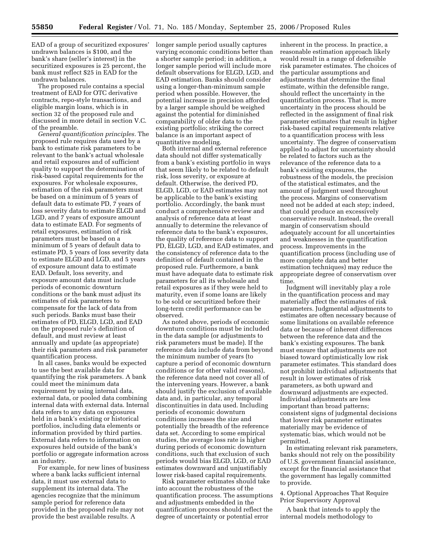EAD of a group of securitized exposures' undrawn balances is \$100, and the bank's share (seller's interest) in the securitized exposures is 25 percent, the bank must reflect \$25 in EAD for the undrawn balances.

The proposed rule contains a special treatment of EAD for OTC derivative contracts, repo-style transactions, and eligible margin loans, which is in section 32 of the proposed rule and discussed in more detail in section V.C. of the preamble.

*General quantification principles.* The proposed rule requires data used by a bank to estimate risk parameters to be relevant to the bank's actual wholesale and retail exposures and of sufficient quality to support the determination of risk-based capital requirements for the exposures. For wholesale exposures, estimation of the risk parameters must be based on a minimum of 5 years of default data to estimate PD, 7 years of loss severity data to estimate ELGD and LGD, and 7 years of exposure amount data to estimate EAD. For segments of retail exposures, estimation of risk parameters must be based on a minimum of 5 years of default data to estimate PD, 5 years of loss severity data to estimate ELGD and LGD, and 5 years of exposure amount data to estimate EAD. Default, loss severity, and exposure amount data must include periods of economic downturn conditions or the bank must adjust its estimates of risk parameters to compensate for the lack of data from such periods. Banks must base their estimates of PD, ELGD, LGD, and EAD on the proposed rule's definition of default, and must review at least annually and update (as appropriate) their risk parameters and risk parameter quantification process.

In all cases, banks would be expected to use the best available data for quantifying the risk parameters. A bank could meet the minimum data requirement by using internal data, external data, or pooled data combining internal data with external data. Internal data refers to any data on exposures held in a bank's existing or historical portfolios, including data elements or information provided by third parties. External data refers to information on exposures held outside of the bank's portfolio or aggregate information across an industry.

For example, for new lines of business where a bank lacks sufficient internal data, it must use external data to supplement its internal data. The agencies recognize that the minimum sample period for reference data provided in the proposed rule may not provide the best available results. A

longer sample period usually captures varying economic conditions better than a shorter sample period; in addition, a longer sample period will include more default observations for ELGD, LGD, and EAD estimation. Banks should consider using a longer-than-minimum sample period when possible. However, the potential increase in precision afforded by a larger sample should be weighed against the potential for diminished comparability of older data to the existing portfolio; striking the correct balance is an important aspect of quantitative modeling.

Both internal and external reference data should not differ systematically from a bank's existing portfolio in ways that seem likely to be related to default risk, loss severity, or exposure at default. Otherwise, the derived PD, ELGD, LGD, or EAD estimates may not be applicable to the bank's existing portfolio. Accordingly, the bank must conduct a comprehensive review and analysis of reference data at least annually to determine the relevance of reference data to the bank's exposures, the quality of reference data to support PD, ELGD, LGD, and EAD estimates, and the consistency of reference data to the definition of default contained in the proposed rule. Furthermore, a bank must have adequate data to estimate risk parameters for all its wholesale and retail exposures as if they were held to maturity, even if some loans are likely to be sold or securitized before their long-term credit performance can be observed.

As noted above, periods of economic downturn conditions must be included in the data sample (or adjustments to risk parameters must be made). If the reference data include data from beyond the minimum number of years (to capture a period of economic downturn conditions or for other valid reasons), the reference data need not cover all of the intervening years. However, a bank should justify the exclusion of available data and, in particular, any temporal discontinuities in data used. Including periods of economic downturn conditions increases the size and potentially the breadth of the reference data set. According to some empirical studies, the average loss rate is higher during periods of economic downturn conditions, such that exclusion of such periods would bias ELGD, LGD, or EAD estimates downward and unjustifiably lower risk-based capital requirements.

Risk parameter estimates should take into account the robustness of the quantification process. The assumptions and adjustments embedded in the quantification process should reflect the degree of uncertainty or potential error

inherent in the process. In practice, a reasonable estimation approach likely would result in a range of defensible risk parameter estimates. The choices of the particular assumptions and adjustments that determine the final estimate, within the defensible range, should reflect the uncertainty in the quantification process. That is, more uncertainty in the process should be reflected in the assignment of final risk parameter estimates that result in higher risk-based capital requirements relative to a quantification process with less uncertainty. The degree of conservatism applied to adjust for uncertainty should be related to factors such as the relevance of the reference data to a bank's existing exposures, the robustness of the models, the precision of the statistical estimates, and the amount of judgment used throughout the process. Margins of conservatism need not be added at each step; indeed, that could produce an excessively conservative result. Instead, the overall margin of conservatism should adequately account for all uncertainties and weaknesses in the quantification process. Improvements in the quantification process (including use of more complete data and better estimation techniques) may reduce the appropriate degree of conservatism over time.

Judgment will inevitably play a role in the quantification process and may materially affect the estimates of risk parameters. Judgmental adjustments to estimates are often necessary because of some limitations on available reference data or because of inherent differences between the reference data and the bank's existing exposures. The bank must ensure that adjustments are not biased toward optimistically low risk parameter estimates. This standard does not prohibit individual adjustments that result in lower estimates of risk parameters, as both upward and downward adjustments are expected. Individual adjustments are less important than broad patterns; consistent signs of judgmental decisions that lower risk parameter estimates materially may be evidence of systematic bias, which would not be permitted.

In estimating relevant risk parameters, banks should not rely on the possibility of U.S. government financial assistance, except for the financial assistance that the government has legally committed to provide.

4. Optional Approaches That Require Prior Supervisory Approval

A bank that intends to apply the internal models methodology to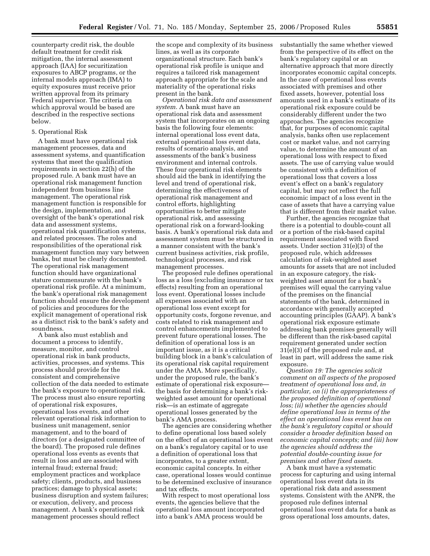counterparty credit risk, the double default treatment for credit risk mitigation, the internal assessment approach (IAA) for securitization exposures to ABCP programs, or the internal models approach (IMA) to equity exposures must receive prior written approval from its primary Federal supervisor. The criteria on which approval would be based are described in the respective sections below.

#### 5. Operational Risk

A bank must have operational risk management processes, data and assessment systems, and quantification systems that meet the qualification requirements in section 22(h) of the proposed rule. A bank must have an operational risk management function independent from business line management. The operational risk management function is responsible for the design, implementation, and oversight of the bank's operational risk data and assessment systems, operational risk quantification systems, and related processes. The roles and responsibilities of the operational risk management function may vary between banks, but must be clearly documented. The operational risk management function should have organizational stature commensurate with the bank's operational risk profile. At a minimum, the bank's operational risk management function should ensure the development of policies and procedures for the explicit management of operational risk as a distinct risk to the bank's safety and soundness.

A bank also must establish and document a process to identify, measure, monitor, and control operational risk in bank products, activities, processes, and systems. This process should provide for the consistent and comprehensive collection of the data needed to estimate the bank's exposure to operational risk. The process must also ensure reporting of operational risk exposures, operational loss events, and other relevant operational risk information to business unit management, senior management, and to the board of directors (or a designated committee of the board). The proposed rule defines operational loss events as events that result in loss and are associated with internal fraud; external fraud; employment practices and workplace safety; clients, products, and business practices; damage to physical assets; business disruption and system failures; or execution, delivery, and process management. A bank's operational risk management processes should reflect

the scope and complexity of its business lines, as well as its corporate organizational structure. Each bank's operational risk profile is unique and requires a tailored risk management approach appropriate for the scale and materiality of the operational risks present in the bank.

*Operational risk data and assessment system.* A bank must have an operational risk data and assessment system that incorporates on an ongoing basis the following four elements: internal operational loss event data, external operational loss event data, results of scenario analysis, and assessments of the bank's business environment and internal controls. These four operational risk elements should aid the bank in identifying the level and trend of operational risk, determining the effectiveness of operational risk management and control efforts, highlighting opportunities to better mitigate operational risk, and assessing operational risk on a forward-looking basis. A bank's operational risk data and assessment system must be structured in a manner consistent with the bank's current business activities, risk profile, technological processes, and risk management processes.

The proposed rule defines operational loss as a loss (excluding insurance or tax effects) resulting from an operational loss event. Operational losses include all expenses associated with an operational loss event except for opportunity costs, forgone revenue, and costs related to risk management and control enhancements implemented to prevent future operational losses. The definition of operational loss is an important issue, as it is a critical building block in a bank's calculation of its operational risk capital requirement under the AMA. More specifically, under the proposed rule, the bank's estimate of operational risk exposure the basis for determining a bank's riskweighted asset amount for operational risk—is an estimate of aggregate operational losses generated by the bank's AMA process.

The agencies are considering whether to define operational loss based solely on the effect of an operational loss event on a bank's regulatory capital or to use a definition of operational loss that incorporates, to a greater extent, economic capital concepts. In either case, operational losses would continue to be determined exclusive of insurance and tax effects.

With respect to most operational loss events, the agencies believe that the operational loss amount incorporated into a bank's AMA process would be

substantially the same whether viewed from the perspective of its effect on the bank's regulatory capital or an alternative approach that more directly incorporates economic capital concepts. In the case of operational loss events associated with premises and other fixed assets, however, potential loss amounts used in a bank's estimate of its operational risk exposure could be considerably different under the two approaches. The agencies recognize that, for purposes of economic capital analysis, banks often use replacement cost or market value, and not carrying value, to determine the amount of an operational loss with respect to fixed assets. The use of carrying value would be consistent with a definition of operational loss that covers a loss event's effect on a bank's regulatory capital, but may not reflect the full economic impact of a loss event in the case of assets that have a carrying value that is different from their market value.

Further, the agencies recognize that there is a potential to double-count all or a portion of the risk-based capital requirement associated with fixed assets. Under section 31(e)(3) of the proposed rule, which addresses calculation of risk-weighted asset amounts for assets that are not included in an exposure category, the riskweighted asset amount for a bank's premises will equal the carrying value of the premises on the financial statements of the bank, determined in accordance with generally accepted accounting principles (GAAP). A bank's operational risk exposure estimate addressing bank premises generally will be different than the risk-based capital requirement generated under section 31(e)(3) of the proposed rule and, at least in part, will address the same risk exposure.

*Question 19: The agencies solicit comment on all aspects of the proposed treatment of operational loss and, in particular, on (i) the appropriateness of the proposed definition of operational loss; (ii) whether the agencies should define operational loss in terms of the effect an operational loss event has on the bank's regulatory capital or should consider a broader definition based on economic capital concepts; and (iii) how the agencies should address the potential double-counting issue for premises and other fixed assets.* 

A bank must have a systematic process for capturing and using internal operational loss event data in its operational risk data and assessment systems. Consistent with the ANPR, the proposed rule defines internal operational loss event data for a bank as gross operational loss amounts, dates,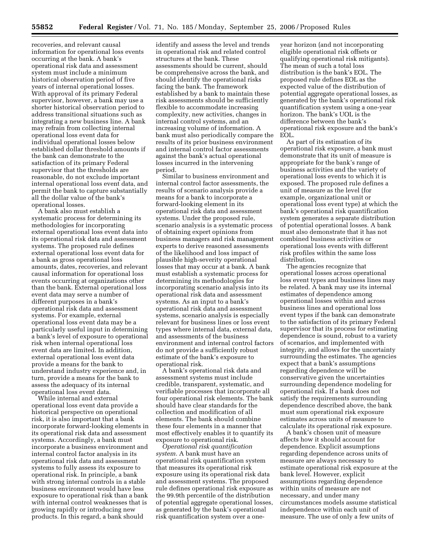recoveries, and relevant causal information for operational loss events occurring at the bank. A bank's operational risk data and assessment system must include a minimum historical observation period of five years of internal operational losses. With approval of its primary Federal supervisor, however, a bank may use a shorter historical observation period to address transitional situations such as integrating a new business line. A bank may refrain from collecting internal operational loss event data for individual operational losses below established dollar threshold amounts if the bank can demonstrate to the satisfaction of its primary Federal supervisor that the thresholds are reasonable, do not exclude important internal operational loss event data, and permit the bank to capture substantially all the dollar value of the bank's operational losses.

A bank also must establish a systematic process for determining its methodologies for incorporating external operational loss event data into its operational risk data and assessment systems. The proposed rule defines external operational loss event data for a bank as gross operational loss amounts, dates, recoveries, and relevant causal information for operational loss events occurring at organizations other than the bank. External operational loss event data may serve a number of different purposes in a bank's operational risk data and assessment systems. For example, external operational loss event data may be a particularly useful input in determining a bank's level of exposure to operational risk when internal operational loss event data are limited. In addition, external operational loss event data provide a means for the bank to understand industry experience and, in turn, provide a means for the bank to assess the adequacy of its internal operational loss event data.

While internal and external operational loss event data provide a historical perspective on operational risk, it is also important that a bank incorporate forward-looking elements in its operational risk data and assessment systems. Accordingly, a bank must incorporate a business environment and internal control factor analysis in its operational risk data and assessment systems to fully assess its exposure to operational risk. In principle, a bank with strong internal controls in a stable business environment would have less exposure to operational risk than a bank with internal control weaknesses that is growing rapidly or introducing new products. In this regard, a bank should

identify and assess the level and trends in operational risk and related control structures at the bank. These assessments should be current, should be comprehensive across the bank, and should identify the operational risks facing the bank. The framework established by a bank to maintain these risk assessments should be sufficiently flexible to accommodate increasing complexity, new activities, changes in internal control systems, and an increasing volume of information. A bank must also periodically compare the results of its prior business environment and internal control factor assessments against the bank's actual operational losses incurred in the intervening period.

Similar to business environment and internal control factor assessments, the results of scenario analysis provide a means for a bank to incorporate a forward-looking element in its operational risk data and assessment systems. Under the proposed rule, scenario analysis is a systematic process of obtaining expert opinions from business managers and risk management experts to derive reasoned assessments of the likelihood and loss impact of plausible high-severity operational losses that may occur at a bank. A bank must establish a systematic process for determining its methodologies for incorporating scenario analysis into its operational risk data and assessment systems. As an input to a bank's operational risk data and assessment systems, scenario analysis is especially relevant for business lines or loss event types where internal data, external data, and assessments of the business environment and internal control factors do not provide a sufficiently robust estimate of the bank's exposure to operational risk.

A bank's operational risk data and assessment systems must include credible, transparent, systematic, and verifiable processes that incorporate all four operational risk elements. The bank should have clear standards for the collection and modification of all elements. The bank should combine these four elements in a manner that most effectively enables it to quantify its exposure to operational risk.

*Operational risk quantification system.* A bank must have an operational risk quantification system that measures its operational risk exposure using its operational risk data and assessment systems. The proposed rule defines operational risk exposure as the 99.9th percentile of the distribution of potential aggregate operational losses, as generated by the bank's operational risk quantification system over a oneyear horizon (and not incorporating eligible operational risk offsets or qualifying operational risk mitigants). The mean of such a total loss distribution is the bank's EOL. The proposed rule defines EOL as the expected value of the distribution of potential aggregate operational losses, as generated by the bank's operational risk quantification system using a one-year horizon. The bank's UOL is the difference between the bank's operational risk exposure and the bank's EOL.

As part of its estimation of its operational risk exposure, a bank must demonstrate that its unit of measure is appropriate for the bank's range of business activities and the variety of operational loss events to which it is exposed. The proposed rule defines a unit of measure as the level (for example, organizational unit or operational loss event type) at which the bank's operational risk quantification system generates a separate distribution of potential operational losses. A bank must also demonstrate that it has not combined business activities or operational loss events with different risk profiles within the same loss distribution.

The agencies recognize that operational losses across operational loss event types and business lines may be related. A bank may use its internal estimates of dependence among operational losses within and across business lines and operational loss event types if the bank can demonstrate to the satisfaction of its primary Federal supervisor that its process for estimating dependence is sound, robust to a variety of scenarios, and implemented with integrity, and allows for the uncertainty surrounding the estimates. The agencies expect that a bank's assumptions regarding dependence will be conservative given the uncertainties surrounding dependence modeling for operational risk. If a bank does not satisfy the requirements surrounding dependence described above, the bank must sum operational risk exposure estimates across units of measure to calculate its operational risk exposure.

A bank's chosen unit of measure affects how it should account for dependence. Explicit assumptions regarding dependence across units of measure are always necessary to estimate operational risk exposure at the bank level. However, explicit assumptions regarding dependence within units of measure are not necessary, and under many circumstances models assume statistical independence within each unit of measure. The use of only a few units of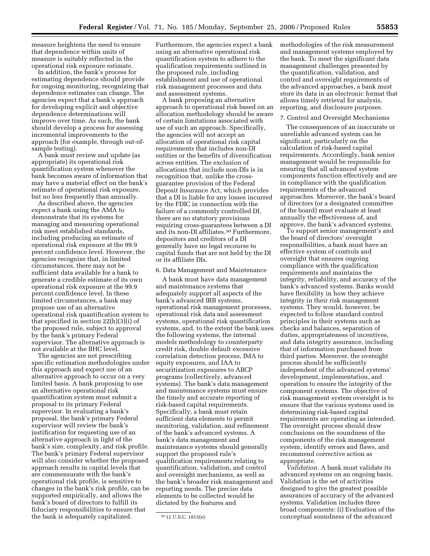measure heightens the need to ensure that dependence within units of measure is suitably reflected in the operational risk exposure estimate.

In addition, the bank's process for estimating dependence should provide for ongoing monitoring, recognizing that dependence estimates can change. The agencies expect that a bank's approach for developing explicit and objective dependence determinations will improve over time. As such, the bank should develop a process for assessing incremental improvements to the approach (for example, through out-ofsample testing).

A bank must review and update (as appropriate) its operational risk quantification system whenever the bank becomes aware of information that may have a material effect on the bank's estimate of operational risk exposure, but no less frequently than annually.

As described above, the agencies expect a bank using the AMA to demonstrate that its systems for managing and measuring operational risk meet established standards, including producing an estimate of operational risk exposure at the 99.9 percent confidence level. However, the agencies recognize that, in limited circumstances, there may not be sufficient data available for a bank to generate a credible estimate of its own operational risk exposure at the 99.9 percent confidence level. In these limited circumstances, a bank may propose use of an alternative operational risk quantification system to that specified in section 22(h)(3)(i) of the proposed rule, subject to approval by the bank's primary Federal supervisor. The alternative approach is not available at the BHC level.

The agencies are not prescribing specific estimation methodologies under this approach and expect use of an alternative approach to occur on a very limited basis. A bank proposing to use an alternative operational risk quantification system must submit a proposal to its primary Federal supervisor. In evaluating a bank's proposal, the bank's primary Federal supervisor will review the bank's justification for requesting use of an alternative approach in light of the bank's size, complexity, and risk profile. The bank's primary Federal supervisor will also consider whether the proposed approach results in capital levels that are commensurate with the bank's operational risk profile, is sensitive to changes in the bank's risk profile, can be supported empirically, and allows the bank's board of directors to fulfill its fiduciary responsibilities to ensure that the bank is adequately capitalized.

Furthermore, the agencies expect a bank using an alternative operational risk quantification system to adhere to the qualification requirements outlined in the proposed rule, including establishment and use of operational risk management processes and data and assessment systems.

A bank proposing an alternative approach to operational risk based on an allocation methodology should be aware of certain limitations associated with use of such an approach. Specifically, the agencies will not accept an allocation of operational risk capital requirements that includes non-DI entities or the benefits of diversification across entities. The exclusion of allocations that include non-DIs is in recognition that, unlike the crossguarantee provision of the Federal Deposit Insurance Act, which provides that a DI is liable for any losses incurred by the FDIC in connection with the failure of a commonly controlled DI, there are no statutory provisions requiring cross-guarantees between a DI and its non-DI affiliates.<sup>30</sup> Furthermore, depositors and creditors of a DI generally have no legal recourse to capital funds that are not held by the DI or its affiliate DIs.

#### 6. Data Management and Maintenance

A bank must have data management and maintenance systems that adequately support all aspects of the bank's advanced IRB systems, operational risk management processes, operational risk data and assessment systems, operational risk quantification systems, and, to the extent the bank uses the following systems, the internal models methodology to counterparty credit risk, double default excessive correlation detection process, IMA to equity exposures, and IAA to securitization exposures to ABCP programs (collectively, advanced systems). The bank's data management and maintenance systems must ensure the timely and accurate reporting of risk-based capital requirements. Specifically, a bank must retain sufficient data elements to permit monitoring, validation, and refinement of the bank's advanced systems. A bank's data management and maintenance systems should generally support the proposed rule's qualification requirements relating to quantification, validation, and control and oversight mechanisms, as well as the bank's broader risk management and reporting needs. The precise data elements to be collected would be dictated by the features and

methodologies of the risk measurement and management systems employed by the bank. To meet the significant data management challenges presented by the quantification, validation, and control and oversight requirements of the advanced approaches, a bank must store its data in an electronic format that allows timely retrieval for analysis, reporting, and disclosure purposes.

#### 7. Control and Oversight Mechanisms

The consequences of an inaccurate or unreliable advanced system can be significant, particularly on the calculation of risk-based capital requirements. Accordingly, bank senior management would be responsible for ensuring that all advanced system components function effectively and are in compliance with the qualification requirements of the advanced approaches. Moreover, the bank's board of directors (or a designated committee of the board) must evaluate at least annually the effectiveness of, and approve, the bank's advanced systems.

To support senior management's and the board of directors' oversight responsibilities, a bank must have an effective system of controls and oversight that ensures ongoing compliance with the qualification requirements and maintains the integrity, reliability, and accuracy of the bank's advanced systems. Banks would have flexibility in how they achieve integrity in their risk management systems. They would, however, be expected to follow standard control principles in their systems such as checks and balances, separation of duties, appropriateness of incentives, and data integrity assurance, including that of information purchased from third parties. Moreover, the oversight process should be sufficiently independent of the advanced systems' development, implementation, and operation to ensure the integrity of the component systems. The objective of risk management system oversight is to ensure that the various systems used in determining risk-based capital requirements are operating as intended. The oversight process should draw conclusions on the soundness of the components of the risk management system, identify errors and flaws, and recommend corrective action as appropriate.

*Validation.* A bank must validate its advanced systems on an ongoing basis. Validation is the set of activities designed to give the greatest possible assurances of accuracy of the advanced systems. Validation includes three broad components: (i) Evaluation of the conceptual soundness of the advanced

<sup>30</sup> 12 U.S.C. 1815(e).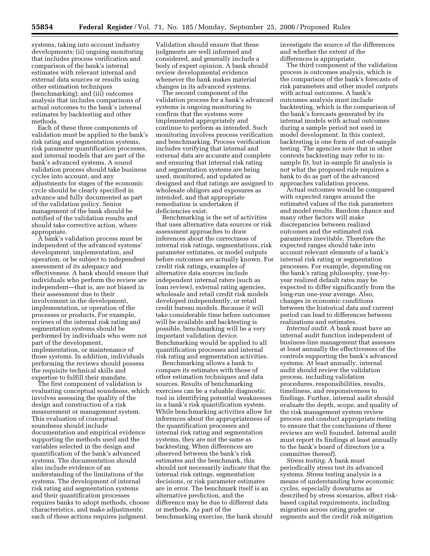systems, taking into account industry developments; (ii) ongoing monitoring that includes process verification and comparison of the bank's internal estimates with relevant internal and external data sources or results using other estimation techniques (benchmarking); and (iii) outcomes analysis that includes comparisons of actual outcomes to the bank's internal estimates by backtesting and other methods.

Each of these three components of validation must be applied to the bank's risk rating and segmentation systems, risk parameter quantification processes, and internal models that are part of the bank's advanced systems. A sound validation process should take business cycles into account, and any adjustments for stages of the economic cycle should be clearly specified in advance and fully documented as part of the validation policy. Senior management of the bank should be notified of the validation results and should take corrective action, where appropriate.

A bank's validation process must be independent of the advanced systems' development, implementation, and operation, or be subject to independent assessment of its adequacy and effectiveness. A bank should ensure that individuals who perform the review are independent—that is, are not biased in their assessment due to their involvement in the development, implementation, or operation of the processes or products. For example, reviews of the internal risk rating and segmentation systems should be performed by individuals who were not part of the development, implementation, or maintenance of those systems. In addition, individuals performing the reviews should possess the requisite technical skills and expertise to fulfill their mandate.

The first component of validation is evaluating conceptual soundness, which involves assessing the quality of the design and construction of a risk measurement or management system. This evaluation of conceptual soundness should include documentation and empirical evidence supporting the methods used and the variables selected in the design and quantification of the bank's advanced systems. The documentation should also include evidence of an understanding of the limitations of the systems. The development of internal risk rating and segmentation systems and their quantification processes requires banks to adopt methods, choose characteristics, and make adjustments; each of these actions requires judgment.

Validation should ensure that these judgments are well informed and considered, and generally include a body of expert opinion. A bank should review developmental evidence whenever the bank makes material changes in its advanced systems.

The second component of the validation process for a bank's advanced systems is ongoing monitoring to confirm that the systems were implemented appropriately and continue to perform as intended. Such monitoring involves process verification and benchmarking. Process verification includes verifying that internal and external data are accurate and complete and ensuring that internal risk rating and segmentation systems are being used, monitored, and updated as designed and that ratings are assigned to wholesale obligors and exposures as intended, and that appropriate remediation is undertaken if deficiencies exist.

Benchmarking is the set of activities that uses alternative data sources or risk assessment approaches to draw inferences about the correctness of internal risk ratings, segmentations, risk parameter estimates, or model outputs before outcomes are actually known. For credit risk ratings, examples of alternative data sources include independent internal raters (such as loan review), external rating agencies, wholesale and retail credit risk models developed independently, or retail credit bureau models. Because it will take considerable time before outcomes will be available and backtesting is possible, benchmarking will be a very important validation device. Benchmarking would be applied to all quantification processes and internal risk rating and segmentation activities.

Benchmarking allows a bank to compare its estimates with those of other estimation techniques and data sources. Results of benchmarking exercises can be a valuable diagnostic tool in identifying potential weaknesses in a bank's risk quantification system. While benchmarking activities allow for inferences about the appropriateness of the quantification processes and internal risk rating and segmentation systems, they are not the same as backtesting. When differences are observed between the bank's risk estimates and the benchmark, this should not necessarily indicate that the internal risk ratings, segmentation decisions, or risk parameter estimates are in error. The benchmark itself is an alternative prediction, and the difference may be due to different data or methods. As part of the benchmarking exercise, the bank should

investigate the source of the differences and whether the extent of the differences is appropriate.

The third component of the validation process is outcomes analysis, which is the comparison of the bank's forecasts of risk parameters and other model outputs with actual outcomes. A bank's outcomes analysis must include backtesting, which is the comparison of the bank's forecasts generated by its internal models with actual outcomes during a sample period not used in model development. In this context, backtesting is one form of out-of-sample testing. The agencies note that in other contexts backtesting may refer to insample fit, but in-sample fit analysis is not what the proposed rule requires a bank to do as part of the advanced approaches validation process.

Actual outcomes would be compared with expected ranges around the estimated values of the risk parameters and model results. Random chance and many other factors will make discrepancies between realized outcomes and the estimated risk parameters inevitable. Therefore the expected ranges should take into account relevant elements of a bank's internal risk rating or segmentation processes. For example, depending on the bank's rating philosophy, year-byyear realized default rates may be expected to differ significantly from the long-run one-year average. Also, changes in economic conditions between the historical data and current period can lead to differences between realizations and estimates.

*Internal audit.* A bank must have an internal audit function independent of business-line management that assesses at least annually the effectiveness of the controls supporting the bank's advanced systems. At least annually, internal audit should review the validation process, including validation procedures, responsibilities, results, timeliness, and responsiveness to findings. Further, internal audit should evaluate the depth, scope, and quality of the risk management system review process and conduct appropriate testing to ensure that the conclusions of these reviews are well founded. Internal audit must report its findings at least annually to the bank's board of directors (or a committee thereof).

*Stress testing.* A bank must periodically stress test its advanced systems. Stress testing analysis is a means of understanding how economic cycles, especially downturns as described by stress scenarios, affect riskbased capital requirements, including migration across rating grades or segments and the credit risk mitigation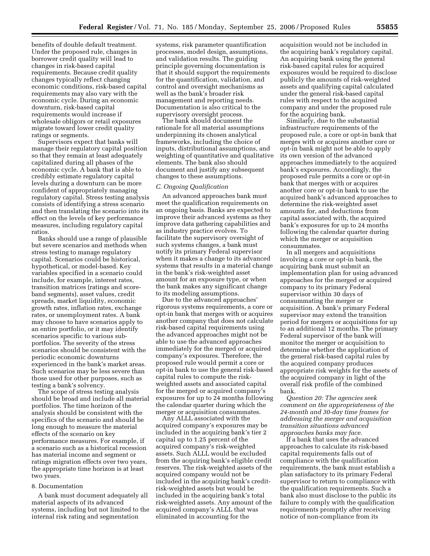benefits of double default treatment. Under the proposed rule, changes in borrower credit quality will lead to changes in risk-based capital requirements. Because credit quality changes typically reflect changing economic conditions, risk-based capital requirements may also vary with the economic cycle. During an economic downturn, risk-based capital requirements would increase if wholesale obligors or retail exposures migrate toward lower credit quality ratings or segments.

Supervisors expect that banks will manage their regulatory capital position so that they remain at least adequately capitalized during all phases of the economic cycle. A bank that is able to credibly estimate regulatory capital levels during a downturn can be more confident of appropriately managing regulatory capital. Stress testing analysis consists of identifying a stress scenario and then translating the scenario into its effect on the levels of key performance measures, including regulatory capital ratios.

Banks should use a range of plausible but severe scenarios and methods when stress testing to manage regulatory capital. Scenarios could be historical, hypothetical, or model-based. Key variables specified in a scenario could include, for example, interest rates, transition matrices (ratings and scoreband segments), asset values, credit spreads, market liquidity, economic growth rates, inflation rates, exchange rates, or unemployment rates. A bank may choose to have scenarios apply to an entire portfolio, or it may identify scenarios specific to various subportfolios. The severity of the stress scenarios should be consistent with the periodic economic downturns experienced in the bank's market areas. Such scenarios may be less severe than those used for other purposes, such as testing a bank's solvency.

The scope of stress testing analysis should be broad and include all material portfolios. The time horizon of the analysis should be consistent with the specifics of the scenario and should be long enough to measure the material effects of the scenario on key performance measures. For example, if a scenario such as a historical recession has material income and segment or ratings migration effects over two years, the appropriate time horizon is at least two years.

#### 8. Documentation

A bank must document adequately all material aspects of its advanced systems, including but not limited to the internal risk rating and segmentation

systems, risk parameter quantification processes, model design, assumptions, and validation results. The guiding principle governing documentation is that it should support the requirements for the quantification, validation, and control and oversight mechanisms as well as the bank's broader risk management and reporting needs. Documentation is also critical to the supervisory oversight process.

The bank should document the rationale for all material assumptions underpinning its chosen analytical frameworks, including the choice of inputs, distributional assumptions, and weighting of quantitative and qualitative elements. The bank also should document and justify any subsequent changes to these assumptions.

#### *C. Ongoing Qualification*

An advanced approaches bank must meet the qualification requirements on an ongoing basis. Banks are expected to improve their advanced systems as they improve data gathering capabilities and as industry practice evolves. To facilitate the supervisory oversight of such systems changes, a bank must notify its primary Federal supervisor when it makes a change to its advanced systems that results in a material change in the bank's risk-weighted asset amount for an exposure type, or when the bank makes any significant change to its modeling assumptions.

Due to the advanced approaches' rigorous systems requirements, a core or opt-in bank that merges with or acquires another company that does not calculate risk-based capital requirements using the advanced approaches might not be able to use the advanced approaches immediately for the merged or acquired company's exposures. Therefore, the proposed rule would permit a core or opt-in bank to use the general risk-based capital rules to compute the riskweighted assets and associated capital for the merged or acquired company's exposures for up to 24 months following the calendar quarter during which the merger or acquisition consummates.

Any ALLL associated with the acquired company's exposures may be included in the acquiring bank's tier 2 capital up to 1.25 percent of the acquired company's risk-weighted assets. Such ALLL would be excluded from the acquiring bank's eligible credit reserves. The risk-weighted assets of the acquired company would not be included in the acquiring bank's creditrisk-weighted assets but would be included in the acquiring bank's total risk-weighted assets. Any amount of the acquired company's ALLL that was eliminated in accounting for the

acquisition would not be included in the acquiring bank's regulatory capital. An acquiring bank using the general risk-based capital rules for acquired exposures would be required to disclose publicly the amounts of risk-weighted assets and qualifying capital calculated under the general risk-based capital rules with respect to the acquired company and under the proposed rule for the acquiring bank.

Similarly, due to the substantial infrastructure requirements of the proposed rule, a core or opt-in bank that merges with or acquires another core or opt-in bank might not be able to apply its own version of the advanced approaches immediately to the acquired bank's exposures. Accordingly, the proposed rule permits a core or opt-in bank that merges with or acquires another core or opt-in bank to use the acquired bank's advanced approaches to determine the risk-weighted asset amounts for, and deductions from capital associated with, the acquired bank's exposures for up to 24 months following the calendar quarter during which the merger or acquisition consummates.

In all mergers and acquisitions involving a core or opt-in bank, the acquiring bank must submit an implementation plan for using advanced approaches for the merged or acquired company to its primary Federal supervisor within 30 days of consummating the merger or acquisition. A bank's primary Federal supervisor may extend the transition period for mergers or acquisitions for up to an additional 12 months. The primary Federal supervisor of the bank will monitor the merger or acquisition to determine whether the application of the general risk-based capital rules by the acquired company produces appropriate risk weights for the assets of the acquired company in light of the overall risk profile of the combined bank.

*Question 20: The agencies seek comment on the appropriateness of the 24-month and 30-day time frames for addressing the merger and acquisition transition situations advanced approaches banks may face.* 

If a bank that uses the advanced approaches to calculate its risk-based capital requirements falls out of compliance with the qualification requirements, the bank must establish a plan satisfactory to its primary Federal supervisor to return to compliance with the qualification requirements. Such a bank also must disclose to the public its failure to comply with the qualification requirements promptly after receiving notice of non-compliance from its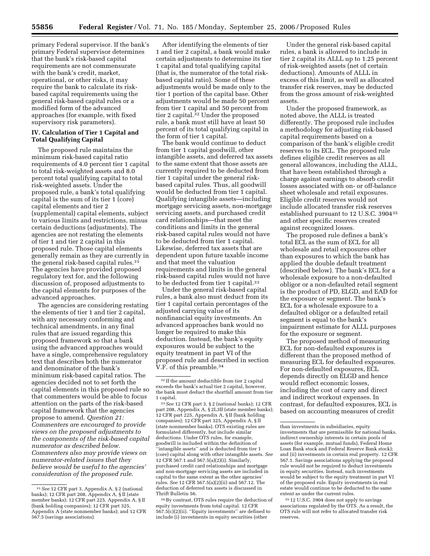primary Federal supervisor. If the bank's primary Federal supervisor determines that the bank's risk-based capital requirements are not commensurate with the bank's credit, market, operational, or other risks, it may require the bank to calculate its riskbased capital requirements using the general risk-based capital rules or a modified form of the advanced approaches (for example, with fixed supervisory risk parameters).

## **IV. Calculation of Tier 1 Capital and Total Qualifying Capital**

The proposed rule maintains the minimum risk-based capital ratio requirements of 4.0 percent tier 1 capital to total risk-weighted assets and 8.0 percent total qualifying capital to total risk-weighted assets. Under the proposed rule, a bank's total qualifying capital is the sum of its tier 1 (core) capital elements and tier 2 (supplemental) capital elements, subject to various limits and restrictions, minus certain deductions (adjustments). The agencies are not restating the elements of tier 1 and tier 2 capital in this proposed rule. Those capital elements generally remain as they are currently in the general risk-based capital rules.31 The agencies have provided proposed regulatory text for, and the following discussion of, proposed adjustments to the capital elements for purposes of the advanced approaches.

The agencies are considering restating the elements of tier 1 and tier 2 capital, with any necessary conforming and technical amendments, in any final rules that are issued regarding this proposed framework so that a bank using the advanced approaches would have a single, comprehensive regulatory text that describes both the numerator and denominator of the bank's minimum risk-based capital ratios. The agencies decided not to set forth the capital elements in this proposed rule so that commenters would be able to focus attention on the parts of the risk-based capital framework that the agencies propose to amend. *Question 21: Commenters are encouraged to provide views on the proposed adjustments to the components of the risk-based capital numerator as described below. Commenters also may provide views on numerator-related issues that they believe would be useful to the agencies' consideration of the proposed rule.* 

After identifying the elements of tier 1 and tier 2 capital, a bank would make certain adjustments to determine its tier 1 capital and total qualifying capital (that is, the numerator of the total riskbased capital ratio). Some of these adjustments would be made only to the tier 1 portion of the capital base. Other adjustments would be made 50 percent from tier 1 capital and 50 percent from tier 2 capital.<sup>32</sup> Under the proposed rule, a bank must still have at least 50 percent of its total qualifying capital in the form of tier 1 capital.

The bank would continue to deduct from tier 1 capital goodwill, other intangible assets, and deferred tax assets to the same extent that those assets are currently required to be deducted from tier 1 capital under the general riskbased capital rules. Thus, all goodwill would be deducted from tier 1 capital. Qualifying intangible assets—including mortgage servicing assets, non-mortgage servicing assets, and purchased credit card relationships—that meet the conditions and limits in the general risk-based capital rules would not have to be deducted from tier 1 capital. Likewise, deferred tax assets that are dependent upon future taxable income and that meet the valuation requirements and limits in the general risk-based capital rules would not have to be deducted from tier 1 capital.33

Under the general risk-based capital rules, a bank also must deduct from its tier 1 capital certain percentages of the adjusted carrying value of its nonfinancial equity investments. An advanced approaches bank would no longer be required to make this deduction. Instead, the bank's equity exposures would be subject to the equity treatment in part VI of the proposed rule and described in section V.F. of this preamble.34

33*See* 12 CFR part 3, § 2 (national banks); 12 CFR part 208, Appendix A, § 2L3II (state member banks); 12 CFR part 225, Appendix A, § II (bank holding companies); 12 CFR part 325, Appendix A, § II (state nonmember banks). OTS existing rules are formulated differently, but include similar deductions. Under OTS rules, for example, goodwill is included within the definition of ''intangible assets'' and is deducted from tier 1 (core) capital along with other intangible assets. *See*  12 CFR 567.1 and 567.5(a)(2)(i). Similarly, purchased credit card relationships and mortgage and non-mortgage servicing assets are included in capital to the same extent as the other agencies' rules. *See* 12 CFR 567.5(a)(2)(ii) and 567.12. The deduction of deferred tax assets is discussed in Thrift Bulletin 56.

34By contrast, OTS rules require the deduction of equity investments from total capital. 12 CFR 567.5(c)(2)(ii). ''Equity investments'' are defined to include (i) investments in equity securities (other

Under the general risk-based capital rules, a bank is allowed to include in tier 2 capital its ALLL up to 1.25 percent of risk-weighted assets (net of certain deductions). Amounts of ALLL in excess of this limit, as well as allocated transfer risk reserves, may be deducted from the gross amount of risk-weighted assets.

Under the proposed framework, as noted above, the ALLL is treated differently. The proposed rule includes a methodology for adjusting risk-based capital requirements based on a comparison of the bank's eligible credit reserves to its ECL. The proposed rule defines eligible credit reserves as all general allowances, including the ALLL, that have been established through a charge against earnings to absorb credit losses associated with on- or off-balance sheet wholesale and retail exposures. Eligible credit reserves would not include allocated transfer risk reserves established pursuant to 12 U.S.C. 390435 and other specific reserves created against recognized losses.

The proposed rule defines a bank's total ECL as the sum of ECL for all wholesale and retail exposures other than exposures to which the bank has applied the double default treatment (described below). The bank's ECL for a wholesale exposure to a non-defaulted obligor or a non-defaulted retail segment is the product of PD, ELGD, and EAD for the exposure or segment. The bank's ECL for a wholesale exposure to a defaulted obligor or a defaulted retail segment is equal to the bank's impairment estimate for ALLL purposes for the exposure or segment.

The proposed method of measuring ECL for non-defaulted exposures is different than the proposed method of measuring ECL for defaulted exposures. For non-defaulted exposures, ECL depends directly on ELGD and hence would reflect economic losses, including the cost of carry and direct and indirect workout expenses. In contrast, for defaulted exposures, ECL is based on accounting measures of credit

35 12 U.S.C. 3904 does not apply to savings associations regulated by the OTS. As a result, the OTS rule will not refer to allocated transfer risk reserves.

<sup>31</sup>*See* 12 CFR part 3, Appendix A, § 2 (national banks); 12 CFR part 208, Appendix A, § II (state member banks); 12 CFR part 225, Appendix A, § II (bank holding companies); 12 CFR part 325, Appendix A (state nonmember banks); and 12 CFR 567.5 (savings associations).

 $^{\rm 32}$  If the amount deductible from tier 2 capital exceeds the bank's actual tier 2 capital, however, the bank must deduct the shortfall amount from tier 1 capital.

than investments in subsidiaries, equity investments that are permissible for national banks, indirect ownership interests in certain pools of assets (for example, mutual funds), Federal Home Loan Bank stock and Federal Reserve Bank stock); and (ii) investments in certain real property. 12 CFR 567.1. Savings associations applying the proposed rule would not be required to deduct investments in equity securities. Instead, such investments would be subject to the equity treatment in part VI of the proposed rule. Equity investments in real estate would continue to be deducted to the same extent as under the current rules.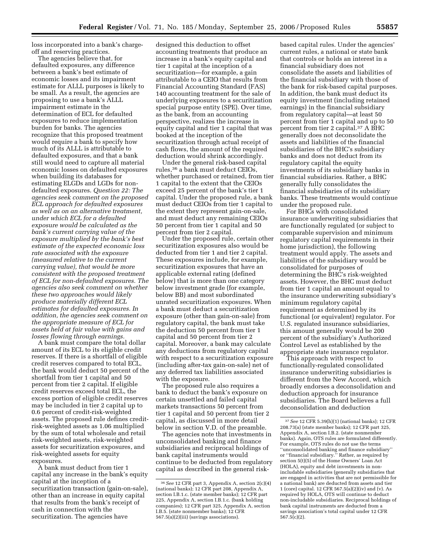loss incorporated into a bank's chargeoff and reserving practices.

The agencies believe that, for defaulted exposures, any difference between a bank's best estimate of economic losses and its impairment estimate for ALLL purposes is likely to be small. As a result, the agencies are proposing to use a bank's ALLL impairment estimate in the determination of ECL for defaulted exposures to reduce implementation burden for banks. The agencies recognize that this proposed treatment would require a bank to specify how much of its ALLL is attributable to defaulted exposures, and that a bank still would need to capture all material economic losses on defaulted exposures when building its databases for estimating ELGDs and LGDs for nondefaulted exposures. *Question 22: The agencies seek comment on the proposed ECL approach for defaulted exposures as well as on an alternative treatment, under which ECL for a defaulted exposure would be calculated as the bank's current carrying value of the exposure multiplied by the bank's best estimate of the expected economic loss rate associated with the exposure (measured relative to the current carrying value), that would be more consistent with the proposed treatment of ECL for non-defaulted exposures. The agencies also seek comment on whether these two approaches would likely produce materially different ECL estimates for defaulted exposures. In addition, the agencies seek comment on the appropriate measure of ECL for assets held at fair value with gains and losses flowing through earnings.* 

A bank must compare the total dollar amount of its ECL to its eligible credit reserves. If there is a shortfall of eligible credit reserves compared to total ECL, the bank would deduct 50 percent of the shortfall from tier 1 capital and 50 percent from tier 2 capital. If eligible credit reserves exceed total ECL, the excess portion of eligible credit reserves may be included in tier 2 capital up to 0.6 percent of credit-risk-weighted assets. The proposed rule defines creditrisk-weighted assets as 1.06 multiplied by the sum of total wholesale and retail risk-weighted assets, risk-weighted assets for securitization exposures, and risk-weighted assets for equity exposures.

A bank must deduct from tier 1 capital any increase in the bank's equity capital at the inception of a securitization transaction (gain-on-sale), other than an increase in equity capital that results from the bank's receipt of cash in connection with the securitization. The agencies have

designed this deduction to offset accounting treatments that produce an increase in a bank's equity capital and tier 1 capital at the inception of a securitization—for example, a gain attributable to a CEIO that results from Financial Accounting Standard (FAS) 140 accounting treatment for the sale of underlying exposures to a securitization special purpose entity (SPE). Over time, as the bank, from an accounting perspective, realizes the increase in equity capital and tier 1 capital that was booked at the inception of the securitization through actual receipt of cash flows, the amount of the required deduction would shrink accordingly.

Under the general risk-based capital rules,36 a bank must deduct CEIOs, whether purchased or retained, from tier 1 capital to the extent that the CEIOs exceed 25 percent of the bank's tier 1 capital. Under the proposed rule, a bank must deduct CEIOs from tier 1 capital to the extent they represent gain-on-sale, and must deduct any remaining CEIOs 50 percent from tier 1 capital and 50 percent from tier 2 capital.

Under the proposed rule, certain other securitization exposures also would be deducted from tier 1 and tier 2 capital. These exposures include, for example, securitization exposures that have an applicable external rating (defined below) that is more than one category below investment grade (for example, below BB) and most subordinated unrated securitization exposures. When a bank must deduct a securitization exposure (other than gain-on-sale) from regulatory capital, the bank must take the deduction 50 percent from tier 1 capital and 50 percent from tier 2 capital. Moreover, a bank may calculate any deductions from regulatory capital with respect to a securitization exposure (including after-tax gain-on-sale) net of any deferred tax liabilities associated with the exposure.

The proposed rule also requires a bank to deduct the bank's exposure on certain unsettled and failed capital markets transactions 50 percent from tier 1 capital and 50 percent from tier 2 capital, as discussed in more detail below in section V.D. of the preamble.

The agencies note that investments in unconsolidated banking and finance subsidiaries and reciprocal holdings of bank capital instruments would continue to be deducted from regulatory capital as described in the general risk-

based capital rules. Under the agencies' current rules, a national or state bank that controls or holds an interest in a financial subsidiary does not consolidate the assets and liabilities of the financial subsidiary with those of the bank for risk-based capital purposes. In addition, the bank must deduct its equity investment (including retained earnings) in the financial subsidiary from regulatory capital—at least 50 percent from tier 1 capital and up to 50 percent from tier 2 capital.37 A BHC generally does not deconsolidate the assets and liabilities of the financial subsidiaries of the BHC's subsidiary banks and does not deduct from its regulatory capital the equity investments of its subsidiary banks in financial subsidiaries. Rather, a BHC generally fully consolidates the financial subsidiaries of its subsidiary banks. These treatments would continue under the proposed rule.

For BHCs with consolidated insurance underwriting subsidiaries that are functionally regulated (or subject to comparable supervision and minimum regulatory capital requirements in their home jurisdiction), the following treatment would apply. The assets and liabilities of the subsidiary would be consolidated for purposes of determining the BHC's risk-weighted assets. However, the BHC must deduct from tier 1 capital an amount equal to the insurance underwriting subsidiary's minimum regulatory capital requirement as determined by its functional (or equivalent) regulator. For U.S. regulated insurance subsidiaries, this amount generally would be 200 percent of the subsidiary's Authorized Control Level as established by the appropriate state insurance regulator.

This approach with respect to functionally-regulated consolidated insurance underwriting subsidiaries is different from the New Accord, which broadly endorses a deconsolidation and deduction approach for insurance subsidiaries. The Board believes a full deconsolidation and deduction

<sup>36</sup>*See* 12 CFR part 3, Appendix A, section 2(c)(4) (national banks); 12 CFR part 208, Appendix A, section I.B.1.c. (state member banks); 12 CFR part 225, Appendix A, section I.B.1.c. (bank holding companies); 12 CFR part 325, Appendix A, section I.B.5. (state nonmember banks); 12 CFR 567.5(a)(2)(iii) (savings associations).

<sup>37</sup>*See* 12 CFR 5.39(h)(1) (national banks); 12 CFR 208.73(a) (state member banks); 12 CFR part 325, Appendix A, section I.B.2. (state nonmember banks). Again, OTS rules are formulated differently. For example, OTS rules do not use the terms ''unconsolidated banking and finance subsidiary'' or ''financial subsidiary.'' Rather, as required by section 5(t)(5) of the Home Owners' Loan Act (HOLA), equity and debt investments in nonincludable subsidiaries (generally subsidiaries that are engaged in activities that are not permissible for a national bank) are deducted from assets and tier 1 (core) capital. 12 CFR 567.5(a)(2)(iv) and (v). As required by HOLA, OTS will continue to deduct non-includable subsidiaries. Reciprocal holdings of bank capital instruments are deducted from a savings association's total capital under 12 CFR 567.5(c)(2).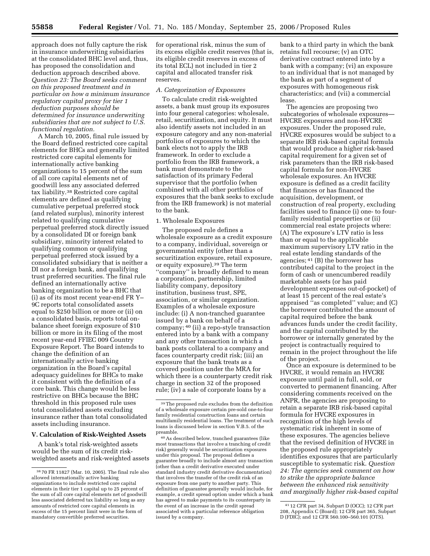approach does not fully capture the risk in insurance underwriting subsidiaries at the consolidated BHC level and, thus, has proposed the consolidation and deduction approach described above. *Question 23: The Board seeks comment on this proposed treatment and in particular on how a minimum insurance regulatory capital proxy for tier 1 deduction purposes should be determined for insurance underwriting subsidiaries that are not subject to U.S. functional regulation.* 

A March 10, 2005, final rule issued by the Board defined restricted core capital elements for BHCs and generally limited restricted core capital elements for internationally active banking organizations to 15 percent of the sum of all core capital elements net of goodwill less any associated deferred tax liability.38 Restricted core capital elements are defined as qualifying cumulative perpetual preferred stock (and related surplus), minority interest related to qualifying cumulative perpetual preferred stock directly issued by a consolidated DI or foreign bank subsidiary, minority interest related to qualifying common or qualifying perpetual preferred stock issued by a consolidated subsidiary that is neither a DI nor a foreign bank, and qualifying trust preferred securities. The final rule defined an internationally active banking organization to be a BHC that (i) as of its most recent year-end FR Y– 9C reports total consolidated assets equal to \$250 billion or more or (ii) on a consolidated basis, reports total onbalance sheet foreign exposure of \$10 billion or more in its filing of the most recent year-end FFIEC 009 Country Exposure Report. The Board intends to change the definition of an internationally active banking organization in the Board's capital adequacy guidelines for BHCs to make it consistent with the definition of a core bank. This change would be less restrictive on BHCs because the BHC threshold in this proposed rule uses total consolidated assets excluding insurance rather than total consolidated assets including insurance.

#### **V. Calculation of Risk-Weighted Assets**

A bank's total risk-weighted assets would be the sum of its credit riskweighted assets and risk-weighted assets

for operational risk, minus the sum of its excess eligible credit reserves (that is, its eligible credit reserves in excess of its total ECL) not included in tier 2 capital and allocated transfer risk reserves.

#### *A. Categorization of Exposures*

To calculate credit risk-weighted assets, a bank must group its exposures into four general categories: wholesale, retail, securitization, and equity. It must also identify assets not included in an exposure category and any non-material portfolios of exposures to which the bank elects not to apply the IRB framework. In order to exclude a portfolio from the IRB framework, a bank must demonstrate to the satisfaction of its primary Federal supervisor that the portfolio (when combined with all other portfolios of exposures that the bank seeks to exclude from the IRB framework) is not material to the bank.

#### 1. Wholesale Exposures

The proposed rule defines a wholesale exposure as a credit exposure to a company, individual, sovereign or governmental entity (other than a securitization exposure, retail exposure, or equity exposure).39 The term ''company'' is broadly defined to mean a corporation, partnership, limited liability company, depository institution, business trust, SPE, association, or similar organization. Examples of a wholesale exposure include: (i) A non-tranched guarantee issued by a bank on behalf of a company; 40 (ii) a repo-style transaction entered into by a bank with a company and any other transaction in which a bank posts collateral to a company and faces counterparty credit risk; (iii) an exposure that the bank treats as a covered position under the MRA for which there is a counterparty credit risk charge in section 32 of the proposed rule; (iv) a sale of corporate loans by a

40As described below, tranched guarantees (like most transactions that involve a tranching of credit risk) generally would be securitization exposures under this proposal. The proposal defines a guarantee broadly to include almost any transaction (other than a credit derivative executed under standard industry credit derivative documentation) that involves the transfer of the credit risk of an exposure from one party to another party. This definition of guarantee generally would include, for example, a credit spread option under which a bank has agreed to make payments to its counterparty in the event of an increase in the credit spread associated with a particular reference obligation issued by a company.

bank to a third party in which the bank retains full recourse; (v) an OTC derivative contract entered into by a bank with a company; (vi) an exposure to an individual that is not managed by the bank as part of a segment of exposures with homogeneous risk characteristics; and (vii) a commercial lease.

The agencies are proposing two subcategories of wholesale exposures— HVCRE exposures and non-HVCRE exposures. Under the proposed rule, HVCRE exposures would be subject to a separate IRB risk-based capital formula that would produce a higher risk-based capital requirement for a given set of risk parameters than the IRB risk-based capital formula for non-HVCRE wholesale exposures. An HVCRE exposure is defined as a credit facility that finances or has financed the acquisition, development, or construction of real property, excluding facilities used to finance (i) one- to fourfamily residential properties or (ii) commercial real estate projects where: (A) The exposure's LTV ratio is less than or equal to the applicable maximum supervisory LTV ratio in the real estate lending standards of the agencies; 41 (B) the borrower has contributed capital to the project in the form of cash or unencumbered readily marketable assets (or has paid development expenses out-of-pocket) of at least 15 percent of the real estate's appraised ''as completed'' value; and (C) the borrower contributed the amount of capital required before the bank advances funds under the credit facility, and the capital contributed by the borrower or internally generated by the project is contractually required to remain in the project throughout the life of the project.

Once an exposure is determined to be HVCRE, it would remain an HVCRE exposure until paid in full, sold, or converted to permanent financing. After considering comments received on the ANPR, the agencies are proposing to retain a separate IRB risk-based capital formula for HVCRE exposures in recognition of the high levels of systematic risk inherent in some of these exposures. The agencies believe that the revised definition of HVCRE in the proposed rule appropriately identifies exposures that are particularly susceptible to systematic risk. *Question 24: The agencies seek comment on how to strike the appropriate balance between the enhanced risk sensitivity and marginally higher risk-based capital* 

<sup>38</sup> 70 FR 11827 (Mar. 10, 2005). The final rule also allowed internationally active banking organizations to include restricted core capital elements in their tier 1 capital up to 25 percent of the sum of all core capital elements net of goodwill less associated deferred tax liability so long as any amounts of restricted core capital elements in excess of the 15 percent limit were in the form of mandatory convertible preferred securities.

<sup>39</sup>The proposed rule excludes from the definition of a wholesale exposure certain pre-sold one-to-four family residential construction loans and certain multifamily residential loans. The treatment of such loans is discussed below in section V.B.5. of the preamble.

<sup>41</sup> 12 CFR part 34, Subpart D (OCC); 12 CFR part 208, Appendix C (Board); 12 CFR part 365, Subpart D (FDIC); and 12 CFR 560.100–560.101 (OTS).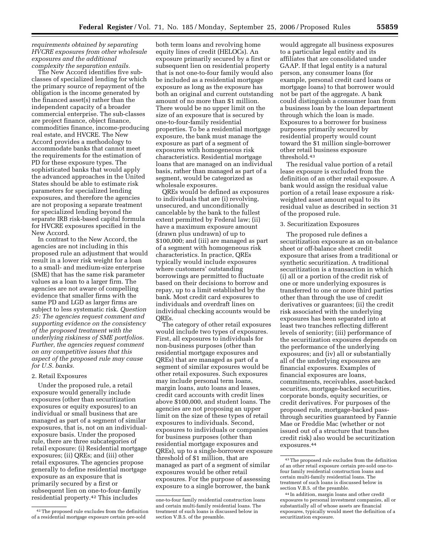## *requirements obtained by separating HVCRE exposures from other wholesale exposures and the additional complexity the separation entails.*

The New Accord identifies five subclasses of specialized lending for which the primary source of repayment of the obligation is the income generated by the financed asset(s) rather than the independent capacity of a broader commercial enterprise. The sub-classes are project finance, object finance, commodities finance, income-producing real estate, and HVCRE. The New Accord provides a methodology to accommodate banks that cannot meet the requirements for the estimation of PD for these exposure types. The sophisticated banks that would apply the advanced approaches in the United States should be able to estimate risk parameters for specialized lending exposures, and therefore the agencies are not proposing a separate treatment for specialized lending beyond the separate IRB risk-based capital formula for HVCRE exposures specified in the New Accord.

In contrast to the New Accord, the agencies are not including in this proposed rule an adjustment that would result in a lower risk weight for a loan to a small- and medium-size enterprise (SME) that has the same risk parameter values as a loan to a larger firm. The agencies are not aware of compelling evidence that smaller firms with the same PD and LGD as larger firms are subject to less systematic risk. *Question 25: The agencies request comment and supporting evidence on the consistency of the proposed treatment with the underlying riskiness of SME portfolios. Further, the agencies request comment on any competitive issues that this aspect of the proposed rule may cause for U.S. banks.* 

#### 2. Retail Exposures

Under the proposed rule, a retail exposure would generally include exposures (other than securitization exposures or equity exposures) to an individual or small business that are managed as part of a segment of similar exposures, that is, not on an individualexposure basis. Under the proposed rule, there are three subcategories of retail exposure: (i) Residential mortgage exposures; (ii) QREs; and (iii) other retail exposures. The agencies propose generally to define residential mortgage exposure as an exposure that is primarily secured by a first or subsequent lien on one-to-four-family residential property.42 This includes

both term loans and revolving home equity lines of credit (HELOCs). An exposure primarily secured by a first or subsequent lien on residential property that is not one-to-four family would also be included as a residential mortgage exposure as long as the exposure has both an original and current outstanding amount of no more than \$1 million. There would be no upper limit on the size of an exposure that is secured by one-to-four-family residential properties. To be a residential mortgage exposure, the bank must manage the exposure as part of a segment of exposures with homogeneous risk characteristics. Residential mortgage loans that are managed on an individual basis, rather than managed as part of a segment, would be categorized as wholesale exposures.

QREs would be defined as exposures to individuals that are (i) revolving, unsecured, and unconditionally cancelable by the bank to the fullest extent permitted by Federal law; (ii) have a maximum exposure amount (drawn plus undrawn) of up to \$100,000; and (iii) are managed as part of a segment with homogeneous risk characteristics. In practice, QREs typically would include exposures where customers' outstanding borrowings are permitted to fluctuate based on their decisions to borrow and repay, up to a limit established by the bank. Most credit card exposures to individuals and overdraft lines on individual checking accounts would be QREs.

The category of other retail exposures would include two types of exposures. First, all exposures to individuals for non-business purposes (other than residential mortgage exposures and QREs) that are managed as part of a segment of similar exposures would be other retail exposures. Such exposures may include personal term loans, margin loans, auto loans and leases, credit card accounts with credit lines above \$100,000, and student loans. The agencies are not proposing an upper limit on the size of these types of retail exposures to individuals. Second, exposures to individuals or companies for business purposes (other than residential mortgage exposures and QREs), up to a single-borrower exposure threshold of \$1 million, that are managed as part of a segment of similar exposures would be other retail exposures. For the purpose of assessing exposure to a single borrower, the bank

would aggregate all business exposures to a particular legal entity and its affiliates that are consolidated under GAAP. If that legal entity is a natural person, any consumer loans (for example, personal credit card loans or mortgage loans) to that borrower would not be part of the aggregate. A bank could distinguish a consumer loan from a business loan by the loan department through which the loan is made. Exposures to a borrower for business purposes primarily secured by residential property would count toward the \$1 million single-borrower other retail business exposure threshold.43

The residual value portion of a retail lease exposure is excluded from the definition of an other retail exposure. A bank would assign the residual value portion of a retail lease exposure a riskweighted asset amount equal to its residual value as described in section 31 of the proposed rule.

### 3. Securitization Exposures

The proposed rule defines a securitization exposure as an on-balance sheet or off-balance sheet credit exposure that arises from a traditional or synthetic securitization. A traditional securitization is a transaction in which (i) all or a portion of the credit risk of one or more underlying exposures is transferred to one or more third parties other than through the use of credit derivatives or guarantees; (ii) the credit risk associated with the underlying exposures has been separated into at least two tranches reflecting different levels of seniority; (iii) performance of the securitization exposures depends on the performance of the underlying exposures; and (iv) all or substantially all of the underlying exposures are financial exposures. Examples of financial exposures are loans, commitments, receivables, asset-backed securities, mortgage-backed securities, corporate bonds, equity securities, or credit derivatives. For purposes of the proposed rule, mortgage-backed passthrough securities guaranteed by Fannie Mae or Freddie Mac (whether or not issued out of a structure that tranches credit risk) also would be securitization exposures.44

<sup>42</sup>The proposed rule excludes from the definition of a residential mortgage exposure certain pre-sold

one-to-four family residential construction loans and certain multi-family residential loans. The treatment of such loans is discussed below in section V.B.5. of the preamble.

<sup>43</sup>The proposed rule excludes from the definition of an other retail exposure certain pre-sold one-tofour family residential construction loans and certain multi-family residential loans. The treatment of such loans is discussed below in section V.B.5. of the preamble.

<sup>44</sup> In addition, margin loans and other credit exposures to personal investment companies, all or substantially all of whose assets are financial exposures, typically would meet the definition of a securitization exposure.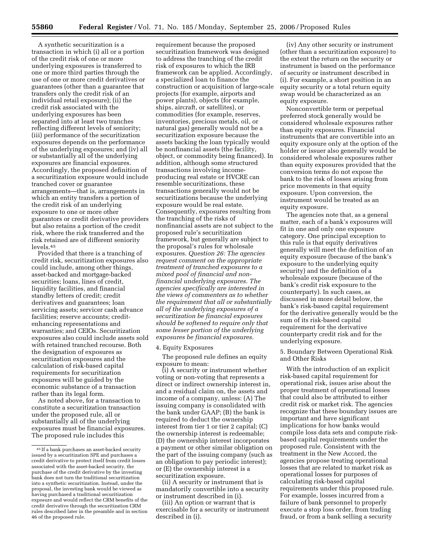A synthetic securitization is a transaction in which (i) all or a portion of the credit risk of one or more underlying exposures is transferred to one or more third parties through the use of one or more credit derivatives or guarantees (other than a guarantee that transfers only the credit risk of an individual retail exposure); (ii) the credit risk associated with the underlying exposures has been separated into at least two tranches reflecting different levels of seniority; (iii) performance of the securitization exposures depends on the performance of the underlying exposures; and (iv) all or substantially all of the underlying exposures are financial exposures. Accordingly, the proposed definition of a securitization exposure would include tranched cover or guarantee arrangements—that is, arrangements in which an entity transfers a portion of the credit risk of an underlying exposure to one or more other guarantors or credit derivative providers but also retains a portion of the credit risk, where the risk transferred and the risk retained are of different seniority levels.45

Provided that there is a tranching of credit risk, securitization exposures also could include, among other things, asset-backed and mortgage-backed securities; loans, lines of credit, liquidity facilities, and financial standby letters of credit; credit derivatives and guarantees; loan servicing assets; servicer cash advance facilities; reserve accounts; creditenhancing representations and warranties; and CEIOs. Securitization exposures also could include assets sold with retained tranched recourse. Both the designation of exposures as securitization exposures and the calculation of risk-based capital requirements for securitization exposures will be guided by the economic substance of a transaction rather than its legal form.

As noted above, for a transaction to constitute a securitization transaction under the proposed rule, all or substantially all of the underlying exposures must be financial exposures. The proposed rule includes this

requirement because the proposed securitization framework was designed to address the tranching of the credit risk of exposures to which the IRB framework can be applied. Accordingly, a specialized loan to finance the construction or acquisition of large-scale projects (for example, airports and power plants), objects (for example, ships, aircraft, or satellites), or commodities (for example, reserves, inventories, precious metals, oil, or natural gas) generally would not be a securitization exposure because the assets backing the loan typically would be nonfinancial assets (the facility, object, or commodity being financed). In addition, although some structured transactions involving incomeproducing real estate or HVCRE can resemble securitizations, these transactions generally would not be securitizations because the underlying exposure would be real estate. Consequently, exposures resulting from the tranching of the risks of nonfinancial assets are not subject to the proposed rule's securitization framework, but generally are subject to the proposal's rules for wholesale exposures. *Question 26: The agencies request comment on the appropriate treatment of tranched exposures to a mixed pool of financial and nonfinancial underlying exposures. The agencies specifically are interested in the views of commenters as to whether the requirement that all or substantially all of the underlying exposures of a securitization be financial exposures should be softened to require only that some lesser portion of the underlying exposures be financial exposures.* 

#### 4. Equity Exposures

The proposed rule defines an equity exposure to mean:

(i) A security or instrument whether voting or non-voting that represents a direct or indirect ownership interest in, and a residual claim on, the assets and income of a company, unless: (A) The issuing company is consolidated with the bank under GAAP; (B) the bank is required to deduct the ownership interest from tier 1 or tier 2 capital; (C) the ownership interest is redeemable; (D) the ownership interest incorporates a payment or other similar obligation on the part of the issuing company (such as an obligation to pay periodic interest); or (E) the ownership interest is a securitization exposure.

(ii) A security or instrument that is mandatorily convertible into a security or instrument described in (i).

(iii) An option or warrant that is exercisable for a security or instrument described in (i).

(iv) Any other security or instrument (other than a securitization exposure) to the extent the return on the security or instrument is based on the performance of security or instrument described in (i). For example, a short position in an equity security or a total return equity swap would be characterized as an equity exposure.

Nonconvertible term or perpetual preferred stock generally would be considered wholesale exposures rather than equity exposures. Financial instruments that are convertible into an equity exposure only at the option of the holder or issuer also generally would be considered wholesale exposures rather than equity exposures provided that the conversion terms do not expose the bank to the risk of losses arising from price movements in that equity exposure. Upon conversion, the instrument would be treated as an equity exposure.

The agencies note that, as a general matter, each of a bank's exposures will fit in one and only one exposure category. One principal exception to this rule is that equity derivatives generally will meet the definition of an equity exposure (because of the bank's exposure to the underlying equity security) and the definition of a wholesale exposure (because of the bank's credit risk exposure to the counterparty). In such cases, as discussed in more detail below, the bank's risk-based capital requirement for the derivative generally would be the sum of its risk-based capital requirement for the derivative counterparty credit risk and for the underlying exposure.

## 5. Boundary Between Operational Risk and Other Risks

With the introduction of an explicit risk-based capital requirement for operational risk, issues arise about the proper treatment of operational losses that could also be attributed to either credit risk or market risk. The agencies recognize that these boundary issues are important and have significant implications for how banks would compile loss data sets and compute riskbased capital requirements under the proposed rule. Consistent with the treatment in the New Accord, the agencies propose treating operational losses that are related to market risk as operational losses for purposes of calculating risk-based capital requirements under this proposed rule. For example, losses incurred from a failure of bank personnel to properly execute a stop loss order, from trading fraud, or from a bank selling a security

<sup>45</sup> If a bank purchases an asset-backed security issued by a securitization SPE and purchases a credit derivative to protect itself from credit losses associated with the asset-backed security, the purchase of the credit derivative by the investing bank does not turn the traditional securitization into a synthetic securitization. Instead, under the proposal, the investing bank would be viewed as having purchased a traditional securitization exposure and would reflect the CRM benefits of the credit derivative through the securitization CRM rules described later in the preamble and in section 46 of the proposed rule.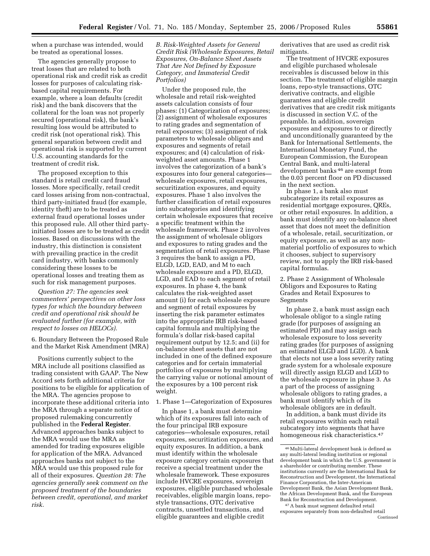when a purchase was intended, would be treated as operational losses.

The agencies generally propose to treat losses that are related to both operational risk and credit risk as credit losses for purposes of calculating riskbased capital requirements. For example, where a loan defaults (credit risk) and the bank discovers that the collateral for the loan was not properly secured (operational risk), the bank's resulting loss would be attributed to credit risk (not operational risk). This general separation between credit and operational risk is supported by current U.S. accounting standards for the treatment of credit risk.

The proposed exception to this standard is retail credit card fraud losses. More specifically, retail credit card losses arising from non-contractual, third party-initiated fraud (for example, identity theft) are to be treated as external fraud operational losses under this proposed rule. All other third partyinitiated losses are to be treated as credit losses. Based on discussions with the industry, this distinction is consistent with prevailing practice in the credit card industry, with banks commonly considering these losses to be operational losses and treating them as such for risk management purposes.

*Question 27: The agencies seek commenters' perspectives on other loss types for which the boundary between credit and operational risk should be evaluated further (for example, with respect to losses on HELOCs).* 

6. Boundary Between the Proposed Rule and the Market Risk Amendment (MRA)

Positions currently subject to the MRA include all positions classified as trading consistent with GAAP. The New Accord sets forth additional criteria for positions to be eligible for application of the MRA. The agencies propose to incorporate these additional criteria into the MRA through a separate notice of proposed rulemaking concurrently published in the **Federal Register**. Advanced approaches banks subject to the MRA would use the MRA as amended for trading exposures eligible for application of the MRA. Advanced approaches banks not subject to the MRA would use this proposed rule for all of their exposures. *Question 28: The agencies generally seek comment on the proposed treatment of the boundaries between credit, operational, and market risk.* 

*B. Risk-Weighted Assets for General Credit Risk (Wholesale Exposures, Retail Exposures, On-Balance Sheet Assets That Are Not Defined by Exposure Category, and Immaterial Credit Portfolios)* 

Under the proposed rule, the wholesale and retail risk-weighted assets calculation consists of four phases: (1) Categorization of exposures; (2) assignment of wholesale exposures to rating grades and segmentation of retail exposures; (3) assignment of risk parameters to wholesale obligors and exposures and segments of retail exposures; and (4) calculation of riskweighted asset amounts. Phase 1 involves the categorization of a bank's exposures into four general categories wholesale exposures, retail exposures, securitization exposures, and equity exposures. Phase 1 also involves the further classification of retail exposures into subcategories and identifying certain wholesale exposures that receive a specific treatment within the wholesale framework. Phase 2 involves the assignment of wholesale obligors and exposures to rating grades and the segmentation of retail exposures. Phase 3 requires the bank to assign a PD, ELGD, LGD, EAD, and M to each wholesale exposure and a PD, ELGD, LGD, and EAD to each segment of retail exposures. In phase 4, the bank calculates the risk-weighted asset amount (i) for each wholesale exposure and segment of retail exposures by inserting the risk parameter estimates into the appropriate IRB risk-based capital formula and multiplying the formula's dollar risk-based capital requirement output by 12.5; and (ii) for on-balance sheet assets that are not included in one of the defined exposure categories and for certain immaterial portfolios of exposures by multiplying the carrying value or notional amount of the exposures by a 100 percent risk weight.

1. Phase 1—Categorization of Exposures

In phase 1, a bank must determine which of its exposures fall into each of the four principal IRB exposure categories—wholesale exposures, retail exposures, securitization exposures, and equity exposures. In addition, a bank must identify within the wholesale exposure category certain exposures that receive a special treatment under the wholesale framework. These exposures include HVCRE exposures, sovereign exposures, eligible purchased wholesale receivables, eligible margin loans, repostyle transactions, OTC derivative contracts, unsettled transactions, and eligible guarantees and eligible credit

derivatives that are used as credit risk mitigants.

The treatment of HVCRE exposures and eligible purchased wholesale receivables is discussed below in this section. The treatment of eligible margin loans, repo-style transactions, OTC derivative contracts, and eligible guarantees and eligible credit derivatives that are credit risk mitigants is discussed in section V.C. of the preamble. In addition, sovereign exposures and exposures to or directly and unconditionally guaranteed by the Bank for International Settlements, the International Monetary Fund, the European Commission, the European Central Bank, and multi-lateral development banks 46 are exempt from the 0.03 percent floor on PD discussed in the next section.

In phase 1, a bank also must subcategorize its retail exposures as residential mortgage exposures, QREs, or other retail exposures. In addition, a bank must identify any on-balance sheet asset that does not meet the definition of a wholesale, retail, securitization, or equity exposure, as well as any nonmaterial portfolio of exposures to which it chooses, subject to supervisory review, not to apply the IRB risk-based capital formulas.

2. Phase 2 Assignment of Wholesale Obligors and Exposures to Rating Grades and Retail Exposures to Segments

In phase 2, a bank must assign each wholesale obligor to a single rating grade (for purposes of assigning an estimated PD) and may assign each wholesale exposure to loss severity rating grades (for purposes of assigning an estimated ELGD and LGD). A bank that elects not use a loss severity rating grade system for a wholesale exposure will directly assign ELGD and LGD to the wholesale exposure in phase 3. As a part of the process of assigning wholesale obligors to rating grades, a bank must identify which of its wholesale obligors are in default.

In addition, a bank must divide its retail exposures within each retail subcategory into segments that have homogeneous risk characteristics.<sup>47</sup>

<sup>46</sup>Multi-lateral development bank is defined as any multi-lateral lending institution or regional development bank in which the U.S. government is a shareholder or contributing member. These institutions currently are the International Bank for Reconstruction and Development, the International Finance Corporation, the Inter-American Development Bank, the Asian Development Bank, the African Development Bank, and the European Bank for Reconstruction and Development.

<sup>47</sup>A bank must segment defaulted retail exposures separately from non-defaulted retail Continued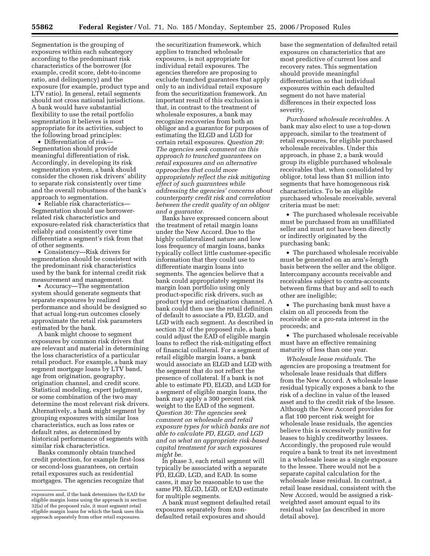Segmentation is the grouping of exposures within each subcategory according to the predominant risk characteristics of the borrower (for example, credit score, debt-to-income ratio, and delinquency) and the exposure (for example, product type and LTV ratio). In general, retail segments should not cross national jurisdictions. A bank would have substantial flexibility to use the retail portfolio segmentation it believes is most appropriate for its activities, subject to the following broad principles:

• Differentiation of risk— Segmentation should provide meaningful differentiation of risk. Accordingly, in developing its risk segmentation system, a bank should consider the chosen risk drivers' ability to separate risk consistently over time and the overall robustness of the bank's approach to segmentation.

• Reliable risk characteristics— Segmentation should use borrowerrelated risk characteristics and exposure-related risk characteristics that reliably and consistently over time differentiate a segment's risk from that of other segments.

• Consistency—Risk drivers for segmentation should be consistent with the predominant risk characteristics used by the bank for internal credit risk measurement and management.

• Accuracy—The segmentation system should generate segments that separate exposures by realized performance and should be designed so that actual long-run outcomes closely approximate the retail risk parameters estimated by the bank.

A bank might choose to segment exposures by common risk drivers that are relevant and material in determining the loss characteristics of a particular retail product. For example, a bank may segment mortgage loans by LTV band, age from origination, geography, origination channel, and credit score. Statistical modeling, expert judgment, or some combination of the two may determine the most relevant risk drivers. Alternatively, a bank might segment by grouping exposures with similar loss characteristics, such as loss rates or default rates, as determined by historical performance of segments with similar risk characteristics.

Banks commonly obtain tranched credit protection, for example first-loss or second-loss guarantees, on certain retail exposures such as residential mortgages. The agencies recognize that

the securitization framework, which applies to tranched wholesale exposures, is not appropriate for individual retail exposures. The agencies therefore are proposing to exclude tranched guarantees that apply only to an individual retail exposure from the securitization framework. An important result of this exclusion is that, in contrast to the treatment of wholesale exposures, a bank may recognize recoveries from both an obligor and a guarantor for purposes of estimating the ELGD and LGD for certain retail exposures. *Question 29: The agencies seek comment on this approach to tranched guarantees on retail exposures and on alternative approaches that could more appropriately reflect the risk mitigating effect of such guarantees while addressing the agencies' concerns about counterparty credit risk and correlation between the credit quality of an obligor and a guarantor.* 

Banks have expressed concern about the treatment of retail margin loans under the New Accord. Due to the highly collateralized nature and low loss frequency of margin loans, banks typically collect little customer-specific information that they could use to differentiate margin loans into segments. The agencies believe that a bank could appropriately segment its margin loan portfolio using only product-specific risk drivers, such as product type and origination channel. A bank could then use the retail definition of default to associate a PD, ELGD, and LGD with each segment. As described in section 32 of the proposed rule, a bank could adjust the EAD of eligible margin loans to reflect the risk-mitigating effect of financial collateral. For a segment of retail eligible margin loans, a bank would associate an ELGD and LGD with the segment that do not reflect the presence of collateral. If a bank is not able to estimate PD, ELGD, and LGD for a segment of eligible margin loans, the bank may apply a 300 percent risk weight to the EAD of the segment. *Question 30: The agencies seek comment on wholesale and retail exposure types for which banks are not able to calculate PD, ELGD, and LGD and on what an appropriate risk-based capital treatment for such exposures might be.* 

In phase 3, each retail segment will typically be associated with a separate PD, ELGD, LGD, and EAD. In some cases, it may be reasonable to use the same PD, ELGD, LGD, or EAD estimate for multiple segments.

A bank must segment defaulted retail exposures separately from nondefaulted retail exposures and should

base the segmentation of defaulted retail exposures on characteristics that are most predictive of current loss and recovery rates. This segmentation should provide meaningful differentiation so that individual exposures within each defaulted segment do not have material differences in their expected loss severity.

*Purchased wholesale receivables.* A bank may also elect to use a top-down approach, similar to the treatment of retail exposures, for eligible purchased wholesale receivables. Under this approach, in phase 2, a bank would group its eligible purchased wholesale receivables that, when consolidated by obligor, total less than \$1 million into segments that have homogeneous risk characteristics. To be an eligible purchased wholesale receivable, several criteria must be met:

• The purchased wholesale receivable must be purchased from an unaffiliated seller and must not have been directly or indirectly originated by the purchasing bank;

• The purchased wholesale receivable must be generated on an arm's-length basis between the seller and the obligor. Intercompany accounts receivable and receivables subject to contra-accounts between firms that buy and sell to each other are ineligible;

• The purchasing bank must have a claim on all proceeds from the receivable or a pro-rata interest in the proceeds; and

• The purchased wholesale receivable must have an effective remaining maturity of less than one year.

*Wholesale lease residuals.* The agencies are proposing a treatment for wholesale lease residuals that differs from the New Accord. A wholesale lease residual typically exposes a bank to the risk of a decline in value of the leased asset and to the credit risk of the lessee. Although the New Accord provides for a flat 100 percent risk weight for wholesale lease residuals, the agencies believe this is excessively punitive for leases to highly creditworthy lessees. Accordingly, the proposed rule would require a bank to treat its net investment in a wholesale lease as a single exposure to the lessee. There would not be a separate capital calculation for the wholesale lease residual. In contrast, a retail lease residual, consistent with the New Accord, would be assigned a riskweighted asset amount equal to its residual value (as described in more detail above).

exposures and, if the bank determines the EAD for eligible margin loans using the approach in section 32(a) of the proposed rule, it must segment retail eligible margin loans for which the bank uses this approach separately from other retail exposures.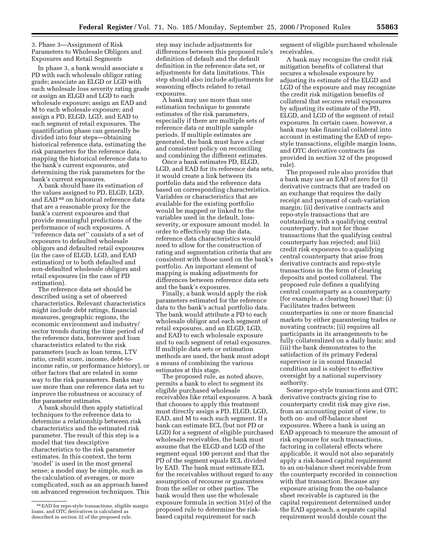3. Phase 3—Assignment of Risk Parameters to Wholesale Obligors and Exposures and Retail Segments

In phase 3, a bank would associate a PD with each wholesale obligor rating grade; associate an ELGD or LGD with each wholesale loss severity rating grade or assign an ELGD and LGD to each wholesale exposure; assign an EAD and M to each wholesale exposure; and assign a PD, ELGD, LGD, and EAD to each segment of retail exposures. The quantification phase can generally be divided into four steps—obtaining historical reference data, estimating the risk parameters for the reference data, mapping the historical reference data to the bank's current exposures, and determining the risk parameters for the bank's current exposures.

A bank should base its estimation of the values assigned to PD, ELGD, LGD, and EAD 48 on historical reference data that are a reasonable proxy for the bank's current exposures and that provide meaningful predictions of the performance of such exposures. A ''reference data set'' consists of a set of exposures to defaulted wholesale obligors and defaulted retail exposures (in the case of ELGD, LGD, and EAD estimation) or to both defaulted and non-defaulted wholesale obligors and retail exposures (in the case of PD estimation).

The reference data set should be described using a set of observed characteristics. Relevant characteristics might include debt ratings, financial measures, geographic regions, the economic environment and industry/ sector trends during the time period of the reference data, borrower and loan characteristics related to the risk parameters (such as loan terms, LTV ratio, credit score, income, debt-toincome ratio, or performance history), or other factors that are related in some way to the risk parameters. Banks may use more than one reference data set to improve the robustness or accuracy of the parameter estimates.

A bank should then apply statistical techniques to the reference data to determine a relationship between risk characteristics and the estimated risk parameter. The result of this step is a model that ties descriptive characteristics to the risk parameter estimates. In this context, the term 'model' is used in the most general sense; a model may be simple, such as the calculation of averages, or more complicated, such as an approach based on advanced regression techniques. This step may include adjustments for differences between this proposed rule's definition of default and the default definition in the reference data set, or adjustments for data limitations. This step should also include adjustments for seasoning effects related to retail exposures.

A bank may use more than one estimation technique to generate estimates of the risk parameters, especially if there are multiple sets of reference data or multiple sample periods. If multiple estimates are generated, the bank must have a clear and consistent policy on reconciling and combining the different estimates.

Once a bank estimates PD, ELGD, LGD, and EAD for its reference data sets, it would create a link between its portfolio data and the reference data based on corresponding characteristics. Variables or characteristics that are available for the existing portfolio would be mapped or linked to the variables used in the default, lossseverity, or exposure amount model. In order to effectively map the data, reference data characteristics would need to allow for the construction of rating and segmentation criteria that are consistent with those used on the bank's portfolio. An important element of mapping is making adjustments for differences between reference data sets and the bank's exposures.

Finally, a bank would apply the risk parameters estimated for the reference data to the bank's actual portfolio data. The bank would attribute a PD to each wholesale obligor and each segment of retail exposures, and an ELGD, LGD, and EAD to each wholesale exposure and to each segment of retail exposures. If multiple data sets or estimation methods are used, the bank must adopt a means of combining the various estimates at this stage.

The proposed rule, as noted above, permits a bank to elect to segment its eligible purchased wholesale receivables like retail exposures. A bank that chooses to apply this treatment must directly assign a PD, ELGD, LGD, EAD, and M to each such segment. If a bank can estimate ECL (but not PD or LGD) for a segment of eligible purchased wholesale receivables, the bank must assume that the ELGD and LGD of the segment equal 100 percent and that the PD of the segment equals ECL divided by EAD. The bank must estimate ECL for the receivables without regard to any assumption of recourse or guarantees from the seller or other parties. The bank would then use the wholesale exposure formula in section 31(e) of the proposed rule to determine the riskbased capital requirement for each

segment of eligible purchased wholesale receivables.

A bank may recognize the credit risk mitigation benefits of collateral that secures a wholesale exposure by adjusting its estimate of the ELGD and LGD of the exposure and may recognize the credit risk mitigation benefits of collateral that secures retail exposures by adjusting its estimate of the PD, ELGD, and LGD of the segment of retail exposures. In certain cases, however, a bank may take financial collateral into account in estimating the EAD of repostyle transactions, eligible margin loans, and OTC derivative contracts (as provided in section 32 of the proposed rule).

The proposed rule also provides that a bank may use an EAD of zero for (i) derivative contracts that are traded on an exchange that requires the daily receipt and payment of cash-variation margin; (ii) derivative contracts and repo-style transactions that are outstanding with a qualifying central counterparty, but not for those transactions that the qualifying central counterparty has rejected; and (iii) credit risk exposures to a qualifying central counterparty that arise from derivative contracts and repo-style transactions in the form of clearing deposits and posted collateral. The proposed rule defines a qualifying central counterparty as a counterparty (for example, a clearing house) that: (i) Facilitates trades between counterparties in one or more financial markets by either guaranteeing trades or novating contracts; (ii) requires all participants in its arrangements to be fully collateralized on a daily basis; and (iii) the bank demonstrates to the satisfaction of its primary Federal supervisor is in sound financial condition and is subject to effective oversight by a national supervisory authority.

Some repo-style transactions and OTC derivative contracts giving rise to counterparty credit risk may give rise, from an accounting point of view, to both on- and off-balance sheet exposures. Where a bank is using an EAD approach to measure the amount of risk exposure for such transactions, factoring in collateral effects where applicable, it would not also separately apply a risk-based capital requirement to an on-balance sheet receivable from the counterparty recorded in connection with that transaction. Because any exposure arising from the on-balance sheet receivable is captured in the capital requirement determined under the EAD approach, a separate capital requirement would double count the

<sup>48</sup>EAD for repo-style transactions, eligible margin loans, and OTC derivatives is calculated as described in section 32 of the proposed rule.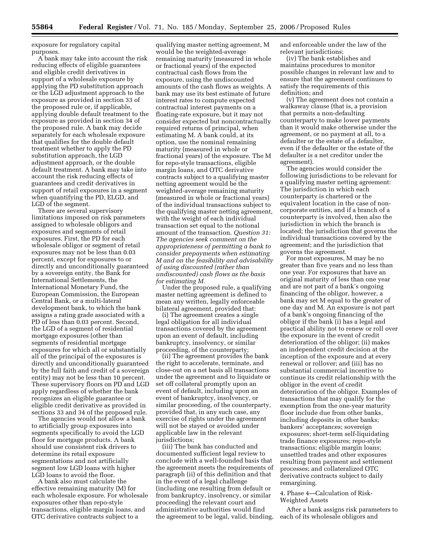exposure for regulatory capital purposes.

A bank may take into account the risk reducing effects of eligible guarantees and eligible credit derivatives in support of a wholesale exposure by applying the PD substitution approach or the LGD adjustment approach to the exposure as provided in section 33 of the proposed rule or, if applicable, applying double default treatment to the exposure as provided in section 34 of the proposed rule. A bank may decide separately for each wholesale exposure that qualifies for the double default treatment whether to apply the PD substitution approach, the LGD adjustment approach, or the double default treatment. A bank may take into account the risk reducing effects of guarantees and credit derivatives in support of retail exposures in a segment when quantifying the PD, ELGD, and LGD of the segment.

There are several supervisory limitations imposed on risk parameters assigned to wholesale obligors and exposures and segments of retail exposures. First, the PD for each wholesale obligor or segment of retail exposures may not be less than 0.03 percent, except for exposures to or directly and unconditionally guaranteed by a sovereign entity, the Bank for International Settlements, the International Monetary Fund, the European Commission, the European Central Bank, or a multi-lateral development bank, to which the bank assigns a rating grade associated with a PD of less than 0.03 percent. Second, the LGD of a segment of residential mortgage exposures (other than segments of residential mortgage exposures for which all or substantially all of the principal of the exposures is directly and unconditionally guaranteed by the full faith and credit of a sovereign entity) may not be less than 10 percent. These supervisory floors on PD and LGD apply regardless of whether the bank recognizes an eligible guarantee or eligible credit derivative as provided in sections 33 and 34 of the proposed rule.

The agencies would not allow a bank to artificially group exposures into segments specifically to avoid the LGD floor for mortgage products. A bank should use consistent risk drivers to determine its retail exposure segmentations and not artificially segment low LGD loans with higher LGD loans to avoid the floor.

A bank also must calculate the effective remaining maturity (M) for each wholesale exposure. For wholesale exposures other than repo-style transactions, eligible margin loans, and OTC derivative contracts subject to a

qualifying master netting agreement, M would be the weighted-average remaining maturity (measured in whole or fractional years) of the expected contractual cash flows from the exposure, using the undiscounted amounts of the cash flows as weights. A bank may use its best estimate of future interest rates to compute expected contractual interest payments on a floating-rate exposure, but it may not consider expected but noncontractually required returns of principal, when estimating M. A bank could, at its option, use the nominal remaining maturity (measured in whole or fractional years) of the exposure. The M for repo-style transactions, eligible margin loans, and OTC derivative contracts subject to a qualifying master netting agreement would be the weighted-average remaining maturity (measured in whole or fractional years) of the individual transactions subject to the qualifying master netting agreement, with the weight of each individual transaction set equal to the notional amount of the transaction. *Question 31: The agencies seek comment on the appropriateness of permitting a bank to consider prepayments when estimating M and on the feasibility and advisability of using discounted (rather than undiscounted) cash flows as the basis for estimating M.* 

Under the proposed rule, a qualifying master netting agreement is defined to mean any written, legally enforceable bilateral agreement, provided that:

(i) The agreement creates a single legal obligation for all individual transactions covered by the agreement upon an event of default, including bankruptcy, insolvency, or similar proceeding, of the counterparty;

(ii) The agreement provides the bank the right to accelerate, terminate, and close-out on a net basis all transactions under the agreement and to liquidate or set off collateral promptly upon an event of default, including upon an event of bankruptcy, insolvency, or similar proceeding, of the counterparty, provided that, in any such case, any exercise of rights under the agreement will not be stayed or avoided under applicable law in the relevant jurisdictions;

(iii) The bank has conducted and documented sufficient legal review to conclude with a well-founded basis that the agreement meets the requirements of paragraph (ii) of this definition and that in the event of a legal challenge (including one resulting from default or from bankruptcy, insolvency, or similar proceeding) the relevant court and administrative authorities would find the agreement to be legal, valid, binding,

and enforceable under the law of the relevant jurisdictions;

(iv) The bank establishes and maintains procedures to monitor possible changes in relevant law and to ensure that the agreement continues to satisfy the requirements of this definition; and

(v) The agreement does not contain a walkaway clause (that is, a provision that permits a non-defaulting counterparty to make lower payments than it would make otherwise under the agreement, or no payment at all, to a defaulter or the estate of a defaulter, even if the defaulter or the estate of the defaulter is a net creditor under the agreement).

The agencies would consider the following jurisdictions to be relevant for a qualifying master netting agreement: The jurisdiction in which each counterparty is chartered or the equivalent location in the case of noncorporate entities, and if a branch of a counterparty is involved, then also the jurisdiction in which the branch is located; the jurisdiction that governs the individual transactions covered by the agreement; and the jurisdiction that governs the agreement.

For most exposures, M may be no greater than five years and no less than one year. For exposures that have an original maturity of less than one year and are not part of a bank's ongoing financing of the obligor, however, a bank may set M equal to the greater of one day and M. An exposure is not part of a bank's ongoing financing of the obligor if the bank (i) has a legal and practical ability not to renew or roll over the exposure in the event of credit deterioration of the obligor; (ii) makes an independent credit decision at the inception of the exposure and at every renewal or rollover; and (iii) has no substantial commercial incentive to continue its credit relationship with the obligor in the event of credit deterioration of the obligor. Examples of transactions that may qualify for the exemption from the one-year maturity floor include due from other banks, including deposits in other banks; bankers' acceptances; sovereign exposures; short-term self-liquidating trade finance exposures; repo-style transactions; eligible margin loans; unsettled trades and other exposures resulting from payment and settlement processes; and collateralized OTC derivative contracts subject to daily remargining.

## 4. Phase 4—Calculation of Risk-Weighted Assets

After a bank assigns risk parameters to each of its wholesale obligors and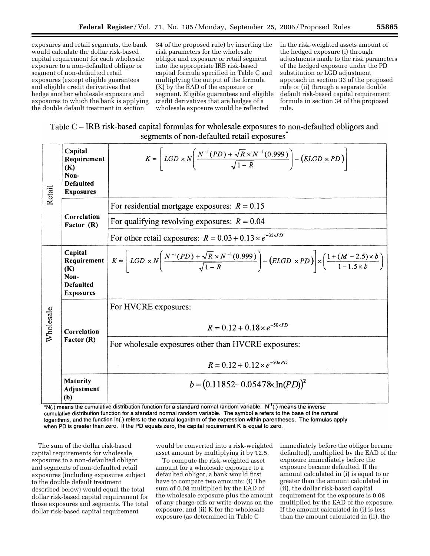34 of the proposed rule) by inserting the risk parameters for the wholesale obligor and exposure or retail segment into the appropriate IRB risk-based capital formula specified in Table C and multiplying the output of the formula (K) by the EAD of the exposure or segment. Eligible guarantees and eligible credit derivatives that are hedges of a wholesale exposure would be reflected

in the risk-weighted assets amount of the hedged exposure (i) through adjustments made to the risk parameters of the hedged exposure under the PD substitution or LGD adjustment approach in section 33 of the proposed rule or (ii) through a separate double default risk-based capital requirement formula in section 34 of the proposed rule.

Table C – IRB risk-based capital formulas for wholesale exposures to non-defaulted obligors and segments of non-defaulted retail exposures

| Retail    | Capital<br>Requirement<br>(K)<br>Non-<br><b>Defaulted</b><br><b>Exposures</b> | $K = \left[ LGD \times N \left( \frac{N^{-1}(PD) + \sqrt{R} \times N^{-1}(0.999)}{\sqrt{1-R}} \right) - (ELGD \times PD) \right]$                                                                       |
|-----------|-------------------------------------------------------------------------------|---------------------------------------------------------------------------------------------------------------------------------------------------------------------------------------------------------|
|           | Correlation<br>Factor (R)                                                     | For residential mortgage exposures: $R = 0.15$                                                                                                                                                          |
|           |                                                                               | For qualifying revolving exposures: $R = 0.04$                                                                                                                                                          |
|           |                                                                               | For other retail exposures: $R = 0.03 + 0.13 \times e^{-35 \times PD}$                                                                                                                                  |
| Wholesale | Capital<br>Requirement<br>(K)<br>Non-<br><b>Defaulted</b><br><b>Exposures</b> | $K = \left[ LGD \times N \left( \frac{N^{-1}(PD) + \sqrt{R} \times N^{-1}(0.999)}{\sqrt{1-R}} \right) - (ELGD \times PD) \right] \times \left( \frac{1 + (M - 2.5) \times b}{1 - 1.5 \times b} \right)$ |
|           | Correlation<br>Factor (R)                                                     | For HVCRE exposures:                                                                                                                                                                                    |
|           |                                                                               | $R = 0.12 + 0.18 \times e^{-50 \times PD}$                                                                                                                                                              |
|           |                                                                               | For wholesale exposures other than HVCRE exposures:                                                                                                                                                     |
|           |                                                                               | $R = 0.12 + 0.12 \times e^{-50 \times PD}$                                                                                                                                                              |
|           | <b>Maturity</b><br>Adjustment<br>(b)                                          | $b = (0.11852 - 0.05478 \times \ln(PD))^{2}$                                                                                                                                                            |

\*N(.) means the cumulative distribution function for a standard normal random variable. N<sup>-1</sup>(.) means the inverse cumulative distribution function for a standard normal random variable. The symbol e refers to the base of the natural logarithms, and the function In(.) refers to the natural logarithm of the expression within parentheses. The formulas apply when PD is greater than zero. If the PD equals zero, the capital requirement K is equal to zero.

The sum of the dollar risk-based capital requirements for wholesale exposures to a non-defaulted obligor and segments of non-defaulted retail exposures (including exposures subject to the double default treatment described below) would equal the total dollar risk-based capital requirement for those exposures and segments. The total dollar risk-based capital requirement

would be converted into a risk-weighted asset amount by multiplying it by 12.5.

To compute the risk-weighted asset amount for a wholesale exposure to a defaulted obligor, a bank would first have to compare two amounts: (i) The sum of 0.08 multiplied by the EAD of the wholesale exposure plus the amount of any charge-offs or write-downs on the exposure; and (ii) K for the wholesale exposure (as determined in Table C

immediately before the obligor became defaulted), multiplied by the EAD of the exposure immediately before the exposure became defaulted. If the amount calculated in (i) is equal to or greater than the amount calculated in (ii), the dollar risk-based capital requirement for the exposure is 0.08 multiplied by the EAD of the exposure. If the amount calculated in (i) is less than the amount calculated in (ii), the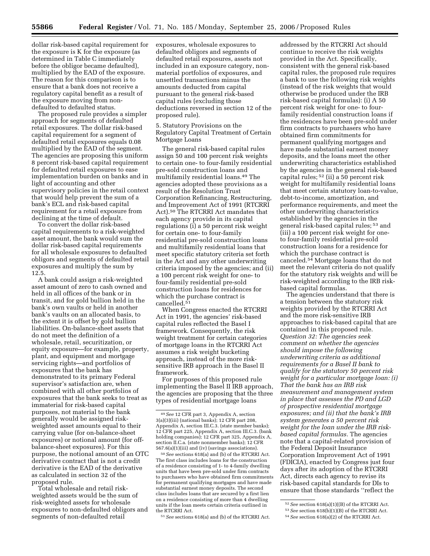dollar risk-based capital requirement for the exposure is K for the exposure (as determined in Table C immediately before the obligor became defaulted), multiplied by the EAD of the exposure. The reason for this comparison is to ensure that a bank does not receive a regulatory capital benefit as a result of the exposure moving from nondefaulted to defaulted status.

The proposed rule provides a simpler approach for segments of defaulted retail exposures. The dollar risk-based capital requirement for a segment of defaulted retail exposures equals 0.08 multiplied by the EAD of the segment. The agencies are proposing this uniform 8 percent risk-based capital requirement for defaulted retail exposures to ease implementation burden on banks and in light of accounting and other supervisory policies in the retail context that would help prevent the sum of a bank's ECL and risk-based capital requirement for a retail exposure from declining at the time of default.

To convert the dollar risk-based capital requirements to a risk-weighted asset amount, the bank would sum the dollar risk-based capital requirements for all wholesale exposures to defaulted obligors and segments of defaulted retail exposures and multiply the sum by 12.5.

A bank could assign a risk-weighted asset amount of zero to cash owned and held in all offices of the bank or in transit, and for gold bullion held in the bank's own vaults or held in another bank's vaults on an allocated basis, to the extent it is offset by gold bullion liabilities. On-balance-sheet assets that do not meet the definition of a wholesale, retail, securitization, or equity exposure—for example, property, plant, and equipment and mortgage servicing rights—and portfolios of exposures that the bank has demonstrated to its primary Federal supervisor's satisfaction are, when combined with all other portfolios of exposures that the bank seeks to treat as immaterial for risk-based capital purposes, not material to the bank generally would be assigned riskweighted asset amounts equal to their carrying value (for on-balance-sheet exposures) or notional amount (for offbalance-sheet exposures). For this purpose, the notional amount of an OTC derivative contract that is not a credit derivative is the EAD of the derivative as calculated in section 32 of the proposed rule.

Total wholesale and retail riskweighted assets would be the sum of risk-weighted assets for wholesale exposures to non-defaulted obligors and segments of non-defaulted retail

exposures, wholesale exposures to defaulted obligors and segments of defaulted retail exposures, assets not included in an exposure category, nonmaterial portfolios of exposures, and unsettled transactions minus the amounts deducted from capital pursuant to the general risk-based capital rules (excluding those deductions reversed in section 12 of the proposed rule).

5. Statutory Provisions on the Regulatory Capital Treatment of Certain Mortgage Loans

The general risk-based capital rules assign 50 and 100 percent risk weights to certain one- to four-family residential pre-sold construction loans and multifamily residential loans.49 The agencies adopted these provisions as a result of the Resolution Trust Corporation Refinancing, Restructuring, and Improvement Act of 1991 (RTCRRI Act).50 The RTCRRI Act mandates that each agency provide in its capital regulations (i) a 50 percent risk weight for certain one- to four-family residential pre-sold construction loans and multifamily residential loans that meet specific statutory criteria set forth in the Act and any other underwriting criteria imposed by the agencies; and (ii) a 100 percent risk weight for one- to four-family residential pre-sold construction loans for residences for which the purchase contract is cancelled.51

When Congress enacted the RTCRRI Act in 1991, the agencies' risk-based capital rules reflected the Basel I framework. Consequently, the risk weight treatment for certain categories of mortgage loans in the RTCRRI Act assumes a risk weight bucketing approach, instead of the more risksensitive IRB approach in the Basel II framework.

For purposes of this proposed rule implementing the Basel II IRB approach, the agencies are proposing that the three types of residential mortgage loans

50*See* sections 618(a) and (b) of the RTCRRI Act. The first class includes loans for the construction of a residence consisting of 1- to 4-family dwelling units that have been pre-sold under firm contracts to purchasers who have obtained firm commitments for permanent qualifying mortgages and have made substantial earnest money deposits. The second class includes loans that are secured by a first lien on a residence consisting of more than 4 dwelling units if the loan meets certain criteria outlined in the RTCRRI Act.

51*See* sections 618(a) and (b) of the RTCRRI Act.

addressed by the RTCRRI Act should continue to receive the risk weights provided in the Act. Specifically, consistent with the general risk-based capital rules, the proposed rule requires a bank to use the following risk weights (instead of the risk weights that would otherwise be produced under the IRB risk-based capital formulas): (i) A 50 percent risk weight for one- to fourfamily residential construction loans if the residences have been pre-sold under firm contracts to purchasers who have obtained firm commitments for permanent qualifying mortgages and have made substantial earnest money deposits, and the loans meet the other underwriting characteristics established by the agencies in the general risk-based capital rules; 52 (ii) a 50 percent risk weight for multifamily residential loans that meet certain statutory loan-to-value, debt-to-income, amortization, and performance requirements, and meet the other underwriting characteristics established by the agencies in the general risk-based capital rules; 53 and (iii) a 100 percent risk weight for oneto four-family residential pre-sold construction loans for a residence for which the purchase contract is canceled.54 Mortgage loans that do not meet the relevant criteria do not qualify for the statutory risk weights and will be risk-weighted according to the IRB riskbased capital formulas.

The agencies understand that there is a tension between the statutory risk weights provided by the RTCRRI Act and the more risk-sensitive IRB approaches to risk-based capital that are contained in this proposed rule. *Question 32: The agencies seek comment on whether the agencies should impose the following underwriting criteria as additional requirements for a Basel II bank to qualify for the statutory 50 percent risk weight for a particular mortgage loan: (i) That the bank has an IRB risk measurement and management system in place that assesses the PD and LGD of prospective residential mortgage exposures; and (ii) that the bank's IRB system generates a 50 percent risk weight for the loan under the IRB riskbased capital formulas.* The agencies note that a capital-related provision of the Federal Deposit Insurance Corporation Improvement Act of 1991 (FDICIA), enacted by Congress just four days after its adoption of the RTCRRI Act, directs each agency to revise its risk-based capital standards for DIs to ensure that those standards ''reflect the

<sup>49</sup>*See* 12 CFR part 3, Appendix A, section 3(a)(3)(iii) (national banks); 12 CFR part 208, Appendix A, section III.C.3. (state member banks); 12 CFR part 225, Appendix A, section III.C.3. (bank holding companies); 12 CFR part 325, Appendix A, section II.C.a. (state nonmember banks); 12 CFR 567.6(a)(1)(iii) and (iv) (savings associations).

<sup>52</sup>*See* section 618(a)(1)((B) of the RTCRRI Act. 53*See* section 618(b)(1)(B) of the RTCRRI Act.

<sup>54</sup>*See* section 618(a)(2) of the RTCRRI Act.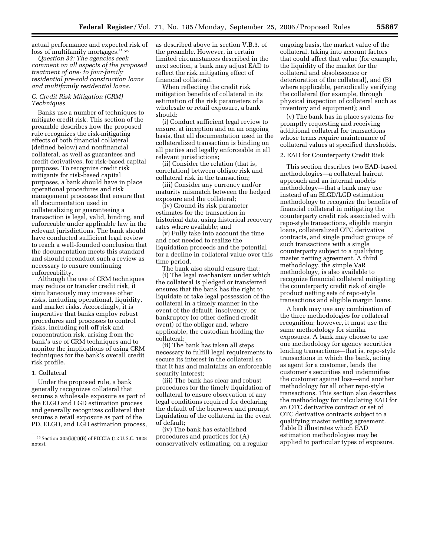actual performance and expected risk of loss of multifamily mortgages.'' 55

*Question 33: The agencies seek comment on all aspects of the proposed treatment of one- to four-family residential pre-sold construction loans and multifamily residential loans.* 

## *C. Credit Risk Mitigation (CRM) Techniques*

Banks use a number of techniques to mitigate credit risk. This section of the preamble describes how the proposed rule recognizes the risk-mitigating effects of both financial collateral (defined below) and nonfinancial collateral, as well as guarantees and credit derivatives, for risk-based capital purposes. To recognize credit risk mitigants for risk-based capital purposes, a bank should have in place operational procedures and risk management processes that ensure that all documentation used in collateralizing or guaranteeing a transaction is legal, valid, binding, and enforceable under applicable law in the relevant jurisdictions. The bank should have conducted sufficient legal review to reach a well-founded conclusion that the documentation meets this standard and should reconduct such a review as necessary to ensure continuing enforceability.

Although the use of CRM techniques may reduce or transfer credit risk, it simultaneously may increase other risks, including operational, liquidity, and market risks. Accordingly, it is imperative that banks employ robust procedures and processes to control risks, including roll-off risk and concentration risk, arising from the bank's use of CRM techniques and to monitor the implications of using CRM techniques for the bank's overall credit risk profile.

#### 1. Collateral

Under the proposed rule, a bank generally recognizes collateral that secures a wholesale exposure as part of the ELGD and LGD estimation process and generally recognizes collateral that secures a retail exposure as part of the PD, ELGD, and LGD estimation process, as described above in section V.B.3. of the preamble. However, in certain limited circumstances described in the next section, a bank may adjust EAD to reflect the risk mitigating effect of financial collateral.

When reflecting the credit risk mitigation benefits of collateral in its estimation of the risk parameters of a wholesale or retail exposure, a bank should:

(i) Conduct sufficient legal review to ensure, at inception and on an ongoing basis, that all documentation used in the collateralized transaction is binding on all parties and legally enforceable in all relevant jurisdictions;

(ii) Consider the relation (that is, correlation) between obligor risk and collateral risk in the transaction;

(iii) Consider any currency and/or maturity mismatch between the hedged exposure and the collateral;

(iv) Ground its risk parameter estimates for the transaction in historical data, using historical recovery rates where available; and

(v) Fully take into account the time and cost needed to realize the liquidation proceeds and the potential for a decline in collateral value over this time period.

The bank also should ensure that: (i) The legal mechanism under which the collateral is pledged or transferred ensures that the bank has the right to liquidate or take legal possession of the collateral in a timely manner in the event of the default, insolvency, or bankruptcy (or other defined credit event) of the obligor and, where applicable, the custodian holding the collateral;

(ii) The bank has taken all steps necessary to fulfill legal requirements to secure its interest in the collateral so that it has and maintains an enforceable security interest;

(iii) The bank has clear and robust procedures for the timely liquidation of collateral to ensure observation of any legal conditions required for declaring the default of the borrower and prompt liquidation of the collateral in the event of default;

(iv) The bank has established procedures and practices for (A) conservatively estimating, on a regular

ongoing basis, the market value of the collateral, taking into account factors that could affect that value (for example, the liquidity of the market for the collateral and obsolescence or deterioration of the collateral), and (B) where applicable, periodically verifying the collateral (for example, through physical inspection of collateral such as inventory and equipment); and

(v) The bank has in place systems for promptly requesting and receiving additional collateral for transactions whose terms require maintenance of collateral values at specified thresholds.

2. EAD for Counterparty Credit Risk

This section describes two EAD-based methodologies—a collateral haircut approach and an internal models methodology—that a bank may use instead of an ELGD/LGD estimation methodology to recognize the benefits of financial collateral in mitigating the counterparty credit risk associated with repo-style transactions, eligible margin loans, collateralized OTC derivative contracts, and single product groups of such transactions with a single counterparty subject to a qualifying master netting agreement. A third methodology, the simple VaR methodology, is also available to recognize financial collateral mitigating the counterparty credit risk of single product netting sets of repo-style transactions and eligible margin loans.

A bank may use any combination of the three methodologies for collateral recognition; however, it must use the same methodology for similar exposures. A bank may choose to use one methodology for agency securities lending transactions—that is, repo-style transactions in which the bank, acting as agent for a customer, lends the customer's securities and indemnifies the customer against loss—and another methodology for all other repo-style transactions. This section also describes the methodology for calculating EAD for an OTC derivative contract or set of OTC derivative contracts subject to a qualifying master netting agreement. Table D illustrates which EAD estimation methodologies may be applied to particular types of exposure.

<sup>55</sup>Section 305(b)(1)(B) of FDICIA (12 U.S.C. 1828 notes).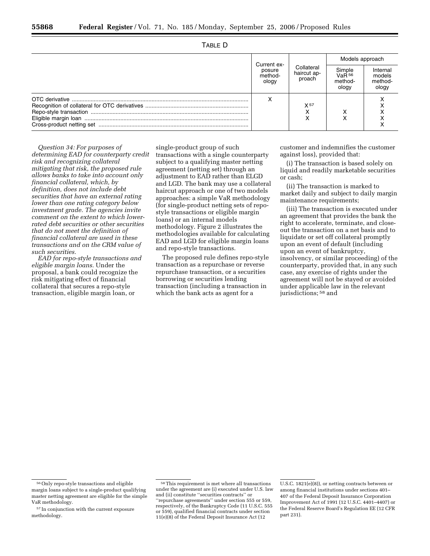|--|

|  | Current ex-<br>posure<br>method-<br>ology | Collateral<br>haircut ap-<br>proach | Models approach                                 |                                        |
|--|-------------------------------------------|-------------------------------------|-------------------------------------------------|----------------------------------------|
|  |                                           |                                     | Simple<br>VaR <sup>56</sup><br>method-<br>ology | Internal<br>models<br>method-<br>ology |
|  |                                           | X 57                                |                                                 |                                        |

*Question 34: For purposes of determining EAD for counterparty credit risk and recognizing collateral mitigating that risk, the proposed rule allows banks to take into account only financial collateral, which, by definition, does not include debt securities that have an external rating lower than one rating category below investment grade. The agencies invite comment on the extent to which lowerrated debt securities or other securities that do not meet the definition of financial collateral are used in these transactions and on the CRM value of such securities.* 

*EAD for repo-style transactions and eligible margin loans.* Under the proposal, a bank could recognize the risk mitigating effect of financial collateral that secures a repo-style transaction, eligible margin loan, or

single-product group of such transactions with a single counterparty subject to a qualifying master netting agreement (netting set) through an adjustment to EAD rather than ELGD and LGD. The bank may use a collateral haircut approach or one of two models approaches: a simple VaR methodology (for single-product netting sets of repostyle transactions or eligible margin loans) or an internal models methodology. Figure 2 illustrates the methodologies available for calculating EAD and LGD for eligible margin loans and repo-style transactions.

The proposed rule defines repo-style transaction as a repurchase or reverse repurchase transaction, or a securities borrowing or securities lending transaction (including a transaction in which the bank acts as agent for a

customer and indemnifies the customer against loss), provided that:

(i) The transaction is based solely on liquid and readily marketable securities or cash;

(ii) The transaction is marked to market daily and subject to daily margin maintenance requirements;

(iii) The transaction is executed under an agreement that provides the bank the right to accelerate, terminate, and closeout the transaction on a net basis and to liquidate or set off collateral promptly upon an event of default (including upon an event of bankruptcy, insolvency, or similar proceeding) of the counterparty, provided that, in any such case, any exercise of rights under the agreement will not be stayed or avoided under applicable law in the relevant jurisdictions; 58 and

<sup>56</sup>Only repo-style transactions and eligible margin loans subject to a single-product qualifying master netting agreement are eligible for the simple VaR methodology.

<sup>57</sup> In conjunction with the current exposure methodology.

<sup>58</sup>This requirement is met where all transactions under the agreement are (i) executed under U.S. law and (ii) constitute ''securities contracts'' or ''repurchase agreements'' under section 555 or 559, respectively, of the Bankruptcy Code (11 U.S.C. 555 or 559), qualified financial contracts under section 11(e)(8) of the Federal Deposit Insurance Act (12

U.S.C. 1821(e)(8)), or netting contracts between or among financial institutions under sections 401– 407 of the Federal Deposit Insurance Corporation Improvement Act of 1991 (12 U.S.C. 4401–4407) or the Federal Reserve Board's Regulation EE (12 CFR part 231).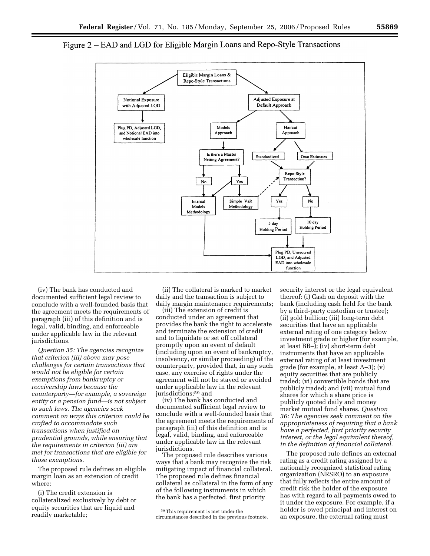

# Figure 2 – EAD and LGD for Eligible Margin Loans and Repo-Style Transactions

(iv) The bank has conducted and documented sufficient legal review to conclude with a well-founded basis that the agreement meets the requirements of paragraph (iii) of this definition and is legal, valid, binding, and enforceable under applicable law in the relevant jurisdictions.

*Question 35: The agencies recognize that criterion (iii) above may pose challenges for certain transactions that would not be eligible for certain exemptions from bankruptcy or receivership laws because the counterparty—for example, a sovereign entity or a pension fund—is not subject to such laws. The agencies seek comment on ways this criterion could be crafted to accommodate such transactions when justified on prudential grounds, while ensuring that the requirements in criterion (iii) are met for transactions that are eligible for those exemptions.* 

The proposed rule defines an eligible margin loan as an extension of credit where:

(i) The credit extension is collateralized exclusively by debt or equity securities that are liquid and readily marketable;

(ii) The collateral is marked to market daily and the transaction is subject to daily margin maintenance requirements;

(iii) The extension of credit is conducted under an agreement that provides the bank the right to accelerate and terminate the extension of credit and to liquidate or set off collateral promptly upon an event of default (including upon an event of bankruptcy, insolvency, or similar proceeding) of the counterparty, provided that, in any such case, any exercise of rights under the agreement will not be stayed or avoided under applicable law in the relevant jurisdictions;<sup>59</sup> and

(iv) The bank has conducted and documented sufficient legal review to conclude with a well-founded basis that the agreement meets the requirements of paragraph (iii) of this definition and is legal, valid, binding, and enforceable under applicable law in the relevant jurisdictions.

The proposed rule describes various ways that a bank may recognize the risk mitigating impact of financial collateral. The proposed rule defines financial collateral as collateral in the form of any of the following instruments in which the bank has a perfected, first priority

security interest or the legal equivalent thereof: (i) Cash on deposit with the bank (including cash held for the bank by a third-party custodian or trustee); (ii) gold bullion; (iii) long-term debt securities that have an applicable external rating of one category below investment grade or higher (for example, at least BB–); (iv) short-term debt instruments that have an applicable external rating of at least investment grade (for example, at least A–3); (v) equity securities that are publicly traded; (vi) convertible bonds that are publicly traded; and (vii) mutual fund shares for which a share price is publicly quoted daily and money market mutual fund shares. *Question 36: The agencies seek comment on the appropriateness of requiring that a bank have a perfected, first priority security interest, or the legal equivalent thereof, in the definition of financial collateral.* 

The proposed rule defines an external rating as a credit rating assigned by a nationally recognized statistical rating organization (NRSRO) to an exposure that fully reflects the entire amount of credit risk the holder of the exposure has with regard to all payments owed to it under the exposure. For example, if a holder is owed principal and interest on an exposure, the external rating must

<sup>59</sup>This requirement is met under the circumstances described in the previous footnote.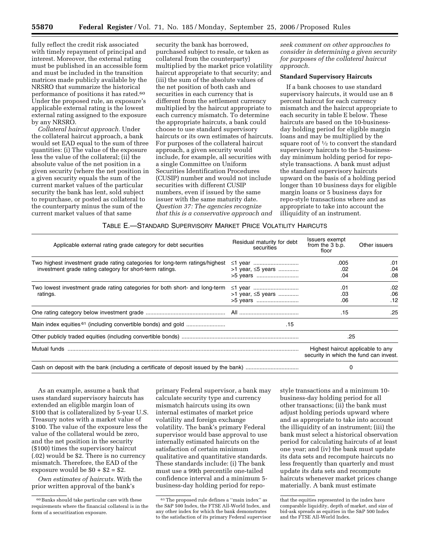fully reflect the credit risk associated with timely repayment of principal and interest. Moreover, the external rating must be published in an accessible form and must be included in the transition matrices made publicly available by the NRSRO that summarize the historical performance of positions it has rated.60 Under the proposed rule, an exposure's applicable external rating is the lowest external rating assigned to the exposure by any NRSRO.

*Collateral haircut approach.* Under the collateral haircut approach, a bank would set EAD equal to the sum of three quantities: (i) The value of the exposure less the value of the collateral; (ii) the absolute value of the net position in a given security (where the net position in a given security equals the sum of the current market values of the particular security the bank has lent, sold subject to repurchase, or posted as collateral to the counterparty minus the sum of the current market values of that same

security the bank has borrowed, purchased subject to resale, or taken as collateral from the counterparty) multiplied by the market price volatility haircut appropriate to that security; and (iii) the sum of the absolute values of the net position of both cash and securities in each currency that is different from the settlement currency multiplied by the haircut appropriate to each currency mismatch. To determine the appropriate haircuts, a bank could choose to use standard supervisory haircuts or its own estimates of haircuts. For purposes of the collateral haircut approach, a given security would include, for example, all securities with a single Committee on Uniform Securities Identification Procedures (CUSIP) number and would not include securities with different CUSIP numbers, even if issued by the same issuer with the same maturity date. *Question 37: The agencies recognize that this is a conservative approach and* 

*seek comment on other approaches to consider in determining a given security for purposes of the collateral haircut approach.* 

# **Standard Supervisory Haircuts**

If a bank chooses to use standard supervisory haircuts, it would use an 8 percent haircut for each currency mismatch and the haircut appropriate to each security in table E below. These haircuts are based on the 10-businessday holding period for eligible margin loans and may be multiplied by the square root of  $\frac{1}{2}$  to convert the standard supervisory haircuts to the 5-businessday minimum holding period for repostyle transactions. A bank must adjust the standard supervisory haircuts upward on the basis of a holding period longer than 10 business days for eligible margin loans or 5 business days for repo-style transactions where and as appropriate to take into account the illiquidity of an instrument.

### TABLE E.—STANDARD SUPERVISORY MARKET PRICE VOLATILITY HAIRCUTS

| Applicable external rating grade category for debt securities                                                                            | Residual maturity for debt<br>securities | <b>Issuers exempt</b><br>from the 3 b.p.<br>floor                           | Other issuers     |
|------------------------------------------------------------------------------------------------------------------------------------------|------------------------------------------|-----------------------------------------------------------------------------|-------------------|
| Two highest investment grade rating categories for long-term ratings/highest<br>investment grade rating category for short-term ratings. | >1 year, $\leq 5$ years                  | .005<br>.02<br>.04                                                          | .01<br>.04<br>.08 |
| Two lowest investment grade rating categories for both short- and long-term<br>ratings.                                                  | >1 year, <5 years<br>>5 years            | .01<br>.03<br>.06                                                           | .02<br>.06<br>.12 |
|                                                                                                                                          |                                          | .15                                                                         | .25               |
|                                                                                                                                          | .15                                      |                                                                             |                   |
|                                                                                                                                          |                                          | .25                                                                         |                   |
| Mutual funds                                                                                                                             |                                          | Highest haircut applicable to any<br>security in which the fund can invest. |                   |
|                                                                                                                                          |                                          |                                                                             |                   |

As an example, assume a bank that uses standard supervisory haircuts has extended an eligible margin loan of \$100 that is collateralized by 5-year U.S. Treasury notes with a market value of \$100. The value of the exposure less the value of the collateral would be zero, and the net position in the security (\$100) times the supervisory haircut (.02) would be \$2. There is no currency mismatch. Therefore, the EAD of the exposure would be  $$0 + $2 = $2$ .

*Own estimates of haircuts.* With the prior written approval of the bank's

primary Federal supervisor, a bank may calculate security type and currency mismatch haircuts using its own internal estimates of market price volatility and foreign exchange volatility. The bank's primary Federal supervisor would base approval to use internally estimated haircuts on the satisfaction of certain minimum qualitative and quantitative standards. These standards include: (i) The bank must use a 99th percentile one-tailed confidence interval and a minimum 5 business-day holding period for repo-

style transactions and a minimum 10 business-day holding period for all other transactions; (ii) the bank must adjust holding periods upward where and as appropriate to take into account the illiquidity of an instrument; (iii) the bank must select a historical observation period for calculating haircuts of at least one year; and (iv) the bank must update its data sets and recompute haircuts no less frequently than quarterly and must update its data sets and recompute haircuts whenever market prices change materially. A bank must estimate

<sup>60</sup>Banks should take particular care with these requirements where the financial collateral is in the form of a securitization exposure.

<sup>61</sup>The proposed rule defines a ''main index'' as the S&P 500 Index, the FTSE All-World Index, and any other index for which the bank demonstrates to the satisfaction of its primary Federal supervisor

that the equities represented in the index have comparable liquidity, depth of market, and size of bid-ask spreads as equities in the S&P 500 Index and the FTSE All-World Index.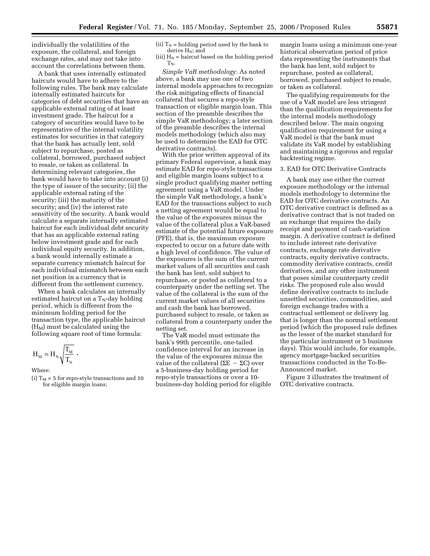individually the volatilities of the exposure, the collateral, and foreign exchange rates, and may not take into account the correlations between them.

A bank that uses internally estimated haircuts would have to adhere to the following rules. The bank may calculate internally estimated haircuts for categories of debt securities that have an applicable external rating of at least investment grade. The haircut for a category of securities would have to be representative of the internal volatility estimates for securities in that category that the bank has actually lent, sold subject to repurchase, posted as collateral, borrowed, purchased subject to resale, or taken as collateral. In determining relevant categories, the bank would have to take into account (i) the type of issuer of the security; (ii) the applicable external rating of the security; (iii) the maturity of the security; and (iv) the interest rate sensitivity of the security. A bank would calculate a separate internally estimated haircut for each individual debt security that has an applicable external rating below investment grade and for each individual equity security. In addition, a bank would internally estimate a separate currency mismatch haircut for each individual mismatch between each net position in a currency that is different from the settlement currency.

When a bank calculates an internally estimated haircut on a  $T_N$ -day holding period, which is different from the minimum holding period for the transaction type, the applicable haircut  $(H_M)$  must be calculated using the following square root of time formula:

$$
H_{_M}=H_{_N}\sqrt{\frac{T_{_M}}{T_{_N}}}\ ,
$$

#### Where:

(i)  $T_M = 5$  for repo-style transactions and 10 for eligible margin loans;

(ii)  $T_N$  = holding period used by the bank to derive  $H_N$ ; and

(iii)  $H_N$  = haircut based on the holding period  $T_N$ .

*Simple VaR methodology.* As noted above, a bank may use one of two internal models approaches to recognize the risk mitigating effects of financial collateral that secures a repo-style transaction or eligible margin loan. This section of the preamble describes the simple VaR methodology; a later section of the preamble describes the internal models methodology (which also may be used to determine the EAD for OTC derivative contracts).

With the prior written approval of its primary Federal supervisor, a bank may estimate EAD for repo-style transactions and eligible margin loans subject to a single product qualifying master netting agreement using a VaR model. Under the simple VaR methodology, a bank's EAD for the transactions subject to such a netting agreement would be equal to the value of the exposures minus the value of the collateral plus a VaR-based estimate of the potential future exposure (PFE), that is, the maximum exposure expected to occur on a future date with a high level of confidence. The value of the exposures is the sum of the current market values of all securities and cash the bank has lent, sold subject to repurchase, or posted as collateral to a counterparty under the netting set. The value of the collateral is the sum of the current market values of all securities and cash the bank has borrowed, purchased subject to resale, or taken as collateral from a counterparty under the netting set.

The VaR model must estimate the bank's 99th percentile, one-tailed confidence interval for an increase in the value of the exposures minus the value of the collateral (ΣΕ  $-$  ΣC) over a 5-business-day holding period for repo-style transactions or over a 10 business-day holding period for eligible

margin loans using a minimum one-year historical observation period of price data representing the instruments that the bank has lent, sold subject to repurchase, posted as collateral, borrowed, purchased subject to resale, or taken as collateral.

The qualifying requirements for the use of a VaR model are less stringent than the qualification requirements for the internal models methodology described below. The main ongoing qualification requirement for using a VaR model is that the bank must validate its VaR model by establishing and maintaining a rigorous and regular backtesting regime.

## 3. EAD for OTC Derivative Contracts

A bank may use either the current exposure methodology or the internal models methodology to determine the EAD for OTC derivative contracts. An OTC derivative contract is defined as a derivative contract that is not traded on an exchange that requires the daily receipt and payment of cash-variation margin. A derivative contract is defined to include interest rate derivative contracts, exchange rate derivative contracts, equity derivative contracts, commodity derivative contracts, credit derivatives, and any other instrument that poses similar counterparty credit risks. The proposed rule also would define derivative contracts to include unsettled securities, commodities, and foreign exchange trades with a contractual settlement or delivery lag that is longer than the normal settlement period (which the proposed rule defines as the lesser of the market standard for the particular instrument or 5 business days). This would include, for example, agency mortgage-backed securities transactions conducted in the To-Be-Announced market.

Figure 3 illustrates the treatment of OTC derivative contracts.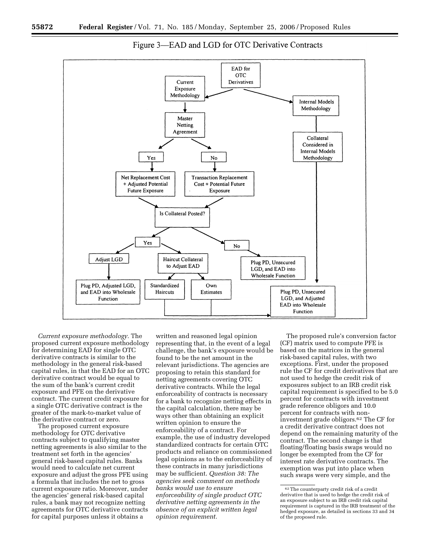



*Current exposure methodology.* The proposed current exposure methodology for determining EAD for single OTC derivative contracts is similar to the methodology in the general risk-based capital rules, in that the EAD for an OTC derivative contract would be equal to the sum of the bank's current credit exposure and PFE on the derivative contract. The current credit exposure for a single OTC derivative contract is the greater of the mark-to-market value of the derivative contract or zero.

The proposed current exposure methodology for OTC derivative contracts subject to qualifying master netting agreements is also similar to the treatment set forth in the agencies' general risk-based capital rules. Banks would need to calculate net current exposure and adjust the gross PFE using a formula that includes the net to gross current exposure ratio. Moreover, under the agencies' general risk-based capital rules, a bank may not recognize netting agreements for OTC derivative contracts for capital purposes unless it obtains a

written and reasoned legal opinion representing that, in the event of a legal challenge, the bank's exposure would be found to be the net amount in the relevant jurisdictions. The agencies are proposing to retain this standard for netting agreements covering OTC derivative contracts. While the legal enforceability of contracts is necessary for a bank to recognize netting effects in the capital calculation, there may be ways other than obtaining an explicit written opinion to ensure the enforceability of a contract. For example, the use of industry developed standardized contracts for certain OTC products and reliance on commissioned legal opinions as to the enforceability of these contracts in many jurisdictions may be sufficient. *Question 38: The agencies seek comment on methods banks would use to ensure enforceability of single product OTC derivative netting agreements in the absence of an explicit written legal opinion requirement.* 

The proposed rule's conversion factor (CF) matrix used to compute PFE is based on the matrices in the general risk-based capital rules, with two exceptions. First, under the proposed rule the CF for credit derivatives that are not used to hedge the credit risk of exposures subject to an IRB credit risk capital requirement is specified to be 5.0 percent for contracts with investment grade reference obligors and 10.0 percent for contracts with noninvestment grade obligors.62 The CF for a credit derivative contract does not depend on the remaining maturity of the contract. The second change is that floating/floating basis swaps would no longer be exempted from the CF for interest rate derivative contracts. The exemption was put into place when such swaps were very simple, and the

<sup>62</sup>The counterparty credit risk of a credit derivative that is used to hedge the credit risk of an exposure subject to an IRB credit risk capital requirement is captured in the IRB treatment of the hedged exposure, as detailed in sections 33 and 34 of the proposed rule.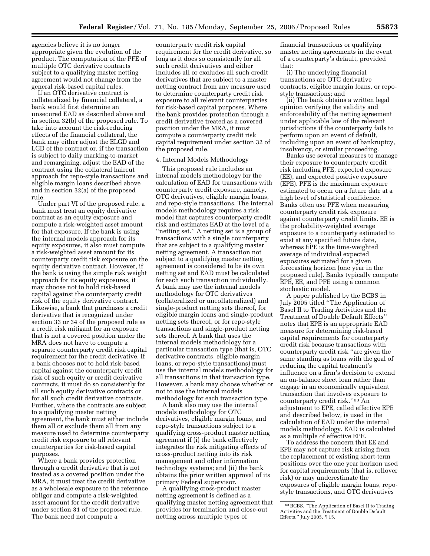agencies believe it is no longer appropriate given the evolution of the product. The computation of the PFE of multiple OTC derivative contracts subject to a qualifying master netting agreement would not change from the general risk-based capital rules.

If an OTC derivative contract is collateralized by financial collateral, a bank would first determine an unsecured EAD as described above and in section 32(b) of the proposed rule. To take into account the risk-reducing effects of the financial collateral, the bank may either adjust the ELGD and LGD of the contract or, if the transaction is subject to daily marking-to-market and remargining, adjust the EAD of the contract using the collateral haircut approach for repo-style transactions and eligible margin loans described above and in section 32(a) of the proposed rule.

Under part VI of the proposed rule, a bank must treat an equity derivative contract as an equity exposure and compute a risk-weighted asset amount for that exposure. If the bank is using the internal models approach for its equity exposures, it also must compute a risk-weighted asset amount for its counterparty credit risk exposure on the equity derivative contract. However, if the bank is using the simple risk weight approach for its equity exposures, it may choose not to hold risk-based capital against the counterparty credit risk of the equity derivative contract. Likewise, a bank that purchases a credit derivative that is recognized under section 33 or 34 of the proposed rule as a credit risk mitigant for an exposure that is not a covered position under the MRA does not have to compute a separate counterparty credit risk capital requirement for the credit derivative. If a bank chooses not to hold risk-based capital against the counterparty credit risk of such equity or credit derivative contracts, it must do so consistently for all such equity derivative contracts or for all such credit derivative contracts. Further, where the contracts are subject to a qualifying master netting agreement, the bank must either include them all or exclude them all from any measure used to determine counterparty credit risk exposure to all relevant counterparties for risk-based capital purposes.

Where a bank provides protection through a credit derivative that is not treated as a covered position under the MRA, it must treat the credit derivative as a wholesale exposure to the reference obligor and compute a risk-weighted asset amount for the credit derivative under section 31 of the proposed rule. The bank need not compute a

counterparty credit risk capital requirement for the credit derivative, so long as it does so consistently for all such credit derivatives and either includes all or excludes all such credit derivatives that are subject to a master netting contract from any measure used to determine counterparty credit risk exposure to all relevant counterparties for risk-based capital purposes. Where the bank provides protection through a credit derivative treated as a covered position under the MRA, it must compute a counterparty credit risk capital requirement under section 32 of the proposed rule.

#### 4. Internal Models Methodology

This proposed rule includes an internal models methodology for the calculation of EAD for transactions with counterparty credit exposure, namely, OTC derivatives, eligible margin loans, and repo-style transactions. The internal models methodology requires a risk model that captures counterparty credit risk and estimates EAD at the level of a ''netting set.'' A netting set is a group of transactions with a single counterparty that are subject to a qualifying master netting agreement. A transaction not subject to a qualifying master netting agreement is considered to be its own netting set and EAD must be calculated for each such transaction individually. A bank may use the internal models methodology for OTC derivatives (collateralized or uncollateralized) and single-product netting sets thereof, for eligible margin loans and single-product netting sets thereof, or for repo-style transactions and single-product netting sets thereof. A bank that uses the internal models methodology for a particular transaction type (that is, OTC derivative contracts, eligible margin loans, or repo-style transactions) must use the internal models methodology for all transactions in that transaction type. However, a bank may choose whether or not to use the internal models methodology for each transaction type.

A bank also may use the internal models methodology for OTC derivatives, eligible margin loans, and repo-style transactions subject to a qualifying cross-product master netting agreement if (i) the bank effectively integrates the risk mitigating effects of cross-product netting into its risk management and other information technology systems; and (ii) the bank obtains the prior written approval of its primary Federal supervisor.

A qualifying cross-product master netting agreement is defined as a qualifying master netting agreement that provides for termination and close-out netting across multiple types of

financial transactions or qualifying master netting agreements in the event of a counterparty's default, provided that:

(i) The underlying financial transactions are OTC derivative contracts, eligible margin loans, or repostyle transactions; and

(ii) The bank obtains a written legal opinion verifying the validity and enforceability of the netting agreement under applicable law of the relevant jurisdictions if the counterparty fails to perform upon an event of default, including upon an event of bankruptcy, insolvency, or similar proceeding.

Banks use several measures to manage their exposure to counterparty credit risk including PFE, expected exposure (EE), and expected positive exposure (EPE). PFE is the maximum exposure estimated to occur on a future date at a high level of statistical confidence. Banks often use PFE when measuring counterparty credit risk exposure against counterparty credit limits. EE is the probability-weighted average exposure to a counterparty estimated to exist at any specified future date, whereas EPE is the time-weighted average of individual expected exposures estimated for a given forecasting horizon (one year in the proposed rule). Banks typically compute EPE, EE, and PFE using a common stochastic model.

A paper published by the BCBS in July 2005 titled ''The Application of Basel II to Trading Activities and the Treatment of Double Default Effects'' notes that EPE is an appropriate EAD measure for determining risk-based capital requirements for counterparty credit risk because transactions with counterparty credit risk ''are given the same standing as loans with the goal of reducing the capital treatment's influence on a firm's decision to extend an on-balance sheet loan rather than engage in an economically equivalent transaction that involves exposure to counterparty credit risk.''63 An adjustment to EPE, called effective EPE and described below, is used in the calculation of EAD under the internal models methodology. EAD is calculated as a multiple of effective EPE.

To address the concern that EE and EPE may not capture risk arising from the replacement of existing short-term positions over the one year horizon used for capital requirements (that is, rollover risk) or may underestimate the exposures of eligible margin loans, repostyle transactions, and OTC derivatives

<sup>63</sup>BCBS, ''The Application of Basel II to Trading Activities and the Treatment of Double Default Effects,'' July 2005, ¶ 15.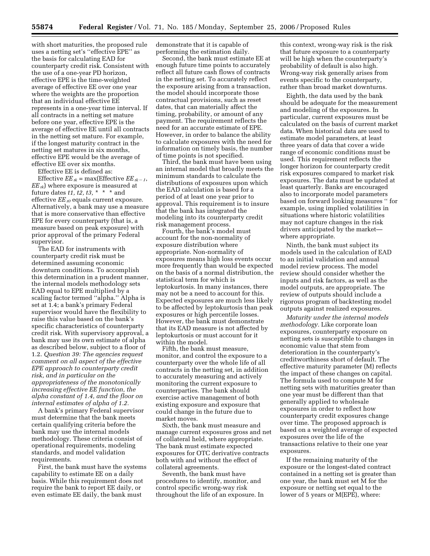with short maturities, the proposed rule uses a netting set's ''effective EPE'' as the basis for calculating EAD for counterparty credit risk. Consistent with the use of a one-year PD horizon, effective EPE is the time-weighted average of effective EE over one year where the weights are the proportion that an individual effective EE represents in a one-year time interval. If all contracts in a netting set mature before one year, effective EPE is the average of effective EE until all contracts in the netting set mature. For example, if the longest maturity contract in the netting set matures in six months, effective EPE would be the average of effective EE over six months.

Effective EE is defined as:

Effective  $EE_{tk}$  = max(Effective  $EE_{tk-1}$ , *EE tk*) where exposure is measured at future dates *t1, t2, t3,* \* \* \* and effective *EE t0* equals current exposure. Alternatively, a bank may use a measure that is more conservative than effective EPE for every counterparty (that is, a measure based on peak exposure) with prior approval of the primary Federal supervisor.

The EAD for instruments with counterparty credit risk must be determined assuming economic downturn conditions. To accomplish this determination in a prudent manner, the internal models methodology sets EAD equal to EPE multiplied by a scaling factor termed ''alpha.'' Alpha is set at 1.4; a bank's primary Federal supervisor would have the flexibility to raise this value based on the bank's specific characteristics of counterparty credit risk. With supervisory approval, a bank may use its own estimate of alpha as described below, subject to a floor of 1.2. *Question 39: The agencies request comment on all aspect of the effective EPE approach to counterparty credit risk, and in particular on the appropriateness of the monotonically increasing effective EE function, the alpha constant of 1.4, and the floor on internal estimates of alpha of 1.2.* 

A bank's primary Federal supervisor must determine that the bank meets certain qualifying criteria before the bank may use the internal models methodology. These criteria consist of operational requirements, modeling standards, and model validation requirements.

First, the bank must have the systems capability to estimate EE on a daily basis. While this requirement does not require the bank to report EE daily, or even estimate EE daily, the bank must

demonstrate that it is capable of performing the estimation daily.

Second, the bank must estimate EE at enough future time points to accurately reflect all future cash flows of contracts in the netting set. To accurately reflect the exposure arising from a transaction, the model should incorporate those contractual provisions, such as reset dates, that can materially affect the timing, probability, or amount of any payment. The requirement reflects the need for an accurate estimate of EPE. However, in order to balance the ability to calculate exposures with the need for information on timely basis, the number of time points is not specified.

Third, the bank must have been using an internal model that broadly meets the minimum standards to calculate the distributions of exposures upon which the EAD calculation is based for a period of at least one year prior to approval. This requirement is to insure that the bank has integrated the modeling into its counterparty credit risk management process.

Fourth, the bank's model must account for the non-normality of exposure distribution where appropriate. Non-normality of exposures means high loss events occur more frequently than would be expected on the basis of a normal distribution, the statistical term for which is leptokurtosis. In many instances, there may not be a need to account for this. Expected exposures are much less likely to be affected by leptokurtosis than peak exposures or high percentile losses. However, the bank must demonstrate that its EAD measure is not affected by leptokurtosis or must account for it within the model.

Fifth, the bank must measure, monitor, and control the exposure to a counterparty over the whole life of all contracts in the netting set, in addition to accurately measuring and actively monitoring the current exposure to counterparties. The bank should exercise active management of both existing exposure and exposure that could change in the future due to market moves.

Sixth, the bank must measure and manage current exposures gross and net of collateral held, where appropriate. The bank must estimate expected exposures for OTC derivative contracts both with and without the effect of collateral agreements.

Seventh, the bank must have procedures to identify, monitor, and control specific wrong-way risk throughout the life of an exposure. In

this context, wrong-way risk is the risk that future exposure to a counterparty will be high when the counterparty's probability of default is also high. Wrong-way risk generally arises from events specific to the counterparty, rather than broad market downturns.

Eighth, the data used by the bank should be adequate for the measurement and modeling of the exposures. In particular, current exposures must be calculated on the basis of current market data. When historical data are used to estimate model parameters, at least three years of data that cover a wide range of economic conditions must be used. This requirement reflects the longer horizon for counterparty credit risk exposures compared to market risk exposures. The data must be updated at least quarterly. Banks are encouraged also to incorporate model parameters based on forward looking measures '' for example, using implied volatilities in situations where historic volatilities may not capture changes in the risk drivers anticipated by the market where appropriate.

Ninth, the bank must subject its models used in the calculation of EAD to an initial validation and annual model review process. The model review should consider whether the inputs and risk factors, as well as the model outputs, are appropriate. The review of outputs should include a rigorous program of backtesting model outputs against realized exposures.

*Maturity under the internal models methodology.* Like corporate loan exposures, counterparty exposure on netting sets is susceptible to changes in economic value that stem from deterioration in the counterparty's creditworthiness short of default. The effective maturity parameter (M) reflects the impact of these changes on capital. The formula used to compute M for netting sets with maturities greater than one year must be different than that generally applied to wholesale exposures in order to reflect how counterparty credit exposures change over time. The proposed approach is based on a weighted average of expected exposures over the life of the transactions relative to their one year exposures.

If the remaining maturity of the exposure or the longest-dated contract contained in a netting set is greater than one year, the bank must set M for the exposure or netting set equal to the lower of 5 years or M(EPE), where: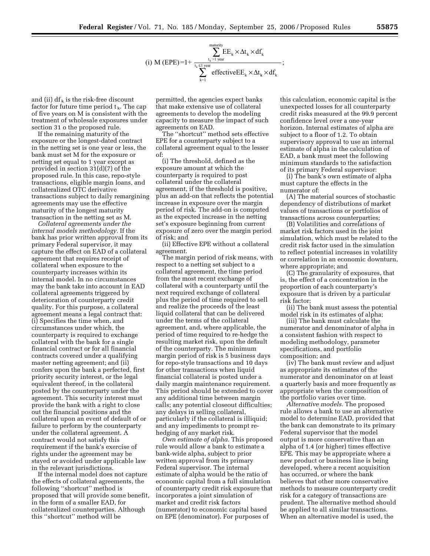$$
(i) \ M \ (EPE) = 1 + \frac{\displaystyle\sum_{t_k > 1 \ year}^{matrix} EE_k \times \Delta t_k \times df_k}{\displaystyle\sum_{k=1}^{t_k \leq 1 \ year} {\displaystyle\sum_{v}^{error}}},
$$

and (ii)  $df_k$  is the risk-free discount factor for future time period  $t_k$ . The cap of five years on M is consistent with the treatment of wholesale exposures under section 31 o the proposed rule.

If the remaining maturity of the exposure or the longest-dated contract in the netting set is one year or less, the bank must set M for the exposure or netting set equal to 1 year except as provided in section 31(d)(7) of the proposed rule. In this case, repo-style transactions, eligible margin loans, and collateralized OTC derivative transactions subject to daily remargining agreements may use the effective maturity of the longest maturity transaction in the netting set as M.

*Collateral agreements under the internal models methodology.* If the bank has prior written approval from its primary Federal supervisor, it may capture the effect on EAD of a collateral agreement that requires receipt of collateral when exposure to the counterparty increases within its internal model. In no circumstances may the bank take into account in EAD collateral agreements triggered by deterioration of counterparty credit quality. For this purpose, a collateral agreement means a legal contract that: (i) Specifies the time when, and circumstances under which, the counterparty is required to exchange collateral with the bank for a single financial contract or for all financial contracts covered under a qualifying master netting agreement; and (ii) confers upon the bank a perfected, first priority security interest, or the legal equivalent thereof, in the collateral posted by the counterparty under the agreement. This security interest must provide the bank with a right to close out the financial positions and the collateral upon an event of default of or failure to perform by the counterparty under the collateral agreement. A contract would not satisfy this requirement if the bank's exercise of rights under the agreement may be stayed or avoided under applicable law in the relevant jurisdictions.

If the internal model does not capture the effects of collateral agreements, the following ''shortcut'' method is proposed that will provide some benefit, in the form of a smaller EAD, for collateralized counterparties. Although this ''shortcut'' method will be

permitted, the agencies expect banks that make extensive use of collateral agreements to develop the modeling capacity to measure the impact of such agreements on EAD.

The ''shortcut'' method sets effective EPE for a counterparty subject to a collateral agreement equal to the lesser of:

(i) The threshold, defined as the exposure amount at which the counterparty is required to post collateral under the collateral agreement, if the threshold is positive, plus an add-on that reflects the potential increase in exposure over the margin period of risk. The add-on is computed as the expected increase in the netting set's exposure beginning from current exposure of zero over the margin period of risk; and

(ii) Effective EPE without a collateral agreement.

The margin period of risk means, with respect to a netting set subject to a collateral agreement, the time period from the most recent exchange of collateral with a counterparty until the next required exchange of collateral plus the period of time required to sell and realize the proceeds of the least liquid collateral that can be delivered under the terms of the collateral agreement, and, where applicable, the period of time required to re-hedge the resulting market risk, upon the default of the counterparty. The minimum margin period of risk is 5 business days for repo-style transactions and 10 days for other transactions when liquid financial collateral is posted under a daily margin maintenance requirement. This period should be extended to cover any additional time between margin calls; any potential closeout difficulties; any delays in selling collateral, particularly if the collateral is illiquid; and any impediments to prompt rehedging of any market risk.

*Own estimate of alpha.* This proposed rule would allow a bank to estimate a bank-wide alpha, subject to prior written approval from its primary Federal supervisor. The internal estimate of alpha would be the ratio of economic capital from a full simulation of counterparty credit risk exposure that incorporates a joint simulation of market and credit risk factors (numerator) to economic capital based on EPE (denominator). For purposes of

this calculation, economic capital is the unexpected losses for all counterparty credit risks measured at the 99.9 percent confidence level over a one-year horizon. Internal estimates of alpha are subject to a floor of 1.2. To obtain supervisory approval to use an internal estimate of alpha in the calculation of EAD, a bank must meet the following minimum standards to the satisfaction of its primary Federal supervisor:

(i) The bank's own estimate of alpha must capture the effects in the numerator of:

(A) The material sources of stochastic dependency of distributions of market values of transactions or portfolios of transactions across counterparties;

(B) Volatilities and correlations of market risk factors used in the joint simulation, which must be related to the credit risk factor used in the simulation to reflect potential increases in volatility or correlation in an economic downturn, where appropriate; and

(C) The granularity of exposures, that is, the effect of a concentration in the proportion of each counterparty's exposure that is driven by a particular risk factor;

(ii) The bank must assess the potential model risk in its estimates of alpha;

(iii) The bank must calculate the numerator and denominator of alpha in a consistent fashion with respect to modeling methodology, parameter specifications, and portfolio composition; and

(iv) The bank must review and adjust as appropriate its estimates of the numerator and denominator on at least a quarterly basis and more frequently as appropriate when the composition of the portfolio varies over time.

*Alternative models.* The proposed rule allows a bank to use an alternative model to determine EAD, provided that the bank can demonstrate to its primary Federal supervisor that the model output is more conservative than an alpha of 1.4 (or higher) times effective EPE. This may be appropriate where a new product or business line is being developed, where a recent acquisition has occurred, or where the bank believes that other more conservative methods to measure counterparty credit risk for a category of transactions are prudent. The alternative method should be applied to all similar transactions. When an alternative model is used, the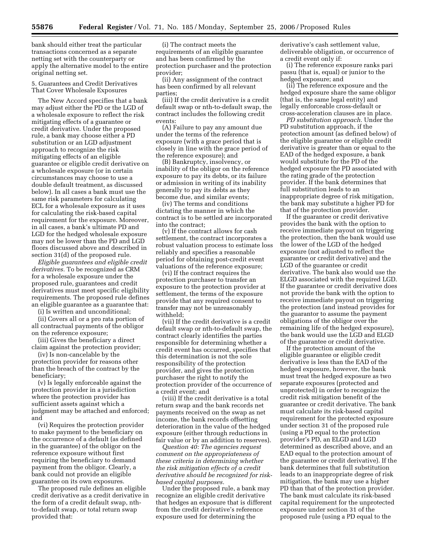bank should either treat the particular transactions concerned as a separate netting set with the counterparty or apply the alternative model to the entire original netting set.

5. Guarantees and Credit Derivatives That Cover Wholesale Exposures

The New Accord specifies that a bank may adjust either the PD or the LGD of a wholesale exposure to reflect the risk mitigating effects of a guarantee or credit derivative. Under the proposed rule, a bank may choose either a PD substitution or an LGD adjustment approach to recognize the risk mitigating effects of an eligible guarantee or eligible credit derivative on a wholesale exposure (or in certain circumstances may choose to use a double default treatment, as discussed below). In all cases a bank must use the same risk parameters for calculating ECL for a wholesale exposure as it uses for calculating the risk-based capital requirement for the exposure. Moreover, in all cases, a bank's ultimate PD and LGD for the hedged wholesale exposure may not be lower than the PD and LGD floors discussed above and described in section 31(d) of the proposed rule.

*Eligible guarantees and eligible credit derivatives.* To be recognized as CRM for a wholesale exposure under the proposed rule, guarantees and credit derivatives must meet specific eligibility requirements. The proposed rule defines an eligible guarantee as a guarantee that:

(i) Is written and unconditional;

(ii) Covers all or a pro rata portion of all contractual payments of the obligor on the reference exposure;

(iii) Gives the beneficiary a direct claim against the protection provider;

(iv) Is non-cancelable by the protection provider for reasons other than the breach of the contract by the beneficiary;

(v) Is legally enforceable against the protection provider in a jurisdiction where the protection provider has sufficient assets against which a judgment may be attached and enforced; and

(vi) Requires the protection provider to make payment to the beneficiary on the occurrence of a default (as defined in the guarantee) of the obligor on the reference exposure without first requiring the beneficiary to demand payment from the obligor. Clearly, a bank could not provide an eligible guarantee on its own exposures.

The proposed rule defines an eligible credit derivative as a credit derivative in the form of a credit default swap, nthto-default swap, or total return swap provided that:

(i) The contract meets the requirements of an eligible guarantee and has been confirmed by the protection purchaser and the protection provider;

(ii) Any assignment of the contract has been confirmed by all relevant parties;

(iii) If the credit derivative is a credit default swap or nth-to-default swap, the contract includes the following credit events:

(A) Failure to pay any amount due under the terms of the reference exposure (with a grace period that is closely in line with the grace period of the reference exposure); and

(B) Bankruptcy, insolvency, or inability of the obligor on the reference exposure to pay its debts, or its failure or admission in writing of its inability generally to pay its debts as they become due, and similar events;

(iv) The terms and conditions dictating the manner in which the contract is to be settled are incorporated into the contract;

(v) If the contract allows for cash settlement, the contract incorporates a robust valuation process to estimate loss reliably and specifies a reasonable period for obtaining post-credit event valuations of the reference exposure;

(vi) If the contract requires the protection purchaser to transfer an exposure to the protection provider at settlement, the terms of the exposure provide that any required consent to transfer may not be unreasonably withheld;

(vii) If the credit derivative is a credit default swap or nth-to-default swap, the contract clearly identifies the parties responsible for determining whether a credit event has occurred, specifies that this determination is not the sole responsibility of the protection provider, and gives the protection purchaser the right to notify the protection provider of the occurrence of a credit event; and

(viii) If the credit derivative is a total return swap and the bank records net payments received on the swap as net income, the bank records offsetting deterioration in the value of the hedged exposure (either through reductions in fair value or by an addition to reserves).

*Question 40: The agencies request comment on the appropriateness of these criteria in determining whether the risk mitigation effects of a credit derivative should be recognized for riskbased capital purposes.* 

Under the proposed rule, a bank may recognize an eligible credit derivative that hedges an exposure that is different from the credit derivative's reference exposure used for determining the

derivative's cash settlement value, deliverable obligation, or occurrence of a credit event only if:

(i) The reference exposure ranks pari passu (that is, equal) or junior to the hedged exposure; and

(ii) The reference exposure and the hedged exposure share the same obligor (that is, the same legal entity) and legally enforceable cross-default or cross-acceleration clauses are in place.

*PD substitution approach.* Under the PD substitution approach, if the protection amount (as defined below) of the eligible guarantee or eligible credit derivative is greater than or equal to the EAD of the hedged exposure, a bank would substitute for the PD of the hedged exposure the PD associated with the rating grade of the protection provider. If the bank determines that full substitution leads to an inappropriate degree of risk mitigation, the bank may substitute a higher PD for that of the protection provider.

If the guarantee or credit derivative provides the bank with the option to receive immediate payout on triggering the protection, then the bank would use the lower of the LGD of the hedged exposure (not adjusted to reflect the guarantee or credit derivative) and the LGD of the guarantee or credit derivative. The bank also would use the ELGD associated with the required LGD. If the guarantee or credit derivative does not provide the bank with the option to receive immediate payout on triggering the protection (and instead provides for the guarantor to assume the payment obligations of the obligor over the remaining life of the hedged exposure), the bank would use the LGD and ELGD of the guarantee or credit derivative.

If the protection amount of the eligible guarantee or eligible credit derivative is less than the EAD of the hedged exposure, however, the bank must treat the hedged exposure as two separate exposures (protected and unprotected) in order to recognize the credit risk mitigation benefit of the guarantee or credit derivative. The bank must calculate its risk-based capital requirement for the protected exposure under section 31 of the proposed rule (using a PD equal to the protection provider's PD, an ELGD and LGD determined as described above, and an EAD equal to the protection amount of the guarantee or credit derivative). If the bank determines that full substitution leads to an inappropriate degree of risk mitigation, the bank may use a higher PD than that of the protection provider. The bank must calculate its risk-based capital requirement for the unprotected exposure under section 31 of the proposed rule (using a PD equal to the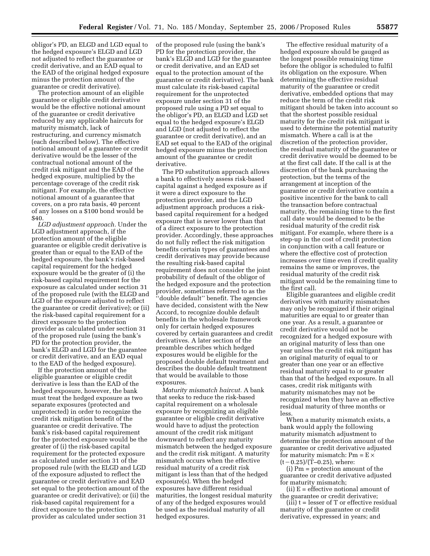obligor's PD, an ELGD and LGD equal to the hedged exposure's ELGD and LGD not adjusted to reflect the guarantee or credit derivative, and an EAD equal to the EAD of the original hedged exposure minus the protection amount of the guarantee or credit derivative).

The protection amount of an eligible guarantee or eligible credit derivative would be the effective notional amount of the guarantee or credit derivative reduced by any applicable haircuts for maturity mismatch, lack of restructuring, and currency mismatch (each described below). The effective notional amount of a guarantee or credit derivative would be the lesser of the contractual notional amount of the credit risk mitigant and the EAD of the hedged exposure, multiplied by the percentage coverage of the credit risk mitigant. For example, the effective notional amount of a guarantee that covers, on a pro rata basis, 40 percent of any losses on a \$100 bond would be \$40.

*LGD adjustment approach.* Under the LGD adjustment approach, if the protection amount of the eligible guarantee or eligible credit derivative is greater than or equal to the EAD of the hedged exposure, the bank's risk-based capital requirement for the hedged exposure would be the greater of (i) the risk-based capital requirement for the exposure as calculated under section 31 of the proposed rule (with the ELGD and LGD of the exposure adjusted to reflect the guarantee or credit derivative); or (ii) the risk-based capital requirement for a direct exposure to the protection provider as calculated under section 31 of the proposed rule (using the bank's PD for the protection provider, the bank's ELGD and LGD for the guarantee or credit derivative, and an EAD equal to the EAD of the hedged exposure).

If the protection amount of the eligible guarantee or eligible credit derivative is less than the EAD of the hedged exposure, however, the bank must treat the hedged exposure as two separate exposures (protected and unprotected) in order to recognize the credit risk mitigation benefit of the guarantee or credit derivative. The bank's risk-based capital requirement for the protected exposure would be the greater of (i) the risk-based capital requirement for the protected exposure as calculated under section 31 of the proposed rule (with the ELGD and LGD of the exposure adjusted to reflect the guarantee or credit derivative and EAD set equal to the protection amount of the guarantee or credit derivative); or (ii) the risk-based capital requirement for a direct exposure to the protection provider as calculated under section 31

of the proposed rule (using the bank's PD for the protection provider, the bank's ELGD and LGD for the guarantee or credit derivative, and an EAD set equal to the protection amount of the guarantee or credit derivative). The bank must calculate its risk-based capital requirement for the unprotected exposure under section 31 of the proposed rule using a PD set equal to the obligor's PD, an ELGD and LGD set equal to the hedged exposure's ELGD and LGD (not adjusted to reflect the guarantee or credit derivative), and an EAD set equal to the EAD of the original hedged exposure minus the protection amount of the guarantee or credit derivative.

The PD substitution approach allows a bank to effectively assess risk-based capital against a hedged exposure as if it were a direct exposure to the protection provider, and the LGD adjustment approach produces a riskbased capital requirement for a hedged exposure that is never lower than that of a direct exposure to the protection provider. Accordingly, these approaches do not fully reflect the risk mitigation benefits certain types of guarantees and credit derivatives may provide because the resulting risk-based capital requirement does not consider the joint probability of default of the obligor of the hedged exposure and the protection provider, sometimes referred to as the ''double default'' benefit. The agencies have decided, consistent with the New Accord, to recognize double default benefits in the wholesale framework only for certain hedged exposures covered by certain guarantees and credit derivatives. A later section of the preamble describes which hedged exposures would be eligible for the proposed double default treatment and describes the double default treatment that would be available to those exposures.

*Maturity mismatch haircut.* A bank that seeks to reduce the risk-based capital requirement on a wholesale exposure by recognizing an eligible guarantee or eligible credit derivative would have to adjust the protection amount of the credit risk mitigant downward to reflect any maturity mismatch between the hedged exposure and the credit risk mitigant. A maturity mismatch occurs when the effective residual maturity of a credit risk mitigant is less than that of the hedged exposure(s). When the hedged exposures have different residual maturities, the longest residual maturity of any of the hedged exposures would be used as the residual maturity of all hedged exposures.

The effective residual maturity of a hedged exposure should be gauged as the longest possible remaining time before the obligor is scheduled to fulfil its obligation on the exposure. When determining the effective residual maturity of the guarantee or credit derivative, embedded options that may reduce the term of the credit risk mitigant should be taken into account so that the shortest possible residual maturity for the credit risk mitigant is used to determine the potential maturity mismatch. Where a call is at the discretion of the protection provider, the residual maturity of the guarantee or credit derivative would be deemed to be at the first call date. If the call is at the discretion of the bank purchasing the protection, but the terms of the arrangement at inception of the guarantee or credit derivative contain a positive incentive for the bank to call the transaction before contractual maturity, the remaining time to the first call date would be deemed to be the residual maturity of the credit risk mitigant. For example, where there is a step-up in the cost of credit protection in conjunction with a call feature or where the effective cost of protection increases over time even if credit quality remains the same or improves, the residual maturity of the credit risk mitigant would be the remaining time to the first call.

Eligible guarantees and eligible credit derivatives with maturity mismatches may only be recognized if their original maturities are equal to or greater than one year. As a result, a guarantee or credit derivative would not be recognized for a hedged exposure with an original maturity of less than one year unless the credit risk mitigant has an original maturity of equal to or greater than one year or an effective residual maturity equal to or greater than that of the hedged exposure. In all cases, credit risk mitigants with maturity mismatches may not be recognized when they have an effective residual maturity of three months or less.

When a maturity mismatch exists, a bank would apply the following maturity mismatch adjustment to determine the protection amount of the guarantee or credit derivative adjusted for maturity mismatch:  $Pm = E \times$  $(t-0.25)/(T-0.25)$ , where:

(i) Pm = protection amount of the guarantee or credit derivative adjusted for maturity mismatch;

(ii)  $E =$  effective notional amount of the guarantee or credit derivative;

(iii)  $t =$  lesser of  $T$  or effective residual maturity of the guarantee or credit derivative, expressed in years; and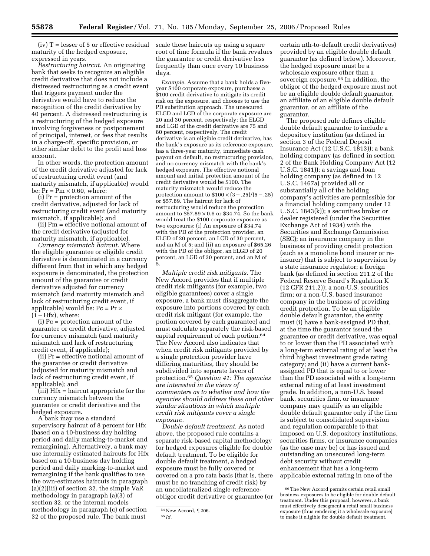$(iv) T = lesser of 5 or effective residual$ maturity of the hedged exposure, expressed in years.

*Restructuring haircut.* An originating bank that seeks to recognize an eligible credit derivative that does not include a distressed restructuring as a credit event that triggers payment under the derivative would have to reduce the recognition of the credit derivative by 40 percent. A distressed restructuring is a restructuring of the hedged exposure involving forgiveness or postponement of principal, interest, or fees that results in a charge-off, specific provision, or other similar debit to the profit and loss account.

In other words, the protection amount of the credit derivative adjusted for lack of restructuring credit event (and maturity mismatch, if applicable) would be:  $Pr = Pm \times 0.60$ , where:

(i) Pr = protection amount of the credit derivative, adjusted for lack of restructuring credit event (and maturity mismatch, if applicable); and

(ii) Pm = effective notional amount of the credit derivative (adjusted for maturity mismatch, if applicable).

*Currency mismatch haircut.* Where the eligible guarantee or eligible credit derivative is denominated in a currency different from that in which any hedged exposure is denominated, the protection amount of the guarantee or credit derivative adjusted for currency mismatch (and maturity mismatch and lack of restructuring credit event, if applicable) would be:  $P_c = Pr \times$  $(1-Hfx)$ , where:

(i) Pc = protection amount of the guarantee or credit derivative, adjusted for currency mismatch (and maturity mismatch and lack of restructuring credit event, if applicable);

(ii) Pr = effective notional amount of the guarantee or credit derivative (adjusted for maturity mismatch and lack of restructuring credit event, if applicable); and

(iii) Hfx = haircut appropriate for the currency mismatch between the guarantee or credit derivative and the hedged exposure.

A bank may use a standard supervisory haircut of 8 percent for Hfx (based on a 10-business day holding period and daily marking-to-market and remargining). Alternatively, a bank may use internally estimated haircuts for Hfx based on a 10-business day holding period and daily marking-to-market and remargining if the bank qualifies to use the own-estimates haircuts in paragraph (a)(2)(iii) of section 32, the simple VaR methodology in paragraph (a)(3) of section 32, or the internal models methodology in paragraph (c) of section 32 of the proposed rule. The bank must

scale these haircuts up using a square root of time formula if the bank revalues the guarantee or credit derivative less frequently than once every 10 business days.

*Example.* Assume that a bank holds a fiveyear \$100 corporate exposure, purchases a \$100 credit derivative to mitigate its credit risk on the exposure, and chooses to use the PD substitution approach. The unsecured ELGD and LGD of the corporate exposure are 20 and 30 percent, respectively; the ELGD and LGD of the credit derivative are 75 and 80 percent, respectively. The credit derivative is an eligible credit derivative, has the bank's exposure as its reference exposure, has a three-year maturity, immediate cash payout on default, no restructuring provision, and no currency mismatch with the bank's hedged exposure. The effective notional amount and initial protection amount of the credit derivative would be \$100. The maturity mismatch would reduce the protection amount to  $$100 \times (3-.25)/(5-.25)$ or \$57.89. The haircut for lack of restructuring would reduce the protection amount to  $$57.89 \times 0.6$  or \$34.74. So the bank would treat the \$100 corporate exposure as two exposures: (i) An exposure of \$34.74 with the PD of the protection provider, an ELGD of 20 percent, an LGD of 30 percent, and an M of 5; and (ii) an exposure of \$65.26 with the PD of the obligor, an ELGD of 20 percent, an LGD of 30 percent, and an M of 5.

*Multiple credit risk mitigants.* The New Accord provides that if multiple credit risk mitigants (for example, two eligible guarantees) cover a single exposure, a bank must disaggregate the exposure into portions covered by each credit risk mitigant (for example, the portion covered by each guarantee) and must calculate separately the risk-based capital requirement of each portion.64 The New Accord also indicates that when credit risk mitigants provided by a single protection provider have differing maturities, they should be subdivided into separate layers of protection.65 *Question 41: The agencies are interested in the views of commenters as to whether and how the agencies should address these and other similar situations in which multiple credit risk mitigants cover a single exposure.* 

*Double default treatment.* As noted above, the proposed rule contains a separate risk-based capital methodology for hedged exposures eligible for double default treatment. To be eligible for double default treatment, a hedged exposure must be fully covered or covered on a pro rata basis (that is, there must be no tranching of credit risk) by an uncollateralized single-referenceobligor credit derivative or guarantee (or

certain nth-to-default credit derivatives) provided by an eligible double default guarantor (as defined below). Moreover, the hedged exposure must be a wholesale exposure other than a sovereign exposure.<sup>66</sup> In addition, the obligor of the hedged exposure must not be an eligible double default guarantor, an affiliate of an eligible double default guarantor, or an affiliate of the guarantor.

The proposed rule defines eligible double default guarantor to include a depository institution (as defined in section 3 of the Federal Deposit Insurance Act (12 U.S.C. 1813)); a bank holding company (as defined in section 2 of the Bank Holding Company Act (12 U.S.C. 1841)); a savings and loan holding company (as defined in 12 U.S.C. 1467a) provided all or substantially all of the holding company's activities are permissible for a financial holding company under 12 U.S.C. 1843(k)); a securities broker or dealer registered (under the Securities Exchange Act of 1934) with the Securities and Exchange Commission (SEC); an insurance company in the business of providing credit protection (such as a monoline bond insurer or reinsurer) that is subject to supervision by a state insurance regulator; a foreign bank (as defined in section 211.2 of the Federal Reserve Board's Regulation K (12 CFR 211.2)); a non-U.S. securities firm; or a non-U.S. based insurance company in the business of providing credit protection. To be an eligible double default guarantor, the entity must (i) have a bank-assigned PD that, at the time the guarantor issued the guarantee or credit derivative, was equal to or lower than the PD associated with a long-term external rating of at least the third highest investment grade rating category; and (ii) have a current bankassigned PD that is equal to or lower than the PD associated with a long-term external rating of at least investment grade. In addition, a non-U.S. based bank, securities firm, or insurance company may qualify as an eligible double default guarantor only if the firm is subject to consolidated supervision and regulation comparable to that imposed on U.S. depository institutions, securities firms, or insurance companies (as the case may be) or has issued and outstanding an unsecured long-term debt security without credit enhancement that has a long-term applicable external rating in one of the

<sup>64</sup>New Accord, ¶ 206.

<sup>65</sup> *Id.* 

<sup>66</sup>The New Accord permits certain retail small business exposures to be eligible for double default treatment. Under this proposal, however, a bank must effectively desegment a retail small business exposure (thus rendering it a wholesale exposure) to make it eligible for double default treatment.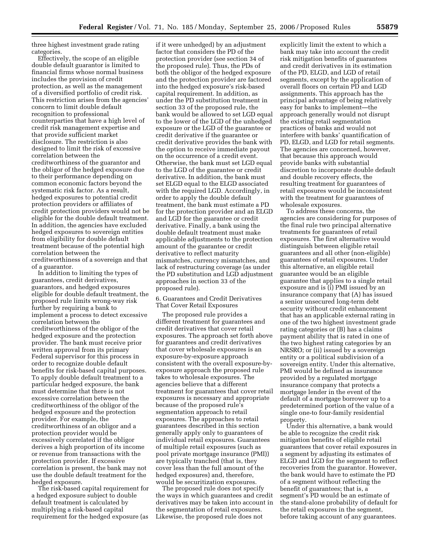three highest investment grade rating categories.

Effectively, the scope of an eligible double default guarantor is limited to financial firms whose normal business includes the provision of credit protection, as well as the management of a diversified portfolio of credit risk. This restriction arises from the agencies' concern to limit double default recognition to professional counterparties that have a high level of credit risk management expertise and that provide sufficient market disclosure. The restriction is also designed to limit the risk of excessive correlation between the creditworthiness of the guarantor and the obligor of the hedged exposure due to their performance depending on common economic factors beyond the systematic risk factor. As a result, hedged exposures to potential credit protection providers or affiliates of credit protection providers would not be eligible for the double default treatment. In addition, the agencies have excluded hedged exposures to sovereign entities from eligibility for double default treatment because of the potential high correlation between the creditworthiness of a sovereign and that of a guarantor.

In addition to limiting the types of guarantees, credit derivatives, guarantors, and hedged exposures eligible for double default treatment, the proposed rule limits wrong-way risk further by requiring a bank to implement a process to detect excessive correlation between the creditworthiness of the obligor of the hedged exposure and the protection provider. The bank must receive prior written approval from its primary Federal supervisor for this process in order to recognize double default benefits for risk-based capital purposes. To apply double default treatment to a particular hedged exposure, the bank must determine that there is not excessive correlation between the creditworthiness of the obligor of the hedged exposure and the protection provider. For example, the creditworthiness of an obligor and a protection provider would be excessively correlated if the obligor derives a high proportion of its income or revenue from transactions with the protection provider. If excessive correlation is present, the bank may not use the double default treatment for the hedged exposure.

The risk-based capital requirement for a hedged exposure subject to double default treatment is calculated by multiplying a risk-based capital requirement for the hedged exposure (as

if it were unhedged) by an adjustment factor that considers the PD of the protection provider (see section 34 of the proposed rule). Thus, the PDs of both the obligor of the hedged exposure and the protection provider are factored into the hedged exposure's risk-based capital requirement. In addition, as under the PD substitution treatment in section 33 of the proposed rule, the bank would be allowed to set LGD equal to the lower of the LGD of the unhedged exposure or the LGD of the guarantee or credit derivative if the guarantee or credit derivative provides the bank with the option to receive immediate payout on the occurrence of a credit event. Otherwise, the bank must set LGD equal to the LGD of the guarantee or credit derivative. In addition, the bank must set ELGD equal to the ELGD associated with the required LGD. Accordingly, in order to apply the double default treatment, the bank must estimate a PD for the protection provider and an ELGD and LGD for the guarantee or credit derivative. Finally, a bank using the double default treatment must make applicable adjustments to the protection amount of the guarantee or credit derivative to reflect maturity mismatches, currency mismatches, and lack of restructuring coverage (as under the PD substitution and LGD adjustment approaches in section 33 of the proposed rule).

6. Guarantees and Credit Derivatives That Cover Retail Exposures

The proposed rule provides a different treatment for guarantees and credit derivatives that cover retail exposures. The approach set forth above for guarantees and credit derivatives that cover wholesale exposures is an exposure-by-exposure approach consistent with the overall exposure-byexposure approach the proposed rule takes to wholesale exposures. The agencies believe that a different treatment for guarantees that cover retail exposures is necessary and appropriate because of the proposed rule's segmentation approach to retail exposures. The approaches to retail guarantees described in this section generally apply only to guarantees of individual retail exposures. Guarantees of multiple retail exposures (such as pool private mortgage insurance (PMI)) are typically tranched (that is, they cover less than the full amount of the hedged exposures) and, therefore, would be securitization exposures.

The proposed rule does not specify the ways in which guarantees and credit derivatives may be taken into account in the segmentation of retail exposures. Likewise, the proposed rule does not

explicitly limit the extent to which a bank may take into account the credit risk mitigation benefits of guarantees and credit derivatives in its estimation of the PD, ELGD, and LGD of retail segments, except by the application of overall floors on certain PD and LGD assignments. This approach has the principal advantage of being relatively easy for banks to implement—the approach generally would not disrupt the existing retail segmentation practices of banks and would not interfere with banks' quantification of PD, ELGD, and LGD for retail segments. The agencies are concerned, however, that because this approach would provide banks with substantial discretion to incorporate double default and double recovery effects, the resulting treatment for guarantees of retail exposures would be inconsistent with the treatment for guarantees of wholesale exposures.

To address these concerns, the agencies are considering for purposes of the final rule two principal alternative treatments for guarantees of retail exposures. The first alternative would distinguish between eligible retail guarantees and all other (non-eligible) guarantees of retail exposures. Under this alternative, an eligible retail guarantee would be an eligible guarantee that applies to a single retail exposure and is (i) PMI issued by an insurance company that (A) has issued a senior unsecured long-term debt security without credit enhancement that has an applicable external rating in one of the two highest investment grade rating categories or (B) has a claims payment ability that is rated in one of the two highest rating categories by an NRSRO; or (ii) issued by a sovereign entity or a political subdivision of a sovereign entity. Under this alternative, PMI would be defined as insurance provided by a regulated mortgage insurance company that protects a mortgage lender in the event of the default of a mortgage borrower up to a predetermined portion of the value of a single one-to four-family residential property.

Under this alternative, a bank would be able to recognize the credit risk mitigation benefits of eligible retail guarantees that cover retail exposures in a segment by adjusting its estimates of ELGD and LGD for the segment to reflect recoveries from the guarantor. However, the bank would have to estimate the PD of a segment without reflecting the benefit of guarantees; that is, a segment's PD would be an estimate of the stand-alone probability of default for the retail exposures in the segment, before taking account of any guarantees.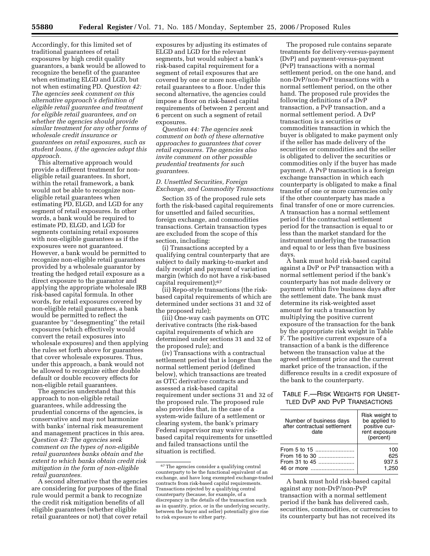Accordingly, for this limited set of traditional guarantees of retail exposures by high credit quality guarantors, a bank would be allowed to recognize the benefit of the guarantee when estimating ELGD and LGD, but not when estimating PD. *Question 42: The agencies seek comment on this alternative approach's definition of eligible retail guarantee and treatment for eligible retail guarantees, and on whether the agencies should provide similar treatment for any other forms of wholesale credit insurance or guarantees on retail exposures, such as student loans, if the agencies adopt this approach.* 

This alternative approach would provide a different treatment for noneligible retail guarantees. In short, within the retail framework, a bank would not be able to recognize noneligible retail guarantees when estimating PD, ELGD, and LGD for any segment of retail exposures. In other words, a bank would be required to estimate PD, ELGD, and LGD for segments containing retail exposures with non-eligible guarantees as if the exposures were not guaranteed. However, a bank would be permitted to recognize non-eligible retail guarantees provided by a wholesale guarantor by treating the hedged retail exposure as a direct exposure to the guarantor and applying the appropriate wholesale IRB risk-based capital formula. In other words, for retail exposures covered by non-eligible retail guarantees, a bank would be permitted to reflect the guarantee by ''desegmenting'' the retail exposures (which effectively would convert the retail exposures into wholesale exposures) and then applying the rules set forth above for guarantees that cover wholesale exposures. Thus, under this approach, a bank would not be allowed to recognize either double default or double recovery effects for non-eligible retail guarantees.

The agencies understand that this approach to non-eligible retail guarantees, while addressing the prudential concerns of the agencies, is conservative and may not harmonize with banks' internal risk measurement and management practices in this area. *Question 43: The agencies seek comment on the types of non-eligible retail guarantees banks obtain and the extent to which banks obtain credit risk mitigation in the form of non-eligible retail guarantees.* 

A second alternative that the agencies are considering for purposes of the final rule would permit a bank to recognize the credit risk mitigation benefits of all eligible guarantees (whether eligible retail guarantees or not) that cover retail

exposures by adjusting its estimates of ELGD and LGD for the relevant segments, but would subject a bank's risk-based capital requirement for a segment of retail exposures that are covered by one or more non-eligible retail guarantees to a floor. Under this second alternative, the agencies could impose a floor on risk-based capital requirements of between 2 percent and 6 percent on such a segment of retail exposures.

*Question 44: The agencies seek comment on both of these alternative approaches to guarantees that cover retail exposures. The agencies also invite comment on other possible prudential treatments for such guarantees.* 

## *D. Unsettled Securities, Foreign Exchange, and Commodity Transactions*

Section 35 of the proposed rule sets forth the risk-based capital requirements for unsettled and failed securities, foreign exchange, and commodities transactions. Certain transaction types are excluded from the scope of this section, including:

(i) Transactions accepted by a qualifying central counterparty that are subject to daily marking-to-market and daily receipt and payment of variation margin (which do not have a risk-based capital requirement);67

(ii) Repo-style transactions (the riskbased capital requirements of which are determined under sections 31 and 32 of the proposed rule);

(iii) One-way cash payments on OTC derivative contracts (the risk-based capital requirements of which are determined under sections 31 and 32 of the proposed rule); and

(iv) Transactions with a contractual settlement period that is longer than the normal settlement period (defined below), which transactions are treated as OTC derivative contracts and assessed a risk-based capital requirement under sections 31 and 32 of the proposed rule. The proposed rule also provides that, in the case of a system-wide failure of a settlement or clearing system, the bank's primary Federal supervisor may waive riskbased capital requirements for unsettled and failed transactions until the situation is rectified.

The proposed rule contains separate treatments for delivery-versus-payment (DvP) and payment-versus-payment (PvP) transactions with a normal settlement period, on the one hand, and non-DvP/non-PvP transactions with a normal settlement period, on the other hand. The proposed rule provides the following definitions of a DvP transaction, a PvP transaction, and a normal settlement period. A DvP transaction is a securities or commodities transaction in which the buyer is obligated to make payment only if the seller has made delivery of the securities or commodities and the seller is obligated to deliver the securities or commodities only if the buyer has made payment. A PvP transaction is a foreign exchange transaction in which each counterparty is obligated to make a final transfer of one or more currencies only if the other counterparty has made a final transfer of one or more currencies. A transaction has a normal settlement period if the contractual settlement period for the transaction is equal to or less than the market standard for the instrument underlying the transaction and equal to or less than five business days.

A bank must hold risk-based capital against a DvP or PvP transaction with a normal settlement period if the bank's counterparty has not made delivery or payment within five business days after the settlement date. The bank must determine its risk-weighted asset amount for such a transaction by multiplying the positive current exposure of the transaction for the bank by the appropriate risk weight in Table F. The positive current exposure of a transaction of a bank is the difference between the transaction value at the agreed settlement price and the current market price of the transaction, if the difference results in a credit exposure of the bank to the counterparty.

## TABLE F.—RISK WEIGHTS FOR UNSET-TLED DVP AND PVP TRANSACTIONS

| Number of business days<br>after contractual settlement<br>date | Risk weight to<br>be applied to<br>positive cur-<br>rent exposure<br>(percent) |
|-----------------------------------------------------------------|--------------------------------------------------------------------------------|
| From 5 to 15                                                    | 100                                                                            |
| From 16 to 30                                                   | 625                                                                            |
| From 31 to 45                                                   | 937.5                                                                          |
| 46 or more                                                      | 1.250                                                                          |

A bank must hold risk-based capital against any non-DvP/non-PvP transaction with a normal settlement period if the bank has delivered cash, securities, commodities, or currencies to its counterparty but has not received its

<sup>67</sup>The agencies consider a qualifying central counterparty to be the functional equivalent of an exchange, and have long exempted exchange-traded contracts from risk-based capital requirements. Transactions rejected by a qualifying central counterparty (because, for example, of a discrepancy in the details of the transaction such as in quantity, price, or in the underlying security, between the buyer and seller) potentially give rise to risk exposure to either party.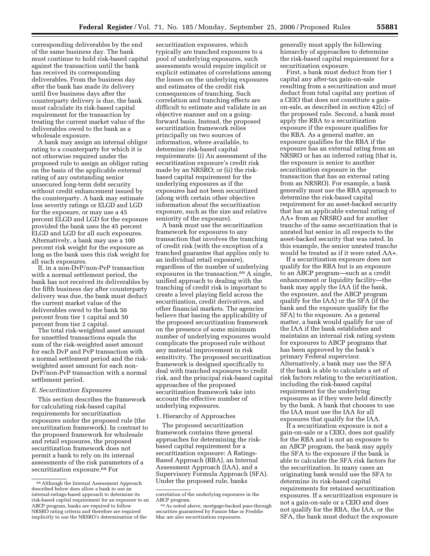corresponding deliverables by the end of the same business day. The bank must continue to hold risk-based capital against the transaction until the bank has received its corresponding deliverables. From the business day after the bank has made its delivery until five business days after the counterparty delivery is due, the bank must calculate its risk-based capital requirement for the transaction by treating the current market value of the deliverables owed to the bank as a wholesale exposure.

A bank may assign an internal obligor rating to a counterparty for which it is not otherwise required under the proposed rule to assign an obligor rating on the basis of the applicable external rating of any outstanding senior unsecured long-term debt security without credit enhancement issued by the counterparty. A bank may estimate loss severity ratings or ELGD and LGD for the exposure, or may use a 45 percent ELGD and LGD for the exposure provided the bank uses the 45 percent ELGD and LGD for all such exposures. Alternatively, a bank may use a 100 percent risk weight for the exposure as long as the bank uses this risk weight for all such exposures.

If, in a non-DvP/non-PvP transaction with a normal settlement period, the bank has not received its deliverables by the fifth business day after counterparty delivery was due, the bank must deduct the current market value of the deliverables owed to the bank 50 percent from tier 1 capital and 50 percent from tier 2 capital.

The total risk-weighted asset amount for unsettled transactions equals the sum of the risk-weighted asset amount for each DvP and PvP transaction with a normal settlement period and the riskweighted asset amount for each non-DvP/non-PvP transaction with a normal settlement period.

#### *E. Securitization Exposures*

This section describes the framework for calculating risk-based capital requirements for securitization exposures under the proposed rule (the securitization framework). In contrast to the proposed framework for wholesale and retail exposures, the proposed securitization framework does not permit a bank to rely on its internal assessments of the risk parameters of a securitization exposure.68 For

securitization exposures, which typically are tranched exposures to a pool of underlying exposures, such assessments would require implicit or explicit estimates of correlations among the losses on the underlying exposures and estimates of the credit risk consequences of tranching. Such correlation and tranching effects are difficult to estimate and validate in an objective manner and on a goingforward basis. Instead, the proposed securitization framework relies principally on two sources of information, where available, to determine risk-based capital requirements: (i) An assessment of the securitization exposure's credit risk made by an NRSRO; or (ii) the riskbased capital requirement for the underlying exposures as if the exposures had not been securitized (along with certain other objective information about the securitization exposure, such as the size and relative seniority of the exposure).

A bank must use the securitization framework for exposures to any transaction that involves the tranching of credit risk (with the exception of a tranched guarantee that applies only to an individual retail exposure), regardless of the number of underlying exposures in the transaction.69 A single, unified approach to dealing with the tranching of credit risk is important to create a level playing field across the securitization, credit derivatives, and other financial markets. The agencies believe that basing the applicability of the proposed securitization framework on the presence of some minimum number of underlying exposures would complicate the proposed rule without any material improvement in risk sensitivity. The proposed securitization framework is designed specifically to deal with tranched exposures to credit risk, and the principal risk-based capital approaches of the proposed securitization framework take into account the effective number of underlying exposures.

## 1. Hierarchy of Approaches

The proposed securitization framework contains three general approaches for determining the riskbased capital requirement for a securitization exposure: A Ratings-Based Approach (RBA), an Internal Assessment Approach (IAA), and a Supervisory Formula Approach (SFA). Under the proposed rule, banks

generally must apply the following hierarchy of approaches to determine the risk-based capital requirement for a securitization exposure.

First, a bank must deduct from tier 1 capital any after-tax gain-on-sale resulting from a securitization and must deduct from total capital any portion of a CEIO that does not constitute a gainon-sale, as described in section 42(c) of the proposed rule. Second, a bank must apply the RBA to a securitization exposure if the exposure qualifies for the RBA. As a general matter, an exposure qualifies for the RBA if the exposure has an external rating from an NRSRO or has an inferred rating (that is, the exposure is senior to another securitization exposure in the transaction that has an external rating from an NRSRO). For example, a bank generally must use the RBA approach to determine the risk-based capital requirement for an asset-backed security that has an applicable external rating of AA+ from an NRSRO and for another tranche of the same securitization that is unrated but senior in all respects to the asset-backed security that was rated. In this example, the senior unrated tranche would be treated as if it were rated AA+.

If a securitization exposure does not qualify for the RBA but is an exposure to an ABCP program—such as a credit enhancement or liquidity facility—the bank may apply the IAA (if the bank, the exposure, and the ABCP program qualify for the IAA) or the SFA (if the bank and the exposure qualify for the SFA) to the exposure. As a general matter, a bank would qualify for use of the IAA if the bank establishes and maintains an internal risk rating system for exposures to ABCP programs that has been approved by the bank's primary Federal supervisor. Alternatively, a bank may use the SFA if the bank is able to calculate a set of risk factors relating to the securitization, including the risk-based capital requirement for the underlying exposures as if they were held directly by the bank. A bank that chooses to use the IAA must use the IAA for all exposures that qualify for the IAA.

If a securitization exposure is not a gain-on-sale or a CEIO, does not qualify for the RBA and is not an exposure to an ABCP program, the bank may apply the SFA to the exposure if the bank is able to calculate the SFA risk factors for the securitization. In many cases an originating bank would use the SFA to determine its risk-based capital requirements for retained securitization exposures. If a securitization exposure is not a gain-on-sale or a CEIO and does not qualify for the RBA, the IAA, or the SFA, the bank must deduct the exposure

<sup>68</sup>Although the Internal Assessment Approach described below does allow a bank to use an internal-ratings-based approach to determine its risk-based capital requirement for an exposure to an ABCP program, banks are required to follow NRSRO rating criteria and therefore are required implicitly to use the NRSRO's determination of the

correlation of the underlying exposures in the

ABCP program.<br> $69$  As noted above, mortgage-backed pass-through securities guaranteed by Fannie Mae or Freddie Mac are also securitization exposures.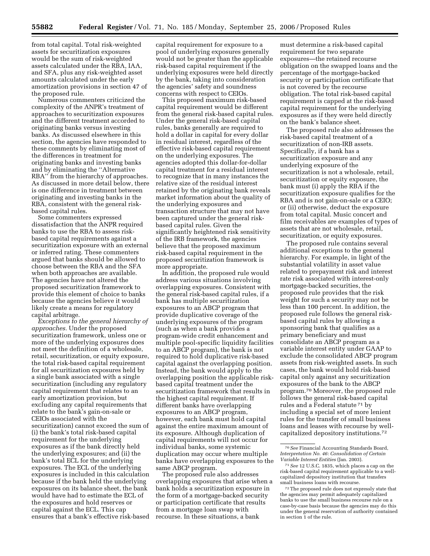from total capital. Total risk-weighted assets for securitization exposures would be the sum of risk-weighted assets calculated under the RBA, IAA, and SFA, plus any risk-weighted asset amounts calculated under the early amortization provisions in section 47 of the proposed rule.

Numerous commenters criticized the complexity of the ANPR's treatment of approaches to securitization exposures and the different treatment accorded to originating banks versus investing banks. As discussed elsewhere in this section, the agencies have responded to these comments by eliminating most of the differences in treatment for originating banks and investing banks and by eliminating the ''Alternative RBA'' from the hierarchy of approaches. As discussed in more detail below, there is one difference in treatment between originating and investing banks in the RBA, consistent with the general riskbased capital rules.

Some commenters expressed dissatisfaction that the ANPR required banks to use the RBA to assess riskbased capital requirements against a securitization exposure with an external or inferred rating. These commenters argued that banks should be allowed to choose between the RBA and the SFA when both approaches are available. The agencies have not altered the proposed securitization framework to provide this element of choice to banks because the agencies believe it would likely create a means for regulatory capital arbitrage.

*Exceptions to the general hierarchy of approaches.* Under the proposed securitization framework, unless one or more of the underlying exposures does not meet the definition of a wholesale, retail, securitization, or equity exposure, the total risk-based capital requirement for all securitization exposures held by a single bank associated with a single securitization (including any regulatory capital requirement that relates to an early amortization provision, but excluding any capital requirements that relate to the bank's gain-on-sale or CEIOs associated with the securitization) cannot exceed the sum of (i) the bank's total risk-based capital requirement for the underlying exposures as if the bank directly held the underlying exposures; and (ii) the bank's total ECL for the underlying exposures. The ECL of the underlying exposures is included in this calculation because if the bank held the underlying exposures on its balance sheet, the bank would have had to estimate the ECL of the exposures and hold reserves or capital against the ECL. This cap ensures that a bank's effective risk-based

capital requirement for exposure to a pool of underlying exposures generally would not be greater than the applicable risk-based capital requirement if the underlying exposures were held directly by the bank, taking into consideration the agencies' safety and soundness concerns with respect to CEIOs.

This proposed maximum risk-based capital requirement would be different from the general risk-based capital rules. Under the general risk-based capital rules, banks generally are required to hold a dollar in capital for every dollar in residual interest, regardless of the effective risk-based capital requirement on the underlying exposures. The agencies adopted this dollar-for-dollar capital treatment for a residual interest to recognize that in many instances the relative size of the residual interest retained by the originating bank reveals market information about the quality of the underlying exposures and transaction structure that may not have been captured under the general riskbased capital rules. Given the significantly heightened risk sensitivity of the IRB framework, the agencies believe that the proposed maximum risk-based capital requirement in the proposed securitization framework is more appropriate.

In addition, the proposed rule would address various situations involving overlapping exposures. Consistent with the general risk-based capital rules, if a bank has multiple securitization exposures to an ABCP program that provide duplicative coverage of the underlying exposures of the program (such as when a bank provides a program-wide credit enhancement and multiple pool-specific liquidity facilities to an ABCP program), the bank is not required to hold duplicative risk-based capital against the overlapping position. Instead, the bank would apply to the overlapping position the applicable riskbased capital treatment under the securitization framework that results in the highest capital requirement. If different banks have overlapping exposures to an ABCP program, however, each bank must hold capital against the entire maximum amount of its exposure. Although duplication of capital requirements will not occur for individual banks, some systemic duplication may occur where multiple banks have overlapping exposures to the same ABCP program.

The proposed rule also addresses overlapping exposures that arise when a bank holds a securitization exposure in the form of a mortgage-backed security or participation certificate that results from a mortgage loan swap with recourse. In these situations, a bank

must determine a risk-based capital requirement for two separate exposures—the retained recourse obligation on the swapped loans and the percentage of the mortgage-backed security or participation certificate that is not covered by the recourse obligation. The total risk-based capital requirement is capped at the risk-based capital requirement for the underlying exposures as if they were held directly on the bank's balance sheet.

The proposed rule also addresses the risk-based capital treatment of a securitization of non-IRB assets. Specifically, if a bank has a securitization exposure and any underlying exposure of the securitization is not a wholesale, retail, securitization or equity exposure, the bank must (i) apply the RBA if the securitization exposure qualifies for the RBA and is not gain-on-sale or a CEIO; or (ii) otherwise, deduct the exposure from total capital. Music concert and film receivables are examples of types of assets that are not wholesale, retail, securitization, or equity exposures.

The proposed rule contains several additional exceptions to the general hierarchy. For example, in light of the substantial volatility in asset value related to prepayment risk and interest rate risk associated with interest-only mortgage-backed securities, the proposed rule provides that the risk weight for such a security may not be less than 100 percent. In addition, the proposed rule follows the general riskbased capital rules by allowing a sponsoring bank that qualifies as a primary beneficiary and must consolidate an ABCP program as a variable interest entity under GAAP to exclude the consolidated ABCP program assets from risk-weighted assets. In such cases, the bank would hold risk-based capital only against any securitization exposures of the bank to the ABCP program.70 Moreover, the proposed rule follows the general risk-based capital rules and a Federal statute 71 by including a special set of more lenient rules for the transfer of small business loans and leases with recourse by wellcapitalized depository institutions.72

<sup>70</sup>*See* Financial Accounting Standards Board, *Interpretation No. 46: Consolidation of Certain Variable Interest Entities* (Jan. 2003).

<sup>71</sup>*See* 12 U.S.C. 1835, which places a cap on the risk-based capital requirement applicable to a wellcapitalized depository institution that transfers small business loans with recourse.

<sup>72</sup>The proposed rule does not expressly state that the agencies may permit adequately capitalized banks to use the small business recourse rule on a case-by-case basis because the agencies may do this under the general reservation of authority contained in section 1 of the rule.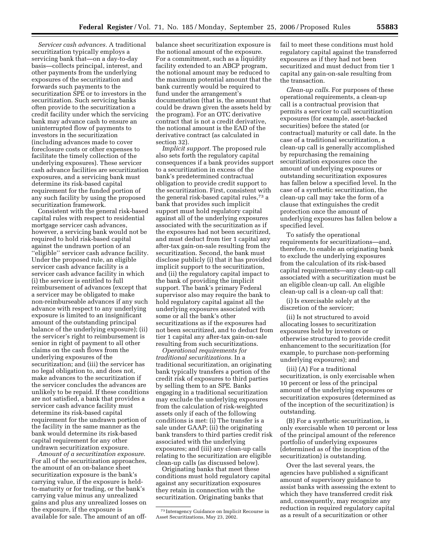*Servicer cash advances.* A traditional securitization typically employs a servicing bank that—on a day-to-day basis—collects principal, interest, and other payments from the underlying exposures of the securitization and forwards such payments to the securitization SPE or to investors in the securitization. Such servicing banks often provide to the securitization a credit facility under which the servicing bank may advance cash to ensure an uninterrupted flow of payments to investors in the securitization (including advances made to cover foreclosure costs or other expenses to facilitate the timely collection of the underlying exposures). These servicer cash advance facilities are securitization exposures, and a servicing bank must determine its risk-based capital requirement for the funded portion of any such facility by using the proposed securitization framework.

Consistent with the general risk-based capital rules with respect to residential mortgage servicer cash advances, however, a servicing bank would not be required to hold risk-based capital against the undrawn portion of an ''eligible'' servicer cash advance facility. Under the proposed rule, an eligible servicer cash advance facility is a servicer cash advance facility in which (i) the servicer is entitled to full reimbursement of advances (except that a servicer may be obligated to make non-reimburseable advances if any such advance with respect to any underlying exposure is limited to an insignificant amount of the outstanding principal balance of the underlying exposure); (ii) the servicer's right to reimbursement is senior in right of payment to all other claims on the cash flows from the underlying exposures of the securitization; and (iii) the servicer has no legal obligation to, and does not, make advances to the securitization if the servicer concludes the advances are unlikely to be repaid. If these conditions are not satisfied, a bank that provides a servicer cash advance facility must determine its risk-based capital requirement for the undrawn portion of the facility in the same manner as the bank would determine its risk-based capital requirement for any other undrawn securitization exposure.

*Amount of a securitization exposure*. For all of the securitization approaches, the amount of an on-balance sheet securitization exposure is the bank's carrying value, if the exposure is heldto-maturity or for trading, or the bank's carrying value minus any unrealized gains and plus any unrealized losses on the exposure, if the exposure is available for sale. The amount of an offbalance sheet securitization exposure is the notional amount of the exposure. For a commitment, such as a liquidity facility extended to an ABCP program, the notional amount may be reduced to the maximum potential amount that the bank currently would be required to fund under the arrangement's documentation (that is, the amount that could be drawn given the assets held by the program). For an OTC derivative contract that is not a credit derivative, the notional amount is the EAD of the derivative contract (as calculated in section 32).

*Implicit support.* The proposed rule also sets forth the regulatory capital consequences if a bank provides support to a securitization in excess of the bank's predetermined contractual obligation to provide credit support to the securitization. First, consistent with the general risk-based capital rules,73 a bank that provides such implicit support must hold regulatory capital against all of the underlying exposures associated with the securitization as if the exposures had not been securitized, and must deduct from tier 1 capital any after-tax gain-on-sale resulting from the securitization. Second, the bank must disclose publicly (i) that it has provided implicit support to the securitization, and (ii) the regulatory capital impact to the bank of providing the implicit support. The bank's primary Federal supervisor also may require the bank to hold regulatory capital against all the underlying exposures associated with some or all the bank's other securitizations as if the exposures had not been securitized, and to deduct from tier 1 capital any after-tax gain-on-sale resulting from such securitizations.

*Operational requirements for traditional securitizations.* In a traditional securitization, an originating bank typically transfers a portion of the credit risk of exposures to third parties by selling them to an SPE. Banks engaging in a traditional securitization may exclude the underlying exposures from the calculation of risk-weighted assets only if each of the following conditions is met: (i) The transfer is a sale under GAAP; (ii) the originating bank transfers to third parties credit risk associated with the underlying exposures; and (iii) any clean-up calls relating to the securitization are eligible clean-up calls (as discussed below).

Originating banks that meet these conditions must hold regulatory capital against any securitization exposures they retain in connection with the securitization. Originating banks that

fail to meet these conditions must hold regulatory capital against the transferred exposures as if they had not been securitized and must deduct from tier 1 capital any gain-on-sale resulting from the transaction.

*Clean-up calls*. For purposes of these operational requirements, a clean-up call is a contractual provision that permits a servicer to call securitization exposures (for example, asset-backed securities) before the stated (or contractual) maturity or call date. In the case of a traditional securitization, a clean-up call is generally accomplished by repurchasing the remaining securitization exposures once the amount of underlying exposures or outstanding securitization exposures has fallen below a specified level. In the case of a synthetic securitization, the clean-up call may take the form of a clause that extinguishes the credit protection once the amount of underlying exposures has fallen below a specified level.

To satisfy the operational requirements for securitizations—and, therefore, to enable an originating bank to exclude the underlying exposures from the calculation of its risk-based capital requirements—any clean-up call associated with a securitization must be an eligible clean-up call. An eligible clean-up call is a clean-up call that:

(i) Is exercisable solely at the discretion of the servicer;

(ii) Is not structured to avoid allocating losses to securitization exposures held by investors or otherwise structured to provide credit enhancement to the securitization (for example, to purchase non-performing underlying exposures); and

(iii) (A) For a traditional securitization, is only exercisable when 10 percent or less of the principal amount of the underlying exposures or securitization exposures (determined as of the inception of the securitization) is outstanding.

(B) For a synthetic securitization, is only exercisable when 10 percent or less of the principal amount of the reference portfolio of underlying exposures (determined as of the inception of the securitization) is outstanding.

Over the last several years, the agencies have published a significant amount of supervisory guidance to assist banks with assessing the extent to which they have transferred credit risk and, consequently, may recognize any reduction in required regulatory capital as a result of a securitization or other

<sup>73</sup> Interagency Guidance on Implicit Recourse in Asset Securitizations, May 23, 2002.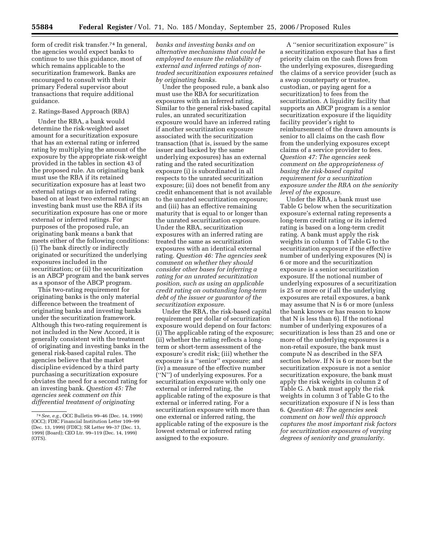form of credit risk transfer.74 In general, the agencies would expect banks to continue to use this guidance, most of which remains applicable to the securitization framework. Banks are encouraged to consult with their primary Federal supervisor about transactions that require additional guidance.

## 2. Ratings-Based Approach (RBA)

Under the RBA, a bank would determine the risk-weighted asset amount for a securitization exposure that has an external rating or inferred rating by multiplying the amount of the exposure by the appropriate risk-weight provided in the tables in section 43 of the proposed rule. An originating bank must use the RBA if its retained securitization exposure has at least two external ratings or an inferred rating based on at least two external ratings; an investing bank must use the RBA if its securitization exposure has one or more external or inferred ratings. For purposes of the proposed rule, an originating bank means a bank that meets either of the following conditions: (i) The bank directly or indirectly originated or securitized the underlying exposures included in the securitization; or (ii) the securitization is an ABCP program and the bank serves as a sponsor of the ABCP program.

This two-rating requirement for originating banks is the only material difference between the treatment of originating banks and investing banks under the securitization framework. Although this two-rating requirement is not included in the New Accord, it is generally consistent with the treatment of originating and investing banks in the general risk-based capital rules. The agencies believe that the market discipline evidenced by a third party purchasing a securitization exposure obviates the need for a second rating for an investing bank. *Question 45: The agencies seek comment on this differential treatment of originating* 

*banks and investing banks and on alternative mechanisms that could be employed to ensure the reliability of external and inferred ratings of nontraded securitization exposures retained by originating banks.* 

Under the proposed rule, a bank also must use the RBA for securitization exposures with an inferred rating. Similar to the general risk-based capital rules, an unrated securitization exposure would have an inferred rating if another securitization exposure associated with the securitization transaction (that is, issued by the same issuer and backed by the same underlying exposures) has an external rating and the rated securitization exposure (i) is subordinated in all respects to the unrated securitization exposure; (ii) does not benefit from any credit enhancement that is not available to the unrated securitization exposure; and (iii) has an effective remaining maturity that is equal to or longer than the unrated securitization exposure. Under the RBA, securitization exposures with an inferred rating are treated the same as securitization exposures with an identical external rating. *Question 46: The agencies seek comment on whether they should consider other bases for inferring a rating for an unrated securitization position, such as using an applicable credit rating on outstanding long-term debt of the issuer or guarantor of the securitization exposure.* 

Under the RBA, the risk-based capital requirement per dollar of securitization exposure would depend on four factors: (i) The applicable rating of the exposure; (ii) whether the rating reflects a longterm or short-term assessment of the exposure's credit risk; (iii) whether the exposure is a ''senior'' exposure; and (iv) a measure of the effective number (''N'') of underlying exposures. For a securitization exposure with only one external or inferred rating, the applicable rating of the exposure is that external or inferred rating. For a securitization exposure with more than one external or inferred rating, the applicable rating of the exposure is the lowest external or inferred rating assigned to the exposure.

A ''senior securitization exposure'' is a securitization exposure that has a first priority claim on the cash flows from the underlying exposures, disregarding the claims of a service provider (such as a swap counterparty or trustee, custodian, or paying agent for a securitization) to fees from the securitization. A liquidity facility that supports an ABCP program is a senior securitization exposure if the liquidity facility provider's right to reimbursement of the drawn amounts is senior to all claims on the cash flow from the underlying exposures except claims of a service provider to fees. *Question 47: The agencies seek comment on the appropriateness of basing the risk-based capital requirement for a securitization exposure under the RBA on the seniority level of the exposure.* 

Under the RBA, a bank must use Table G below when the securitization exposure's external rating represents a long-term credit rating or its inferred rating is based on a long-term credit rating. A bank must apply the risk weights in column 1 of Table G to the securitization exposure if the effective number of underlying exposures (N) is 6 or more and the securitization exposure is a senior securitization exposure. If the notional number of underlying exposures of a securitization is 25 or more or if all the underlying exposures are retail exposures, a bank may assume that N is 6 or more (unless the bank knows or has reason to know that N is less than 6). If the notional number of underlying exposures of a securitization is less than 25 and one or more of the underlying exposures is a non-retail exposure, the bank must compute N as described in the SFA section below. If N is 6 or more but the securitization exposure is not a senior securitization exposure, the bank must apply the risk weights in column 2 of Table G. A bank must apply the risk weights in column 3 of Table G to the securitization exposure if N is less than 6. *Question 48: The agencies seek comment on how well this approach captures the most important risk factors for securitization exposures of varying degrees of seniority and granularity.* 

<sup>74</sup>*See, e.g.,* OCC Bulletin 99–46 (Dec. 14, 1999) (OCC); FDIC Financial Institution Letter 109–99 (Dec. 13, 1999) (FDIC); SR Letter 99–37 (Dec. 13, 1999) (Board); CEO Ltr. 99–119 (Dec. 14, 1999) (OTS).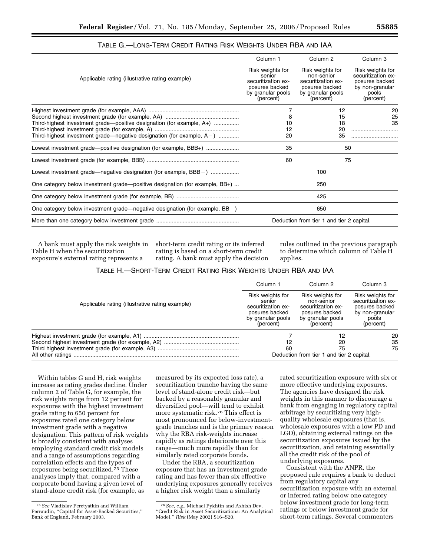| 55885 |
|-------|
|-------|

|                                                                                 | Column 1                                                                                             | Column <sub>2</sub>                                                                                      | Column <sub>3</sub>                                                                               |
|---------------------------------------------------------------------------------|------------------------------------------------------------------------------------------------------|----------------------------------------------------------------------------------------------------------|---------------------------------------------------------------------------------------------------|
| Applicable rating (illustrative rating example)                                 | Risk weights for<br>senior<br>securitization ex-<br>posures backed<br>by granular pools<br>(percent) | Risk weights for<br>non-senior<br>securitization ex-<br>posures backed<br>by granular pools<br>(percent) | Risk weights for<br>securitization ex-<br>posures backed<br>by non-granular<br>pools<br>(percent) |
|                                                                                 | 7                                                                                                    | 12                                                                                                       | 20                                                                                                |
| Third-highest investment grade-positive designation (for example, A+)           | 8<br>10                                                                                              | 15<br>18                                                                                                 | 25<br>35                                                                                          |
|                                                                                 | 12                                                                                                   | 20                                                                                                       |                                                                                                   |
| Third-highest investment grade—negative designation (for example, $A -$ )       | 20                                                                                                   | 35                                                                                                       |                                                                                                   |
| Lowest investment grade—positive designation (for example, BBB+)                | 35                                                                                                   |                                                                                                          | 50                                                                                                |
|                                                                                 | 60                                                                                                   |                                                                                                          | 75                                                                                                |
| Lowest investment grade—negative designation (for example, BBB –)               |                                                                                                      | 100                                                                                                      |                                                                                                   |
| One category below investment grade-positive designation (for example, BB+)     |                                                                                                      | 250                                                                                                      |                                                                                                   |
|                                                                                 |                                                                                                      | 425                                                                                                      |                                                                                                   |
| One category below investment grade—negative designation (for example, $BB -$ ) |                                                                                                      | 650                                                                                                      |                                                                                                   |
|                                                                                 |                                                                                                      | Deduction from tier 1 and tier 2 capital.                                                                |                                                                                                   |

TABLE G.—LONG-TERM CREDIT RATING RISK WEIGHTS UNDER RBA AND IAA

A bank must apply the risk weights in Table H when the securitization exposure's external rating represents a

short-term credit rating or its inferred rating is based on a short-term credit rating. A bank must apply the decision rules outlined in the previous paragraph to determine which column of Table H applies.

| Table H.—Short-Term Credit Rating Risk Weights Under RBA and IAA |  |
|------------------------------------------------------------------|--|
|------------------------------------------------------------------|--|

|                                                 | Column 1                                                                                             | Column 2                                                                                                 | Column 3                                                                                          |
|-------------------------------------------------|------------------------------------------------------------------------------------------------------|----------------------------------------------------------------------------------------------------------|---------------------------------------------------------------------------------------------------|
| Applicable rating (illustrative rating example) | Risk weights for<br>senior<br>securitization ex-<br>posures backed<br>by granular pools<br>(percent) | Risk weights for<br>non-senior<br>securitization ex-<br>posures backed<br>by granular pools<br>(percent) | Risk weights for<br>securitization ex-<br>posures backed<br>by non-granular<br>pools<br>(percent) |
|                                                 | 12<br>60                                                                                             | 12<br>20<br>75<br>Deduction from tier 1 and tier 2 capital.                                              | 20<br>35<br>75                                                                                    |

Within tables G and H, risk weights increase as rating grades decline. Under column 2 of Table G, for example, the risk weights range from 12 percent for exposures with the highest investment grade rating to 650 percent for exposures rated one category below investment grade with a negative designation. This pattern of risk weights is broadly consistent with analyses employing standard credit risk models and a range of assumptions regarding correlation effects and the types of exposures being securitized.<sup>75</sup> These analyses imply that, compared with a corporate bond having a given level of stand-alone credit risk (for example, as

measured by its expected loss rate), a securitization tranche having the same level of stand-alone credit risk—but backed by a reasonably granular and diversified pool—will tend to exhibit more systematic risk.76 This effect is most pronounced for below-investmentgrade tranches and is the primary reason why the RBA risk-weights increase rapidly as ratings deteriorate over this range—much more rapidly than for similarly rated corporate bonds.

Under the RBA, a securitization exposure that has an investment grade rating and has fewer than six effective underlying exposures generally receives a higher risk weight than a similarly

rated securitization exposure with six or more effective underlying exposures. The agencies have designed the risk weights in this manner to discourage a bank from engaging in regulatory capital arbitrage by securitizing very highquality wholesale exposures (that is, wholesale exposures with a low PD and LGD), obtaining external ratings on the securitization exposures issued by the securitization, and retaining essentially all the credit risk of the pool of underlying exposures.

Consistent with the ANPR, the proposed rule requires a bank to deduct from regulatory capital any securitization exposure with an external or inferred rating below one category below investment grade for long-term ratings or below investment grade for short-term ratings. Several commenters

<sup>75</sup>*See* Vladislav Peretyatkin and William Perraudin, ''Capital for Asset-Backed Securities,'' Bank of England, February 2003.

<sup>76</sup>*See, e.g.*, Michael Pykhtin and Ashish Dev, ''Credit Risk in Asset Securitizations: An Analytical Model,'' *Risk* (May 2002) S16–S20.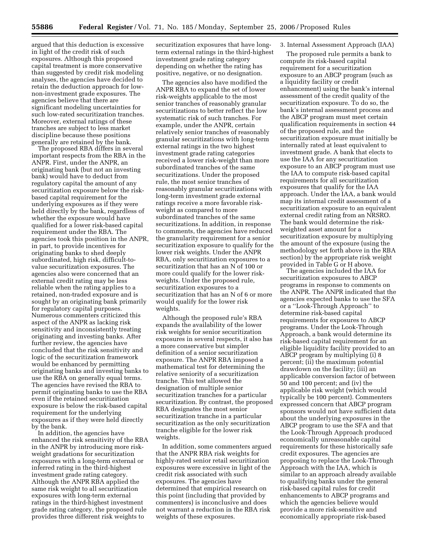argued that this deduction is excessive in light of the credit risk of such exposures. Although this proposed capital treatment is more conservative than suggested by credit risk modeling analyses, the agencies have decided to retain the deduction approach for lownon-investment grade exposures. The agencies believe that there are significant modeling uncertainties for such low-rated securitization tranches. Moreover, external ratings of these tranches are subject to less market discipline because these positions generally are retained by the bank.

The proposed RBA differs in several important respects from the RBA in the ANPR. First, under the ANPR, an originating bank (but not an investing bank) would have to deduct from regulatory capital the amount of any securitization exposure below the riskbased capital requirement for the underlying exposures as if they were held directly by the bank, regardless of whether the exposure would have qualified for a lower risk-based capital requirement under the RBA. The agencies took this position in the ANPR, in part, to provide incentives for originating banks to shed deeply subordinated, high risk, difficult-tovalue securitization exposures. The agencies also were concerned that an external credit rating may be less reliable when the rating applies to a retained, non-traded exposure and is sought by an originating bank primarily for regulatory capital purposes. Numerous commenters criticized this aspect of the ANPR as lacking risk sensitivity and inconsistently treating originating and investing banks. After further review, the agencies have concluded that the risk sensitivity and logic of the securitization framework would be enhanced by permitting originating banks and investing banks to use the RBA on generally equal terms. The agencies have revised the RBA to permit originating banks to use the RBA even if the retained securitization exposure is below the risk-based capital requirement for the underlying exposures as if they were held directly by the bank.

In addition, the agencies have enhanced the risk sensitivity of the RBA in the ANPR by introducing more riskweight gradations for securitization exposures with a long-term external or inferred rating in the third-highest investment grade rating category. Although the ANPR RBA applied the same risk weight to all securitization exposures with long-term external ratings in the third-highest investment grade rating category, the proposed rule provides three different risk weights to

securitization exposures that have longterm external ratings in the third-highest investment grade rating category depending on whether the rating has positive, negative, or no designation.

The agencies also have modified the ANPR RBA to expand the set of lower risk-weights applicable to the most senior tranches of reasonably granular securitizations to better reflect the low systematic risk of such tranches. For example, under the ANPR, certain relatively senior tranches of reasonably granular securitizations with long-term external ratings in the two highest investment grade rating categories received a lower risk-weight than more subordinated tranches of the same securitizations. Under the proposed rule, the most senior tranches of reasonably granular securitizations with long-term investment grade external ratings receive a more favorable riskweight as compared to more subordinated tranches of the same securitizations. In addition, in response to comments, the agencies have reduced the granularity requirement for a senior securitization exposure to qualify for the lower risk weights. Under the ANPR RBA, only securitization exposures to a securitization that has an N of 100 or more could qualify for the lower riskweights. Under the proposed rule, securitization exposures to a securitization that has an N of 6 or more would qualify for the lower risk weights.

Although the proposed rule's RBA expands the availability of the lower risk weights for senior securitization exposures in several respects, it also has a more conservative but simpler definition of a senior securitization exposure. The ANPR RBA imposed a mathematical test for determining the relative seniority of a securitization tranche. This test allowed the designation of multiple senior securitization tranches for a particular securitization. By contrast, the proposed RBA designates the most senior securitization tranche in a particular securitization as the only securitization tranche eligible for the lower risk weights.

In addition, some commenters argued that the ANPR RBA risk weights for highly-rated senior retail securitization exposures were excessive in light of the credit risk associated with such exposures. The agencies have determined that empirical research on this point (including that provided by commenters) is inconclusive and does not warrant a reduction in the RBA risk weights of these exposures.

### 3. Internal Assessment Approach (IAA)

The proposed rule permits a bank to compute its risk-based capital requirement for a securitization exposure to an ABCP program (such as a liquidity facility or credit enhancement) using the bank's internal assessment of the credit quality of the securitization exposure. To do so, the bank's internal assessment process and the ABCP program must meet certain qualification requirements in section 44 of the proposed rule, and the securitization exposure must initially be internally rated at least equivalent to investment grade. A bank that elects to use the IAA for any securitization exposure to an ABCP program must use the IAA to compute risk-based capital requirements for all securitization exposures that qualify for the IAA approach. Under the IAA, a bank would map its internal credit assessment of a securitization exposure to an equivalent external credit rating from an NRSRO. The bank would determine the riskweighted asset amount for a securitization exposure by multiplying the amount of the exposure (using the methodology set forth above in the RBA section) by the appropriate risk weight provided in Table G or H above.

The agencies included the IAA for securitization exposures to ABCP programs in response to comments on the ANPR. The ANPR indicated that the agencies expected banks to use the SFA or a ''Look-Through Approach'' to determine risk-based capital requirements for exposures to ABCP programs. Under the Look-Through Approach, a bank would determine its risk-based capital requirement for an eligible liquidity facility provided to an ABCP program by multiplying (i) 8 percent; (ii) the maximum potential drawdown on the facility; (iii) an applicable conversion factor of between 50 and 100 percent; and (iv) the applicable risk weight (which would typically be 100 percent). Commenters expressed concern that ABCP program sponsors would not have sufficient data about the underlying exposures in the ABCP program to use the SFA and that the Look-Through Approach produced economically unreasonable capital requirements for these historically safe credit exposures. The agencies are proposing to replace the Look-Through Approach with the IAA, which is similar to an approach already available to qualifying banks under the general risk-based capital rules for credit enhancements to ABCP programs and which the agencies believe would provide a more risk-sensitive and economically appropriate risk-based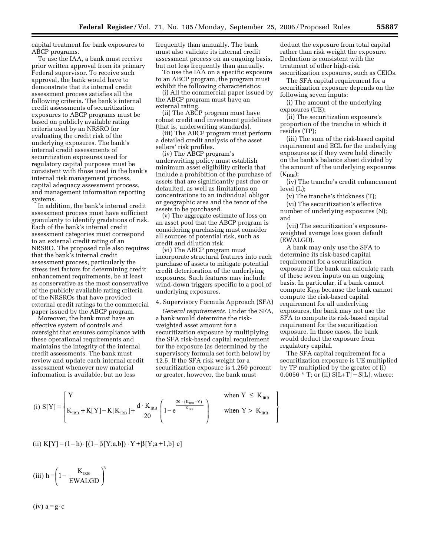capital treatment for bank exposures to ABCP programs.

To use the IAA, a bank must receive prior written approval from its primary Federal supervisor. To receive such approval, the bank would have to demonstrate that its internal credit assessment process satisfies all the following criteria. The bank's internal credit assessments of securitization exposures to ABCP programs must be based on publicly available rating criteria used by an NRSRO for evaluating the credit risk of the underlying exposures. The bank's internal credit assessments of securitization exposures used for regulatory capital purposes must be consistent with those used in the bank's internal risk management process, capital adequacy assessment process, and management information reporting systems.

In addition, the bank's internal credit assessment process must have sufficient granularity to identify gradations of risk. Each of the bank's internal credit assessment categories must correspond to an external credit rating of an NRSRO. The proposed rule also requires that the bank's internal credit assessment process, particularly the stress test factors for determining credit enhancement requirements, be at least as conservative as the most conservative of the publicly available rating criteria of the NRSROs that have provided external credit ratings to the commercial paper issued by the ABCP program.

Moreover, the bank must have an effective system of controls and oversight that ensures compliance with these operational requirements and maintains the integrity of the internal credit assessments. The bank must review and update each internal credit assessment whenever new material information is available, but no less

frequently than annually. The bank must also validate its internal credit assessment process on an ongoing basis, but not less frequently than annually.

To use the IAA on a specific exposure to an ABCP program, the program must exhibit the following characteristics:

(i) All the commercial paper issued by the ABCP program must have an external rating.

(ii) The ABCP program must have robust credit and investment guidelines (that is, underwriting standards).

(iii) The ABCP program must perform a detailed credit analysis of the asset sellers' risk profiles.

(iv) The ABCP program's underwriting policy must establish minimum asset eligibility criteria that include a prohibition of the purchase of assets that are significantly past due or defaulted, as well as limitations on concentrations to an individual obligor or geographic area and the tenor of the assets to be purchased.

(v) The aggregate estimate of loss on an asset pool that the ABCP program is considering purchasing must consider all sources of potential risk, such as credit and dilution risk.

(vi) The ABCP program must incorporate structural features into each purchase of assets to mitigate potential credit deterioration of the underlying exposures. Such features may include wind-down triggers specific to a pool of underlying exposures.

#### 4. Supervisory Formula Approach (SFA)

*General requirements.* Under the SFA, a bank would determine the riskweighted asset amount for a securitization exposure by multiplying the SFA risk-based capital requirement for the exposure (as determined by the supervisory formula set forth below) by 12.5. If the SFA risk weight for a securitization exposure is 1,250 percent or greater, however, the bank must

deduct the exposure from total capital rather than risk weight the exposure. Deduction is consistent with the treatment of other high-risk securitization exposures, such as CEIOs.

The SFA capital requirement for a securitization exposure depends on the following seven inputs:

(i) The amount of the underlying exposures (UE);

(ii) The securitization exposure's proportion of the tranche in which it resides (TP);

(iii) The sum of the risk-based capital requirement and ECL for the underlying exposures as if they were held directly on the bank's balance sheet divided by the amount of the underlying exposures  $(K_{\rm IRR})$ ;

(iv) The tranche's credit enhancement level (L);

(v) The tranche's thickness (T);

(vi) The securitization's effective number of underlying exposures (N); and

(vii) The securitization's exposureweighted average loss given default (EWALGD).

A bank may only use the SFA to determine its risk-based capital requirement for a securitization exposure if the bank can calculate each of these seven inputs on an ongoing basis. In particular, if a bank cannot compute K<sub>IRB</sub> because the bank cannot compute the risk-based capital requirement for all underlying exposures, the bank may not use the SFA to compute its risk-based capital requirement for the securitization exposure. In those cases, the bank would deduct the exposure from regulatory capital.

The SFA capital requirement for a securitization exposure is UE multiplied by TP multiplied by the greater of (i) 0.0056  $*$  T; or (ii)  $S[L+T] - S[L]$ , where:

 $\overline{1}$  $\left\{ \right.$  $\overline{ }$ 

J  $\overline{ }$ 

(i) 
$$
S[Y] = \begin{cases} Y & \text{when } Y \leq K_{\text{IRB}} \\ K_{\text{IRB}} + K[Y] - K[K_{\text{IRB}}] + \frac{d \cdot K_{\text{IRB}}}{20} \left( 1 - e^{\frac{20 \cdot (K_{\text{IRB}} - Y)}{K_{\text{IRB}}}} \right) & \text{when } Y > K_{\text{IRB}} \end{cases}
$$

(ii) 
$$
K[Y] = (1-h) \cdot [(1-\beta[Y;a,b]) \cdot Y + \beta[Y;a+1,b] \cdot c]
$$

(iii) 
$$
h = \left(1 - \frac{K_{IRB}}{EWALGD}\right)^{N}
$$

 $(iv) a = g \cdot c$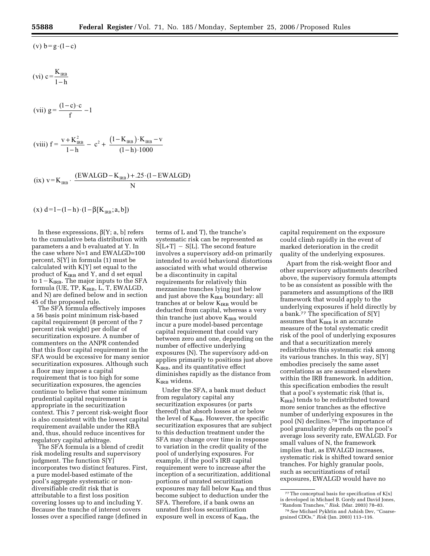$$
(vi) c = \frac{K_{\text{IRB}}}{1-h}
$$

(vii) 
$$
g = \frac{(1-c)\cdot c}{f} - 1
$$

(viii) 
$$
f = \frac{v + K_{IRB}^2}{1 - h} - c^2 + \frac{(1 - K_{IRB}) \cdot K_{IRB} - v}{(1 - h) \cdot 1000}
$$

(ix) 
$$
v = K_{IRB}
$$
. 
$$
\frac{(EWALGD - K_{IRB}) + .25 \cdot (1 - EWALGD)}{N}
$$

$$
(x) d=1-(1-h)\cdot (1-\beta[K_{IRB};a,b])
$$

In these expressions,  $\beta[Y; a, b]$  refers to the cumulative beta distribution with parameters a and b evaluated at Y. In the case where N=1 and EWALGD=100 percent, S[Y] in formula (1) must be calculated with K[Y] set equal to the product of  $K_{IRB}$  and Y, and d set equal to  $1 - K_{IRB}$ . The major inputs to the SFA formula (UE, TP,  $K_{IRB}$ , L, T, EWALGD, and N) are defined below and in section 45 of the proposed rule.

The SFA formula effectively imposes a 56 basis point minimum risk-based capital requirement (8 percent of the 7 percent risk weight) per dollar of securitization exposure. A number of commenters on the ANPR contended that this floor capital requirement in the SFA would be excessive for many senior securitization exposures. Although such a floor may impose a capital requirement that is too high for some securitization exposures, the agencies continue to believe that some minimum prudential capital requirement is appropriate in the securitization context. This 7 percent risk-weight floor is also consistent with the lowest capital requirement available under the RBA and, thus, should reduce incentives for regulatory capital arbitrage.

The SFA formula is a blend of credit risk modeling results and supervisory judgment. The function S[Y] incorporates two distinct features. First, a pure model-based estimate of the pool's aggregate systematic or nondiversifiable credit risk that is attributable to a first loss position covering losses up to and including Y. Because the tranche of interest covers losses over a specified range (defined in

terms of L and T), the tranche's systematic risk can be represented as  $S[L+T] - S[L]$ . The second feature involves a supervisory add-on primarily intended to avoid behavioral distortions associated with what would otherwise be a discontinuity in capital requirements for relatively thin mezzanine tranches lying just below and just above the  $K_{IRB}$  boundary: all tranches at or below K<sub>IRB</sub> would be deducted from capital, whereas a very thin tranche just above  $K_{IRB}$  would incur a pure model-based percentage capital requirement that could vary between zero and one, depending on the number of effective underlying exposures (N). The supervisory add-on applies primarily to positions just above K<sub>IRB</sub>, and its quantitative effect diminishes rapidly as the distance from K<sub>IRB</sub> widens.

Under the SFA, a bank must deduct from regulatory capital any securitization exposures (or parts thereof) that absorb losses at or below the level of  $K_{IRB}$ . However, the specific securitization exposures that are subject to this deduction treatment under the SFA may change over time in response to variation in the credit quality of the pool of underlying exposures. For example, if the pool's IRB capital requirement were to increase after the inception of a securitization, additional portions of unrated securitization exposures may fall below  $K_{IRB}$  and thus become subject to deduction under the SFA. Therefore, if a bank owns an unrated first-loss securitization exposure well in excess of  $K_{IRB}$ , the

capital requirement on the exposure could climb rapidly in the event of marked deterioration in the credit quality of the underlying exposures.

Apart from the risk-weight floor and other supervisory adjustments described above, the supervisory formula attempts to be as consistent as possible with the parameters and assumptions of the IRB framework that would apply to the underlying exposures if held directly by a bank.<br/>77 The specification of  $\mathbf{S}[\mathbf{Y}]$ assumes that  $K_{IRB}$  is an accurate measure of the total systematic credit risk of the pool of underlying exposures and that a securitization merely redistributes this systematic risk among its various tranches. In this way, S[Y] embodies precisely the same asset correlations as are assumed elsewhere within the IRB framework. In addition, this specification embodies the result that a pool's systematic risk (that is,  $K_{IRB}$ ) tends to be redistributed toward more senior tranches as the effective number of underlying exposures in the pool (N) declines.78 The importance of pool granularity depends on the pool's average loss severity rate, EWALGD. For small values of N, the framework implies that, as EWALGD increases, systematic risk is shifted toward senior tranches. For highly granular pools, such as securitizations of retail exposures, EWALGD would have no

 $^{77}\mathrm{The}$  conceptual basis for specification of K[x] is developed in Michael B. Gordy and David Jones, ''Random Tranches,'' *Risk*. (Mar. 2003) 78–83.

<sup>78</sup>*See* Michael Pykhtin and Ashish Dev, ''Coarsegrained CDOs,'' *Risk* (Jan. 2003) 113–116.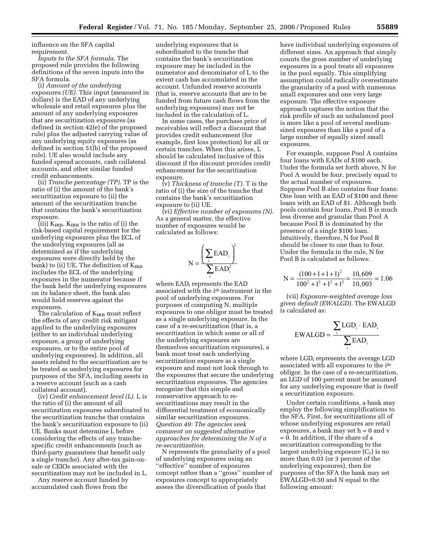influence on the SFA capital requirement.

*Inputs to the SFA formula.* The proposed rule provides the following definitions of the seven inputs into the SFA formula.

(i) *Amount of the underlying exposures (UE).* This input (measured in dollars) is the EAD of any underlying wholesale and retail exposures plus the amount of any underlying exposures that are securitization exposures (as defined in section 42(e) of the proposed rule) plus the adjusted carrying value of any underlying equity exposures (as defined in section 51(b) of the proposed rule). UE also would include any funded spread accounts, cash collateral accounts, and other similar funded credit enhancements.

(ii) *Tranche percentage (TP).* TP is the ratio of (i) the amount of the bank's securitization exposure to (ii) the amount of the securitization tranche that contains the bank's securitization exposure.

(iii)  $K_{IRB}$ .  $K_{IRB}$  is the ratio of (i) the risk-based capital requirement for the underlying exposures plus the ECL of the underlying exposures (all as determined as if the underlying exposures were directly held by the bank) to (ii) UE. The definition of  $K_{IRB}$ includes the ECL of the underlying exposures in the numerator because if the bank held the underlying exposures on its balance sheet, the bank also would hold reserves against the exposures.

The calculation of  $K_{IRB}$  must reflect the effects of any credit risk mitigant applied to the underlying exposures (either to an individual underlying exposure, a group of underlying exposures, or to the entire pool of underlying exposures). In addition, all assets related to the securitization are to be treated as underlying exposures for purposes of the SFA, including assets in a reserve account (such as a cash collateral account).

(iv) *Credit enhancement level (L).* L is the ratio of (i) the amount of all securitization exposures subordinated to the securitization tranche that contains the bank's securitization exposure to (ii) UE. Banks must determine L before considering the effects of any tranchespecific credit enhancements (such as third-party guarantees that benefit only a single tranche). Any after-tax gain-onsale or CEIOs associated with the securitization may not be included in L.

Any reserve account funded by accumulated cash flows from the

underlying exposures that is subordinated to the tranche that contains the bank's securitization exposure may be included in the numerator and denominator of L to the extent cash has accumulated in the account. Unfunded reserve accounts (that is, reserve accounts that are to be funded from future cash flows from the underlying exposures) may not be included in the calculation of L.

In some cases, the purchase price of receivables will reflect a discount that provides credit enhancement (for example, first loss protection) for all or certain tranches. When this arises, L should be calculated inclusive of this discount if the discount provides credit enhancement for the securitization exposure.

(v) *Thickness of tranche (T).* T is the ratio of (i) the size of the tranche that contains the bank's securitization exposure to (ii) UE.

(vi) *Effective number of exposures (N).*  As a general matter, the effective number of exposures would be calculated as follows:

$$
N = \frac{\left(\sum_{i} EAD_{i}\right)^{2}}{\sum_{i} EAD_{i}^{2}}
$$

where EAD<sub>i</sub> represents the EAD associated with the ith instrument in the pool of underlying exposures. For purposes of computing N, multiple exposures to one obligor must be treated as a single underlying exposure. In the case of a re-securitization (that is, a securitization in which some or all of the underlying exposures are themselves securitization exposures), a bank must treat each underlying securitization exposure as a single exposure and must not look through to the exposures that secure the underlying securitization exposures. The agencies recognize that this simple and conservative approach to resecuritizations may result in the differential treatment of economically similar securitization exposures. *Question 49: The agencies seek comment on suggested alternative approaches for determining the N of a re-securitization.* 

N represents the granularity of a pool of underlying exposures using an ''effective'' number of exposures concept rather than a ''gross'' number of exposures concept to appropriately assess the diversification of pools that

have individual underlying exposures of different sizes. An approach that simply counts the gross number of underlying exposures in a pool treats all exposures in the pool equally. This simplifying assumption could radically overestimate the granularity of a pool with numerous small exposures and one very large exposure. The effective exposure approach captures the notion that the risk profile of such an unbalanced pool is more like a pool of several mediumsized exposures than like a pool of a large number of equally sized small exposures.

For example, suppose Pool A contains four loans with EADs of \$100 each. Under the formula set forth above, N for Pool A would be four, precisely equal to the actual number of exposures. Suppose Pool B also contains four loans: One loan with an EAD of \$100 and three loans with an EAD of \$1. Although both pools contain four loans, Pool B is much less diverse and granular than Pool A because Pool B is dominated by the presence of a single \$100 loan. Intuitively, therefore, N for Pool B should be closer to one than to four. Under the formula in the rule, N for Pool B is calculated as follows:

$$
N = \frac{(100 + 1 + 1 + 1)^2}{100^2 + 1^2 + 1^2 + 1^2} = \frac{10,609}{10,003} = 1.06
$$

(vii) *Exposure-weighted average loss given default (EWALGD).* The EWALGD is calculated as:

$$
EVALGD = \frac{\sum_{i} LGD_{i} \cdot EAD_{i}}{\sum_{i} EAD_{i}}
$$

where LGD<sub>i</sub> represents the average LGD associated with all exposures to the ith obligor. In the case of a re-securitization, an LGD of 100 percent must be assumed for any underlying exposure that is itself a securitization exposure.

Under certain conditions, a bank may employ the following simplifications to the SFA. First, for securitizations all of whose underlying exposures are retail exposures, a bank may set  $h = 0$  and v = 0. In addition, if the share of a securitization corresponding to the largest underlying exposure  $(C_1)$  is no more than 0.03 (or 3 percent of the underlying exposures), then for purposes of the SFA the bank may set EWALGD=0.50 and N equal to the following amount: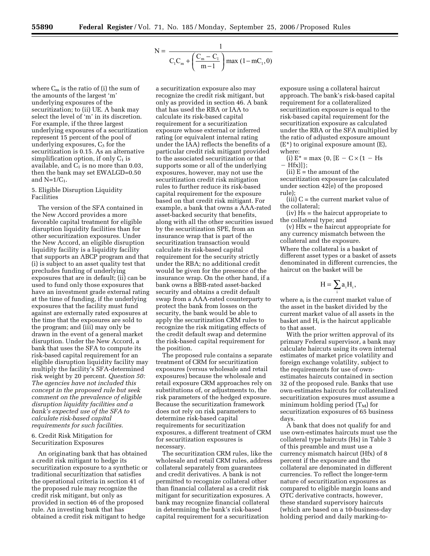$$
N = \frac{1}{C_1 C_m + \left(\frac{C_m - C_1}{m - 1}\right) \max(1 - mC_1, 0)}
$$

where  $C_m$  is the ratio of (i) the sum of the amounts of the largest 'm' underlying exposures of the securitization; to (ii) UE. A bank may select the level of 'm' in its discretion. For example, if the three largest underlying exposures of a securitization represent 15 percent of the pool of underlying exposures,  $C_3$  for the securitization is 0.15. As an alternative simplification option, if only  $C_1$  is available, and  $C_1$  is no more than 0.03, then the bank may set EWALGD=0.50 and  $N=1/C_1$ .

### 5. Eligible Disruption Liquidity Facilities

The version of the SFA contained in the New Accord provides a more favorable capital treatment for eligible disruption liquidity facilities than for other securitization exposures. Under the New Accord, an eligible disruption liquidity facility is a liquidity facility that supports an ABCP program and that (i) is subject to an asset quality test that precludes funding of underlying exposures that are in default; (ii) can be used to fund only those exposures that have an investment grade external rating at the time of funding, if the underlying exposures that the facility must fund against are externally rated exposures at the time that the exposures are sold to the program; and (iii) may only be drawn in the event of a general market disruption. Under the New Accord, a bank that uses the SFA to compute its risk-based capital requirement for an eligible disruption liquidity facility may multiply the facility's SFA-determined risk weight by 20 percent. *Question 50: The agencies have not included this concept in the proposed rule but seek comment on the prevalence of eligible disruption liquidity facilities and a bank's expected use of the SFA to calculate risk-based capital requirements for such facilities.* 

## 6. Credit Risk Mitigation for Securitization Exposures

An originating bank that has obtained a credit risk mitigant to hedge its securitization exposure to a synthetic or traditional securitization that satisfies the operational criteria in section 41 of the proposed rule may recognize the credit risk mitigant, but only as provided in section 46 of the proposed rule. An investing bank that has obtained a credit risk mitigant to hedge

a securitization exposure also may recognize the credit risk mitigant, but only as provided in section 46. A bank that has used the RBA or IAA to calculate its risk-based capital requirement for a securitization exposure whose external or inferred rating (or equivalent internal rating under the IAA) reflects the benefits of a particular credit risk mitigant provided to the associated securitization or that supports some or all of the underlying exposures, however, may not use the securitization credit risk mitigation rules to further reduce its risk-based capital requirement for the exposure based on that credit risk mitigant. For example, a bank that owns a AAA-rated asset-backed security that benefits, along with all the other securities issued by the securitization SPE, from an insurance wrap that is part of the securitization transaction would calculate its risk-based capital requirement for the security strictly under the RBA; no additional credit would be given for the presence of the insurance wrap. On the other hand, if a bank owns a BBB-rated asset-backed security and obtains a credit default swap from a AAA-rated counterparty to protect the bank from losses on the security, the bank would be able to apply the securitization CRM rules to recognize the risk mitigating effects of the credit default swap and determine the risk-based capital requirement for the position.

The proposed rule contains a separate treatment of CRM for securitization exposures (versus wholesale and retail exposures) because the wholesale and retail exposure CRM approaches rely on substitutions of, or adjustments to, the risk parameters of the hedged exposure. Because the securitization framework does not rely on risk parameters to determine risk-based capital requirements for securitization exposures, a different treatment of CRM for securitization exposures is necessary.

The securitization CRM rules, like the wholesale and retail CRM rules, address collateral separately from guarantees and credit derivatives. A bank is not permitted to recognize collateral other than financial collateral as a credit risk mitigant for securitization exposures. A bank may recognize financial collateral in determining the bank's risk-based capital requirement for a securitization

exposure using a collateral haircut approach. The bank's risk-based capital requirement for a collateralized securitization exposure is equal to the risk-based capital requirement for the securitization exposure as calculated under the RBA or the SFA multiplied by the ratio of adjusted exposure amount (E\*) to original exposure amount (E), where:

(i)  $E^* = \max \{0, [E - C \times (1 - Hs$  $-$  Hfx $)]$ ;

 $(ii)$  E = the amount of the securitization exposure (as calculated under section 42(e) of the proposed rule);

(iii) C = the current market value of the collateral;

(iv) Hs = the haircut appropriate to the collateral type; and

(v) Hfx = the haircut appropriate for any currency mismatch between the collateral and the exposure.

Where the collateral is a basket of different asset types or a basket of assets denominated in different currencies, the haircut on the basket will be

$$
H = \sum_i a_i H_i,
$$

where ai is the current market value of the asset in the basket divided by the current market value of all assets in the basket and Hi is the haircut applicable to that asset.

With the prior written approval of its primary Federal supervisor, a bank may calculate haircuts using its own internal estimates of market price volatility and foreign exchange volatility, subject to the requirements for use of ownestimates haircuts contained in section 32 of the proposed rule. Banks that use own-estimates haircuts for collateralized securitization exposures must assume a minimum holding period  $(T_M)$  for securitization exposures of 65 business days.

A bank that does not qualify for and use own-estimates haircuts must use the collateral type haircuts (Hs) in Table 3 of this preamble and must use a currency mismatch haircut (Hfx) of 8 percent if the exposure and the collateral are denominated in different currencies. To reflect the longer-term nature of securitization exposures as compared to eligible margin loans and OTC derivative contracts, however, these standard supervisory haircuts (which are based on a 10-business-day holding period and daily marking-to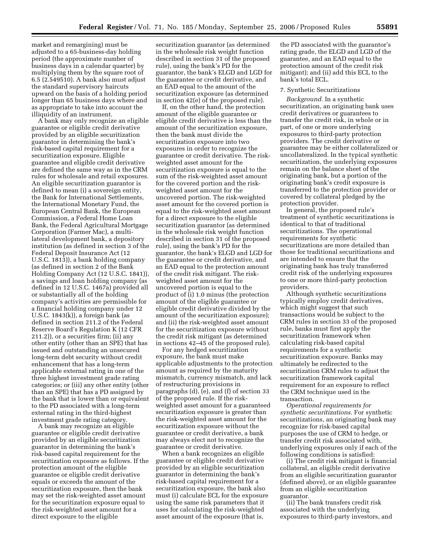market and remargining) must be adjusted to a 65-business-day holding period (the approximate number of business days in a calendar quarter) by multiplying them by the square root of 6.5 (2.549510). A bank also must adjust the standard supervisory haircuts upward on the basis of a holding period longer than 65 business days where and as appropriate to take into account the illiquidity of an instrument.

A bank may only recognize an eligible guarantee or eligible credit derivative provided by an eligible securitization guarantor in determining the bank's risk-based capital requirement for a securitization exposure. Eligible guarantee and eligible credit derivative are defined the same way as in the CRM rules for wholesale and retail exposures. An eligible securitization guarantor is defined to mean (i) a sovereign entity, the Bank for International Settlements, the International Monetary Fund, the European Central Bank, the European Commission, a Federal Home Loan Bank, the Federal Agricultural Mortgage Corporation (Farmer Mac), a multilateral development bank, a depository institution (as defined in section 3 of the Federal Deposit Insurance Act (12 U.S.C. 1813)), a bank holding company (as defined in section 2 of the Bank Holding Company Act (12 U.S.C. 1841)), a savings and loan holding company (as defined in 12 U.S.C. 1467a) provided all or substantially all of the holding company's activities are permissible for a financial holding company under 12 U.S.C. 1843(k)), a foreign bank (as defined in section 211.2 of the Federal Reserve Board's Regulation K (12 CFR 211.2)), or a securities firm; (ii) any other entity (other than an SPE) that has issued and outstanding an unsecured long-term debt security without credit enhancement that has a long-term applicable external rating in one of the three highest investment grade rating categories; or (iii) any other entity (other than an SPE) that has a PD assigned by the bank that is lower than or equivalent to the PD associated with a long-term external rating in the third-highest investment grade rating category.

A bank may recognize an eligible guarantee or eligible credit derivative provided by an eligible securitization guarantor in determining the bank's risk-based capital requirement for the securitization exposure as follows. If the protection amount of the eligible guarantee or eligible credit derivative equals or exceeds the amount of the securitization exposure, then the bank may set the risk-weighted asset amount for the securitization exposure equal to the risk-weighted asset amount for a direct exposure to the eligible

securitization guarantor (as determined in the wholesale risk weight function described in section 31 of the proposed rule), using the bank's PD for the guarantor, the bank's ELGD and LGD for the guarantee or credit derivative, and an EAD equal to the amount of the securitization exposure (as determined in section 42(e) of the proposed rule).

If, on the other hand, the protection amount of the eligible guarantee or eligible credit derivative is less than the amount of the securitization exposure, then the bank must divide the securitization exposure into two exposures in order to recognize the guarantee or credit derivative. The riskweighted asset amount for the securitization exposure is equal to the sum of the risk-weighted asset amount for the covered portion and the riskweighted asset amount for the uncovered portion. The risk-weighted asset amount for the covered portion is equal to the risk-weighted asset amount for a direct exposure to the eligible securitization guarantor (as determined in the wholesale risk weight function described in section 31 of the proposed rule), using the bank's PD for the guarantor, the bank's ELGD and LGD for the guarantee or credit derivative, and an EAD equal to the protection amount of the credit risk mitigant. The riskweighted asset amount for the uncovered portion is equal to the product of (i) 1.0 minus (the protection amount of the eligible guarantee or eligible credit derivative divided by the amount of the securitization exposure); and (ii) the risk-weighted asset amount for the securitization exposure without the credit risk mitigant (as determined in sections 42–45 of the proposed rule).

For any hedged securitization exposure, the bank must make applicable adjustments to the protection amount as required by the maturity mismatch, currency mismatch, and lack of restructuring provisions in paragraphs (d), (e), and (f) of section 33 of the proposed rule. If the riskweighted asset amount for a guaranteed securitization exposure is greater than the risk-weighted asset amount for the securitization exposure without the guarantee or credit derivative, a bank may always elect not to recognize the guarantee or credit derivative.

When a bank recognizes an eligible guarantee or eligible credit derivative provided by an eligible securitization guarantor in determining the bank's risk-based capital requirement for a securitization exposure, the bank also must (i) calculate ECL for the exposure using the same risk parameters that it uses for calculating the risk-weighted asset amount of the exposure (that is,

the PD associated with the guarantor's rating grade, the ELGD and LGD of the guarantee, and an EAD equal to the protection amount of the credit risk mitigant); and (ii) add this ECL to the bank's total ECL.

#### 7. Synthetic Securitizations

*Background.* In a synthetic securitization, an originating bank uses credit derivatives or guarantees to transfer the credit risk, in whole or in part, of one or more underlying exposures to third-party protection providers. The credit derivative or guarantee may be either collateralized or uncollateralized. In the typical synthetic securitization, the underlying exposures remain on the balance sheet of the originating bank, but a portion of the originating bank's credit exposure is transferred to the protection provider or covered by collateral pledged by the protection provider.

In general, the proposed rule's treatment of synthetic securitizations is identical to that of traditional securitizations. The operational requirements for synthetic securitizations are more detailed than those for traditional securitizations and are intended to ensure that the originating bank has truly transferred credit risk of the underlying exposures to one or more third-party protection providers.

Although synthetic securitizations typically employ credit derivatives, which might suggest that such transactions would be subject to the CRM rules in section 33 of the proposed rule, banks must first apply the securitization framework when calculating risk-based capital requirements for a synthetic securitization exposure. Banks may ultimately be redirected to the securitization CRM rules to adjust the securitization framework capital requirement for an exposure to reflect the CRM technique used in the transaction.

*Operational requirements for synthetic securitizations.* For synthetic securitizations, an originating bank may recognize for risk-based capital purposes the use of CRM to hedge, or transfer credit risk associated with, underlying exposures only if each of the following conditions is satisfied:

(i) The credit risk mitigant is financial collateral, an eligible credit derivative from an eligible securitization guarantor (defined above), or an eligible guarantee from an eligible securitization guarantor.

(ii) The bank transfers credit risk associated with the underlying exposures to third-party investors, and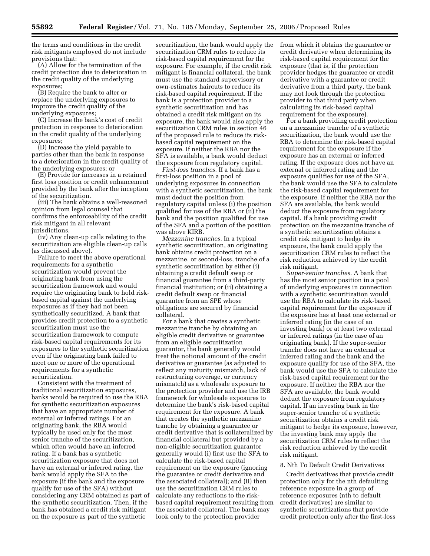the terms and conditions in the credit risk mitigants employed do not include provisions that:

(A) Allow for the termination of the credit protection due to deterioration in the credit quality of the underlying exposures;

(B) Require the bank to alter or replace the underlying exposures to improve the credit quality of the underlying exposures;

(C) Increase the bank's cost of credit protection in response to deterioration in the credit quality of the underlying exposures;

(D) Increase the yield payable to parties other than the bank in response to a deterioration in the credit quality of the underlying exposures; or

(E) Provide for increases in a retained first loss position or credit enhancement provided by the bank after the inception of the securitization.

(iii) The bank obtains a well-reasoned opinion from legal counsel that confirms the enforceability of the credit risk mitigant in all relevant jurisdictions.

(iv) Any clean-up calls relating to the securitization are eligible clean-up calls (as discussed above).

Failure to meet the above operational requirements for a synthetic securitization would prevent the originating bank from using the securitization framework and would require the originating bank to hold riskbased capital against the underlying exposures as if they had not been synthetically securitized. A bank that provides credit protection to a synthetic securitization must use the securitization framework to compute risk-based capital requirements for its exposures to the synthetic securitization even if the originating bank failed to meet one or more of the operational requirements for a synthetic securitization.

Consistent with the treatment of traditional securitization exposures, banks would be required to use the RBA for synthetic securitization exposures that have an appropriate number of external or inferred ratings. For an originating bank, the RBA would typically be used only for the most senior tranche of the securitization, which often would have an inferred rating. If a bank has a synthetic securitization exposure that does not have an external or inferred rating, the bank would apply the SFA to the exposure (if the bank and the exposure qualify for use of the SFA) without considering any CRM obtained as part of the synthetic securitization. Then, if the bank has obtained a credit risk mitigant on the exposure as part of the synthetic

securitization, the bank would apply the securitization CRM rules to reduce its risk-based capital requirement for the exposure. For example, if the credit risk mitigant is financial collateral, the bank must use the standard supervisory or own-estimates haircuts to reduce its risk-based capital requirement. If the bank is a protection provider to a synthetic securitization and has obtained a credit risk mitigant on its exposure, the bank would also apply the securitization CRM rules in section 46 of the proposed rule to reduce its riskbased capital requirement on the exposure. If neither the RBA nor the SFA is available, a bank would deduct the exposure from regulatory capital.

*First-loss tranches.* If a bank has a first-loss position in a pool of underlying exposures in connection with a synthetic securitization, the bank must deduct the position from regulatory capital unless (i) the position qualified for use of the RBA or (ii) the bank and the position qualified for use of the SFA and a portion of the position was above KIRB.

*Mezzanine tranches.* In a typical synthetic securitization, an originating bank obtains credit protection on a mezzanine, or second-loss, tranche of a synthetic securitization by either (i) obtaining a credit default swap or financial guarantee from a third-party financial institution; or (ii) obtaining a credit default swap or financial guarantee from an SPE whose obligations are secured by financial collateral.

For a bank that creates a synthetic mezzanine tranche by obtaining an eligible credit derivative or guarantee from an eligible securitization guarantor, the bank generally would treat the notional amount of the credit derivative or guarantee (as adjusted to reflect any maturity mismatch, lack of restructuring coverage, or currency mismatch) as a wholesale exposure to the protection provider and use the IRB framework for wholesale exposures to determine the bank's risk-based capital requirement for the exposure. A bank that creates the synthetic mezzanine tranche by obtaining a guarantee or credit derivative that is collateralized by financial collateral but provided by a non-eligible securitization guarantor generally would (i) first use the SFA to calculate the risk-based capital requirement on the exposure (ignoring the guarantee or credit derivative and the associated collateral); and (ii) then use the securitization CRM rules to calculate any reductions to the riskbased capital requirement resulting from the associated collateral. The bank may look only to the protection provider

from which it obtains the guarantee or credit derivative when determining its risk-based capital requirement for the exposure (that is, if the protection provider hedges the guarantee or credit derivative with a guarantee or credit derivative from a third party, the bank may not look through the protection provider to that third party when calculating its risk-based capital requirement for the exposure).

For a bank providing credit protection on a mezzanine tranche of a synthetic securitization, the bank would use the RBA to determine the risk-based capital requirement for the exposure if the exposure has an external or inferred rating. If the exposure does not have an external or inferred rating and the exposure qualifies for use of the SFA, the bank would use the SFA to calculate the risk-based capital requirement for the exposure. If neither the RBA nor the SFA are available, the bank would deduct the exposure from regulatory capital. If a bank providing credit protection on the mezzanine tranche of a synthetic securitization obtains a credit risk mitigant to hedge its exposure, the bank could apply the securitization CRM rules to reflect the risk reduction achieved by the credit risk mitigant.

*Super-senior tranches.* A bank that has the most senior position in a pool of underlying exposures in connection with a synthetic securitization would use the RBA to calculate its risk-based capital requirement for the exposure if the exposure has at least one external or inferred rating (in the case of an investing bank) or at least two external or inferred ratings (in the case of an originating bank). If the super-senior tranche does not have an external or inferred rating and the bank and the exposure qualify for use of the SFA, the bank would use the SFA to calculate the risk-based capital requirement for the exposure. If neither the RBA nor the SFA are available, the bank would deduct the exposure from regulatory capital. If an investing bank in the super-senior tranche of a synthetic securitization obtains a credit risk mitigant to hedge its exposure, however, the investing bank may apply the securitization CRM rules to reflect the risk reduction achieved by the credit risk mitigant.

## 8. Nth To Default Credit Derivatives

Credit derivatives that provide credit protection only for the nth defaulting reference exposure in a group of reference exposures (nth to default credit derivatives) are similar to synthetic securitizations that provide credit protection only after the first-loss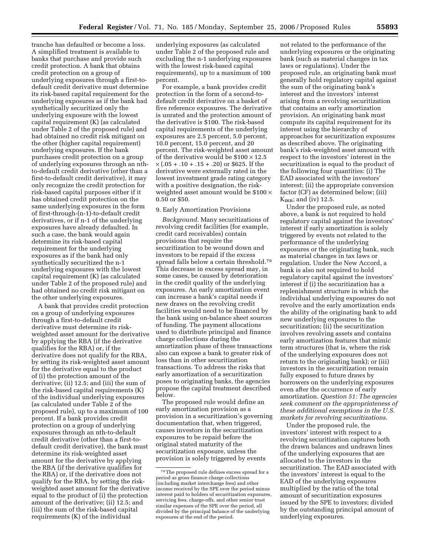tranche has defaulted or become a loss. A simplified treatment is available to banks that purchase and provide such credit protection. A bank that obtains credit protection on a group of underlying exposures through a first-todefault credit derivative must determine its risk-based capital requirement for the underlying exposures as if the bank had synthetically securitized only the underlying exposure with the lowest capital requirement (K) (as calculated under Table 2 of the proposed rule) and had obtained no credit risk mitigant on the other (higher capital requirement) underlying exposures. If the bank purchases credit protection on a group of underlying exposures through an nthto-default credit derivative (other than a first-to-default credit derivative), it may only recognize the credit protection for risk-based capital purposes either if it has obtained credit protection on the same underlying exposures in the form of first-through-(n-1)-to-default credit derivatives, or if n-1 of the underlying exposures have already defaulted. In such a case, the bank would again determine its risk-based capital requirement for the underlying exposures as if the bank had only synthetically securitized the n-1 underlying exposures with the lowest capital requirement (K) (as calculated under Table 2 of the proposed rule) and had obtained no credit risk mitigant on the other underlying exposures.

A bank that provides credit protection on a group of underlying exposures through a first-to-default credit derivative must determine its riskweighted asset amount for the derivative by applying the RBA (if the derivative qualifies for the RBA) or, if the derivative does not qualify for the RBA, by setting its risk-weighted asset amount for the derivative equal to the product of (i) the protection amount of the derivative; (ii) 12.5; and (iii) the sum of the risk-based capital requirements (K) of the individual underlying exposures (as calculated under Table 2 of the proposed rule), up to a maximum of 100 percent. If a bank provides credit protection on a group of underlying exposures through an nth-to-default credit derivative (other than a first-todefault credit derivative), the bank must determine its risk-weighted asset amount for the derivative by applying the RBA (if the derivative qualifies for the RBA) or, if the derivative does not qualify for the RBA, by setting the riskweighted asset amount for the derivative equal to the product of (i) the protection amount of the derivative; (ii) 12.5; and (iii) the sum of the risk-based capital requirements (K) of the individual

underlying exposures (as calculated under Table 2 of the proposed rule and excluding the n-1 underlying exposures with the lowest risk-based capital requirements), up to a maximum of 100 percent.

For example, a bank provides credit protection in the form of a second-todefault credit derivative on a basket of five reference exposures. The derivative is unrated and the protection amount of the derivative is \$100. The risk-based capital requirements of the underlying exposures are 2.5 percent, 5.0 percent, 10.0 percent, 15.0 percent, and 20 percent. The risk-weighted asset amount of the derivative would be  $$100 \times 12.5$  $\times$  (.05 + .10 + .15 + .20) or \$625. If the derivative were externally rated in the lowest investment grade rating category with a positive designation, the riskweighted asset amount would be  $$100 \times$ 0.50 or \$50.

### 9. Early Amortization Provisions

*Background.* Many securitizations of revolving credit facilities (for example, credit card receivables) contain provisions that require the securitization to be wound down and investors to be repaid if the excess spread falls below a certain threshold.79 This decrease in excess spread may, in some cases, be caused by deterioration in the credit quality of the underlying exposures. An early amortization event can increase a bank's capital needs if new draws on the revolving credit facilities would need to be financed by the bank using on-balance sheet sources of funding. The payment allocations used to distribute principal and finance charge collections during the amortization phase of these transactions also can expose a bank to greater risk of loss than in other securitization transactions. To address the risks that early amortization of a securitization poses to originating banks, the agencies propose the capital treatment described below.

The proposed rule would define an early amortization provision as a provision in a securitization's governing documentation that, when triggered, causes investors in the securitization exposures to be repaid before the original stated maturity of the securitization exposure, unless the provision is solely triggered by events

not related to the performance of the underlying exposures or the originating bank (such as material changes in tax laws or regulations). Under the proposed rule, an originating bank must generally hold regulatory capital against the sum of the originating bank's interest and the investors' interest arising from a revolving securitization that contains an early amortization provision. An originating bank must compute its capital requirement for its interest using the hierarchy of approaches for securitization exposures as described above. The originating bank's risk-weighted asset amount with respect to the investors' interest in the securitization is equal to the product of the following four quantities: (i) The EAD associated with the investors' interest; (ii) the appropriate conversion factor (CF) as determined below; (iii)  $K_{IRB}$ ; and (iv) 12.5.

Under the proposed rule, as noted above, a bank is not required to hold regulatory capital against the investors' interest if early amortization is solely triggered by events not related to the performance of the underlying exposures or the originating bank, such as material changes in tax laws or regulation. Under the New Accord, a bank is also not required to hold regulatory capital against the investors' interest if (i) the securitization has a replenishment structure in which the individual underlying exposures do not revolve and the early amortization ends the ability of the originating bank to add new underlying exposures to the securitization; (ii) the securitization involves revolving assets and contains early amortization features that mimic term structures (that is, where the risk of the underlying exposures does not return to the originating bank); or (iii) investors in the securitization remain fully exposed to future draws by borrowers on the underlying exposures even after the occurrence of early amortization. *Question 51: The agencies seek comment on the appropriateness of these additional exemptions in the U.S. markets for revolving securitizations*.

Under the proposed rule, the investors' interest with respect to a revolving securitization captures both the drawn balances and undrawn lines of the underlying exposures that are allocated to the investors in the securitization. The EAD associated with the investors' interest is equal to the EAD of the underlying exposures multiplied by the ratio of the total amount of securitization exposures issued by the SPE to investors; divided by the outstanding principal amount of underlying exposures.

<sup>79</sup>The proposed rule defines excess spread for a period as gross finance charge collections (including market interchange fees) and other income received by the SPE over the period minus interest paid to holders of securitization exposures, servicing fees, charge-offs, and other senior trust similar expenses of the SPE over the period, all divided by the principal balance of the underlying exposures at the end of the period.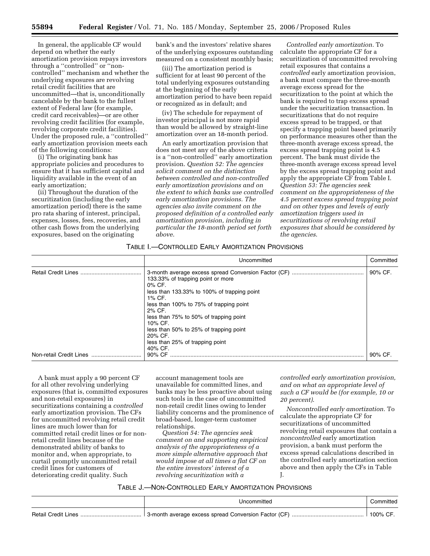In general, the applicable CF would depend on whether the early amortization provision repays investors through a ''controlled'' or ''noncontrolled'' mechanism and whether the underlying exposures are revolving retail credit facilities that are uncommitted—that is, unconditionally cancelable by the bank to the fullest extent of Federal law (for example, credit card receivables)—or are other revolving credit facilities (for example, revolving corporate credit facilities). Under the proposed rule, a ''controlled'' early amortization provision meets each of the following conditions:

(i) The originating bank has appropriate policies and procedures to ensure that it has sufficient capital and liquidity available in the event of an early amortization;

(ii) Throughout the duration of the securitization (including the early amortization period) there is the same pro rata sharing of interest, principal, expenses, losses, fees, recoveries, and other cash flows from the underlying exposures, based on the originating

bank's and the investors' relative shares of the underlying exposures outstanding measured on a consistent monthly basis;

(iii) The amortization period is sufficient for at least 90 percent of the total underlying exposures outstanding at the beginning of the early amortization period to have been repaid or recognized as in default; and

(iv) The schedule for repayment of investor principal is not more rapid than would be allowed by straight-line amortization over an 18-month period.

An early amortization provision that does not meet any of the above criteria is a ''non-controlled'' early amortization provision. *Question 52: The agencies solicit comment on the distinction between controlled and non-controlled early amortization provisions and on the extent to which banks use controlled early amortization provisions. The agencies also invite comment on the proposed definition of a controlled early amortization provision, including in particular the 18-month period set forth above*.

*Controlled early amortization.* To calculate the appropriate CF for a securitization of uncommitted revolving retail exposures that contains a *controlled* early amortization provision, a bank must compare the three-month average excess spread for the securitization to the point at which the bank is required to trap excess spread under the securitization transaction. In securitizations that do not require excess spread to be trapped, or that specify a trapping point based primarily on performance measures other than the three-month average excess spread, the excess spread trapping point is 4.5 percent. The bank must divide the three-month average excess spread level by the excess spread trapping point and apply the appropriate CF from Table I. *Question 53: The agencies seek comment on the appropriateness of the 4.5 percent excess spread trapping point and on other types and levels of early amortization triggers used in securitizations of revolving retail exposures that should be considered by the agencies*.

## TABLE I.—CONTROLLED EARLY AMORTIZATION PROVISIONS

|                         | Uncommitted                                                                                                                                                                                                                                                                                                       | Committed |
|-------------------------|-------------------------------------------------------------------------------------------------------------------------------------------------------------------------------------------------------------------------------------------------------------------------------------------------------------------|-----------|
|                         | 133.33% of trapping point or more<br>0% CF.<br>less than 133.33% to 100% of trapping point<br>1% CF.<br>less than 100% to 75% of trapping point<br>2% CF.<br>less than 75% to 50% of trapping point<br>10% CF.<br>less than 50% to 25% of trapping point<br>20% CF.<br>less than 25% of trapping point<br>40% CF. | 90% CF.   |
| Non-retail Credit Lines | 90% CF                                                                                                                                                                                                                                                                                                            | 90% CF    |

A bank must apply a 90 percent CF for all other revolving underlying exposures (that is, committed exposures and non-retail exposures) in securitizations containing a *controlled*  early amortization provision. The CFs for uncommitted revolving retail credit lines are much lower than for committed retail credit lines or for nonretail credit lines because of the demonstrated ability of banks to monitor and, when appropriate, to curtail promptly uncommitted retail credit lines for customers of deteriorating credit quality. Such

account management tools are unavailable for committed lines, and banks may be less proactive about using such tools in the case of uncommitted non-retail credit lines owing to lender liability concerns and the prominence of broad-based, longer-term customer relationships.

*Question 54: The agencies seek comment on and supporting empirical analysis of the appropriateness of a more simple alternative approach that would impose at all times a flat CF on the entire investors' interest of a revolving securitization with a* 

*controlled early amortization provision, and on what an appropriate level of such a CF would be (for example, 10 or 20 percent)*.

*Noncontrolled early amortization.* To calculate the appropriate CF for securitizations of uncommitted revolving retail exposures that contain a *noncontrolled* early amortization provision, a bank must perform the excess spread calculations described in the controlled early amortization section above and then apply the CFs in Table J.

TABLE J.—NON-CONTROLLED EARLY AMORTIZATION PROVISIONS

|                            | Jncommitted                                          | ∶ommitted |
|----------------------------|------------------------------------------------------|-----------|
| <b>Retail Credit Lines</b> | 3-month average excess spread Conversion Factor (CF) | 100% CF   |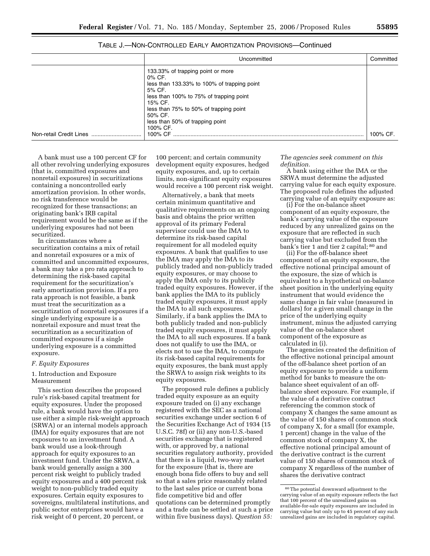| Uncommitted                                                                                                                                                                                                     | Committed |
|-----------------------------------------------------------------------------------------------------------------------------------------------------------------------------------------------------------------|-----------|
| 133.33% of trapping point or more<br>0% CF.<br>less than 133.33% to 100% of trapping point<br>5% CF.<br>less than 100% to 75% of trapping point<br>15% CF.<br>less than 75% to 50% of trapping point<br>50% CF. |           |
| less than 50% of trapping point<br>100% CF.                                                                                                                                                                     |           |

| TABLE J.—NON-CONTROLLED EARLY AMORTIZATION PROVISIONS—Continued |  |  |  |
|-----------------------------------------------------------------|--|--|--|
|-----------------------------------------------------------------|--|--|--|

A bank must use a 100 percent CF for all other revolving underlying exposures (that is, committed exposures and nonretail exposures) in securitizations containing a noncontrolled early amortization provision. In other words, no risk transference would be recognized for these transactions; an originating bank's IRB capital requirement would be the same as if the underlying exposures had not been securitized.

In circumstances where a securitization contains a mix of retail and nonretail exposures or a mix of committed and uncommitted exposures, a bank may take a pro rata approach to determining the risk-based capital requirement for the securitization's early amortization provision. If a pro rata approach is not feasible, a bank must treat the securitization as a securitization of nonretail exposures if a single underlying exposure is a nonretail exposure and must treat the securitization as a securitization of committed exposures if a single underlying exposure is a committed exposure.

### *F. Equity Exposures*

1. Introduction and Exposure Measurement

This section describes the proposed rule's risk-based capital treatment for equity exposures. Under the proposed rule, a bank would have the option to use either a simple risk-weight approach (SRWA) or an internal models approach (IMA) for equity exposures that are not exposures to an investment fund. A bank would use a look-through approach for equity exposures to an investment fund. Under the SRWA, a bank would generally assign a 300 percent risk weight to publicly traded equity exposures and a 400 percent risk weight to non-publicly traded equity exposures. Certain equity exposures to sovereigns, multilateral institutions, and public sector enterprises would have a risk weight of 0 percent, 20 percent, or

100 percent; and certain community development equity exposures, hedged equity exposures, and, up to certain limits, non-significant equity exposures would receive a 100 percent risk weight.

Non-retail Credit Lines ................................ 100% CF .......................................................................................................................... 100% CF.

Alternatively, a bank that meets certain minimum quantitative and qualitative requirements on an ongoing basis and obtains the prior written approval of its primary Federal supervisor could use the IMA to determine its risk-based capital requirement for all modeled equity exposures. A bank that qualifies to use the IMA may apply the IMA to its publicly traded and non-publicly traded equity exposures, or may choose to apply the IMA only to its publicly traded equity exposures. However, if the bank applies the IMA to its publicly traded equity exposures, it must apply the IMA to all such exposures. Similarly, if a bank applies the IMA to both publicly traded and non-publicly traded equity exposures, it must apply the IMA to all such exposures. If a bank does not qualify to use the IMA, or elects not to use the IMA, to compute its risk-based capital requirements for equity exposures, the bank must apply the SRWA to assign risk weights to its equity exposures.

The proposed rule defines a publicly traded equity exposure as an equity exposure traded on (i) any exchange registered with the SEC as a national securities exchange under section 6 of the Securities Exchange Act of 1934 (15 U.S.C. 78f) or (ii) any non-U.S.-based securities exchange that is registered with, or approved by, a national securities regulatory authority, provided that there is a liquid, two-way market for the exposure (that is, there are enough bona fide offers to buy and sell so that a sales price reasonably related to the last sales price or current bona fide competitive bid and offer quotations can be determined promptly and a trade can be settled at such a price within five business days). *Question 55:* 

*The agencies seek comment on this definition.* 

A bank using either the IMA or the SRWA must determine the adjusted carrying value for each equity exposure. The proposed rule defines the adjusted carrying value of an equity exposure as:

(i) For the on-balance sheet component of an equity exposure, the bank's carrying value of the exposure reduced by any unrealized gains on the exposure that are reflected in such carrying value but excluded from the bank's tier 1 and tier 2 capital; 80 and

(ii) For the off-balance sheet component of an equity exposure, the effective notional principal amount of the exposure, the size of which is equivalent to a hypothetical on-balance sheet position in the underlying equity instrument that would evidence the same change in fair value (measured in dollars) for a given small change in the price of the underlying equity instrument, minus the adjusted carrying value of the on-balance sheet component of the exposure as calculated in (i).

The agencies created the definition of the effective notional principal amount of the off-balance sheet portion of an equity exposure to provide a uniform method for banks to measure the onbalance sheet equivalent of an offbalance sheet exposure. For example, if the value of a derivative contract referencing the common stock of company X changes the same amount as the value of 150 shares of common stock of company X, for a small (for example, 1 percent) change in the value of the common stock of company X, the effective notional principal amount of the derivative contract is the current value of 150 shares of common stock of company X regardless of the number of shares the derivative contract

<sup>80</sup>The potential downward adjustment to the carrying value of an equity exposure reflects the fact that 100 percent of the unrealized gains on available-for-sale equity exposures are included in carrying value but only up to 45 percent of any such unrealized gains are included in regulatory capital.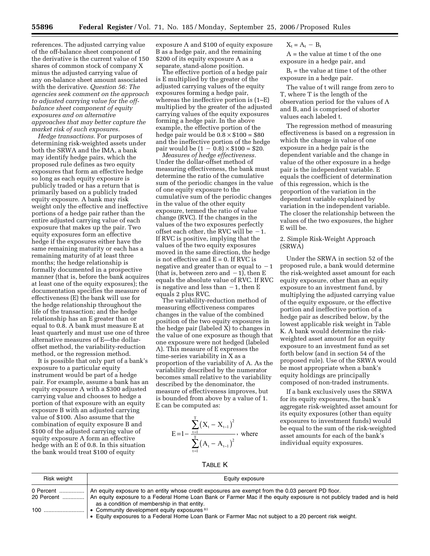references. The adjusted carrying value of the off-balance sheet component of the derivative is the current value of 150 shares of common stock of company X minus the adjusted carrying value of any on-balance sheet amount associated with the derivative. *Question 56: The agencies seek comment on the approach to adjusted carrying value for the offbalance sheet component of equity exposures and on alternative approaches that may better capture the market risk of such exposures.* 

*Hedge transactions.* For purposes of determining risk-weighted assets under both the SRWA and the IMA, a bank may identify hedge pairs, which the proposed rule defines as two equity exposures that form an effective hedge so long as each equity exposure is publicly traded or has a return that is primarily based on a publicly traded equity exposure. A bank may risk weight only the effective and ineffective portions of a hedge pair rather than the entire adjusted carrying value of each exposure that makes up the pair. Two equity exposures form an effective hedge if the exposures either have the same remaining maturity or each has a remaining maturity of at least three months; the hedge relationship is formally documented in a prospective manner (that is, before the bank acquires at least one of the equity exposures); the documentation specifies the measure of effectiveness (E) the bank will use for the hedge relationship throughout the life of the transaction; and the hedge relationship has an E greater than or equal to 0.8. A bank must measure E at least quarterly and must use one of three alternative measures of E—the dollaroffset method, the variability-reduction method, or the regression method.

It is possible that only part of a bank's exposure to a particular equity instrument would be part of a hedge pair. For example, assume a bank has an equity exposure A with a \$300 adjusted carrying value and chooses to hedge a portion of that exposure with an equity exposure B with an adjusted carrying value of \$100. Also assume that the combination of equity exposure B and \$100 of the adjusted carrying value of equity exposure A form an effective hedge with an E of 0.8. In this situation the bank would treat \$100 of equity

exposure A and \$100 of equity exposure B as a hedge pair, and the remaining \$200 of its equity exposure A as a separate, stand-alone position.

The effective portion of a hedge pair is E multiplied by the greater of the adjusted carrying values of the equity exposures forming a hedge pair, whereas the ineffective portion is (1–E) multiplied by the greater of the adjusted carrying values of the equity exposures forming a hedge pair. In the above example, the effective portion of the hedge pair would be  $0.8 \times $100 = $80$ and the ineffective portion of the hedge pair would be  $(1 - 0.8) \times $100 = $20$ .

*Measures of hedge effectiveness.*  Under the dollar-offset method of measuring effectiveness, the bank must determine the ratio of the cumulative sum of the periodic changes in the value of one equity exposure to the cumulative sum of the periodic changes in the value of the other equity exposure, termed the ratio of value change (RVC). If the changes in the values of the two exposures perfectly offset each other, the RVC will be  $-1$ . If RVC is positive, implying that the values of the two equity exposures moved in the same direction, the hedge is not effective and  $E = 0$ . If RVC is negative and greater than or equal to  $-1$ (that is, between zero and  $-1$ ), then E equals the absolute value of RVC. If RVC is negative and less than  $-1$ , then E equals 2 plus RVC.

The variability-reduction method of measuring effectiveness compares changes in the value of the combined position of the two equity exposures in the hedge pair (labeled X) to changes in the value of one exposure as though that one exposure were not hedged (labeled A). This measure of E expresses the time-series variability in X as a proportion of the variability of A. As the variability described by the numerator becomes small relative to the variability described by the denominator, the measure of effectiveness improves, but is bounded from above by a value of 1. E can be computed as:

$$
E = 1 - \frac{\sum_{t=1}^{T} (X_t - X_{t-1})^2}{\sum_{t=1}^{T} (A_t - A_{t-1})^2}, \text{ where}
$$

 $X_t = A_t - B_t$ 

A = the value at time t of the one exposure in a hedge pair, and

 $B_t$  = the value at time t of the other exposure in a hedge pair.

The value of t will range from zero to T, where T is the length of the observation period for the values of A and B, and is comprised of shorter values each labeled t.

The regression method of measuring effectiveness is based on a regression in which the change in value of one exposure in a hedge pair is the dependent variable and the change in value of the other exposure in a hedge pair is the independent variable. E equals the coefficient of determination of this regression, which is the proportion of the variation in the dependent variable explained by variation in the independent variable. The closer the relationship between the values of the two exposures, the higher E will be.

# 2. Simple Risk-Weight Approach (SRWA)

Under the SRWA in section 52 of the proposed rule, a bank would determine the risk-weighted asset amount for each equity exposure, other than an equity exposure to an investment fund, by multiplying the adjusted carrying value of the equity exposure, or the effective portion and ineffective portion of a hedge pair as described below, by the lowest applicable risk weight in Table K. A bank would determine the riskweighted asset amount for an equity exposure to an investment fund as set forth below (and in section 54 of the proposed rule). Use of the SRWA would be most appropriate when a bank's equity holdings are principally composed of non-traded instruments.

If a bank exclusively uses the SRWA for its equity exposures, the bank's aggregate risk-weighted asset amount for its equity exposures (other than equity exposures to investment funds) would be equal to the sum of the risk-weighted asset amounts for each of the bank's individual equity exposures.

TABLE K

| Risk weight | Equity exposure                                                                                                                                       |
|-------------|-------------------------------------------------------------------------------------------------------------------------------------------------------|
|             | 20 Percent    An equity exposure to a Federal Home Loan Bank or Farmer Mac if the equity exposure is not publicly traded and is held                  |
|             | as a condition of membership in that entity.<br>• Equity exposures to a Federal Home Loan Bank or Farmer Mac not subject to a 20 percent risk weight. |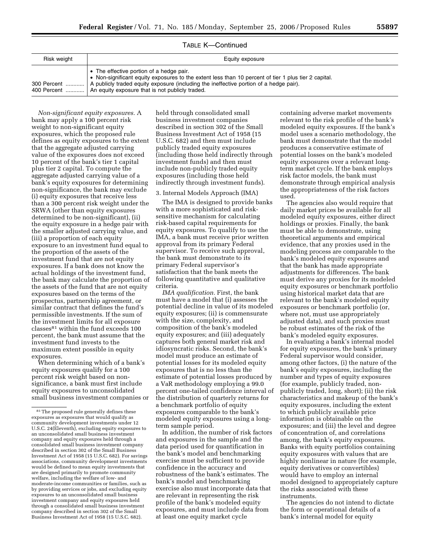| Risk weight | Equity exposure                                                                                                                                                                                                                                                                                                           |
|-------------|---------------------------------------------------------------------------------------------------------------------------------------------------------------------------------------------------------------------------------------------------------------------------------------------------------------------------|
|             | • The effective portion of a hedge pair.<br>• Non-significant equity exposures to the extent less than 10 percent of tier 1 plus tier 2 capital.<br>300 Percent    A publicly traded equity exposure (including the ineffective portion of a hedge pair).<br>400 Percent  An equity exposure that is not publicly traded. |

TABLE K—Continued

*Non-significant equity exposures.* A bank may apply a 100 percent risk weight to non-significant equity exposures, which the proposed rule defines as equity exposures to the extent that the aggregate adjusted carrying value of the exposures does not exceed 10 percent of the bank's tier 1 capital plus tier 2 capital. To compute the aggregate adjusted carrying value of a bank's equity exposures for determining non-significance, the bank may exclude (i) equity exposures that receive less than a 300 percent risk weight under the SRWA (other than equity exposures determined to be non-significant), (ii) the equity exposure in a hedge pair with the smaller adjusted carrying value, and (iii) a proportion of each equity exposure to an investment fund equal to the proportion of the assets of the investment fund that are not equity exposures. If a bank does not know the actual holdings of the investment fund, the bank may calculate the proportion of the assets of the fund that are not equity exposures based on the terms of the prospectus, partnership agreement, or similar contract that defines the fund's permissible investments. If the sum of the investment limits for all exposure classes81 within the fund exceeds 100 percent, the bank must assume that the investment fund invests to the maximum extent possible in equity exposures.

When determining which of a bank's equity exposures qualify for a 100 percent risk weight based on nonsignificance, a bank must first include equity exposures to unconsolidated small business investment companies or

held through consolidated small business investment companies described in section 302 of the Small Business Investment Act of 1958 (15 U.S.C. 682) and then must include publicly traded equity exposures (including those held indirectly through investment funds) and then must include non-publicly traded equity exposures (including those held indirectly through investment funds).

#### 3. Internal Models Approach (IMA)

The IMA is designed to provide banks with a more sophisticated and risksensitive mechanism for calculating risk-based capital requirements for equity exposures. To qualify to use the IMA, a bank must receive prior written approval from its primary Federal supervisor. To receive such approval, the bank must demonstrate to its primary Federal supervisor's satisfaction that the bank meets the following quantitative and qualitative criteria.

*IMA qualification.* First, the bank must have a model that (i) assesses the potential decline in value of its modeled equity exposures; (ii) is commensurate with the size, complexity, and composition of the bank's modeled equity exposures; and (iii) adequately captures both general market risk and idiosyncratic risks. Second, the bank's model must produce an estimate of potential losses for its modeled equity exposures that is no less than the estimate of potential losses produced by a VaR methodology employing a 99.0 percent one-tailed confidence interval of the distribution of quarterly returns for a benchmark portfolio of equity exposures comparable to the bank's modeled equity exposures using a longterm sample period.

In addition, the number of risk factors and exposures in the sample and the data period used for quantification in the bank's model and benchmarking exercise must be sufficient to provide confidence in the accuracy and robustness of the bank's estimates. The bank's model and benchmarking exercise also must incorporate data that are relevant in representing the risk profile of the bank's modeled equity exposures, and must include data from at least one equity market cycle

containing adverse market movements relevant to the risk profile of the bank's modeled equity exposures. If the bank's model uses a scenario methodology, the bank must demonstrate that the model produces a conservative estimate of potential losses on the bank's modeled equity exposures over a relevant longterm market cycle. If the bank employs risk factor models, the bank must demonstrate through empirical analysis the appropriateness of the risk factors used.

The agencies also would require that daily market prices be available for all modeled equity exposures, either direct holdings or proxies. Finally, the bank must be able to demonstrate, using theoretical arguments and empirical evidence, that any proxies used in the modeling process are comparable to the bank's modeled equity exposures and that the bank has made appropriate adjustments for differences. The bank must derive any proxies for its modeled equity exposures or benchmark portfolio using historical market data that are relevant to the bank's modeled equity exposures or benchmark portfolio (or, where not, must use appropriately adjusted data), and such proxies must be robust estimates of the risk of the bank's modeled equity exposures.

In evaluating a bank's internal model for equity exposures, the bank's primary Federal supervisor would consider, among other factors, (i) the nature of the bank's equity exposures, including the number and types of equity exposures (for example, publicly traded, nonpublicly traded, long, short); (ii) the risk characteristics and makeup of the bank's equity exposures, including the extent to which publicly available price information is obtainable on the exposures; and (iii) the level and degree of concentration of, and correlations among, the bank's equity exposures. Banks with equity portfolios containing equity exposures with values that are highly nonlinear in nature (for example, equity derivatives or convertibles) would have to employ an internal model designed to appropriately capture the risks associated with these instruments.

The agencies do not intend to dictate the form or operational details of a bank's internal model for equity

<sup>&</sup>lt;sup>81</sup>The proposed rule generally defines these exposures as exposures that would qualify as community development investments under 12 U.S.C. 24(Eleventh), excluding equity exposures to an unconsolidated small business investment company and equity exposures held through a consolidated small business investment company described in section 302 of the Small Business Investment Act of 1958 (15 U.S.C. 682). For savings associations, community development investments would be defined to mean equity investments that are designed primarily to promote community welfare, including the welfare of low- and moderate-income communities or families, such as by providing services or jobs, and excluding equity exposures to an unconsolidated small business investment company and equity exposures held through a consolidated small business investment company described in section 302 of the Small Business Investment Act of 1958 (15 U.S.C. 682).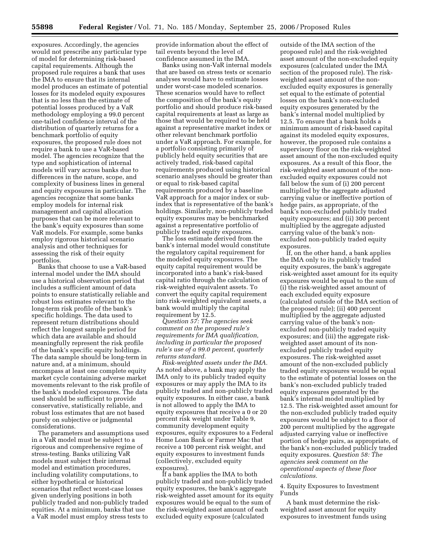exposures. Accordingly, the agencies would not prescribe any particular type of model for determining risk-based capital requirements. Although the proposed rule requires a bank that uses the IMA to ensure that its internal model produces an estimate of potential losses for its modeled equity exposures that is no less than the estimate of potential losses produced by a VaR methodology employing a 99.0 percent one-tailed confidence interval of the distribution of quarterly returns for a benchmark portfolio of equity exposures, the proposed rule does not require a bank to use a VaR-based model. The agencies recognize that the type and sophistication of internal models will vary across banks due to differences in the nature, scope, and complexity of business lines in general and equity exposures in particular. The agencies recognize that some banks employ models for internal risk management and capital allocation purposes that can be more relevant to the bank's equity exposures than some VaR models. For example, some banks employ rigorous historical scenario analysis and other techniques for assessing the risk of their equity portfolios.

Banks that choose to use a VaR-based internal model under the IMA should use a historical observation period that includes a sufficient amount of data points to ensure statistically reliable and robust loss estimates relevant to the long-term risk profile of the bank's specific holdings. The data used to represent return distributions should reflect the longest sample period for which data are available and should meaningfully represent the risk profile of the bank's specific equity holdings. The data sample should be long-term in nature and, at a minimum, should encompass at least one complete equity market cycle containing adverse market movements relevant to the risk profile of the bank's modeled exposures. The data used should be sufficient to provide conservative, statistically reliable, and robust loss estimates that are not based purely on subjective or judgmental considerations.

The parameters and assumptions used in a VaR model must be subject to a rigorous and comprehensive regime of stress-testing. Banks utilizing VaR models must subject their internal model and estimation procedures, including volatility computations, to either hypothetical or historical scenarios that reflect worst-case losses given underlying positions in both publicly traded and non-publicly traded equities. At a minimum, banks that use a VaR model must employ stress tests to

provide information about the effect of tail events beyond the level of confidence assumed in the IMA.

Banks using non-VaR internal models that are based on stress tests or scenario analyses would have to estimate losses under worst-case modeled scenarios. These scenarios would have to reflect the composition of the bank's equity portfolio and should produce risk-based capital requirements at least as large as those that would be required to be held against a representative market index or other relevant benchmark portfolio under a VaR approach. For example, for a portfolio consisting primarily of publicly held equity securities that are actively traded, risk-based capital requirements produced using historical scenario analyses should be greater than or equal to risk-based capital requirements produced by a baseline VaR approach for a major index or subindex that is representative of the bank's holdings. Similarly, non-publicly traded equity exposures may be benchmarked against a representative portfolio of publicly traded equity exposures.

The loss estimate derived from the bank's internal model would constitute the regulatory capital requirement for the modeled equity exposures. The equity capital requirement would be incorporated into a bank's risk-based capital ratio through the calculation of risk-weighted equivalent assets. To convert the equity capital requirement into risk-weighted equivalent assets, a bank would multiply the capital requirement by 12.5.

*Question 57: The agencies seek comment on the proposed rule's requirements for IMA qualification, including in particular the proposed rule's use of a 99.0 percent, quarterly returns standard.* 

*Risk-weighted assets under the IMA.*  As noted above, a bank may apply the IMA only to its publicly traded equity exposures or may apply the IMA to its publicly traded and non-publicly traded equity exposures. In either case, a bank is not allowed to apply the IMA to equity exposures that receive a 0 or 20 percent risk weight under Table 9, community development equity exposures, equity exposures to a Federal Home Loan Bank or Farmer Mac that receive a 100 percent risk weight, and equity exposures to investment funds (collectively, excluded equity exposures).

If a bank applies the IMA to both publicly traded and non-publicly traded equity exposures, the bank's aggregate risk-weighted asset amount for its equity exposures would be equal to the sum of the risk-weighted asset amount of each excluded equity exposure (calculated

outside of the IMA section of the proposed rule) and the risk-weighted asset amount of the non-excluded equity exposures (calculated under the IMA section of the proposed rule). The riskweighted asset amount of the nonexcluded equity exposures is generally set equal to the estimate of potential losses on the bank's non-excluded equity exposures generated by the bank's internal model multiplied by 12.5. To ensure that a bank holds a minimum amount of risk-based capital against its modeled equity exposures, however, the proposed rule contains a supervisory floor on the risk-weighted asset amount of the non-excluded equity exposures. As a result of this floor, the risk-weighted asset amount of the nonexcluded equity exposures could not fall below the sum of (i) 200 percent multiplied by the aggregate adjusted carrying value or ineffective portion of hedge pairs, as appropriate, of the bank's non-excluded publicly traded equity exposures; and (ii) 300 percent multiplied by the aggregate adjusted carrying value of the bank's nonexcluded non-publicly traded equity exposures.

If, on the other hand, a bank applies the IMA only to its publicly traded equity exposures, the bank's aggregate risk-weighted asset amount for its equity exposures would be equal to the sum of (i) the risk-weighted asset amount of each excluded equity exposure (calculated outside of the IMA section of the proposed rule); (ii) 400 percent multiplied by the aggregate adjusted carrying value of the bank's nonexcluded non-publicly traded equity exposures; and (iii) the aggregate riskweighted asset amount of its nonexcluded publicly traded equity exposures. The risk-weighted asset amount of the non-excluded publicly traded equity exposures would be equal to the estimate of potential losses on the bank's non-excluded publicly traded equity exposures generated by the bank's internal model multiplied by 12.5. The risk-weighted asset amount for the non-excluded publicly traded equity exposures would be subject to a floor of 200 percent multiplied by the aggregate adjusted carrying value or ineffective portion of hedge pairs, as appropriate, of the bank's non-excluded publicly traded equity exposures. *Question 58: The agencies seek comment on the operational aspects of these floor calculations.* 

## 4. Equity Exposures to Investment Funds

A bank must determine the riskweighted asset amount for equity exposures to investment funds using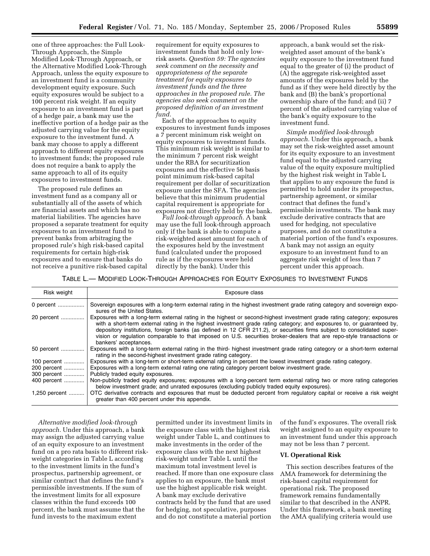one of three approaches: the Full Look-Through Approach, the Simple Modified Look-Through Approach, or the Alternative Modified Look-Through Approach, unless the equity exposure to an investment fund is a community development equity exposure. Such equity exposures would be subject to a 100 percent risk weight. If an equity exposure to an investment fund is part of a hedge pair, a bank may use the ineffective portion of a hedge pair as the adjusted carrying value for the equity exposure to the investment fund. A bank may choose to apply a different approach to different equity exposures to investment funds; the proposed rule does not require a bank to apply the same approach to all of its equity exposures to investment funds.

The proposed rule defines an investment fund as a company all or substantially all of the assets of which are financial assets and which has no material liabilities. The agencies have proposed a separate treatment for equity exposures to an investment fund to prevent banks from arbitraging the proposed rule's high risk-based capital requirements for certain high-risk exposures and to ensure that banks do not receive a punitive risk-based capital

requirement for equity exposures to investment funds that hold only lowrisk assets. *Question 59: The agencies seek comment on the necessity and appropriateness of the separate treatment for equity exposures to investment funds and the three approaches in the proposed rule. The agencies also seek comment on the proposed definition of an investment fund.* 

Each of the approaches to equity exposures to investment funds imposes a 7 percent minimum risk weight on equity exposures to investment funds. This minimum risk weight is similar to the minimum 7 percent risk weight under the RBA for securitization exposures and the effective 56 basis point minimum risk-based capital requirement per dollar of securitization exposure under the SFA. The agencies believe that this minimum prudential capital requirement is appropriate for exposures not directly held by the bank.

*Full look-through approach.* A bank may use the full look-through approach only if the bank is able to compute a risk-weighted asset amount for each of the exposures held by the investment fund (calculated under the proposed rule as if the exposures were held directly by the bank). Under this

approach, a bank would set the riskweighted asset amount of the bank's equity exposure to the investment fund equal to the greater of (i) the product of (A) the aggregate risk-weighted asset amounts of the exposures held by the fund as if they were held directly by the bank and (B) the bank's proportional ownership share of the fund; and (ii) 7 percent of the adjusted carrying value of the bank's equity exposure to the investment fund.

*Simple modified look-through approach.* Under this approach, a bank may set the risk-weighted asset amount for its equity exposure to an investment fund equal to the adjusted carrying value of the equity exposure multiplied by the highest risk weight in Table L that applies to any exposure the fund is permitted to hold under its prospectus, partnership agreement, or similar contract that defines the fund's permissible investments. The bank may exclude derivative contracts that are used for hedging, not speculative purposes, and do not constitute a material portion of the fund's exposures. A bank may not assign an equity exposure to an investment fund to an aggregate risk weight of less than 7 percent under this approach.

TABLE L.— MODIFIED LOOK-THROUGH APPROACHES FOR EQUITY EXPOSURES TO INVESTMENT FUNDS

| Risk weight   | Exposure class                                                                                                                                                                                                                                                                                                                                                                                                                                                                                                                 |
|---------------|--------------------------------------------------------------------------------------------------------------------------------------------------------------------------------------------------------------------------------------------------------------------------------------------------------------------------------------------------------------------------------------------------------------------------------------------------------------------------------------------------------------------------------|
| 0 percent     | Sovereign exposures with a long-term external rating in the highest investment grade rating category and sovereign expo-<br>sures of the United States.                                                                                                                                                                                                                                                                                                                                                                        |
| 20 percent    | Exposures with a long-term external rating in the highest or second-highest investment grade rating category; exposures<br>with a short-term external rating in the highest investment grade rating category; and exposures to, or guaranteed by,<br>depository institutions, foreign banks (as defined in 12 CFR 211.2), or securities firms subject to consolidated super-<br>vision or regulation comparable to that imposed on U.S. securities broker-dealers that are repo-style transactions or<br>bankers' acceptances. |
| 50 percent    | Exposures with a long-term external rating in the third- highest investment grade rating category or a short-term external<br>rating in the second-highest investment grade rating category.                                                                                                                                                                                                                                                                                                                                   |
| 100 percent   | Exposures with a long-term or short-term external rating in percent the lowest investment grade rating category.                                                                                                                                                                                                                                                                                                                                                                                                               |
| 200 percent   | Exposures with a long-term external rating one rating category percent below investment grade.                                                                                                                                                                                                                                                                                                                                                                                                                                 |
| 300 percent   | Publicly traded equity exposures.                                                                                                                                                                                                                                                                                                                                                                                                                                                                                              |
| 400 percent   | Non-publicly traded equity exposures; exposures with a long-percent term external rating two or more rating categories<br>below investment grade; and unrated exposures (excluding publicly traded equity exposures).                                                                                                                                                                                                                                                                                                          |
| 1,250 percent | OTC derivative contracts and exposures that must be deducted percent from regulatory capital or receive a risk weight<br>greater than 400 percent under this appendix.                                                                                                                                                                                                                                                                                                                                                         |

*Alternative modified look-through approach.* Under this approach, a bank may assign the adjusted carrying value of an equity exposure to an investment fund on a pro rata basis to different riskweight categories in Table L according to the investment limits in the fund's prospectus, partnership agreement, or similar contract that defines the fund's permissible investments. If the sum of the investment limits for all exposure classes within the fund exceeds 100 percent, the bank must assume that the fund invests to the maximum extent

permitted under its investment limits in the exposure class with the highest risk weight under Table L, and continues to make investments in the order of the exposure class with the next highest risk-weight under Table L until the maximum total investment level is reached. If more than one exposure class applies to an exposure, the bank must use the highest applicable risk weight. A bank may exclude derivative contracts held by the fund that are used for hedging, not speculative, purposes and do not constitute a material portion

of the fund's exposures. The overall risk weight assigned to an equity exposure to an investment fund under this approach may not be less than 7 percent.

## **VI. Operational Risk**

This section describes features of the AMA framework for determining the risk-based capital requirement for operational risk. The proposed framework remains fundamentally similar to that described in the ANPR. Under this framework, a bank meeting the AMA qualifying criteria would use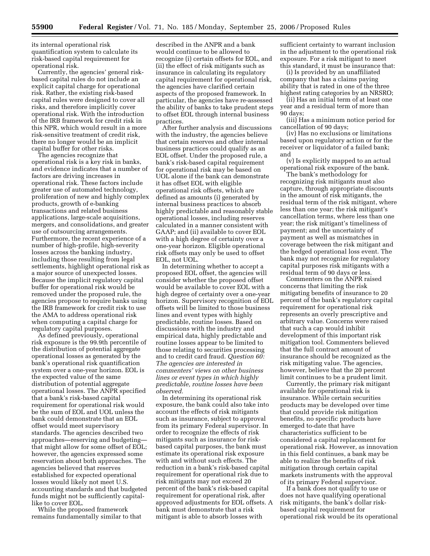its internal operational risk quantification system to calculate its risk-based capital requirement for operational risk.

Currently, the agencies' general riskbased capital rules do not include an explicit capital charge for operational risk. Rather, the existing risk-based capital rules were designed to cover all risks, and therefore implicitly cover operational risk. With the introduction of the IRB framework for credit risk in this NPR, which would result in a more risk-sensitive treatment of credit risk, there no longer would be an implicit capital buffer for other risks.

The agencies recognize that operational risk is a key risk in banks, and evidence indicates that a number of factors are driving increases in operational risk. These factors include greater use of automated technology, proliferation of new and highly complex products, growth of e-banking transactions and related business applications, large-scale acquisitions, mergers, and consolidations, and greater use of outsourcing arrangements. Furthermore, the recent experience of a number of high-profile, high-severity losses across the banking industry, including those resulting from legal settlements, highlight operational risk as a major source of unexpected losses. Because the implicit regulatory capital buffer for operational risk would be removed under the proposed rule, the agencies propose to require banks using the IRB framework for credit risk to use the AMA to address operational risk when computing a capital charge for regulatory capital purposes.

As defined previously, operational risk exposure is the 99.9th percentile of the distribution of potential aggregate operational losses as generated by the bank's operational risk quantification system over a one-year horizon. EOL is the expected value of the same distribution of potential aggregate operational losses. The ANPR specified that a bank's risk-based capital requirement for operational risk would be the sum of EOL and UOL unless the bank could demonstrate that an EOL offset would meet supervisory standards. The agencies described two approaches—reserving and budgeting that might allow for some offset of EOL; however, the agencies expressed some reservation about both approaches. The agencies believed that reserves established for expected operational losses would likely not meet U.S. accounting standards and that budgeted funds might not be sufficiently capitallike to cover EOL.

While the proposed framework remains fundamentally similar to that described in the ANPR and a bank would continue to be allowed to recognize (i) certain offsets for EOL, and (ii) the effect of risk mitigants such as insurance in calculating its regulatory capital requirement for operational risk, the agencies have clarified certain aspects of the proposed framework. In particular, the agencies have re-assessed the ability of banks to take prudent steps to offset EOL through internal business practices.

After further analysis and discussions with the industry, the agencies believe that certain reserves and other internal business practices could qualify as an EOL offset. Under the proposed rule, a bank's risk-based capital requirement for operational risk may be based on UOL alone if the bank can demonstrate it has offset EOL with eligible operational risk offsets, which are defined as amounts (i) generated by internal business practices to absorb highly predictable and reasonably stable operational losses, including reserves calculated in a manner consistent with GAAP; and (ii) available to cover EOL with a high degree of certainty over a one-year horizon. Eligible operational risk offsets may only be used to offset EOL, not UOL.

In determining whether to accept a proposed EOL offset, the agencies will consider whether the proposed offset would be available to cover EOL with a high degree of certainty over a one-year horizon. Supervisory recognition of EOL offsets will be limited to those business lines and event types with highly predictable, routine losses. Based on discussions with the industry and empirical data, highly predictable and routine losses appear to be limited to those relating to securities processing and to credit card fraud. *Question 60: The agencies are interested in commenters' views on other business lines or event types in which highly predictable, routine losses have been observed.* 

In determining its operational risk exposure, the bank could also take into account the effects of risk mitigants such as insurance, subject to approval from its primary Federal supervisor. In order to recognize the effects of risk mitigants such as insurance for riskbased capital purposes, the bank must estimate its operational risk exposure with and without such effects. The reduction in a bank's risk-based capital requirement for operational risk due to risk mitigants may not exceed 20 percent of the bank's risk-based capital requirement for operational risk, after approved adjustments for EOL offsets. A bank must demonstrate that a risk mitigant is able to absorb losses with

sufficient certainty to warrant inclusion in the adjustment to the operational risk exposure. For a risk mitigant to meet this standard, it must be insurance that:

(i) Is provided by an unaffiliated company that has a claims paying ability that is rated in one of the three highest rating categories by an NRSRO;

(ii) Has an initial term of at least one year and a residual term of more than 90 days;

(iii) Has a minimum notice period for cancellation of 90 days;

(iv) Has no exclusions or limitations based upon regulatory action or for the receiver or liquidator of a failed bank; and

(v) Is explicitly mapped to an actual operational risk exposure of the bank.

The bank's methodology for recognizing risk mitigants must also capture, through appropriate discounts in the amount of risk mitigants, the residual term of the risk mitigant, where less than one year; the risk mitigant's cancellation terms, where less than one year; the risk mitigant's timeliness of payment; and the uncertainty of payment as well as mismatches in coverage between the risk mitigant and the hedged operational loss event. The bank may not recognize for regulatory capital purposes risk mitigants with a residual term of 90 days or less.

Commenters on the ANPR raised concerns that limiting the risk mitigating benefits of insurance to 20 percent of the bank's regulatory capital requirement for operational risk represents an overly prescriptive and arbitrary value. Concerns were raised that such a cap would inhibit development of this important risk mitigation tool. Commenters believed that the full contract amount of insurance should be recognized as the risk mitigating value. The agencies, however, believe that the 20 percent limit continues to be a prudent limit.

Currently, the primary risk mitigant available for operational risk is insurance. While certain securities products may be developed over time that could provide risk mitigation benefits, no specific products have emerged to-date that have characteristics sufficient to be considered a capital replacement for operational risk. However, as innovation in this field continues, a bank may be able to realize the benefits of risk mitigation through certain capital markets instruments with the approval of its primary Federal supervisor.

If a bank does not qualify to use or does not have qualifying operational risk mitigants, the bank's dollar riskbased capital requirement for operational risk would be its operational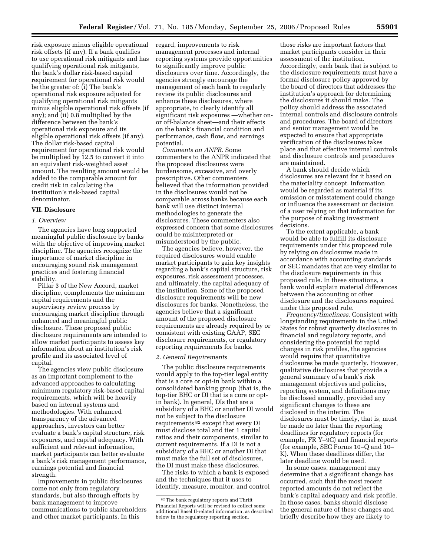risk exposure minus eligible operational risk offsets (if any). If a bank qualifies to use operational risk mitigants and has qualifying operational risk mitigants, the bank's dollar risk-based capital requirement for operational risk would be the greater of: (i) The bank's operational risk exposure adjusted for qualifying operational risk mitigants minus eligible operational risk offsets (if any); and (ii) 0.8 multiplied by the difference between the bank's operational risk exposure and its eligible operational risk offsets (if any). The dollar risk-based capital requirement for operational risk would be multiplied by 12.5 to convert it into an equivalent risk-weighted asset amount. The resulting amount would be added to the comparable amount for credit risk in calculating the institution's risk-based capital denominator.

# **VII. Disclosure**

# *1. Overview*

The agencies have long supported meaningful public disclosure by banks with the objective of improving market discipline. The agencies recognize the importance of market discipline in encouraging sound risk management practices and fostering financial stability.

Pillar 3 of the New Accord, market discipline, complements the minimum capital requirements and the supervisory review process by encouraging market discipline through enhanced and meaningful public disclosure. These proposed public disclosure requirements are intended to allow market participants to assess key information about an institution's risk profile and its associated level of capital.

The agencies view public disclosure as an important complement to the advanced approaches to calculating minimum regulatory risk-based capital requirements, which will be heavily based on internal systems and methodologies. With enhanced transparency of the advanced approaches, investors can better evaluate a bank's capital structure, risk exposures, and capital adequacy. With sufficient and relevant information, market participants can better evaluate a bank's risk management performance, earnings potential and financial strength.

Improvements in public disclosures come not only from regulatory standards, but also through efforts by bank management to improve communications to public shareholders and other market participants. In this

regard, improvements to risk management processes and internal reporting systems provide opportunities to significantly improve public disclosures over time. Accordingly, the agencies strongly encourage the management of each bank to regularly review its public disclosures and enhance these disclosures, where appropriate, to clearly identify all significant risk exposures —whether onor off-balance sheet—and their effects on the bank's financial condition and performance, cash flow, and earnings potential.

*Comments on ANPR.* Some commenters to the ANPR indicated that the proposed disclosures were burdensome, excessive, and overly prescriptive. Other commenters believed that the information provided in the disclosures would not be comparable across banks because each bank will use distinct internal methodologies to generate the disclosures. These commenters also expressed concern that some disclosures could be misinterpreted or misunderstood by the public.

The agencies believe, however, the required disclosures would enable market participants to gain key insights regarding a bank's capital structure, risk exposures, risk assessment processes, and ultimately, the capital adequacy of the institution. Some of the proposed disclosure requirements will be new disclosures for banks. Nonetheless, the agencies believe that a significant amount of the proposed disclosure requirements are already required by or consistent with existing GAAP, SEC disclosure requirements, or regulatory reporting requirements for banks.

## *2. General Requirements*

The public disclosure requirements would apply to the top-tier legal entity that is a core or opt-in bank within a consolidated banking group (that is, the top-tier BHC or DI that is a core or optin bank). In general, DIs that are a subsidiary of a BHC or another DI would not be subject to the disclosure requirements 82 except that every DI must disclose total and tier 1 capital ratios and their components, similar to current requirements. If a DI is not a subsidiary of a BHC or another DI that must make the full set of disclosures, the DI must make these disclosures.

The risks to which a bank is exposed and the techniques that it uses to identify, measure, monitor, and control

those risks are important factors that market participants consider in their assessment of the institution. Accordingly, each bank that is subject to the disclosure requirements must have a formal disclosure policy approved by the board of directors that addresses the institution's approach for determining the disclosures it should make. The policy should address the associated internal controls and disclosure controls and procedures. The board of directors and senior management would be expected to ensure that appropriate verification of the disclosures takes place and that effective internal controls and disclosure controls and procedures are maintained.

A bank should decide which disclosures are relevant for it based on the materiality concept. Information would be regarded as material if its omission or misstatement could change or influence the assessment or decision of a user relying on that information for the purpose of making investment decisions.

To the extent applicable, a bank would be able to fulfill its disclosure requirements under this proposed rule by relying on disclosures made in accordance with accounting standards or SEC mandates that are very similar to the disclosure requirements in this proposed rule. In these situations, a bank would explain material differences between the accounting or other disclosure and the disclosures required under this proposed rule.

*Frequency/timeliness.* Consistent with longstanding requirements in the United States for robust quarterly disclosures in financial and regulatory reports, and considering the potential for rapid changes in risk profiles, the agencies would require that quantitative disclosures be made quarterly. However, qualitative disclosures that provide a general summary of a bank's risk management objectives and policies, reporting system, and definitions may be disclosed annually, provided any significant changes to these are disclosed in the interim. The disclosures must be timely, that is, must be made no later than the reporting deadlines for regulatory reports (for example, FR Y–9C) and financial reports (for example, SEC Forms 10–Q and 10– K). When these deadlines differ, the later deadline would be used.

In some cases, management may determine that a significant change has occurred, such that the most recent reported amounts do not reflect the bank's capital adequacy and risk profile. In those cases, banks should disclose the general nature of these changes and briefly describe how they are likely to

<sup>82</sup>The bank regulatory reports and Thrift Financial Reports will be revised to collect some additional Basel II-related information, as described below in the regulatory reporting section.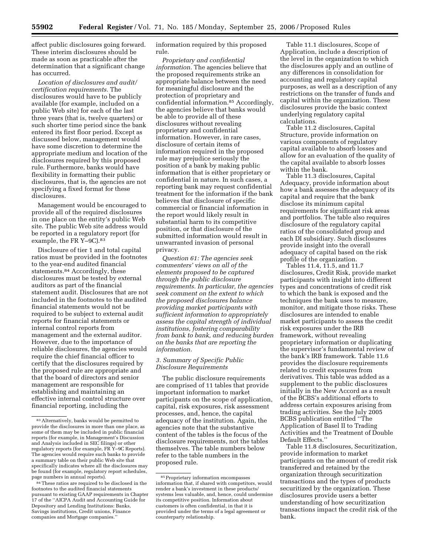affect public disclosures going forward. These interim disclosures should be made as soon as practicable after the determination that a significant change has occurred.

*Location of disclosures and audit/ certification requirements.* The disclosures would have to be publicly available (for example, included on a public Web site) for each of the last three years (that is, twelve quarters) or such shorter time period since the bank entered its first floor period. Except as discussed below, management would have some discretion to determine the appropriate medium and location of the disclosures required by this proposed rule. Furthermore, banks would have flexibility in formatting their public disclosures, that is, the agencies are not specifying a fixed format for these disclosures.

Management would be encouraged to provide all of the required disclosures in one place on the entity's public Web site. The public Web site address would be reported in a regulatory report (for example, the FR Y-9C).<sup>83</sup>

Disclosure of tier 1 and total capital ratios must be provided in the footnotes to the year-end audited financial statements.84 Accordingly, these disclosures must be tested by external auditors as part of the financial statement audit. Disclosures that are not included in the footnotes to the audited financial statements would not be required to be subject to external audit reports for financial statements or internal control reports from management and the external auditor. However, due to the importance of reliable disclosures, the agencies would require the chief financial officer to certify that the disclosures required by the proposed rule are appropriate and that the board of directors and senior management are responsible for establishing and maintaining an effective internal control structure over financial reporting, including the

information required by this proposed rule.

*Proprietary and confidential information.* The agencies believe that the proposed requirements strike an appropriate balance between the need for meaningful disclosure and the protection of proprietary and confidential information.85 Accordingly, the agencies believe that banks would be able to provide all of these disclosures without revealing proprietary and confidential information. However, in rare cases, disclosure of certain items of information required in the proposed rule may prejudice seriously the position of a bank by making public information that is either proprietary or confidential in nature. In such cases, a reporting bank may request confidential treatment for the information if the bank believes that disclosure of specific commercial or financial information in the report would likely result in substantial harm to its competitive position, or that disclosure of the submitted information would result in unwarranted invasion of personal privacy.

*Question 61: The agencies seek commenters' views on all of the elements proposed to be captured through the public disclosure requirements. In particular, the agencies seek comment on the extent to which the proposed disclosures balance providing market participants with sufficient information to appropriately assess the capital strength of individual institutions, fostering comparability from bank to bank, and reducing burden on the banks that are reporting the information.* 

## *3. Summary of Specific Public Disclosure Requirements*

The public disclosure requirements are comprised of 11 tables that provide important information to market participants on the scope of application, capital, risk exposures, risk assessment processes, and, hence, the capital adequacy of the institution. Again, the agencies note that the substantive content of the tables is the focus of the disclosure requirements, not the tables themselves. The table numbers below refer to the table numbers in the proposed rule.

Table 11.1 disclosures, Scope of Application, include a description of the level in the organization to which the disclosures apply and an outline of any differences in consolidation for accounting and regulatory capital purposes, as well as a description of any restrictions on the transfer of funds and capital within the organization. These disclosures provide the basic context underlying regulatory capital calculations.

Table 11.2 disclosures, Capital Structure, provide information on various components of regulatory capital available to absorb losses and allow for an evaluation of the quality of the capital available to absorb losses within the bank.

Table 11.3 disclosures, Capital Adequacy, provide information about how a bank assesses the adequacy of its capital and require that the bank disclose its minimum capital requirements for significant risk areas and portfolios. The table also requires disclosure of the regulatory capital ratios of the consolidated group and each DI subsidiary. Such disclosures provide insight into the overall adequacy of capital based on the risk profile of the organization.

Tables 11.4, 11.5, and 11.7 disclosures, Credit Risk, provide market participants with insight into different types and concentrations of credit risk to which the bank is exposed and the techniques the bank uses to measure, monitor, and mitigate those risks. These disclosures are intended to enable market participants to assess the credit risk exposures under the IRB framework, without revealing proprietary information or duplicating the supervisor's fundamental review of the bank's IRB framework. Table 11.6 provides the disclosure requirements related to credit exposures from derivatives. This table was added as a supplement to the public disclosures initially in the New Accord as a result of the BCBS's additional efforts to address certain exposures arising from trading activities. See the July 2005 BCBS publication entitled ''The Application of Basel II to Trading Activities and the Treatment of Double Default Effects.''

Table 11.8 disclosures, Securitization, provide information to market participants on the amount of credit risk transferred and retained by the organization through securitization transactions and the types of products securitized by the organization. These disclosures provide users a better understanding of how securitization transactions impact the credit risk of the bank.

<sup>83</sup>Alternatively, banks would be permitted to provide the disclosures in more than one place, as some of them may be included in public financial reports (for example, in Management's Discussion and Analysis included in SEC filings) or other regulatory reports (for example, FR Y–9C Reports). The agencies would require such banks to provide a summary table on their public Web site that specifically indicates where all the disclosures may be found (for example, regulatory report schedules, page numbers in annual reports).

<sup>84</sup>These ratios are required to be disclosed in the footnotes to the audited financial statements pursuant to existing GAAP requirements in Chapter 17 of the ''AICPA Audit and Accounting Guide for Depository and Lending Institutions: Banks, Savings institutions, Credit unions, Finance companies and Mortgage companies.''

<sup>85</sup>Proprietary information encompasses information that, if shared with competitors, would render a bank's investment in these products/ systems less valuable, and, hence, could undermine its competitive position. Information about customers is often confidential, in that it is provided under the terms of a legal agreement or counterparty relationship.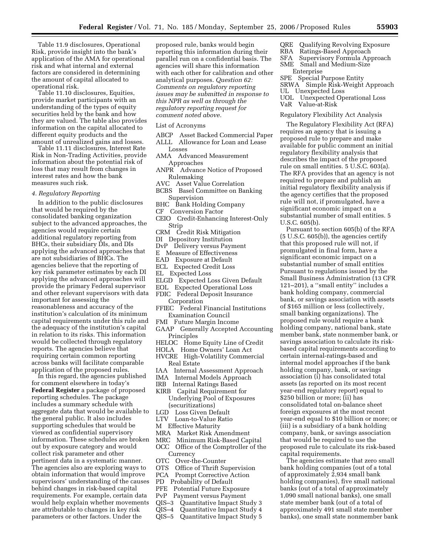Table 11.9 disclosures, Operational Risk, provide insight into the bank's application of the AMA for operational risk and what internal and external factors are considered in determining the amount of capital allocated to operational risk.

Table 11.10 disclosures, Equities, provide market participants with an understanding of the types of equity securities held by the bank and how they are valued. The table also provides information on the capital allocated to different equity products and the amount of unrealized gains and losses.

Table 11.11 disclosures, Interest Rate Risk in Non-Trading Activities, provide information about the potential risk of loss that may result from changes in interest rates and how the bank measures such risk.

#### *4. Regulatory Reporting*

In addition to the public disclosures that would be required by the consolidated banking organization subject to the advanced approaches, the agencies would require certain additional regulatory reporting from BHCs, their subsidiary DIs, and DIs applying the advanced approaches that are not subsidiaries of BHCs. The agencies believe that the reporting of key risk parameter estimates by each DI applying the advanced approaches will provide the primary Federal supervisor and other relevant supervisors with data important for assessing the reasonableness and accuracy of the institution's calculation of its minimum capital requirements under this rule and the adequacy of the institution's capital in relation to its risks. This information would be collected through regulatory reports. The agencies believe that requiring certain common reporting across banks will facilitate comparable application of the proposed rules.

In this regard, the agencies published for comment elsewhere in today's **Federal Register** a package of proposed reporting schedules. The package includes a summary schedule with aggregate data that would be available to the general public. It also includes supporting schedules that would be viewed as confidential supervisory information. These schedules are broken out by exposure category and would collect risk parameter and other pertinent data in a systematic manner. The agencies also are exploring ways to obtain information that would improve supervisors' understanding of the causes behind changes in risk-based capital requirements. For example, certain data would help explain whether movements are attributable to changes in key risk parameters or other factors. Under the

proposed rule, banks would begin reporting this information during their parallel run on a confidential basis. The agencies will share this information with each other for calibration and other analytical purposes. *Question 62: Comments on regulatory reporting issues may be submitted in response to this NPR as well as through the regulatory reporting request for comment noted above.* 

#### List of Acronyms

- ABCP Asset Backed Commercial Paper
- ALLL Allowance for Loan and Lease Losses
- AMA Advanced Measurement Approaches
- ANPR Advance Notice of Proposed Rulemaking
- AVC Asset Value Correlation
- BCBS Basel Committee on Banking Supervision
- BHC Bank Holding Company
- CF Conversion Factor
- CEIO Credit-Enhancing Interest-Only Strip
- CRM Credit Risk Mitigation
- DI Depository Institution
- DvP Delivery versus Payment
- E Measure of Effectiveness
- EAD Exposure at Default
- ECL Expected Credit Loss
- EL Expected Loss
- ELGD Expected Loss Given Default
- EOL Expected Operational Loss
- FDIC Federal Deposit Insurance
- Corporation
- FFIEC Federal Financial Institutions Examination Council
- FMI Future Margin Income
- GAAP Generally Accepted Accounting Principles
- HELOC Home Equity Line of Credit
- HOLA Home Owners' Loan Act HVCRE High-Volatility Commercial Real Estate
- IAA Internal Assessment Approach
- IMA Internal Models Approach
- IRB Internal Ratings Based
- KIRB Capital Requirement for Underlying Pool of Exposures (securitizations)<br>LGD Loss Given De
- LGD Loss Given Default
- Loan-to-Value Ratio
- M Effective Maturity
- MRA Market Risk Amendment
- MRC Minimum Risk-Based Capital
- OCC Office of the Comptroller of the Currency
- OTC Over-the-Counter
- OTS Office of Thrift Supervision
- PCA Prompt Corrective Action
- PD Probability of Default
- PFE Potential Future Exposure
- PvP Payment versus Payment
- QIS–3 Quantitative Impact Study 3
- QIS–4 Quantitative Impact Study 4
- QIS–5 Quantitative Impact Study 5
- QRE Qualifying Revolving Exposure
- RBA Ratings-Based Approach
- SFA Supervisory Formula Approach Small and Medium-Size
- Enterprise
- SPE Special Purpose Entity
- SRWA Simple Risk-Weight Approach
- UL Unexpected Loss
- UOL Unexpected Operational Loss VaR Value-at-Risk

#### Regulatory Flexibility Act Analysis

The Regulatory Flexibility Act (RFA) requires an agency that is issuing a proposed rule to prepare and make available for public comment an initial regulatory flexibility analysis that describes the impact of the proposed rule on small entities. 5 U.S.C. 603(a). The RFA provides that an agency is not required to prepare and publish an initial regulatory flexibility analysis if the agency certifies that the proposed rule will not, if promulgated, have a significant economic impact on a substantial number of small entities. 5 U.S.C. 605(b).

Pursuant to section 605(b) of the RFA (5 U.S.C. 605(b)), the agencies certify that this proposed rule will not, if promulgated in final form, have a significant economic impact on a substantial number of small entities Pursuant to regulations issued by the Small Business Administration (13 CFR 121–201), a ''small entity'' includes a bank holding company, commercial bank, or savings association with assets of \$165 million or less (collectively, small banking organizations). The proposed rule would require a bank holding company, national bank, state member bank, state nonmember bank, or savings association to calculate its riskbased capital requirements according to certain internal-ratings-based and internal model approaches if the bank holding company, bank, or savings association (i) has consolidated total assets (as reported on its most recent year-end regulatory report) equal to \$250 billion or more; (ii) has consolidated total on-balance sheet foreign exposures at the most recent year-end equal to \$10 billion or more; or (iii) is a subsidiary of a bank holding company, bank, or savings association that would be required to use the proposed rule to calculate its risk-based capital requirements.

The agencies estimate that zero small bank holding companies (out of a total of approximately 2,934 small bank holding companies), five small national banks (out of a total of approximately 1,090 small national banks), one small state member bank (out of a total of approximately 491 small state member banks), one small state nonmember bank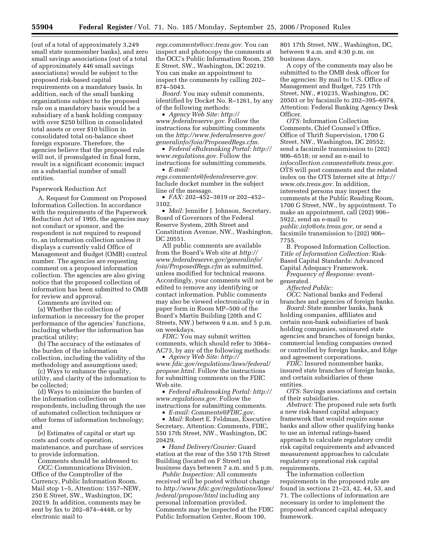(out of a total of approximately 3,249 small state nonmember banks), and zero small savings associations (out of a total of approximately 446 small savings associations) would be subject to the proposed risk-based capital requirements on a mandatory basis. In addition, each of the small banking organizations subject to the proposed rule on a mandatory basis would be a subsidiary of a bank holding company with over \$250 billion in consolidated total assets or over \$10 billion in consolidated total on-balance sheet foreign exposure. Therefore, the agencies believe that the proposed rule will not, if promulgated in final form, result in a significant economic impact on a substantial number of small entities.

#### Paperwork Reduction Act

A. Request for Comment on Proposed Information Collection. In accordance with the requirements of the Paperwork Reduction Act of 1995, the agencies may not conduct or sponsor, and the respondent is not required to respond to, an information collection unless it displays a currently valid Office of Management and Budget (OMB) control number. The agencies are requesting comment on a proposed information collection. The agencies are also giving notice that the proposed collection of information has been submitted to OMB for review and approval.

Comments are invited on:

(a) Whether the collection of information is necessary for the proper performance of the agencies' functions, including whether the information has practical utility;

(b) The accuracy of the estimates of the burden of the information collection, including the validity of the methodology and assumptions used;

(c) Ways to enhance the quality, utility, and clarity of the information to be collected;

(d) Ways to minimize the burden of the information collection on respondents, including through the use of automated collection techniques or other forms of information technology; and

(e) Estimates of capital or start up costs and costs of operation, maintenance, and purchase of services to provide information.

Comments should be addressed to: *OCC:* Communications Division, Office of the Comptroller of the Currency, Public Information Room, Mail stop 1–5, Attention: 1557–NEW, 250 E Street, SW., Washington, DC 20219. In addition, comments may be sent by fax to 202–874–4448, or by electronic mail to

*[regs.comments@occ.treas.gov.](mailto:regs.comments@occ.treas.gov)* You can inspect and photocopy the comments at the OCC's Public Information Room, 250 E Street, SW., Washington, DC 20219. You can make an appointment to inspect the comments by calling 202– 874–5043.

*Board:* You may submit comments, identified by Docket No. R–1261, by any of the following methods:

• *Agency Web Site: [http://](http://www.federalreserve.gov)  [www.federalreserve.gov.](http://www.federalreserve.gov)* Follow the instructions for submitting comments on the *http://www.federalreserve.gov/ [generalinfo/foia/ProposedRegs.cfm.](http://www.federalreserve.gov/generalinfo/foia/ProposedRegs.cfm)* 

• *Federal eRulemaking Portal: [http://](http://www.regulations.gov)  [www.regulations.gov.](http://www.regulations.gov)* Follow the instructions for submitting comments. • *E-mail:* 

*[regs.comments@federalreserve.gov.](mailto:regs.comments@federalreserve.gov)*  Include docket number in the subject line of the message.

• *FAX:* 202–452–3819 or 202–452– 3102.

• *Mail:* Jennifer J. Johnson, Secretary, Board of Governors of the Federal Reserve System, 20th Street and Constitution Avenue, NW., Washington, DC 20551

All public comments are available from the Board's Web site at *http:// [www.federalreserve.gov/generalinfo/](http://www.federalreserve.gov/generalinfo/foia/ProposedRegs.cfm)  foia/ProposedRegs.cfm* as submitted, unless modified for technical reasons. Accordingly, your comments will not be edited to remove any identifying or contact information. Public comments may also be viewed electronically or in paper form in Room MP–500 of the Board's Martin Building (20th and C Streets, NW.) between 9 a.m. and 5 p.m. on weekdays.

*FDIC:* You may submit written comments, which should refer to 3064– AC73, by any of the following methods:

• *Agency Web Site: http:// [www.fdic.gov/regulations/laws/federal/](http://www.fdic.gov/regulations/laws/federal/propose.html)  propose.html.* Follow the instructions for submitting comments on the FDIC Web site.

• *Federal eRulemaking Portal: [http://](http://www.regulations.gov)  [www.regulations.gov.](http://www.regulations.gov)* Follow the instructions for submitting comments.

• *E-mail: [Comments@FDIC.gov.](mailto:Comments@FDIC.gov)*  • *Mail:* Robert E. Feldman, Executive Secretary, Attention: Comments, FDIC,

550 17th Street, NW., Washington, DC 20429.

• *Hand Delivery/Courier:* Guard station at the rear of the 550 17th Street Building (located on F Street) on business days between 7 a.m. and 5 p.m.

*Public Inspection:* All comments received will be posted without change to *[http://www.fdic.gov/regulations/laws/](http://www.fdic.gov/regulations/laws/federal/propose.html)  federal/propose/html* including any personal information provided. Comments may be inspected at the FDIC Public Information Center, Room 100,

801 17th Street, NW., Washington, DC, between 9 a.m. and 4:30 p.m. on business days.

A copy of the comments may also be submitted to the OMB desk officer for the agencies: By mail to U.S. Office of Management and Budget, 725 17th Street, NW., #10235, Washington, DC 20503 or by facsimile to 202–395–6974, Attention: Federal Banking Agency Desk Officer.

*OTS:* Information Collection Comments, Chief Counsel's Office, Office of Thrift Supervision, 1700 G Street, NW., Washington, DC 20552; send a facsimile transmission to (202) 906–6518; or send an e-mail to *[infocollection.comments@ots.treas.gov.](mailto:infocollection.comments@ots.treas.gov)*  OTS will post comments and the related index on the OTS Internet site at *[http://](http://www.ots.treas.gov)  [www.ots.treas.gov.](http://www.ots.treas.gov)* In addition, interested persons may inspect the comments at the Public Reading Room, 1700 G Street, NW., by appointment. To make an appointment, call (202) 906– 5922, send an e-mail to *[public.info@ots.treas.gov,](mailto:public.info@ots.treas.gov)* or send a facsimile transmission to (202) 906–

7755. B. Proposed Information Collection. *Title of Information Collection:* Risk-Based Capital Standards: Advanced Capital Adequacy Framework.

*Frequency of Response:* eventgenerated.

*Affected Public:* 

*OCC:* National banks and Federal branches and agencies of foreign banks.

*Board:* State member banks, bank holding companies, affiliates and certain non-bank subsidiaries of bank holding companies, uninsured state agencies and branches of foreign banks, commercial lending companies owned or controlled by foreign banks, and Edge and agreement corporations.

*FDIC:* Insured nonmember banks, insured state branches of foreign banks, and certain subsidiaries of these entities.

*OTS:* Savings associations and certain of their subsidiaries.

*Abstract:* The proposed rule sets forth a new risk-based capital adequacy framework that would require some banks and allow other qualifying banks to use an internal ratings-based approach to calculate regulatory credit risk capital requirements and advanced measurement approaches to calculate regulatory operational risk capital requirements.

The information collection requirements in the proposed rule are found in sections 21–23, 42, 44, 53, and 71. The collections of information are necessary in order to implement the proposed advanced capital adequacy framework.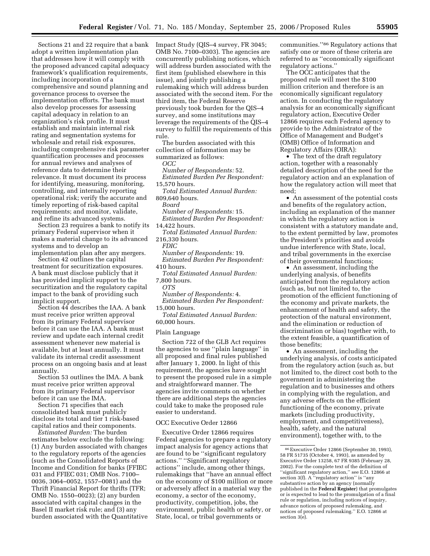Sections 21 and 22 require that a bank adopt a written implementation plan that addresses how it will comply with the proposed advanced capital adequacy framework's qualification requirements, including incorporation of a comprehensive and sound planning and governance process to oversee the implementation efforts. The bank must also develop processes for assessing capital adequacy in relation to an organization's risk profile. It must establish and maintain internal risk rating and segmentation systems for wholesale and retail risk exposures, including comprehensive risk parameter quantification processes and processes for annual reviews and analyses of reference data to determine their relevance. It must document its process for identifying, measuring, monitoring, controlling, and internally reporting operational risk; verify the accurate and timely reporting of risk-based capital requirements; and monitor, validate, and refine its advanced systems.

Section 23 requires a bank to notify its primary Federal supervisor when it makes a material change to its advanced systems and to develop an implementation plan after any mergers.

Section 42 outlines the capital treatment for securitization exposures. A bank must disclose publicly that it has provided implicit support to the securitization and the regulatory capital impact to the bank of providing such implicit support.

Section 44 describes the IAA. A bank must receive prior written approval from its primary Federal supervisor before it can use the IAA. A bank must review and update each internal credit assessment whenever new material is available, but at least annually. It must validate its internal credit assessment process on an ongoing basis and at least annually.

Section 53 outlines the IMA. A bank must receive prior written approval from its primary Federal supervisor before it can use the IMA.

Section 71 specifies that each consolidated bank must publicly disclose its total and tier 1 risk-based capital ratios and their components.

*Estimated Burden:* The burden estimates below exclude the following: (1) Any burden associated with changes to the regulatory reports of the agencies (such as the Consolidated Reports of Income and Condition for banks (FFIEC 031 and FFIEC 031; OMB Nos. 7100– 0036, 3064–0052, 1557–0081) and the Thrift Financial Report for thrifts (TFR; OMB No. 1550–0023); (2) any burden associated with capital changes in the Basel II market risk rule; and (3) any burden associated with the Quantitative Impact Study (QIS–4 survey, FR 3045; OMB No. 7100–0303). The agencies are concurrently publishing notices, which will address burden associated with the first item (published elsewhere in this issue), and jointly publishing a rulemaking which will address burden associated with the second item. For the third item, the Federal Reserve previously took burden for the QIS–4 survey, and some institutions may leverage the requirements of the QIS–4 survey to fulfill the requirements of this rule.

The burden associated with this collection of information may be summarized as follows:

*OCC* 

*Number of Respondents:* 52. *Estimated Burden Per Respondent:* 

15,570 hours.

*Total Estimated Annual Burden:*  809,640 hours.

*Board* 

*Number of Respondents:* 15.

*Estimated Burden Per Respondent:*  14,422 hours.

*Total Estimated Annual Burden:*  216,330 hours.

*FDIC* 

*Number of Respondents:* 19. *Estimated Burden Per Respondent:* 

410 hours.

*Total Estimated Annual Burden:* 

7,800 hours. *OTS* 

*Number of Respondents:* 4.

*Estimated Burden Per Respondent:*  15,000 hours.

*Total Estimated Annual Burden:*  60,000 hours.

#### Plain Language

Section 722 of the GLB Act requires the agencies to use ''plain language'' in all proposed and final rules published after January 1, 2000. In light of this requirement, the agencies have sought to present the proposed rule in a simple and straightforward manner. The agencies invite comments on whether there are additional steps the agencies could take to make the proposed rule easier to understand.

#### OCC Executive Order 12866

Executive Order 12866 requires Federal agencies to prepare a regulatory impact analysis for agency actions that are found to be ''significant regulatory actions.'' ''Significant regulatory actions'' include, among other things, rulemakings that ''have an annual effect on the economy of \$100 million or more or adversely affect in a material way the economy, a sector of the economy, productivity, competition, jobs, the environment, public health or safety, or State, local, or tribal governments or

communities.''86 Regulatory actions that satisfy one or more of these criteria are referred to as ''economically significant regulatory actions.''

The OCC anticipates that the proposed rule will meet the \$100 million criterion and therefore is an economically significant regulatory action. In conducting the regulatory analysis for an economically significant regulatory action, Executive Order 12866 requires each Federal agency to provide to the Administrator of the Office of Management and Budget's (OMB) Office of Information and Regulatory Affairs (OIRA):

• The text of the draft regulatory action, together with a reasonably detailed description of the need for the regulatory action and an explanation of how the regulatory action will meet that need;

• An assessment of the potential costs and benefits of the regulatory action, including an explanation of the manner in which the regulatory action is consistent with a statutory mandate and, to the extent permitted by law, promotes the President's priorities and avoids undue interference with State, local, and tribal governments in the exercise of their governmental functions;

• An assessment, including the underlying analysis, of benefits anticipated from the regulatory action (such as, but not limited to, the promotion of the efficient functioning of the economy and private markets, the enhancement of health and safety, the protection of the natural environment, and the elimination or reduction of discrimination or bias) together with, to the extent feasible, a quantification of those benefits;

• An assessment, including the underlying analysis, of costs anticipated from the regulatory action (such as, but not limited to, the direct cost both to the government in administering the regulation and to businesses and others in complying with the regulation, and any adverse effects on the efficient functioning of the economy, private markets (including productivity, employment, and competitiveness), health, safety, and the natural environment), together with, to the

<sup>86</sup>Executive Order 12866 (September 30, 1993), 58 FR 51735 (October 4, 1993), as amended by Executive Order 13258, 67 FR 9385 (February 28, 2002). For the complete text of the definition of ''significant regulatory action,'' see E.O. 12866 at section 3(f). A "regulatory action" is "any substantive action by an agency (normally published in the **Federal Register**) that promulgates or is expected to lead to the promulgation of a final rule or regulation, including notices of inquiry, advance notices of proposed rulemaking, and notices of proposed rulemaking.'' E.O. 12866 at section 3(e).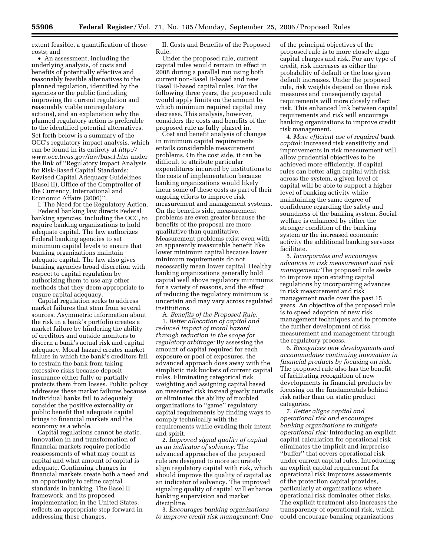extent feasible, a quantification of those costs; and

• An assessment, including the underlying analysis, of costs and benefits of potentially effective and reasonably feasible alternatives to the planned regulation, identified by the agencies or the public (including improving the current regulation and reasonably viable nonregulatory actions), and an explanation why the planned regulatory action is preferable to the identified potential alternatives. Set forth below is a summary of the OCC's regulatory impact analysis, which can be found in its entirety at *[http://](http://www.occ.treas.gov/law/basel.htm)  [www.occ.treas.gov/law/basel.htm](http://www.occ.treas.gov/law/basel.htm)* under the link of ''Regulatory Impact Analysis for Risk-Based Capital Standards: Revised Capital Adequacy Guidelines (Basel II), Office of the Comptroller of the Currency, International and Economic Affairs (2006)''.

I. The Need for the Regulatory Action. Federal banking law directs Federal banking agencies, including the OCC, to require banking organizations to hold adequate capital. The law authorizes Federal banking agencies to set minimum capital levels to ensure that banking organizations maintain adequate capital. The law also gives banking agencies broad discretion with respect to capital regulation by authorizing them to use any other methods that they deem appropriate to ensure capital adequacy.

Capital regulation seeks to address market failures that stem from several sources. Asymmetric information about the risk in a bank's portfolio creates a market failure by hindering the ability of creditors and outside monitors to discern a bank's actual risk and capital adequacy. Moral hazard creates market failure in which the bank's creditors fail to restrain the bank from taking excessive risks because deposit insurance either fully or partially protects them from losses. Public policy addresses these market failures because individual banks fail to adequately consider the positive externality or public benefit that adequate capital brings to financial markets and the economy as a whole.

Capital regulations cannot be static. Innovation in and transformation of financial markets require periodic reassessments of what may count as capital and what amount of capital is adequate. Continuing changes in financial markets create both a need and an opportunity to refine capital standards in banking. The Basel II framework, and its proposed implementation in the United States, reflects an appropriate step forward in addressing these changes.

II. Costs and Benefits of the Proposed Rule.

Under the proposed rule, current capital rules would remain in effect in 2008 during a parallel run using both current non-Basel II-based and new Basel II-based capital rules. For the following three years, the proposed rule would apply limits on the amount by which minimum required capital may decrease. This analysis, however, considers the costs and benefits of the proposed rule as fully phased in.

Cost and benefit analysis of changes in minimum capital requirements entails considerable measurement problems. On the cost side, it can be difficult to attribute particular expenditures incurred by institutions to the costs of implementation because banking organizations would likely incur some of these costs as part of their ongoing efforts to improve risk measurement and management systems. On the benefits side, measurement problems are even greater because the benefits of the proposal are more qualitative than quantitative. Measurement problems exist even with an apparently measurable benefit like lower minimum capital because lower minimum requirements do not necessarily mean lower capital. Healthy banking organizations generally hold capital well above regulatory minimums for a variety of reasons, and the effect of reducing the regulatory minimum is uncertain and may vary across regulated institutions.

A. *Benefits of the Proposed Rule.*  1. *Better allocation of capital and reduced impact of moral hazard through reduction in the scope for regulatory arbitrage:* By assessing the amount of capital required for each exposure or pool of exposures, the advanced approach does away with the simplistic risk buckets of current capital rules. Eliminating categorical risk weighting and assigning capital based on measured risk instead greatly curtails or eliminates the ability of troubled organizations to ''game'' regulatory capital requirements by finding ways to comply technically with the requirements while evading their intent and spirit.

2. *Improved signal quality of capital as an indicator of solvency:* The advanced approaches of the proposed rule are designed to more accurately align regulatory capital with risk, which should improve the quality of capital as an indicator of solvency. The improved signaling quality of capital will enhance banking supervision and market discipline.

3. *Encourages banking organizations to improve credit risk management:* One of the principal objectives of the proposed rule is to more closely align capital charges and risk. For any type of credit, risk increases as either the probability of default or the loss given default increases. Under the proposed rule, risk weights depend on these risk measures and consequently capital requirements will more closely reflect risk. This enhanced link between capital requirements and risk will encourage banking organizations to improve credit risk management.

4. *More efficient use of required bank capital:* Increased risk sensitivity and improvements in risk measurement will allow prudential objectives to be achieved more efficiently. If capital rules can better align capital with risk across the system, a given level of capital will be able to support a higher level of banking activity while maintaining the same degree of confidence regarding the safety and soundness of the banking system. Social welfare is enhanced by either the stronger condition of the banking system or the increased economic activity the additional banking services facilitate.

5. *Incorporates and encourages advances in risk measurement and risk management:* The proposed rule seeks to improve upon existing capital regulations by incorporating advances in risk measurement and risk management made over the past 15 years. An objective of the proposed rule is to speed adoption of new risk management techniques and to promote the further development of risk measurement and management through the regulatory process.

6. *Recognizes new developments and accommodates continuing innovation in financial products by focusing on risk:*  The proposed rule also has the benefit of facilitating recognition of new developments in financial products by focusing on the fundamentals behind risk rather than on static product categories.

7. *Better aligns capital and operational risk and encourages banking organizations to mitigate operational risk:* Introducing an explicit capital calculation for operational risk eliminates the implicit and imprecise ''buffer'' that covers operational risk under current capital rules. Introducing an explicit capital requirement for operational risk improves assessments of the protection capital provides, particularly at organizations where operational risk dominates other risks. The explicit treatment also increases the transparency of operational risk, which could encourage banking organizations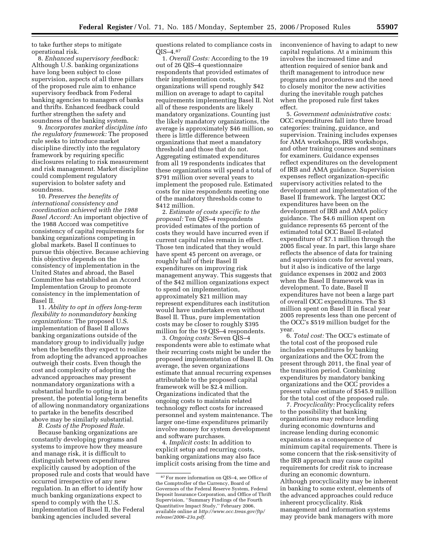to take further steps to mitigate operational risk.

8. *Enhanced supervisory feedback:*  Although U.S. banking organizations have long been subject to close supervision, aspects of all three pillars of the proposed rule aim to enhance supervisory feedback from Federal banking agencies to managers of banks and thrifts. Enhanced feedback could further strengthen the safety and soundness of the banking system.

9. *Incorporates market discipline into the regulatory framework:* The proposed rule seeks to introduce market discipline directly into the regulatory framework by requiring specific disclosures relating to risk measurement and risk management. Market discipline could complement regulatory supervision to bolster safety and soundness.

10. *Preserves the benefits of international consistency and coordination achieved with the 1988 Basel Accord:* An important objective of the 1988 Accord was competitive consistency of capital requirements for banking organizations competing in global markets. Basel II continues to pursue this objective. Because achieving this objective depends on the consistency of implementation in the United States and abroad, the Basel Committee has established an Accord Implementation Group to promote consistency in the implementation of Basel II.

11. *Ability to opt in offers long-term flexibility to nonmandatory banking organizations:* The proposed U.S. implementation of Basel II allows banking organizations outside of the mandatory group to individually judge when the benefits they expect to realize from adopting the advanced approaches outweigh their costs. Even though the cost and complexity of adopting the advanced approaches may present nonmandatory organizations with a substantial hurdle to opting in at present, the potential long-term benefits of allowing nonmandatory organizations to partake in the benefits described above may be similarly substantial.

*B. Costs of the Proposed Rule.* 

Because banking organizations are constantly developing programs and systems to improve how they measure and manage risk, it is difficult to distinguish between expenditures explicitly caused by adoption of the proposed rule and costs that would have occurred irrespective of any new regulation. In an effort to identify how much banking organizations expect to spend to comply with the U.S. implementation of Basel II, the Federal banking agencies included several

questions related to compliance costs in QIS–4.87

1. *Overall Costs:* According to the 19 out of 26 QIS–4 questionnaire respondents that provided estimates of their implementation costs, organizations will spend roughly \$42 million on average to adapt to capital requirements implementing Basel II. Not all of these respondents are likely mandatory organizations. Counting just the likely mandatory organizations, the average is approximately \$46 million, so there is little difference between organizations that meet a mandatory threshold and those that do not. Aggregating estimated expenditures from all 19 respondents indicates that these organizations will spend a total of \$791 million over several years to implement the proposed rule. Estimated costs for nine respondents meeting one of the mandatory thresholds come to \$412 million.

2. *Estimate of costs specific to the proposal:* Ten QIS–4 respondents provided estimates of the portion of costs they would have incurred even if current capital rules remain in effect. Those ten indicated that they would have spent 45 percent on average, or roughly half of their Basel II expenditures on improving risk management anyway. This suggests that of the \$42 million organizations expect to spend on implementation, approximately \$21 million may represent expenditures each institution would have undertaken even without Basel II. Thus, pure implementation costs may be closer to roughly \$395 million for the 19 QIS–4 respondents.

3. *Ongoing costs:* Seven QIS–4 respondents were able to estimate what their recurring costs might be under the proposed implementation of Basel II. On average, the seven organizations estimate that annual recurring expenses attributable to the proposed capital framework will be \$2.4 million. Organizations indicated that the ongoing costs to maintain related technology reflect costs for increased personnel and system maintenance. The larger one-time expenditures primarily involve money for system development and software purchases.

4. *Implicit costs:* In addition to explicit setup and recurring costs, banking organizations may also face implicit costs arising from the time and inconvenience of having to adapt to new capital regulations. At a minimum this involves the increased time and attention required of senior bank and thrift management to introduce new programs and procedures and the need to closely monitor the new activities during the inevitable rough patches when the proposed rule first takes effect.

5. *Government administrative costs:*  OCC expenditures fall into three broad categories: training, guidance, and supervision. Training includes expenses for AMA workshops, IRB workshops, and other training courses and seminars for examiners. Guidance expenses reflect expenditures on the development of IRB and AMA guidance. Supervision expenses reflect organization-specific supervisory activities related to the development and implementation of the Basel II framework. The largest OCC expenditures have been on the development of IRB and AMA policy guidance. The \$4.6 million spent on guidance represents 65 percent of the estimated total OCC Basel II-related expenditure of \$7.1 million through the 2005 fiscal year. In part, this large share reflects the absence of data for training and supervision costs for several years, but it also is indicative of the large guidance expenses in 2002 and 2003 when the Basel II framework was in development. To date, Basel II expenditures have not been a large part of overall OCC expenditures. The \$3 million spent on Basel II in fiscal year 2005 represents less than one percent of the OCC's \$519 million budget for the year.

6. *Total cost:* The OCC's estimate of the total cost of the proposed rule includes expenditures by banking organizations and the OCC from the present through 2011, the final year of the transition period. Combining expenditures by mandatory banking organizations and the OCC provides a present value estimate of \$545.9 million for the total cost of the proposed rule.

7. *Procyclicality:* Procyclicality refers to the possibility that banking organizations may reduce lending during economic downturns and increase lending during economic expansions as a consequence of minimum capital requirements. There is some concern that the risk-sensitivity of the IRB approach may cause capital requirements for credit risk to increase during an economic downturn. Although procyclicality may be inherent in banking to some extent, elements of the advanced approaches could reduce inherent procyclicality. Risk management and information systems may provide bank managers with more

<sup>87</sup>For more information on QIS–4, see Office of the Comptroller of the Currency, Board of Governors of the Federal Reserve System, Federal Deposit Insurance Corporation, and Office of Thrift Supervision, ''Summary Findings of the Fourth Quantitative Impact Study,'' February 2006, available online at *[http://www.occ.treas.gov/ftp/](http://www.occ.treas.gov/ftp/release/2006-23a.pdf)  release/2006–23a.pdf.*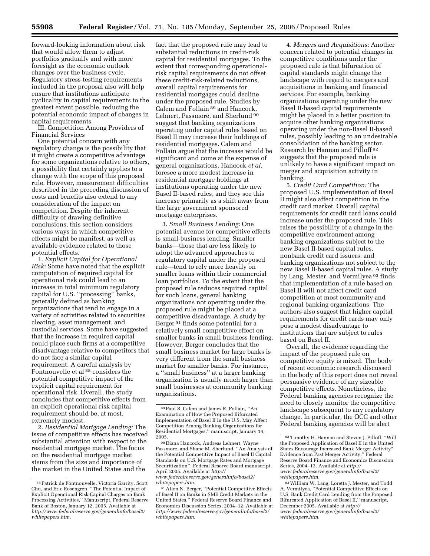forward-looking information about risk that would allow them to adjust portfolios gradually and with more foresight as the economic outlook changes over the business cycle. Regulatory stress-testing requirements included in the proposal also will help ensure that institutions anticipate cyclicality in capital requirements to the greatest extent possible, reducing the potential economic impact of changes in capital requirements.

III. Competition Among Providers of Financial Services

One potential concern with any regulatory change is the possibility that it might create a competitive advantage for some organizations relative to others, a possibility that certainly applies to a change with the scope of this proposed rule. However, measurement difficulties described in the preceding discussion of costs and benefits also extend to any consideration of the impact on competition. Despite the inherent difficulty of drawing definitive conclusions, this section considers various ways in which competitive effects might be manifest, as well as available evidence related to those potential effects.

1. *Explicit Capital for Operational Risk:* Some have noted that the explicit computation of required capital for operational risk could lead to an increase in total minimum regulatory capital for U.S. ''processing'' banks, generally defined as banking organizations that tend to engage in a variety of activities related to securities clearing, asset management, and custodial services. Some have suggested that the increase in required capital could place such firms at a competitive disadvantage relative to competitors that do not face a similar capital requirement. A careful analysis by Fontnouvelle et al <sup>88</sup> considers the potential competitive impact of the explicit capital requirement for operational risk. Overall, the study concludes that competitive effects from an explicit operational risk capital requirement should be, at most, extremely modest.

2. *Residential Mortgage Lending:* The issue of competitive effects has received substantial attention with respect to the residential mortgage market. The focus on the residential mortgage market stems from the size and importance of the market in the United States and the

fact that the proposed rule may lead to substantial reductions in credit-risk capital for residential mortgages. To the extent that corresponding operationalrisk capital requirements do not offset these credit-risk-related reductions, overall capital requirements for residential mortgages could decline under the proposed rule. Studies by Calem and Follain 89 and Hancock, Lehnert, Passmore, and Sherlund 90 suggest that banking organizations operating under capital rules based on Basel II may increase their holdings of residential mortgages. Calem and Follain argue that the increase would be significant and come at the expense of general organizations. Hancock *et al.*  foresee a more modest increase in residential mortgage holdings at institutions operating under the new Basel II-based rules, and they see this increase primarily as a shift away from the large government sponsored mortgage enterprises.

3. *Small Business Lending:* One potential avenue for competitive effects is small-business lending. Smaller banks—those that are less likely to adopt the advanced approaches to regulatory capital under the proposed rule—tend to rely more heavily on smaller loans within their commercial loan portfolios. To the extent that the proposed rule reduces required capital for such loans, general banking organizations not operating under the proposed rule might be placed at a competitive disadvantage. A study by Berger 91 finds some potential for a relatively small competitive effect on smaller banks in small business lending. However, Berger concludes that the small business market for large banks is very different from the small business market for smaller banks. For instance, a ''small business'' at a larger banking organization is usually much larger than small businesses at community banking organizations.

91Allen N. Berger, ''Potential Competitive Effects of Basel II on Banks in SME Credit Markets in the United States,'' Federal Reserve Board Finance and Economics Discussion Series, 2004–12. Available at

*whitepapers.htm.* 

*[http://www.federalreserve.gov/generalinfo/basel2/](http://www.federalreserve.gov/generalinfo/basel2/whitepapers.htm)* 

4. *Mergers and Acquisitions:* Another concern related to potential changes in competitive conditions under the proposed rule is that bifurcation of capital standards might change the landscape with regard to mergers and acquisitions in banking and financial services. For example, banking organizations operating under the new Basel II-based capital requirements might be placed in a better position to acquire other banking organizations operating under the non-Basel II-based rules, possibly leading to an undesirable consolidation of the banking sector. Research by Hannan and Pilloff 92 suggests that the proposed rule is unlikely to have a significant impact on merger and acquisition activity in banking.

5. *Credit Card Competition:* The proposed U.S. implementation of Basel II might also affect competition in the credit card market. Overall capital requirements for credit card loans could increase under the proposed rule. This raises the possibility of a change in the competitive environment among banking organizations subject to the new Basel II-based capital rules, nonbank credit card issuers, and banking organizations not subject to the new Basel II-based capital rules. A study by Lang, Mester, and Vermilyea 93 finds that implementation of a rule based on Basel II will not affect credit card competition at most community and regional banking organizations. The authors also suggest that higher capital requirements for credit cards may only pose a modest disadvantage to institutions that are subject to rules based on Basel II.

Overall, the evidence regarding the impact of the proposed rule on competitive equity is mixed. The body of recent economic research discussed in the body of this report does not reveal persuasive evidence of any sizeable competitive effects. Nonetheless, the Federal banking agencies recognize the need to closely monitor the competitive landscape subsequent to any regulatory change. In particular, the OCC and other Federal banking agencies will be alert

<sup>88</sup>Patrick de Fontnouvelle, Victoria Garrity, Scott Chu, and Eric Rosengren, ''The Potential Impact of Explicit Operational Risk Capital Charges on Bank Processing Activities,'' Manuscript, Federal Reserve Bank of Boston, January 12, 2005. Available at *[http://www.federalreserve.gov/generalinfo/basel2/](http://www.federalreserve.gov/generalinfo/basel2/whitepapers.htm)  whitepapers.htm.* 

<sup>89</sup>Paul S. Calem and James R. Follain, ''An Examination of How the Proposed Bifurcated Implementation of Basel II in the U.S. May Affect Competition Among Banking Organizations for Residential Mortgages,'' manuscript, January 14, 2005.

<sup>90</sup> Diana Hancock, Andreas Lehnert, Wayne Passmore, and Shane M. Sherlund, ''An Analysis of the Potential Competitive Impact of Basel II Capital Standards on U.S. Mortgage Rates and Mortgage Securitization'', Federal Reserve Board manuscript, April 2005. Available at *http:// [www.federalreserve.gov/generalinfo/basel2/](http://www.federalreserve.gov/generalinfo/basel2/whitepapers.htm)  whitepapers.htm.* 

<sup>92</sup>Timothy H. Hannan and Steven J. Pilloff, ''Will the Proposed Application of Basel II in the United States Encourage Increased Bank Merger Activity? Evidence from Past Merger Activity,'' Federal Reserve Board Finance and Economics Discussion Series, 2004–13. Available at *http:// [www.federalreserve.gov/generalinfo/basel2/](http://www.federalreserve.gov/generalinfo/basel2/whitepapers.htm)  whitepapers.htm.* 

<sup>93</sup>William W. Lang, Loretta J. Mester, and Todd A. Vermilyea, ''Potential Competitive Effects on U.S. Bank Credit Card Lending from the Proposed Bifurcated Application of Basel II,'' manuscript, December 2005. Available at *http:// [www.federalreserve.gov/generalinfo/basel2/](http://www.federalreserve.gov/generalinfo/basel2/whitepapers.htm)  whitepapers.htm.*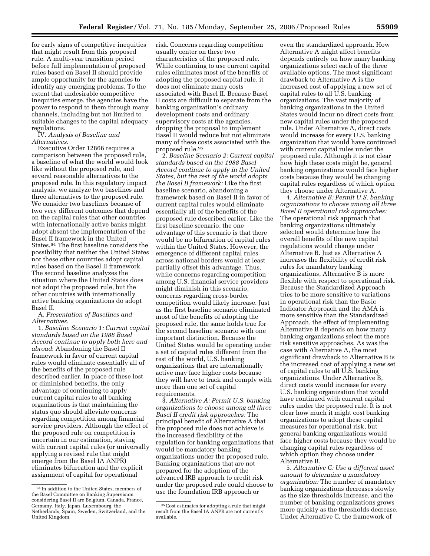for early signs of competitive inequities that might result from this proposed rule. A multi-year transition period before full implementation of proposed rules based on Basel II should provide ample opportunity for the agencies to identify any emerging problems. To the extent that undesirable competitive inequities emerge, the agencies have the power to respond to them through many channels, including but not limited to suitable changes to the capital adequacy regulations.

IV. *Analysis of Baseline and Alternatives.* 

Executive Order 12866 requires a comparison between the proposed rule, a baseline of what the world would look like without the proposed rule, and several reasonable alternatives to the proposed rule. In this regulatory impact analysis, we analyze two baselines and three alternatives to the proposed rule. We consider two baselines because of two very different outcomes that depend on the capital rules that other countries with internationally active banks might adopt absent the implementation of the Basel II framework in the United States.94 The first baseline considers the possibility that neither the United States nor these other countries adopt capital rules based on the Basel II framework. The second baseline analyzes the situation where the United States does not adopt the proposed rule, but the other countries with internationally active banking organizations do adopt Basel II.

## A. *Presentation of Baselines and Alternatives.*

1. *Baseline Scenario 1: Current capital standards based on the 1988 Basel Accord continue to apply both here and abroad*: Abandoning the Basel II framework in favor of current capital rules would eliminate essentially all of the benefits of the proposed rule described earlier. In place of these lost or diminished benefits, the only advantage of continuing to apply current capital rules to all banking organizations is that maintaining the status quo should alleviate concerns regarding competition among financial service providers. Although the effect of the proposed rule on competition is uncertain in our estimation, staying with current capital rules (or universally applying a revised rule that might emerge from the Basel IA ANPR) eliminates bifurcation and the explicit assignment of capital for operational

risk. Concerns regarding competition usually center on these two characteristics of the proposed rule. While continuing to use current capital rules eliminates most of the benefits of adopting the proposed capital rule, it does not eliminate many costs associated with Basel II. Because Basel II costs are difficult to separate from the banking organization's ordinary development costs and ordinary supervisory costs at the agencies, dropping the proposal to implement Basel II would reduce but not eliminate many of these costs associated with the proposed rule.95

2. *Baseline Scenario 2: Current capital standards based on the 1988 Basel Accord continue to apply in the United States, but the rest of the world adopts the Basel II framework:* Like the first baseline scenario, abandoning a framework based on Basel II in favor of current capital rules would eliminate essentially all of the benefits of the proposed rule described earlier. Like the first baseline scenario, the one advantage of this scenario is that there would be no bifurcation of capital rules within the United States. However, the emergence of different capital rules across national borders would at least partially offset this advantage. Thus, while concerns regarding competition among U.S. financial service providers might diminish in this scenario, concerns regarding cross-border competition would likely increase. Just as the first baseline scenario eliminated most of the benefits of adopting the proposed rule, the same holds true for the second baseline scenario with one important distinction. Because the United States would be operating under a set of capital rules different from the rest of the world, U.S. banking organizations that are internationally active may face higher costs because they will have to track and comply with more than one set of capital requirements.

3. *Alternative A: Permit U.S. banking organizations to choose among all three Basel II credit risk approaches:* The principal benefit of Alternative A that the proposed rule does not achieve is the increased flexibility of the regulation for banking organizations that would be mandatory banking organizations under the proposed rule. Banking organizations that are not prepared for the adoption of the advanced IRB approach to credit risk under the proposed rule could choose to use the foundation IRB approach or

even the standardized approach. How Alternative A might affect benefits depends entirely on how many banking organizations select each of the three available options. The most significant drawback to Alternative A is the increased cost of applying a new set of capital rules to all U.S. banking organizations. The vast majority of banking organizations in the United States would incur no direct costs from new capital rules under the proposed rule. Under Alternative A, direct costs would increase for every U.S. banking organization that would have continued with current capital rules under the proposed rule. Although it is not clear how high these costs might be, general banking organizations would face higher costs because they would be changing capital rules regardless of which option they choose under Alternative A.

4. *Alternative B: Permit U.S. banking organizations to choose among all three Basel II operational risk approaches:*  The operational risk approach that banking organizations ultimately selected would determine how the overall benefits of the new capital regulations would change under Alternative B. Just as Alternative A increases the flexibility of credit risk rules for mandatory banking organizations, Alternative B is more flexible with respect to operational risk. Because the Standardized Approach tries to be more sensitive to variations in operational risk than the Basic Indicator Approach and the AMA is more sensitive than the Standardized Approach, the effect of implementing Alternative B depends on how many banking organizations select the more risk sensitive approaches. As was the case with Alternative A, the most significant drawback to Alternative B is the increased cost of applying a new set of capital rules to all U.S. banking organizations. Under Alternative B, direct costs would increase for every U.S. banking organization that would have continued with current capital rules under the proposed rule. It is not clear how much it might cost banking organizations to adopt these capital measures for operational risk, but general banking organizations would face higher costs because they would be changing capital rules regardless of which option they choose under Alternative B.

5. *Alternative C: Use a different asset amount to determine a mandatory organization:* The number of mandatory banking organizations decreases slowly as the size thresholds increase, and the number of banking organizations grows more quickly as the thresholds decrease. Under Alternative C, the framework of

<sup>94</sup> In addition to the United States, members of the Basel Committee on Banking Supervision considering Basel II are Belgium, Canada, France, Germany, Italy, Japan, Luxembourg, the Netherlands, Spain, Sweden, Switzerland, and the United Kingdom.

<sup>95</sup>Cost estimates for adopting a rule that might result from the Basel IA ANPR are not currently available.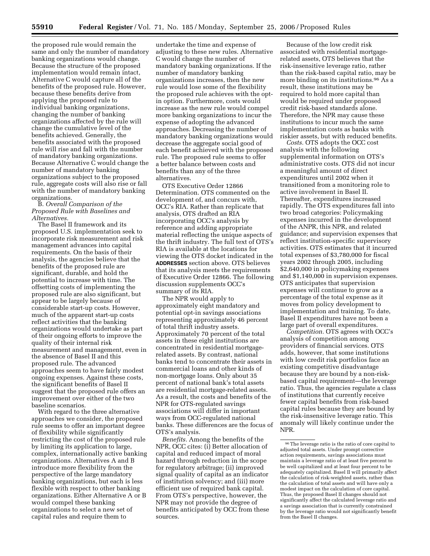the proposed rule would remain the same and only the number of mandatory banking organizations would change. Because the structure of the proposed implementation would remain intact, Alternative C would capture all of the benefits of the proposed rule. However, because these benefits derive from applying the proposed rule to individual banking organizations, changing the number of banking organizations affected by the rule will change the cumulative level of the benefits achieved. Generally, the benefits associated with the proposed rule will rise and fall with the number of mandatory banking organizations. Because Alternative C would change the number of mandatory banking organizations subject to the proposed rule, aggregate costs will also rise or fall with the number of mandatory banking organizations.

# B. *Overall Comparison of the Proposed Rule with Baselines and Alternatives.*

The Basel II framework and its proposed U.S. implementation seek to incorporate risk measurement and risk management advances into capital requirements. On the basis of their analysis, the agencies believe that the benefits of the proposed rule are significant, durable, and hold the potential to increase with time. The offsetting costs of implementing the proposed rule are also significant, but appear to be largely because of considerable start-up costs. However, much of the apparent start-up costs reflect activities that the banking organizations would undertake as part of their ongoing efforts to improve the quality of their internal risk measurement and management, even in the absence of Basel II and this proposed rule. The advanced approaches seem to have fairly modest ongoing expenses. Against these costs, the significant benefits of Basel II suggest that the proposed rule offers an improvement over either of the two baseline scenarios.

With regard to the three alternative approaches we consider, the proposed rule seems to offer an important degree of flexibility while significantly restricting the cost of the proposed rule by limiting its application to large, complex, internationally active banking organizations. Alternatives A and B introduce more flexibility from the perspective of the large mandatory banking organizations, but each is less flexible with respect to other banking organizations. Either Alternative A or B would compel these banking organizations to select a new set of capital rules and require them to

undertake the time and expense of adjusting to these new rules. Alternative C would change the number of mandatory banking organizations. If the number of mandatory banking organizations increases, then the new rule would lose some of the flexibility the proposed rule achieves with the optin option. Furthermore, costs would increase as the new rule would compel more banking organizations to incur the expense of adopting the advanced approaches. Decreasing the number of mandatory banking organizations would decrease the aggregate social good of each benefit achieved with the proposed rule. The proposed rule seems to offer a better balance between costs and benefits than any of the three alternatives.

OTS Executive Order 12866 Determination. OTS commented on the development of, and concurs with, OCC's RIA. Rather than replicate that analysis, OTS drafted an RIA incorporating OCC's analysis by reference and adding appropriate material reflecting the unique aspects of the thrift industry. The full text of OTS's RIA is available at the locations for viewing the OTS docket indicated in the **ADDRESSES** section above. OTS believes that its analysis meets the requirements of Executive Order 12866. The following discussion supplements OCC's summary of its RIA.

The NPR would apply to approximately eight mandatory and potential opt-in savings associations representing approximately 46 percent of total thrift industry assets. Approximately 70 percent of the total assets in these eight institutions are concentrated in residential mortgagerelated assets. By contrast, national banks tend to concentrate their assets in commercial loans and other kinds of non-mortgage loans. Only about 35 percent of national bank's total assets are residential mortgage-related assets. As a result, the costs and benefits of the NPR for OTS-regulated savings associations will differ in important ways from OCC-regulated national banks. These differences are the focus of OTS's analysis.

*Benefits.* Among the benefits of the NPR, OCC cites: (i) Better allocation of capital and reduced impact of moral hazard through reduction in the scope for regulatory arbitrage; (ii) improved signal quality of capital as an indicator of institution solvency; and (iii) more efficient use of required bank capital. From OTS's perspective, however, the NPR may not provide the degree of benefits anticipated by OCC from these sources.

Because of the low credit risk associated with residential mortgagerelated assets, OTS believes that the risk-insensitive leverage ratio, rather than the risk-based capital ratio, may be more binding on its institutions.96 As a result, these institutions may be required to hold more capital than would be required under proposed credit risk-based standards alone. Therefore, the NPR may cause these institutions to incur much the same implementation costs as banks with riskier assets, but with reduced benefits.

*Costs.* OTS adopts the OCC cost analysis with the following supplemental information on OTS's administrative costs. OTS did not incur a meaningful amount of direct expenditures until 2002 when it transitioned from a monitoring role to active involvement in Basel II. Thereafter, expenditures increased rapidly. The OTS expenditures fall into two broad categories: Policymaking expenses incurred in the development of the ANPR, this NPR, and related guidance; and supervision expenses that reflect institution-specific supervisory activities. OTS estimates that it incurred total expenses of \$3,780,000 for fiscal years 2002 through 2005, including \$2,640,000 in policymaking expenses and \$1,140,000 in supervision expenses. OTS anticipates that supervision expenses will continue to grow as a percentage of the total expense as it moves from policy development to implementation and training. To date, Basel II expenditures have not been a large part of overall expenditures.

*Competition.* OTS agrees with OCC's analysis of competition among providers of financial services. OTS adds, however, that some institutions with low credit risk portfolios face an existing competitive disadvantage because they are bound by a non-riskbased capital requirement—the leverage ratio. Thus, the agencies regulate a class of institutions that currently receive fewer capital benefits from risk-based capital rules because they are bound by the risk-insensitive leverage ratio. This anomaly will likely continue under the NPR.

 $^{96}\mathrm{The}$  leverage ratio is the ratio of core capital to adjusted total assets. Under prompt corrective action requirements, savings associations must maintain a leverage ratio of at least five percent to be well capitalized and at least four percent to be adequately capitalized. Basel II will primarily affect the calculation of risk-weighted assets, rather than the calculation of total assets and will have only a modest impact on the calculation of core capital. Thus, the proposed Basel II changes should not significantly affect the calculated leverage ratio and a savings association that is currently constrained by the leverage ratio would not significantly benefit from the Basel II changes.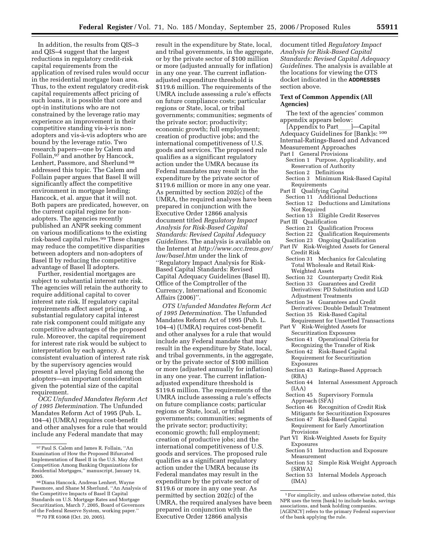In addition, the results from QIS–3 and QIS–4 suggest that the largest reductions in regulatory credit-risk capital requirements from the application of revised rules would occur in the residential mortgage loan area. Thus, to the extent regulatory credit-risk capital requirements affect pricing of such loans, it is possible that core and opt-in institutions who are not constrained by the leverage ratio may experience an improvement in their competitive standing vis-à-vis nonadopters and vis-a`-vis adopters who are bound by the leverage ratio. Two research papers—one by Calem and Follain,97 and another by Hancock, Lenhert, Passmore, and Sherlund 98 addressed this topic. The Calem and Follain paper argues that Basel II will significantly affect the competitive environment in mortgage lending; Hancock, et al. argue that it will not. Both papers are predicated, however, on the current capital regime for nonadopters. The agencies recently published an ANPR seeking comment on various modifications to the existing risk-based capital rules.99 These changes may reduce the competitive disparities between adopters and non-adopters of Basel II by reducing the competitive advantage of Basel II adopters.

Further, residential mortgages are subject to substantial interest rate risk. The agencies will retain the authority to require additional capital to cover interest rate risk. If regulatory capital requirements affect asset pricing, a substantial regulatory capital interest rate risk component could mitigate any competitive advantages of the proposed rule. Moreover, the capital requirement for interest rate risk would be subject to interpretation by each agency. A consistent evaluation of interest rate risk by the supervisory agencies would present a level playing field among the adopters—an important consideration given the potential size of the capital requirement.

*OCC Unfunded Mandates Reform Act of 1995 Determination.* The Unfunded Mandates Reform Act of 1995 (Pub. L. 104–4) (UMRA) requires cost-benefit and other analyses for a rule that would include any Federal mandate that may

99 70 FR 61068 (Oct. 20, 2005).

result in the expenditure by State, local, and tribal governments, in the aggregate, or by the private sector of \$100 million or more (adjusted annually for inflation) in any one year. The current inflationadjusted expenditure threshold is \$119.6 million. The requirements of the UMRA include assessing a rule's effects on future compliance costs; particular regions or State, local, or tribal governments; communities; segments of the private sector; productivity; economic growth; full employment; creation of productive jobs; and the international competitiveness of U.S. goods and services. The proposed rule qualifies as a significant regulatory action under the UMRA because its Federal mandates may result in the expenditure by the private sector of \$119.6 million or more in any one year. As permitted by section 202(c) of the UMRA, the required analyses have been prepared in conjunction with the Executive Order 12866 analysis document titled *Regulatory Impact Analysis for Risk-Based Capital Standards: Revised Capital Adequacy Guidelines.* The analysis is available on the Internet at *[http://www.occ.treas.gov/](http://www.occ.treas.gov/law/basel.htm)  law/basel.htm* under the link of ''Regulatory Impact Analysis for Risk-Based Capital Standards: Revised Capital Adequacy Guidelines (Basel II), Office of the Comptroller of the Currency, International and Economic Affairs (2006)''.

*OTS Unfunded Mandates Reform Act of 1995 Determination.* The Unfunded Mandates Reform Act of 1995 (Pub. L. 104–4) (UMRA) requires cost-benefit and other analyses for a rule that would include any Federal mandate that may result in the expenditure by State, local, and tribal governments, in the aggregate, or by the private sector of \$100 million or more (adjusted annually for inflation) in any one year. The current inflationadjusted expenditure threshold is \$119.6 million. The requirements of the UMRA include assessing a rule's effects on future compliance costs; particular regions or State, local, or tribal governments; communities; segments of the private sector; productivity; economic growth; full employment; creation of productive jobs; and the international competitiveness of U.S. goods and services. The proposed rule qualifies as a significant regulatory action under the UMRA because its Federal mandates may result in the expenditure by the private sector of \$119.6 or more in any one year. As permitted by section 202(c) of the UMRA, the required analyses have been prepared in conjunction with the Executive Order 12866 analysis

document titled *Regulatory Impact Analysis for Risk-Based Capital Standards: Revised Capital Adequacy Guidelines.* The analysis is available at the locations for viewing the OTS docket indicated in the **ADDRESSES** section above.

## **Text of Common Appendix (All Agencies)**

The text of the agencies' common

- appendix appears below:<br>[Appendix to Part\_\_\_]—Capital [Appendix to Part\_\_\_]—Capital<br>Adequacy Guidelines for [Bank]s: <sup>100</sup> Internal-Ratings-Based and Advanced Measurement Approaches
- Part I General Provisions
	- Section 1 Purpose, Applicability, and Reservation of Authority
	- Section 2 Definitions
	- Section 3 Minimum Risk-Based Capital Requirements
- Part II Qualifying Capital
- Section 11 Additional Deductions
- Section 12 Deductions and Limitations Not Required
- Section 13 Eligible Credit Reserves Part III Qualification
- Section 21 Qualification Process<br>Section 22 Qualification Require
- Section 22 Qualification Requirements<br>Section 23 Ongoing Qualification
- **Ongoing Qualification**
- Part IV Risk-Weighted Assets for General Credit Risk
	- Section 31 Mechanics for Calculating Total Wholesale and Retail Risk-Weighted Assets
	- Section 32 Counterparty Credit Risk
	- Section 33 Guarantees and Credit Derivatives: PD Substitution and LGD
	- Adjustment Treatments Section 34 Guarantees and Credit
- Derivatives: Double Default Treatment Section 35 Risk-Based Capital
- Requirement for Unsettled Transactions Part V Risk-Weighted Assets for
- Securitization Exposures Section 41 Operational Criteria for
- Recognizing the Transfer of Risk
- Section 42 Risk-Based Capital Requirement for Securitization Exposures
- Section 43 Ratings-Based Approach (RBA)
- Section 44 Internal Assessment Approach (IAA)
- Section 45 Supervisory Formula Approach (SFA)
- Section 46 Recognition of Credit Risk Mitigants for Securitization Exposures
- Section 47 Risk-Based Capital Requirement for Early Amortization Provisions
- Part VI Risk-Weighted Assets for Equity Exposures
	- Section 51 Introduction and Exposure Measurement
	- Section 52 Simple Risk Weight Approach (SRWA)
	- Section 53 Internal Models Approach (IMA)

<sup>97</sup>Paul S. Calem and James R. Follain, ''An Examination of How the Proposed Bifurcated Implementation of Basel II in the U.S. May Affect Competition Among Banking Organizations for Residential Mortgages,'' manuscript, January 14, 2005.

<sup>98</sup> Diana Hancock, Andreas Lenhert, Wayne Passmore, and Shane M Sherlund, ''An Analysis of the Competitive Impacts of Basel II Capital Standards on U.S. Mortgage Rates and Mortgage Securitization, March 7, 2005, Board of Governors of the Federal Reserve System, working paper.''

<sup>1</sup>For simplicity, and unless otherwise noted, this NPR uses the term [bank] to include banks, savings associations, and bank holding companies. [AGENCY] refers to the primary Federal supervisor of the bank applying the rule.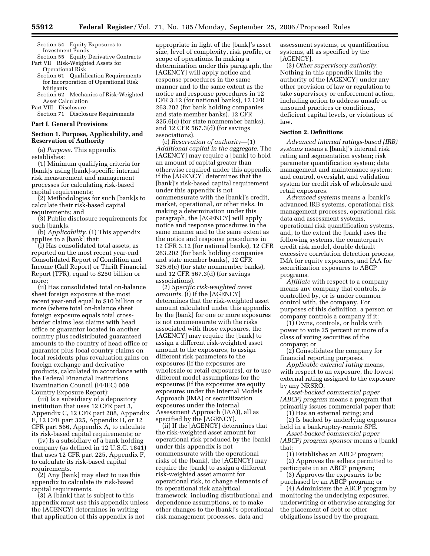Section 54 Equity Exposures to Investment Funds

- Section 55 Equity Derivative Contracts Part VII Risk-Weighted Assets for Operational Risk
- Section 61 Qualification Requirements for Incorporation of Operational Risk Mitigants
- Section 62 Mechanics of Risk-Weighted Asset Calculation Part VIII Disclosure
- Section 71 Disclosure Requirements

## **Part I. General Provisions**

# **Section 1. Purpose, Applicability, and Reservation of Authority**

(a) *Purpose.* This appendix establishes:

(1) Minimum qualifying criteria for [bank]s using [bank]-specific internal risk measurement and management processes for calculating risk-based capital requirements;

(2) Methodologies for such [bank]s to calculate their risk-based capital requirements; and

(3) Public disclosure requirements for such [bank]s.

(b) *Applicability.* (1) This appendix applies to a [bank] that:

(i) Has consolidated total assets, as reported on the most recent year-end Consolidated Report of Condition and Income (Call Report) or Thrift Financial Report (TFR), equal to \$250 billion or more;

(ii) Has consolidated total on-balance sheet foreign exposure at the most recent year-end equal to \$10 billion or more (where total on-balance sheet foreign exposure equals total crossborder claims less claims with head office or guarantor located in another country plus redistributed guaranteed amounts to the country of head office or guarantor plus local country claims on local residents plus revaluation gains on foreign exchange and derivative products, calculated in accordance with the Federal Financial Institutions Examination Council (FFIEC) 009 Country Exposure Report);

(iii) Is a subsidiary of a depository institution that uses 12 CFR part 3, Appendix C, 12 CFR part 208, Appendix F, 12 CFR part 325, Appendix D, or 12 CFR part 566, Appendix A, to calculate its risk-based capital requirements; or

(iv) Is a subsidiary of a bank holding company (as defined in 12 U.S.C. 1841) that uses 12 CFR part 225, Appendix F, to calculate its risk-based capital requirements.

(2) Any [bank] may elect to use this appendix to calculate its risk-based capital requirements.

(3) A [bank] that is subject to this appendix must use this appendix unless the [AGENCY] determines in writing that application of this appendix is not

appropriate in light of the [bank]'s asset size, level of complexity, risk profile, or scope of operations. In making a determination under this paragraph, the [AGENCY] will apply notice and response procedures in the same manner and to the same extent as the notice and response procedures in 12 CFR 3.12 (for national banks), 12 CFR 263.202 (for bank holding companies and state member banks), 12 CFR 325.6(c) (for state nonmember banks), and 12 CFR 567.3(d) (for savings associations).

(c) *Reservation of authority*—(1) *Additional capital in the aggregate.* The [AGENCY] may require a [bank] to hold an amount of capital greater than otherwise required under this appendix if the [AGENCY] determines that the [bank]'s risk-based capital requirement under this appendix is not commensurate with the [bank]'s credit, market, operational, or other risks. In making a determination under this paragraph, the [AGENCY] will apply notice and response procedures in the same manner and to the same extent as the notice and response procedures in 12 CFR 3.12 (for national banks), 12 CFR 263.202 (for bank holding companies and state member banks), 12 CFR 325.6(c) (for state nonmember banks), and 12 CFR 567.3(d) (for savings associations).

(2) *Specific risk-weighted asset amounts.* (i) If the [AGENCY] determines that the risk-weighted asset amount calculated under this appendix by the [bank] for one or more exposures is not commensurate with the risks associated with those exposures, the [AGENCY] may require the [bank] to assign a different risk-weighted asset amount to the exposures, to assign different risk parameters to the exposures (if the exposures are wholesale or retail exposures), or to use different model assumptions for the exposures (if the exposures are equity exposures under the Internal Models Approach (IMA) or securitization exposures under the Internal Assessment Approach (IAA)), all as specified by the [AGENCY].

(ii) If the [AGENCY] determines that the risk-weighted asset amount for operational risk produced by the [bank] under this appendix is not commensurate with the operational risks of the [bank], the [AGENCY] may require the [bank] to assign a different risk-weighted asset amount for operational risk, to change elements of its operational risk analytical framework, including distributional and dependence assumptions, or to make other changes to the [bank]'s operational risk management processes, data and

assessment systems, or quantification systems, all as specified by the [AGENCY].

(3) *Other supervisory authority.*  Nothing in this appendix limits the authority of the [AGENCY] under any other provision of law or regulation to take supervisory or enforcement action, including action to address unsafe or unsound practices or conditions, deficient capital levels, or violations of law.

#### **Section 2. Definitions**

*Advanced internal ratings-based (IRB) systems* means a [bank]'s internal risk rating and segmentation system; risk parameter quantification system; data management and maintenance system; and control, oversight, and validation system for credit risk of wholesale and retail exposures.

*Advanced systems* means a [bank]'s advanced IRB systems, operational risk management processes, operational risk data and assessment systems, operational risk quantification systems, and, to the extent the [bank] uses the following systems, the counterparty credit risk model, double default excessive correlation detection process, IMA for equity exposures, and IAA for securitization exposures to ABCP programs.

*Affiliate* with respect to a company means any company that controls, is controlled by, or is under common control with, the company. For purposes of this definition, a person or company controls a company if it:

(1) Owns, controls, or holds with power to vote 25 percent or more of a class of voting securities of the company; or

(2) Consolidates the company for financial reporting purposes.

*Applicable external rating* means, with respect to an exposure, the lowest external rating assigned to the exposure by any NRSRO.

*Asset-backed commercial paper (ABCP) program* means a program that primarily issues commercial paper that: (1) Has an external rating; and

(2) Is backed by underlying exposures held in a bankruptcy-remote SPE.

*Asset-backed commercial paper (ABCP) program sponsor* means a [bank] that:

(1) Establishes an ABCP program; (2) Approves the sellers permitted to participate in an ABCP program;

(3) Approves the exposures to be purchased by an ABCP program; or

(4) Administers the ABCP program by monitoring the underlying exposures, underwriting or otherwise arranging for the placement of debt or other obligations issued by the program,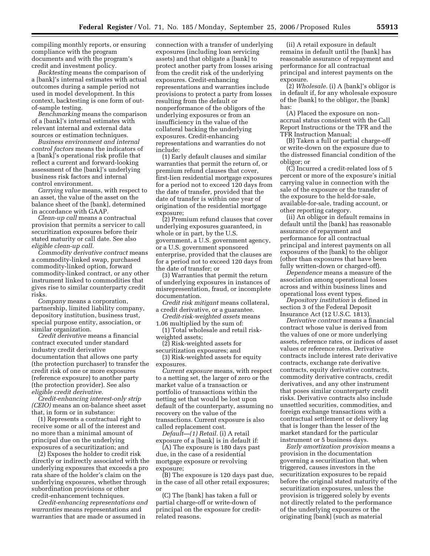compiling monthly reports, or ensuring compliance with the program documents and with the program's credit and investment policy.

*Backtesting* means the comparison of a [bank]'s internal estimates with actual outcomes during a sample period not used in model development. In this context, backtesting is one form of outof-sample testing.

*Benchmarking* means the comparison of a [bank]'s internal estimates with relevant internal and external data sources or estimation techniques.

*Business environment and internal control factors* means the indicators of a [bank]'s operational risk profile that reflect a current and forward-looking assessment of the [bank]'s underlying business risk factors and internal control environment.

*Carrying value* means, with respect to an asset, the value of the asset on the balance sheet of the [bank], determined in accordance with GAAP.

*Clean-up call* means a contractual provision that permits a servicer to call securitization exposures before their stated maturity or call date. See also *eligible clean-up call.* 

*Commodity derivative contract* means a commodity-linked swap, purchased commodity-linked option, forward commodity-linked contract, or any other instrument linked to commodities that gives rise to similar counterparty credit risks.

*Company* means a corporation, partnership, limited liability company, depository institution, business trust, special purpose entity, association, or similar organization.

*Credit derivative* means a financial contract executed under standard industry credit derivative documentation that allows one party (the protection purchaser) to transfer the credit risk of one or more exposures (reference exposure) to another party (the protection provider). See also *eligible credit derivative.* 

*Credit-enhancing interest-only strip (CEIO)* means an on-balance sheet asset that, in form or in substance:

(1) Represents a contractual right to receive some or all of the interest and no more than a minimal amount of principal due on the underlying exposures of a securitization; and

(2) Exposes the holder to credit risk directly or indirectly associated with the underlying exposures that exceeds a pro rata share of the holder's claim on the underlying exposures, whether through subordination provisions or other credit-enhancement techniques.

*Credit-enhancing representations and warranties* means representations and warranties that are made or assumed in

connection with a transfer of underlying exposures (including loan servicing assets) and that obligate a [bank] to protect another party from losses arising from the credit risk of the underlying exposures. Credit-enhancing representations and warranties include provisions to protect a party from losses resulting from the default or nonperformance of the obligors of the underlying exposures or from an insufficiency in the value of the collateral backing the underlying exposures. Credit-enhancing representations and warranties do not include:

(1) Early default clauses and similar warranties that permit the return of, or premium refund clauses that cover, first-lien residential mortgage exposures for a period not to exceed 120 days from the date of transfer, provided that the date of transfer is within one year of origination of the residential mortgage exposure;

(2) Premium refund clauses that cover underlying exposures guaranteed, in whole or in part, by the U.S. government, a U.S. government agency, or a U.S. government sponsored enterprise, provided that the clauses are for a period not to exceed 120 days from the date of transfer; or

(3) Warranties that permit the return of underlying exposures in instances of misrepresentation, fraud, or incomplete documentation.

*Credit risk mitigant* means collateral, a credit derivative, or a guarantee.

*Credit-risk-weighted assets* means 1.06 multiplied by the sum of:

(1) Total wholesale and retail riskweighted assets;

(2) Risk-weighted assets for securitization exposures; and

(3) Risk-weighted assets for equity exposures.

*Current exposure* means, with respect to a netting set, the larger of zero or the market value of a transaction or portfolio of transactions within the netting set that would be lost upon default of the counterparty, assuming no recovery on the value of the transactions. Current exposure is also called replacement cost.

*Default—(1) Retail.* (i) A retail exposure of a [bank] is in default if:

(A) The exposure is 180 days past due, in the case of a residential mortgage exposure or revolving exposure;

(B) The exposure is 120 days past due, in the case of all other retail exposures; or

(C) The [bank] has taken a full or partial charge-off or write-down of principal on the exposure for creditrelated reasons.

(ii) A retail exposure in default remains in default until the [bank] has reasonable assurance of repayment and performance for all contractual principal and interest payments on the exposure.

(2) *Wholesale.* (i) A [bank]'s obligor is in default if, for any wholesale exposure of the [bank] to the obligor, the [bank] has:

(A) Placed the exposure on nonaccrual status consistent with the Call Report Instructions or the TFR and the TFR Instruction Manual;

(B) Taken a full or partial charge-off or write-down on the exposure due to the distressed financial condition of the obligor; or

(C) Incurred a credit-related loss of 5 percent or more of the exposure's initial carrying value in connection with the sale of the exposure or the transfer of the exposure to the held-for-sale, available-for-sale, trading account, or other reporting category.

(ii) An obligor in default remains in default until the [bank] has reasonable assurance of repayment and performance for all contractual principal and interest payments on all exposures of the [bank] to the obligor (other than exposures that have been fully written-down or charged-off).

*Dependence* means a measure of the association among operational losses across and within business lines and operational loss event types.

*Depository institution* is defined in section 3 of the Federal Deposit Insurance Act (12 U.S.C. 1813).

*Derivative contract* means a financial contract whose value is derived from the values of one or more underlying assets, reference rates, or indices of asset values or reference rates. Derivative contracts include interest rate derivative contracts, exchange rate derivative contracts, equity derivative contracts, commodity derivative contracts, credit derivatives, and any other instrument that poses similar counterparty credit risks. Derivative contracts also include unsettled securities, commodities, and foreign exchange transactions with a contractual settlement or delivery lag that is longer than the lesser of the market standard for the particular instrument or 5 business days.

*Early amortization provision* means a provision in the documentation governing a securitization that, when triggered, causes investors in the securitization exposures to be repaid before the original stated maturity of the securitization exposures, unless the provision is triggered solely by events not directly related to the performance of the underlying exposures or the originating [bank] (such as material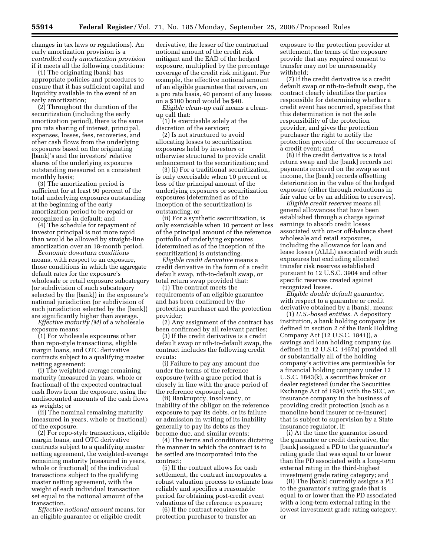changes in tax laws or regulations). An early amortization provision is a *controlled early amortization provision*  if it meets all the following conditions:

(1) The originating [bank] has appropriate policies and procedures to ensure that it has sufficient capital and liquidity available in the event of an early amortization;

(2) Throughout the duration of the securitization (including the early amortization period), there is the same pro rata sharing of interest, principal, expenses, losses, fees, recoveries, and other cash flows from the underlying exposures based on the originating [bank]'s and the investors' relative shares of the underlying exposures outstanding measured on a consistent monthly basis;

(3) The amortization period is sufficient for at least 90 percent of the total underlying exposures outstanding at the beginning of the early amortization period to be repaid or recognized as in default; and

(4) The schedule for repayment of investor principal is not more rapid than would be allowed by straight-line amortization over an 18-month period.

*Economic downturn conditions*  means, with respect to an exposure, those conditions in which the aggregate default rates for the exposure's wholesale or retail exposure subcategory (or subdivision of such subcategory selected by the [bank]) in the exposure's national jurisdiction (or subdivision of such jurisdiction selected by the [bank]) are significantly higher than average.

*Effective maturity (M)* of a wholesale exposure means:

(1) For wholesale exposures other than repo-style transactions, eligible margin loans, and OTC derivative contracts subject to a qualifying master netting agreement:

(i) The weighted-average remaining maturity (measured in years, whole or fractional) of the expected contractual cash flows from the exposure, using the undiscounted amounts of the cash flows as weights; or

(ii) The nominal remaining maturity (measured in years, whole or fractional) of the exposure.

(2) For repo-style transactions, eligible margin loans, and OTC derivative contracts subject to a qualifying master netting agreement, the weighted-average remaining maturity (measured in years, whole or fractional) of the individual transactions subject to the qualifying master netting agreement, with the weight of each individual transaction set equal to the notional amount of the transaction.

*Effective notional amount* means, for an eligible guarantee or eligible credit

derivative, the lesser of the contractual notional amount of the credit risk mitigant and the EAD of the hedged exposure, multiplied by the percentage coverage of the credit risk mitigant. For example, the effective notional amount of an eligible guarantee that covers, on a pro rata basis, 40 percent of any losses on a \$100 bond would be \$40.

*Eligible clean-up call* means a cleanup call that:

(1) Is exercisable solely at the discretion of the servicer;

(2) Is not structured to avoid allocating losses to securitization exposures held by investors or otherwise structured to provide credit enhancement to the securitization; and

(3) (i) For a traditional securitization, is only exercisable when 10 percent or less of the principal amount of the underlying exposures or securitization exposures (determined as of the inception of the securitization) is outstanding; or

(ii) For a synthetic securitization, is only exercisable when 10 percent or less of the principal amount of the reference portfolio of underlying exposures (determined as of the inception of the securitization) is outstanding.

*Eligible credit derivative* means a credit derivative in the form of a credit default swap, nth-to-default swap, or total return swap provided that:

(1) The contract meets the requirements of an eligible guarantee and has been confirmed by the protection purchaser and the protection provider;

(2) Any assignment of the contract has been confirmed by all relevant parties;

(3) If the credit derivative is a credit default swap or nth-to-default swap, the contract includes the following credit events:

(i) Failure to pay any amount due under the terms of the reference exposure (with a grace period that is closely in line with the grace period of the reference exposure); and

(ii) Bankruptcy, insolvency, or inability of the obligor on the reference exposure to pay its debts, or its failure or admission in writing of its inability generally to pay its debts as they become due, and similar events;

(4) The terms and conditions dictating the manner in which the contract is to be settled are incorporated into the contract;

(5) If the contract allows for cash settlement, the contract incorporates a robust valuation process to estimate loss reliably and specifies a reasonable period for obtaining post-credit event valuations of the reference exposure;

(6) If the contract requires the protection purchaser to transfer an

exposure to the protection provider at settlement, the terms of the exposure provide that any required consent to transfer may not be unreasonably withheld;

(7) If the credit derivative is a credit default swap or nth-to-default swap, the contract clearly identifies the parties responsible for determining whether a credit event has occurred, specifies that this determination is not the sole responsibility of the protection provider, and gives the protection purchaser the right to notify the protection provider of the occurrence of a credit event; and

(8) If the credit derivative is a total return swap and the [bank] records net payments received on the swap as net income, the [bank] records offsetting deterioration in the value of the hedged exposure (either through reductions in fair value or by an addition to reserves).

*Eligible credit reserves* means all general allowances that have been established through a charge against earnings to absorb credit losses associated with on-or off-balance sheet wholesale and retail exposures, including the allowance for loan and lease losses (ALLL) associated with such exposures but excluding allocated transfer risk reserves established pursuant to 12 U.S.C. 3904 and other specific reserves created against recognized losses.

*Eligible double default guarantor*, with respect to a guarantee or credit derivative obtained by a [bank], means:

(1) *U.S.-based entities.* A depository institution, a bank holding company (as defined in section 2 of the Bank Holding Company Act (12 U.S.C. 1841)), a savings and loan holding company (as defined in 12 U.S.C. 1467a) provided all or substantially all of the holding company's activities are permissible for a financial holding company under 12 U.S.C. 1843(k), a securities broker or dealer registered (under the Securities Exchange Act of 1934) with the SEC, an insurance company in the business of providing credit protection (such as a monoline bond insurer or re-insurer) that is subject to supervision by a State insurance regulator, if:

(i) At the time the guarantor issued the guarantee or credit derivative, the [bank] assigned a PD to the guarantor's rating grade that was equal to or lower than the PD associated with a long-term external rating in the third-highest investment grade rating category; and

(ii) The [bank] currently assigns a PD to the guarantor's rating grade that is equal to or lower than the PD associated with a long-term external rating in the lowest investment grade rating category; or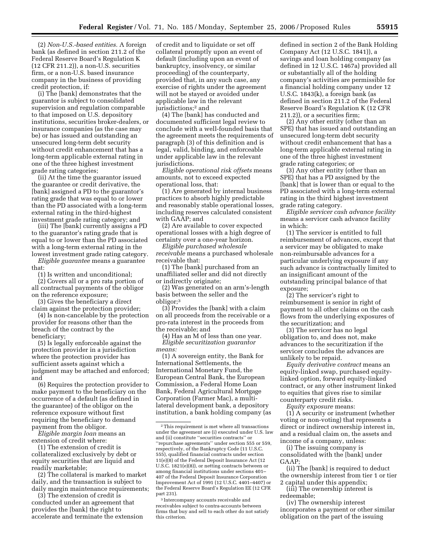(2) *Non-U.S.-based entities.* A foreign bank (as defined in section 211.2 of the Federal Reserve Board's Regulation K (12 CFR 211.2)), a non-U.S. securities firm, or a non-U.S. based insurance company in the business of providing credit protection, if:

(i) The [bank] demonstrates that the guarantor is subject to consolidated supervision and regulation comparable to that imposed on U.S. depository institutions, securities broker-dealers, or insurance companies (as the case may be) or has issued and outstanding an unsecured long-term debt security without credit enhancement that has a long-term applicable external rating in one of the three highest investment grade rating categories;

(ii) At the time the guarantor issued the guarantee or credit derivative, the [bank] assigned a PD to the guarantor's rating grade that was equal to or lower than the PD associated with a long-term external rating in the third-highest investment grade rating category; and

(iii) The [bank] currently assigns a PD to the guarantor's rating grade that is equal to or lower than the PD associated with a long-term external rating in the lowest investment grade rating category.

*Eligible guarantee* means a guarantee that:

(1) Is written and unconditional;

(2) Covers all or a pro rata portion of all contractual payments of the obligor on the reference exposure;

(3) Gives the beneficiary a direct claim against the protection provider;

(4) Is non-cancelable by the protection provider for reasons other than the breach of the contract by the beneficiary;

(5) Is legally enforceable against the protection provider in a jurisdiction where the protection provider has sufficient assets against which a judgment may be attached and enforced; and

(6) Requires the protection provider to make payment to the beneficiary on the occurrence of a default (as defined in the guarantee) of the obligor on the reference exposure without first requiring the beneficiary to demand payment from the obligor.

*Eligible margin loan* means an extension of credit where:

(1) The extension of credit is collateralized exclusively by debt or equity securities that are liquid and readily marketable;

(2) The collateral is marked to market daily, and the transaction is subject to daily margin maintenance requirements;

(3) The extension of credit is conducted under an agreement that provides the [bank] the right to accelerate and terminate the extension

of credit and to liquidate or set off collateral promptly upon an event of default (including upon an event of bankruptcy, insolvency, or similar proceeding) of the counterparty, provided that, in any such case, any exercise of rights under the agreement will not be stayed or avoided under applicable law in the relevant jurisdictions;2 and

(4) The [bank] has conducted and documented sufficient legal review to conclude with a well-founded basis that the agreement meets the requirements of paragraph (3) of this definition and is legal, valid, binding, and enforceable under applicable law in the relevant jurisdictions.

*Eligible operational risk offsets* means amounts, not to exceed expected operational loss, that:

(1) Are generated by internal business practices to absorb highly predictable and reasonably stable operational losses, including reserves calculated consistent with GAAP; and

(2) Are available to cover expected operational losses with a high degree of certainty over a one-year horizon.

*Eligible purchased wholesale receivable* means a purchased wholesale receivable that:

(1) The [bank] purchased from an unaffiliated seller and did not directly or indirectly originate;

(2) Was generated on an arm's-length basis between the seller and the obligor;3

(3) Provides the [bank] with a claim on all proceeds from the receivable or a pro-rata interest in the proceeds from the receivable; and

(4) Has an M of less than one year. *Eligible securitization guarantor means:* 

(1) A sovereign entity, the Bank for International Settlements, the International Monetary Fund, the European Central Bank, the European Commission, a Federal Home Loan Bank, Federal Agricultural Mortgage Corporation (Farmer Mac), a multilateral development bank, a depository institution, a bank holding company (as

3 Intercompany accounts receivable and receivables subject to contra-accounts between firms that buy and sell to each other do not satisfy this criterion.

defined in section 2 of the Bank Holding Company Act (12 U.S.C. 1841)), a savings and loan holding company (as defined in 12 U.S.C. 1467a) provided all or substantially all of the holding company's activities are permissible for a financial holding company under 12 U.S.C. 1843(k), a foreign bank (as defined in section 211.2 of the Federal Reserve Board's Regulation K (12 CFR 211.2)), or a securities firm;

(2) Any other entity (other than an SPE) that has issued and outstanding an unsecured long-term debt security without credit enhancement that has a long-term applicable external rating in one of the three highest investment grade rating categories; or

(3) Any other entity (other than an SPE) that has a PD assigned by the [bank] that is lower than or equal to the PD associated with a long-term external rating in the third highest investment grade rating category.

*Eligible servicer cash advance facility*  means a servicer cash advance facility in which:

(1) The servicer is entitled to full reimbursement of advances, except that a servicer may be obligated to make non-reimbursable advances for a particular underlying exposure if any such advance is contractually limited to an insignificant amount of the outstanding principal balance of that exposure;

(2) The servicer's right to reimbursement is senior in right of payment to all other claims on the cash flows from the underlying exposures of the securitization; and

(3) The servicer has no legal obligation to, and does not, make advances to the securitization if the servicer concludes the advances are unlikely to be repaid.

*Equity derivative contract* means an equity-linked swap, purchased equitylinked option, forward equity-linked contract, or any other instrument linked to equities that gives rise to similar counterparty credit risks.

*Equity exposure* means:

(1) A security or instrument (whether voting or non-voting) that represents a direct or indirect ownership interest in, and a residual claim on, the assets and income of a company, unless:

(i) The issuing company is consolidated with the [bank] under GAAP;

(ii) The [bank] is required to deduct the ownership interest from tier 1 or tier 2 capital under this appendix;

(iii) The ownership interest is redeemable;

(iv) The ownership interest incorporates a payment or other similar obligation on the part of the issuing

<sup>2</sup>This requirement is met where all transactions under the agreement are (i) executed under U.S. law and (ii) constitute ''securities contracts'' or ''repurchase agreements'' under section 555 or 559, respectively, of the Bankruptcy Code (11 U.S.C. 555), qualified financial contracts under section  $11(e)(8)$  of the Federal Deposit Insurance Act (12 U.S.C. 1821(e)(8)), or netting contracts between or among financial institutions under sections 401– 407 of the Federal Deposit Insurance Corporation Improvement Act of 1991 (12 U.S.C. 4401–4407) or the Federal Reserve Board's Regulation EE (12 CFR part 231).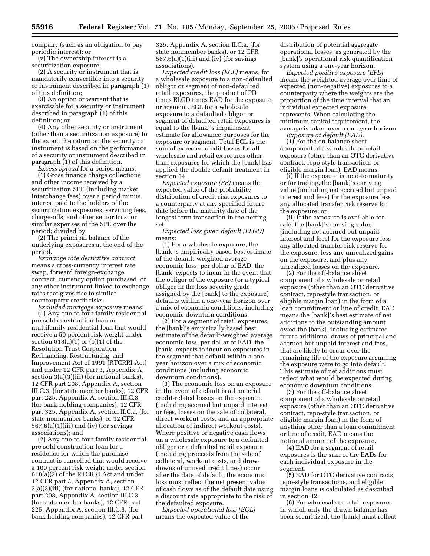company (such as an obligation to pay periodic interest); or

(v) The ownership interest is a securitization exposure;

(2) A security or instrument that is mandatorily convertible into a security or instrument described in paragraph (1) of this definition;

(3) An option or warrant that is exercisable for a security or instrument described in paragraph (1) of this definition; or

(4) Any other security or instrument (other than a securitization exposure) to the extent the return on the security or instrument is based on the performance of a security or instrument described in paragraph (1) of this definition.

*Excess spread* for a period means: (1) Gross finance charge collections and other income received by a securitization SPE (including market interchange fees) over a period minus interest paid to the holders of the securitization exposures, servicing fees, charge-offs, and other senior trust or similar expenses of the SPE over the period; divided by

(2) The principal balance of the underlying exposures at the end of the period.

*Exchange rate derivative contract*  means a cross-currency interest rate swap, forward foreign-exchange contract, currency option purchased, or any other instrument linked to exchange rates that gives rise to similar counterparty credit risks.

*Excluded mortgage exposure* means: (1) Any one-to-four family residential pre-sold construction loan or multifamily residential loan that would receive a 50 percent risk weight under section  $618(a)(1)$  or  $(b)(1)$  of the Resolution Trust Corporation Refinancing, Restructuring, and Improvement Act of 1991 (RTCRRI Act) and under 12 CFR part 3, Appendix A, section 3(a)(3)(iii) (for national banks), 12 CFR part 208, Appendix A, section III.C.3. (for state member banks), 12 CFR part 225, Appendix A, section III.C.3. (for bank holding companies), 12 CFR part 325, Appendix A, section II.C.a. (for state nonmember banks), or 12 CFR  $567.6(a)(1)(iii)$  and (iv) (for savings associations); and

(2) Any one-to-four family residential pre-sold construction loan for a residence for which the purchase contract is cancelled that would receive a 100 percent risk weight under section 618(a)(2) of the RTCRRI Act and under 12 CFR part 3, Appendix A, section 3(a)(3)(iii) (for national banks), 12 CFR part 208, Appendix A, section III.C.3. (for state member banks), 12 CFR part 225, Appendix A, section III.C.3. (for bank holding companies), 12 CFR part

325, Appendix A, section II.C.a. (for state nonmember banks), or 12 CFR  $567.6(a)(1)(iii)$  and (iv) (for savings associations).

*Expected credit loss (ECL)* means, for a wholesale exposure to a non-defaulted obligor or segment of non-defaulted retail exposures, the product of PD times ELGD times EAD for the exposure or segment. ECL for a wholesale exposure to a defaulted obligor or segment of defaulted retail exposures is equal to the [bank]'s impairment estimate for allowance purposes for the exposure or segment. Total ECL is the sum of expected credit losses for all wholesale and retail exposures other than exposures for which the [bank] has applied the double default treatment in section 34.

*Expected exposure (EE)* means the expected value of the probability distribution of credit risk exposures to a counterparty at any specified future date before the maturity date of the longest term transaction in the netting set.

*Expected loss given default (ELGD)*  means:

(1) For a wholesale exposure, the [bank]'s empirically based best estimate of the default-weighted average economic loss, per dollar of EAD, the [bank] expects to incur in the event that the obligor of the exposure (or a typical obligor in the loss severity grade assigned by the [bank] to the exposure) defaults within a one-year horizon over a mix of economic conditions, including economic downturn conditions.

(2) For a segment of retail exposures, the [bank]'s empirically based best estimate of the default-weighted average economic loss, per dollar of EAD, the [bank] expects to incur on exposures in the segment that default within a oneyear horizon over a mix of economic conditions (including economic downturn conditions).

(3) The economic loss on an exposure in the event of default is all material credit-related losses on the exposure (including accrued but unpaid interest or fees, losses on the sale of collateral, direct workout costs, and an appropriate allocation of indirect workout costs). Where positive or negative cash flows on a wholesale exposure to a defaulted obligor or a defaulted retail exposure (including proceeds from the sale of collateral, workout costs, and drawdowns of unused credit lines) occur after the date of default, the economic loss must reflect the net present value of cash flows as of the default date using a discount rate appropriate to the risk of the defaulted exposure.

*Expected operational loss (EOL)*  means the expected value of the

distribution of potential aggregate operational losses, as generated by the [bank]'s operational risk quantification system using a one-year horizon.

*Expected positive exposure (EPE)*  means the weighted average over time of expected (non-negative) exposures to a counterparty where the weights are the proportion of the time interval that an individual expected exposure represents. When calculating the minimum capital requirement, the average is taken over a one-year horizon.

*Exposure at default (EAD).* 

(1) For the on-balance sheet component of a wholesale or retail exposure (other than an OTC derivative contract, repo-style transaction, or eligible margin loan), EAD means:

(i) If the exposure is held-to-maturity or for trading, the [bank]'s carrying value (including net accrued but unpaid interest and fees) for the exposure less any allocated transfer risk reserve for the exposure; or

(ii) If the exposure is available-forsale, the [bank]'s carrying value (including net accrued but unpaid interest and fees) for the exposure less any allocated transfer risk reserve for the exposure, less any unrealized gains on the exposure, and plus any unrealized losses on the exposure.

(2) For the off-balance sheet component of a wholesale or retail exposure (other than an OTC derivative contract, repo-style transaction, or eligible margin loan) in the form of a loan commitment or line of credit, EAD means the [bank]'s best estimate of net additions to the outstanding amount owed the [bank], including estimated future additional draws of principal and accrued but unpaid interest and fees, that are likely to occur over the remaining life of the exposure assuming the exposure were to go into default. This estimate of net additions must reflect what would be expected during economic downturn conditions.

(3) For the off-balance sheet component of a wholesale or retail exposure (other than an OTC derivative contract, repo-style transaction, or eligible margin loan) in the form of anything other than a loan commitment or line of credit, EAD means the notional amount of the exposure.

(4) EAD for a segment of retail exposures is the sum of the EADs for each individual exposure in the segment.

(5) EAD for OTC derivative contracts, repo-style transactions, and eligible margin loans is calculated as described in section 32.

(6) For wholesale or retail exposures in which only the drawn balance has been securitized, the [bank] must reflect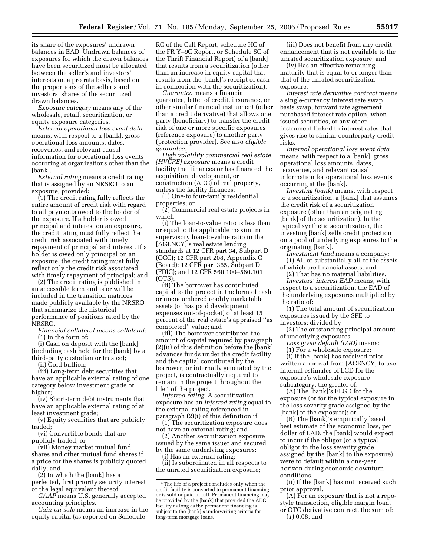its share of the exposures' undrawn balances in EAD. Undrawn balances of exposures for which the drawn balances have been securitized must be allocated between the seller's and investors' interests on a pro rata basis, based on the proportions of the seller's and investors' shares of the securitized drawn balances.

*Exposure category* means any of the wholesale, retail, securitization, or equity exposure categories.

*External operational loss event data*  means, with respect to a [bank], gross operational loss amounts, dates, recoveries, and relevant causal information for operational loss events occurring at organizations other than the [bank].

*External rating* means a credit rating that is assigned by an NRSRO to an exposure, provided:

(1) The credit rating fully reflects the entire amount of credit risk with regard to all payments owed to the holder of the exposure. If a holder is owed principal and interest on an exposure, the credit rating must fully reflect the credit risk associated with timely repayment of principal and interest. If a holder is owed only principal on an exposure, the credit rating must fully reflect only the credit risk associated with timely repayment of principal; and

(2) The credit rating is published in an accessible form and is or will be included in the transition matrices made publicly available by the NRSRO that summarize the historical performance of positions rated by the NRSRO.

*Financial collateral means collateral:*  (1) In the form of:

(i) Cash on deposit with the [bank] (including cash held for the [bank] by a third-party custodian or trustee);

(ii) Gold bullion;

(iii) Long-term debt securities that have an applicable external rating of one category below investment grade or higher;

(iv) Short-term debt instruments that have an applicable external rating of at least investment grade;

(v) Equity securities that are publicly traded;

(vi) Convertible bonds that are publicly traded; or

(vii) Money market mutual fund shares and other mutual fund shares if a price for the shares is publicly quoted daily; and

(2) In which the [bank] has a perfected, first priority security interest or the legal equivalent thereof.

*GAAP* means U.S. generally accepted accounting principles.

*Gain-on-sale* means an increase in the equity capital (as reported on Schedule

RC of the Call Report, schedule HC of the FR Y–9C Report, or Schedule SC of the Thrift Financial Report) of a [bank] that results from a securitization (other than an increase in equity capital that results from the [bank]'s receipt of cash in connection with the securitization).

*Guarantee* means a financial guarantee, letter of credit, insurance, or other similar financial instrument (other than a credit derivative) that allows one party (beneficiary) to transfer the credit risk of one or more specific exposures (reference exposure) to another party (protection provider). See also *eligible guarantee.* 

*High volatility commercial real estate (HVCRE) exposure* means a credit facility that finances or has financed the acquisition, development, or construction (ADC) of real property, unless the facility finances:

(1) One-to four-family residential properties; or

(2) Commercial real estate projects in which:

(i) The loan-to-value ratio is less than or equal to the applicable maximum supervisory loan-to-value ratio in the [AGENCY]'s real estate lending standards at 12 CFR part 34, Subpart D (OCC); 12 CFR part 208, Appendix C (Board); 12 CFR part 365, Subpart D (FDIC); and 12 CFR 560.100–560.101 (OTS);

(ii) The borrower has contributed capital to the project in the form of cash or unencumbered readily marketable assets (or has paid development expenses out-of-pocket) of at least 15 percent of the real estate's appraised ''as completed'' value; and

(iii) The borrower contributed the amount of capital required by paragraph (2)(ii) of this definition before the [bank] advances funds under the credit facility, and the capital contributed by the borrower, or internally generated by the project, is contractually required to remain in the project throughout the life 4 of the project.

*Inferred rating.* A securitization exposure has an *inferred rating* equal to the external rating referenced in paragraph (2)(i) of this definition if:

(1) The securitization exposure does not have an external rating; and

(2) Another securitization exposure issued by the same issuer and secured by the same underlying exposures:

(i) Has an external rating; (ii) Is subordinated in all respects to

the unrated securitization exposure;

(iii) Does not benefit from any credit enhancement that is not available to the unrated securitization exposure; and

(iv) Has an effective remaining maturity that is equal to or longer than that of the unrated securitization exposure.

*Interest rate derivative contract* means a single-currency interest rate swap, basis swap, forward rate agreement, purchased interest rate option, whenissued securities, or any other instrument linked to interest rates that gives rise to similar counterparty credit risks.

*Internal operational loss event data*  means, with respect to a [bank], gross operational loss amounts, dates, recoveries, and relevant causal information for operational loss events occurring at the [bank].

*Investing [bank]* means, with respect to a securitization, a [bank] that assumes the credit risk of a securitization exposure (other than an originating [bank] of the securitization). In the typical synthetic securitization, the investing [bank] sells credit protection on a pool of underlying exposures to the originating [bank].

*Investment fund* means a company: (1) All or substantially all of the assets

of which are financial assets; and (2) That has no material liabilities.

*Investors' interest EAD* means, with respect to a securitization, the EAD of the underlying exposures multiplied by the ratio of:

(1) The total amount of securitization exposures issued by the SPE to investors; divided by

(2) The outstanding principal amount of underlying exposures.

*Loss given default (LGD)* means:

(1) For a wholesale exposure:

(i) If the [bank] has received prior written approval from [AGENCY] to use internal estimates of LGD for the exposure's wholesale exposure subcategory, the greater of:

(A) The [bank]'s ELGD for the exposure (or for the typical exposure in the loss severity grade assigned by the [bank] to the exposure); or

(B) The [bank]'s empirically based best estimate of the economic loss, per dollar of EAD, the [bank] would expect to incur if the obligor (or a typical obligor in the loss severity grade assigned by the [bank] to the exposure) were to default within a one-year horizon during economic downturn conditions.

(ii) If the [bank] has not received such prior approval,

(A) For an exposure that is not a repostyle transaction, eligible margin loan, or OTC derivative contract, the sum of:

(*1*) 0.08; and

<sup>4</sup>The life of a project concludes only when the credit facility is converted to permanent financing or is sold or paid in full. Permanent financing may be provided by the [bank] that provided the ADC facility as long as the permanent financing is subject to the [bank]'s underwriting criteria for long-term mortgage loans.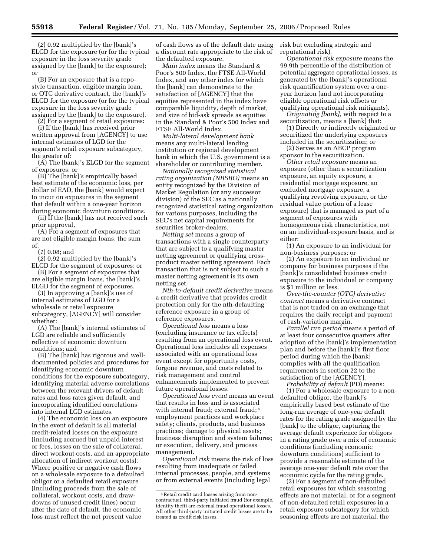(*2*) 0.92 multiplied by the [bank]'s ELGD for the exposure (or for the typical exposure in the loss severity grade assigned by the [bank] to the exposure); or

(B) For an exposure that is a repostyle transaction, eligible margin loan, or OTC derivative contract, the [bank]'s ELGD for the exposure (or for the typical exposure in the loss severity grade assigned by the [bank] to the exposure).

(2) For a segment of retail exposures:

(i) If the [bank] has received prior written approval from [AGENCY] to use internal estimates of LGD for the segment's retail exposure subcategory, the greater of:

 $(A)$  The [bank]'s ELGD for the segment of exposures; or

(B) The [bank]'s empirically based best estimate of the economic loss, per dollar of EAD, the [bank] would expect to incur on exposures in the segment that default within a one-year horizon during economic downturn conditions.

(ii) If the [bank] has not received such prior approval,

(A) For a segment of exposures that are not eligible margin loans, the sum of:

(*1*) 0.08; and

(*2*) 0.92 multiplied by the [bank]'s ELGD for the segment of exposures; or

(B) For a segment of exposures that are eligible margin loans, the [bank]'s ELGD for the segment of exposures.

(3) In approving a [bank]'s use of internal estimates of LGD for a wholesale or retail exposure subcategory, [AGENCY] will consider whether:

(A) The [bank]'s internal estimates of LGD are reliable and sufficiently reflective of economic downturn conditions; and

(B) The [bank] has rigorous and welldocumented policies and procedures for identifying economic downturn conditions for the exposure subcategory, identifying material adverse correlations between the relevant drivers of default rates and loss rates given default, and incorporating identified correlations into internal LGD estimates.

(4) The economic loss on an exposure in the event of default is all material credit-related losses on the exposure (including accrued but unpaid interest or fees, losses on the sale of collateral, direct workout costs, and an appropriate allocation of indirect workout costs). Where positive or negative cash flows on a wholesale exposure to a defaulted obligor or a defaulted retail exposure (including proceeds from the sale of collateral, workout costs, and drawdowns of unused credit lines) occur after the date of default, the economic loss must reflect the net present value

of cash flows as of the default date using a discount rate appropriate to the risk of the defaulted exposure.

*Main index* means the Standard & Poor's 500 Index, the FTSE All-World Index, and any other index for which the [bank] can demonstrate to the satisfaction of [AGENCY] that the equities represented in the index have comparable liquidity, depth of market, and size of bid-ask spreads as equities in the Standard & Poor's 500 Index and FTSE All-World Index.

*Multi-lateral development bank*  means any multi-lateral lending institution or regional development bank in which the U.S. government is a shareholder or contributing member.

*Nationally recognized statistical rating organization (NRSRO)* means an entity recognized by the Division of Market Regulation (or any successor division) of the SEC as a nationally recognized statistical rating organization for various purposes, including the SEC's net capital requirements for securities broker-dealers.

*Netting set* means a group of transactions with a single counterparty that are subject to a qualifying master netting agreement or qualifying crossproduct master netting agreement. Each transaction that is not subject to such a master netting agreement is its own netting set.

*Nth-to-default credit derivative* means a credit derivative that provides credit protection only for the nth-defaulting reference exposure in a group of reference exposures.

*Operational loss* means a loss (excluding insurance or tax effects) resulting from an operational loss event. Operational loss includes all expenses associated with an operational loss event except for opportunity costs, forgone revenue, and costs related to risk management and control enhancements implemented to prevent future operational losses.

*Operational loss event* means an event that results in loss and is associated with internal fraud; external fraud; <sup>5</sup> employment practices and workplace safety; clients, products, and business practices; damage to physical assets; business disruption and system failures; or execution, delivery, and process management.

*Operational risk* means the risk of loss resulting from inadequate or failed internal processes, people, and systems or from external events (including legal

risk but excluding strategic and reputational risk).

*Operational risk exposure* means the 99.9th percentile of the distribution of potential aggregate operational losses, as generated by the [bank]'s operational risk quantification system over a oneyear horizon (and not incorporating eligible operational risk offsets or qualifying operational risk mitigants).

*Originating [bank]*, with respect to a securitization, means a [bank] that:

(1) Directly or indirectly originated or securitized the underlying exposures included in the securitization; or

(2) Serves as an ABCP program sponsor to the securitization.

*Other retail exposure* means an exposure (other than a securitization exposure, an equity exposure, a residential mortgage exposure, an excluded mortgage exposure, a qualifying revolving exposure, or the residual value portion of a lease exposure) that is managed as part of a segment of exposures with homogeneous risk characteristics, not on an individual-exposure basis, and is either:

(1) An exposure to an individual for non-business purposes; or

(2) An exposure to an individual or company for business purposes if the [bank]'s consolidated business credit exposure to the individual or company is \$1 million or less.

*Over-the-counter (OTC) derivative contract* means a derivative contract that is not traded on an exchange that requires the daily receipt and payment of cash-variation margin.

*Parallel run period* means a period of at least four consecutive quarters after adoption of the [bank]'s implementation plan and before the [bank]'s first floor period during which the [bank] complies with all the qualification requirements in section 22 to the satisfaction of the [AGENCY].

*Probability of default* (PD) means: (1) For a wholesale exposure to a nondefaulted obligor, the [bank]'s empirically based best estimate of the long-run average of one-year default rates for the rating grade assigned by the [bank] to the obligor, capturing the average default experience for obligors in a rating grade over a mix of economic conditions (including economic downturn conditions) sufficient to provide a reasonable estimate of the average one-year default rate over the economic cycle for the rating grade.

(2) For a segment of non-defaulted retail exposures for which seasoning effects are not material, or for a segment of non-defaulted retail exposures in a retail exposure subcategory for which seasoning effects are not material, the

<sup>5</sup>Retail credit card losses arising from noncontractual, third-party initiated fraud (for example, identity theft) are external fraud operational losses. All other third-party initiated credit losses are to be treated as credit risk losses.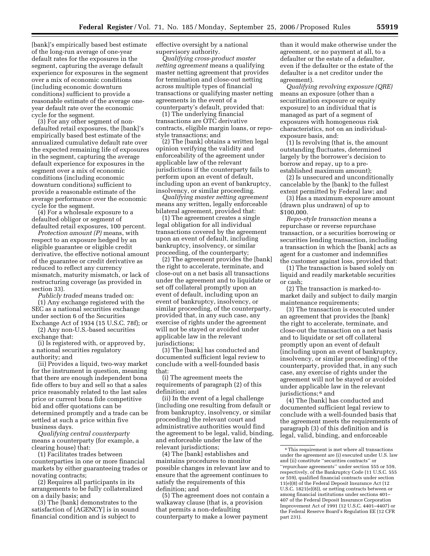[bank]'s empirically based best estimate of the long-run average of one-year default rates for the exposures in the segment, capturing the average default experience for exposures in the segment over a mix of economic conditions (including economic downturn conditions) sufficient to provide a reasonable estimate of the average oneyear default rate over the economic cycle for the segment.

(3) For any other segment of nondefaulted retail exposures, the [bank]'s empirically based best estimate of the annualized cumulative default rate over the expected remaining life of exposures in the segment, capturing the average default experience for exposures in the segment over a mix of economic conditions (including economic downturn conditions) sufficient to provide a reasonable estimate of the average performance over the economic cycle for the segment.

(4) For a wholesale exposure to a defaulted obligor or segment of defaulted retail exposures, 100 percent.

*Protection amount (P)* means, with respect to an exposure hedged by an eligible guarantee or eligible credit derivative, the effective notional amount of the guarantee or credit derivative as reduced to reflect any currency mismatch, maturity mismatch, or lack of restructuring coverage (as provided in section 33).

*Publicly traded* means traded on:

(1) Any exchange registered with the SEC as a national securities exchange under section 6 of the Securities Exchange Act of 1934 (15 U.S.C. 78f); or

(2) Any non-U.S.-based securities exchange that:

(i) Is registered with, or approved by, a national securities regulatory authority; and

(ii) Provides a liquid, two-way market for the instrument in question, meaning that there are enough independent bona fide offers to buy and sell so that a sales price reasonably related to the last sales price or current bona fide competitive bid and offer quotations can be determined promptly and a trade can be settled at such a price within five business days.

*Qualifying central counterparty*  means a counterparty (for example, a clearing house) that:

(1) Facilitates trades between counterparties in one or more financial markets by either guaranteeing trades or novating contracts;

(2) Requires all participants in its arrangements to be fully collateralized on a daily basis; and

(3) The [bank] demonstrates to the satisfaction of [AGENCY] is in sound financial condition and is subject to

effective oversight by a national supervisory authority.

*Qualifying cross-product master netting agreement* means a qualifying master netting agreement that provides for termination and close-out netting across multiple types of financial transactions or qualifying master netting agreements in the event of a counterparty's default, provided that:

(1) The underlying financial transactions are OTC derivative contracts, eligible margin loans, or repostyle transactions; and

(2) The [bank] obtains a written legal opinion verifying the validity and enforceability of the agreement under applicable law of the relevant jurisdictions if the counterparty fails to perform upon an event of default, including upon an event of bankruptcy, insolvency, or similar proceeding.

*Qualifying master netting agreement*  means any written, legally enforceable bilateral agreement, provided that:

(1) The agreement creates a single legal obligation for all individual transactions covered by the agreement upon an event of default, including bankruptcy, insolvency, or similar proceeding, of the counterparty;

(2) The agreement provides the [bank] the right to accelerate, terminate, and close-out on a net basis all transactions under the agreement and to liquidate or set off collateral promptly upon an event of default, including upon an event of bankruptcy, insolvency, or similar proceeding, of the counterparty, provided that, in any such case, any exercise of rights under the agreement will not be stayed or avoided under applicable law in the relevant jurisdictions;

(3) The [bank] has conducted and documented sufficient legal review to conclude with a well-founded basis that:

(i) The agreement meets the requirements of paragraph (2) of this definition; and

(ii) In the event of a legal challenge (including one resulting from default or from bankruptcy, insolvency, or similar proceeding) the relevant court and administrative authorities would find the agreement to be legal, valid, binding, and enforceable under the law of the relevant jurisdictions;

(4) The [bank] establishes and maintains procedures to monitor possible changes in relevant law and to ensure that the agreement continues to satisfy the requirements of this definition; and

(5) The agreement does not contain a walkaway clause (that is, a provision that permits a non-defaulting counterparty to make a lower payment

than it would make otherwise under the agreement, or no payment at all, to a defaulter or the estate of a defaulter, even if the defaulter or the estate of the defaulter is a net creditor under the agreement).

*Qualifying revolving exposure (QRE)*  means an exposure (other than a securitization exposure or equity exposure) to an individual that is managed as part of a segment of exposures with homogeneous risk characteristics, not on an individualexposure basis, and:

(1) Is revolving (that is, the amount outstanding fluctuates, determined largely by the borrower's decision to borrow and repay, up to a preestablished maximum amount);

(2) Is unsecured and unconditionally cancelable by the [bank] to the fullest extent permitted by Federal law; and

(3) Has a maximum exposure amount (drawn plus undrawn) of up to \$100,000.

*Repo-style transaction* means a repurchase or reverse repurchase transaction, or a securities borrowing or securities lending transaction, including a transaction in which the [bank] acts as agent for a customer and indemnifies the customer against loss, provided that:

(1) The transaction is based solely on liquid and readily marketable securities or cash;

(2) The transaction is marked-tomarket daily and subject to daily margin maintenance requirements;

(3) The transaction is executed under an agreement that provides the [bank] the right to accelerate, terminate, and close-out the transaction on a net basis and to liquidate or set off collateral promptly upon an event of default (including upon an event of bankruptcy, insolvency, or similar proceeding) of the counterparty, provided that, in any such case, any exercise of rights under the agreement will not be stayed or avoided under applicable law in the relevant jurisdictions; 6 and

(4) The [bank] has conducted and documented sufficient legal review to conclude with a well-founded basis that the agreement meets the requirements of paragraph (3) of this definition and is legal, valid, binding, and enforceable

<sup>6</sup>This requirement is met where all transactions under the agreement are (i) executed under U.S. law and (ii) constitute ''securities contracts'' or ''repurchase agreements'' under section 555 or 559, respectively, of the Bankruptcy Code (11 U.S.C. 555 or 559), qualified financial contracts under section 11(e)(8) of the Federal Deposit Insurance Act (12 U.S.C. 1821(e)(8)), or netting contracts between or among financial institutions under sections 401– 407 of the Federal Deposit Insurance Corporation Improvement Act of 1991 (12 U.S.C. 4401–4407) or the Federal Reserve Board's Regulation EE (12 CFR part 231).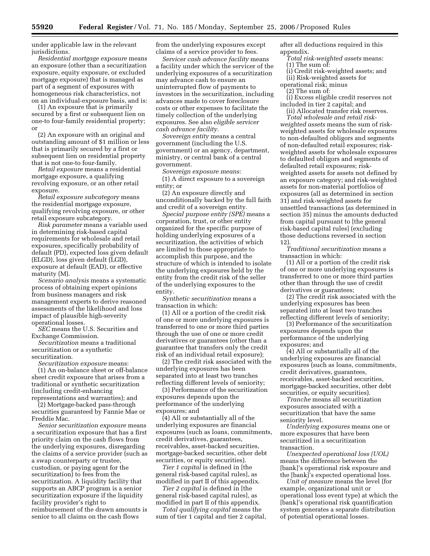under applicable law in the relevant jurisdictions.

*Residential mortgage exposure* means an exposure (other than a securitization exposure, equity exposure, or excluded mortgage exposure) that is managed as part of a segment of exposures with homogeneous risk characteristics, not on an individual-exposure basis, and is:

(1) An exposure that is primarily secured by a first or subsequent lien on one-to four-family residential property; or

(2) An exposure with an original and outstanding amount of \$1 million or less that is primarily secured by a first or subsequent lien on residential property that is not one-to four-family.

*Retail exposure* means a residential mortgage exposure, a qualifying revolving exposure, or an other retail exposure.

*Retail exposure subcategory* means the residential mortgage exposure, qualifying revolving exposure, or other retail exposure subcategory.

*Risk parameter* means a variable used in determining risk-based capital requirements for wholesale and retail exposures, specifically probability of default (PD), expected loss given default (ELGD), loss given default (LGD), exposure at default (EAD), or effective maturity (M).

*Scenario analysis* means a systematic process of obtaining expert opinions from business managers and risk management experts to derive reasoned assessments of the likelihood and loss impact of plausible high-severity operational losses.

*SEC* means the U.S. Securities and Exchange Commission.

*Securitization* means a traditional securitization or a synthetic securitization.

*Securitization exposure* means:

(1) An on-balance sheet or off-balance sheet credit exposure that arises from a traditional or synthetic securitization (including credit-enhancing representations and warranties); and

(2) Mortgage-backed pass-through securities guaranteed by Fannie Mae or Freddie Mac.

*Senior securitization exposure* means a securitization exposure that has a first priority claim on the cash flows from the underlying exposures, disregarding the claims of a service provider (such as a swap counterparty or trustee, custodian, or paying agent for the securitization) to fees from the securitization. A liquidity facility that supports an ABCP program is a senior securitization exposure if the liquidity facility provider's right to reimbursement of the drawn amounts is senior to all claims on the cash flows

from the underlying exposures except claims of a service provider to fees.

*Servicer cash advance facility* means a facility under which the servicer of the underlying exposures of a securitization may advance cash to ensure an uninterrupted flow of payments to investors in the securitization, including advances made to cover foreclosure costs or other expenses to facilitate the timely collection of the underlying exposures. See also *eligible servicer cash advance facility.* 

*Sovereign entity* means a central government (including the U.S. government) or an agency, department, ministry, or central bank of a central government.

*Sovereign exposure means:* 

(1) A direct exposure to a sovereign entity; or

(2) An exposure directly and unconditionally backed by the full faith and credit of a sovereign entity.

*Special purpose entity (SPE)* means a corporation, trust, or other entity organized for the specific purpose of holding underlying exposures of a securitization, the activities of which are limited to those appropriate to accomplish this purpose, and the structure of which is intended to isolate the underlying exposures held by the entity from the credit risk of the seller of the underlying exposures to the entity.

*Synthetic securitization* means a transaction in which:

(1) All or a portion of the credit risk of one or more underlying exposures is transferred to one or more third parties through the use of one or more credit derivatives or guarantees (other than a guarantee that transfers only the credit risk of an individual retail exposure);

(2) The credit risk associated with the underlying exposures has been separated into at least two tranches reflecting different levels of seniority;

(3) Performance of the securitization exposures depends upon the performance of the underlying exposures; and

(4) All or substantially all of the underlying exposures are financial exposures (such as loans, commitments, credit derivatives, guarantees, receivables, asset-backed securities, mortgage-backed securities, other debt securities, or equity securities).

*Tier 1 capital* is defined in [the general risk-based capital rules], as modified in part II of this appendix.

*Tier 2 capital* is defined in [the general risk-based capital rules], as modified in part II of this appendix.

*Total qualifying capital* means the sum of tier 1 capital and tier 2 capital, after all deductions required in this appendix.

*Total risk-weighted assets* means: (1) The sum of:

(i) Credit risk-weighted assets; and

(ii) Risk-weighted assets for

operational risk; minus

(2) The sum of:

(i) Excess eligible credit reserves not included in tier 2 capital; and

(ii) Allocated transfer risk reserves. *Total wholesale and retail risk-*

*weighted assets* means the sum of riskweighted assets for wholesale exposures to non-defaulted obligors and segments of non-defaulted retail exposures; riskweighted assets for wholesale exposures to defaulted obligors and segments of defaulted retail exposures; riskweighted assets for assets not defined by an exposure category; and risk-weighted assets for non-material portfolios of exposures (all as determined in section 31) and risk-weighted assets for unsettled transactions (as determined in section 35) minus the amounts deducted from capital pursuant to [the general risk-based capital rules] (excluding those deductions reversed in section 12).

*Traditional securitization* means a transaction in which:

(1) All or a portion of the credit risk of one or more underlying exposures is transferred to one or more third parties other than through the use of credit derivatives or guarantees;

(2) The credit risk associated with the underlying exposures has been separated into at least two tranches reflecting different levels of seniority;

(3) Performance of the securitization exposures depends upon the performance of the underlying exposures; and

(4) All or substantially all of the underlying exposures are financial exposures (such as loans, commitments, credit derivatives, guarantees, receivables, asset-backed securities, mortgage-backed securities, other debt securities, or equity securities).

*Tranche* means all securitization exposures associated with a securitization that have the same seniority level.

*Underlying exposures* means one or more exposures that have been securitized in a securitization transaction.

*Unexpected operational loss (UOL)*  means the difference between the [bank]'s operational risk exposure and the [bank]'s expected operational loss.

*Unit of measure* means the level (for example, organizational unit or operational loss event type) at which the [bank]'s operational risk quantification system generates a separate distribution of potential operational losses.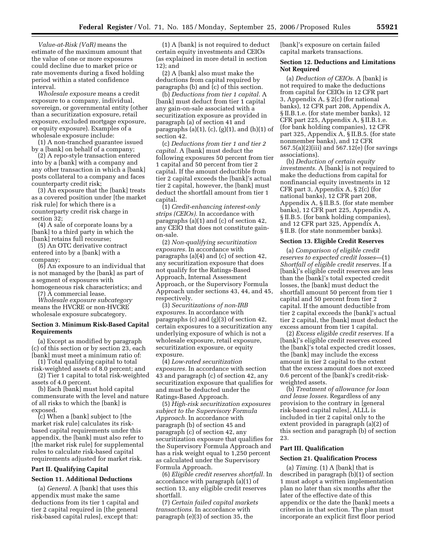*Value-at-Risk (VaR)* means the estimate of the maximum amount that the value of one or more exposures could decline due to market price or rate movements during a fixed holding period within a stated confidence interval.

*Wholesale exposure* means a credit exposure to a company, individual, sovereign, or governmental entity (other than a securitization exposure, retail exposure, excluded mortgage exposure, or equity exposure). Examples of a wholesale exposure include:

(1) A non-tranched guarantee issued by a [bank] on behalf of a company;

(2) A repo-style transaction entered into by a [bank] with a company and any other transaction in which a [bank] posts collateral to a company and faces counterparty credit risk;

(3) An exposure that the [bank] treats as a covered position under [the market risk rule] for which there is a counterparty credit risk charge in section 32;

(4) A sale of corporate loans by a [bank] to a third party in which the [bank] retains full recourse;

(5) An OTC derivative contract entered into by a [bank] with a company;

(6) An exposure to an individual that is not managed by the [bank] as part of a segment of exposures with homogeneous risk characteristics; and

(7) A commercial lease.

*Wholesale exposure subcategory*  means the HVCRE or non-HVCRE wholesale exposure subcategory.

#### **Section 3. Minimum Risk-Based Capital Requirements**

(a) Except as modified by paragraph (c) of this section or by section 23, each [bank] must meet a minimum ratio of:

(1) Total qualifying capital to total risk-weighted assets of 8.0 percent; and

(2) Tier 1 capital to total risk-weighted assets of 4.0 percent.

(b) Each [bank] must hold capital commensurate with the level and nature of all risks to which the [bank] is exposed.

(c) When a [bank] subject to [the market risk rule] calculates its riskbased capital requirements under this appendix, the [bank] must also refer to [the market risk rule] for supplemental rules to calculate risk-based capital requirements adjusted for market risk.

## **Part II. Qualifying Capital**

## **Section 11. Additional Deductions**

(a) *General.* A [bank] that uses this appendix must make the same deductions from its tier 1 capital and tier 2 capital required in [the general risk-based capital rules], except that:

(1) A [bank] is not required to deduct certain equity investments and CEIOs (as explained in more detail in section 12); and

(2) A [bank] also must make the deductions from capital required by paragraphs (b) and (c) of this section.

(b) *Deductions from tier 1 capital.* A [bank] must deduct from tier 1 capital any gain-on-sale associated with a securitization exposure as provided in paragraph (a) of section 41 and paragraphs (a)(1), (c), (g)(1), and (h)(1) of section 42.

(c) *Deductions from tier 1 and tier 2 capital.* A [bank] must deduct the following exposures 50 percent from tier 1 capital and 50 percent from tier 2 capital. If the amount deductible from tier 2 capital exceeds the [bank]'s actual tier 2 capital, however, the [bank] must deduct the shortfall amount from tier 1 capital.

(1) *Credit-enhancing interest-only strips (CEIOs).* In accordance with paragraphs (a)(1) and (c) of section 42, any CEIO that does not constitute gainon-sale.

(2) *Non-qualifying securitization exposures.* In accordance with paragraphs (a)(4) and (c) of section 42, any securitization exposure that does not qualify for the Ratings-Based Approach, Internal Assessment Approach, or the Supervisory Formula Approach under sections 43, 44, and 45, respectively.

(3) *Securitizations of non-IRB exposures.* In accordance with paragraphs (c) and (g)(3) of section 42, certain exposures to a securitization any underlying exposure of which is not a wholesale exposure, retail exposure, securitization exposure, or equity exposure.

(4) *Low-rated securitization exposures.* In accordance with section 43 and paragraph (c) of section 42, any securitization exposure that qualifies for and must be deducted under the Ratings-Based Approach.

(5) *High-risk securitization exposures subject to the Supervisory Formula Approach.* In accordance with paragraph (b) of section 45 and paragraph (c) of section 42, any securitization exposure that qualifies for the Supervisory Formula Approach and has a risk weight equal to 1,250 percent as calculated under the Supervisory Formula Approach.

(6) *Eligible credit reserves shortfall.* In accordance with paragraph (a)(1) of section 13, any eligible credit reserves shortfall.

(7) *Certain failed capital markets transactions.* In accordance with paragraph (e)(3) of section 35, the

[bank]'s exposure on certain failed capital markets transactions.

## **Section 12. Deductions and Limitations Not Required**

(a) *Deduction of CEIOs.* A [bank] is not required to make the deductions from capital for CEIOs in 12 CFR part 3, Appendix A, § 2(c) (for national banks), 12 CFR part 208, Appendix A, § II.B.1.e. (for state member banks), 12 CFR part 225, Appendix A, § II.B.1.e. (for bank holding companies), 12 CFR part 325, Appendix A, § II.B.5. (for state nonmember banks), and 12 CFR 567.5(a)(2)(iii) and 567.12(e) (for savings associations).

(b) *Deduction of certain equity investments.* A [bank] is not required to make the deductions from capital for nonfinancial equity investments in 12 CFR part 3, Appendix A, § 2(c) (for national banks), 12 CFR part 208, Appendix A, § II.B.5. (for state member banks), 12 CFR part 225, Appendix A, § II.B.5. (for bank holding companies), and 12 CFR part 325, Appendix A, § II.B. (for state nonmember banks).

#### **Section 13. Eligible Credit Reserves**

(a) *Comparison of eligible credit reserves to expected credit losses—*(1) *Shortfall of eligible credit reserves.* If a [bank]'s eligible credit reserves are less than the [bank]'s total expected credit losses, the [bank] must deduct the shortfall amount 50 percent from tier 1 capital and 50 percent from tier 2 capital. If the amount deductible from tier 2 capital exceeds the [bank]'s actual tier 2 capital, the [bank] must deduct the excess amount from tier 1 capital.

(2) *Excess eligible credit reserves.* If a [bank]'s eligible credit reserves exceed the [bank]'s total expected credit losses, the [bank] may include the excess amount in tier 2 capital to the extent that the excess amount does not exceed 0.6 percent of the [bank]'s credit-riskweighted assets.

(b) *Treatment of allowance for loan and lease losses.* Regardless of any provision to the contrary in [general risk-based capital rules], ALLL is included in tier 2 capital only to the extent provided in paragraph (a)(2) of this section and paragraph (b) of section 23.

# **Part III. Qualification**

#### **Section 21. Qualification Process**

(a) *Timing.* (1) A [bank] that is described in paragraph (b)(1) of section 1 must adopt a written implementation plan no later than six months after the later of the effective date of this appendix or the date the [bank] meets a criterion in that section. The plan must incorporate an explicit first floor period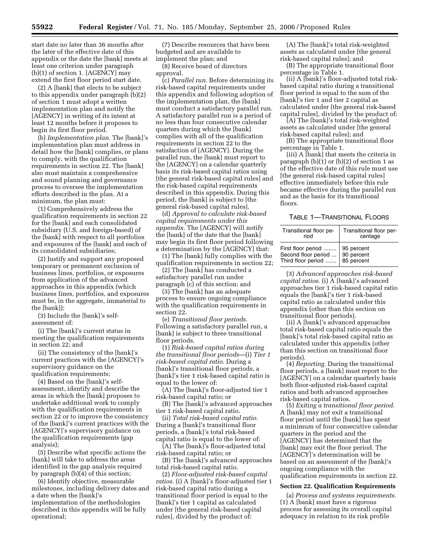start date no later than 36 months after the later of the effective date of this appendix or the date the [bank] meets at least one criterion under paragraph (b)(1) of section 1. [AGENCY] may extend the first floor period start date.

(2) A [bank] that elects to be subject to this appendix under paragraph (b)(2) of section 1 must adopt a written implementation plan and notify the [AGENCY] in writing of its intent at least 12 months before it proposes to begin its first floor period.

(b) *Implementation plan.* The [bank]'s implementation plan must address in detail how the [bank] complies, or plans to comply, with the qualification requirements in section 22. The [bank] also must maintain a comprehensive and sound planning and governance process to oversee the implementation efforts described in the plan. At a minimum, the plan must:

(1) Comprehensively address the qualification requirements in section 22 for the [bank] and each consolidated subsidiary (U.S. and foreign-based) of the [bank] with respect to all portfolios and exposures of the [bank] and each of its consolidated subsidiaries;

(2) Justify and support any proposed temporary or permanent exclusion of business lines, portfolios, or exposures from application of the advanced approaches in this appendix (which business lines, portfolios, and exposures must be, in the aggregate, immaterial to the [bank]);

(3) Include the [bank]'s selfassessment of:

(i) The [bank]'s current status in meeting the qualification requirements in section 22; and

(ii) The consistency of the [bank]'s current practices with the [AGENCY]'s supervisory guidance on the qualification requirements;

(4) Based on the [bank]'s selfassessment, identify and describe the areas in which the [bank] proposes to undertake additional work to comply with the qualification requirements in section 22 or to improve the consistency of the [bank]'s current practices with the [AGENCY]'s supervisory guidance on the qualification requirements (gap analysis);

(5) Describe what specific actions the [bank] will take to address the areas identified in the gap analysis required by paragraph (b)(4) of this section;

(6) Identify objective, measurable milestones, including delivery dates and a date when the [bank]'s implementation of the methodologies described in this appendix will be fully operational;

(7) Describe resources that have been budgeted and are available to implement the plan; and

(8) Receive board of directors approval.

(c) *Parallel run.* Before determining its risk-based capital requirements under this appendix and following adoption of the implementation plan, the [bank] must conduct a satisfactory parallel run. A satisfactory parallel run is a period of no less than four consecutive calendar quarters during which the [bank] complies with all of the qualification requirements in section 22 to the satisfaction of [AGENCY]. During the parallel run, the [bank] must report to the [AGENCY] on a calendar quarterly basis its risk-based capital ratios using [the general risk-based capital rules] and the risk-based capital requirements described in this appendix. During this period, the [bank] is subject to [the general risk-based capital rules].

(d) *Approval to calculate risk-based capital requirements under this appendix.* The [AGENCY] will notify the [bank] of the date that the [bank] may begin its first floor period following a determination by the [AGENCY] that:

(1) The [bank] fully complies with the qualification requirements in section 22;

(2) The [bank] has conducted a satisfactory parallel run under paragraph (c) of this section; and

(3) The [bank] has an adequate process to ensure ongoing compliance with the qualification requirements in section 22.

(e) *Transitional floor periods.*  Following a satisfactory parallel run, a [bank] is subject to three transitional floor periods.

(1) *Risk-based capital ratios during the transitional floor periods*—(i) *Tier 1 risk-based capital ratio.* During a [bank]'s transitional floor periods, a [bank]'s tier 1 risk-based capital ratio is equal to the lower of:

(A) The [bank]'s floor-adjusted tier 1 risk-based capital ratio; or

(B) The [bank]'s advanced approaches tier 1 risk-based capital ratio.

(ii) *Total risk-based capital ratio.*  During a [bank]'s transitional floor periods, a [bank]'s total risk-based capital ratio is equal to the lower of:

(A) The [bank]'s floor-adjusted total risk-based capital ratio; or

(B) The [bank]'s advanced approaches total risk-based capital ratio.

(2) *Floor-adjusted risk-based capital ratios.* (i) A [bank]'s floor-adjusted tier 1 risk-based capital ratio during a transitional floor period is equal to the [bank]'s tier 1 capital as calculated under [the general risk-based capital rules], divided by the product of:

(A) The [bank]'s total risk-weighted assets as calculated under [the general risk-based capital rules]; and

(B) The appropriate transitional floor percentage in Table 1.

(ii) A [bank]'s floor-adjusted total riskbased capital ratio during a transitional floor period is equal to the sum of the [bank]'s tier 1 and tier 2 capital as calculated under [the general risk-based capital rules], divided by the product of:

(A) The [bank]'s total risk-weighted assets as calculated under [the general risk-based capital rules]; and

(B) The appropriate transitional floor percentage in Table 1.

(iii) A [bank] that meets the criteria in paragraph (b)(1) or (b)(2) of section 1 as of the effective date of this rule must use [the general risk-based capital rules] effective immediately before this rule became effective during the parallel run and as the basis for its transitional floors.

#### TABLE 1—TRANSITIONAL FLOORS

| Transitional floor pe-                                             | Transitional floor per-                |  |  |
|--------------------------------------------------------------------|----------------------------------------|--|--|
| riod                                                               | centage                                |  |  |
| First floor period<br>Second floor period   <br>Third floor period | 95 percent<br>90 percent<br>85 percent |  |  |

(3) *Advanced approaches risk-based capital ratios.* (i) A [bank]'s advanced approaches tier 1 risk-based capital ratio equals the [bank]'s tier 1 risk-based capital ratio as calculated under this appendix (other than this section on transitional floor periods).

(ii) A [bank]'s advanced approaches total risk-based capital ratio equals the [bank]'s total risk-based capital ratio as calculated under this appendix (other than this section on transitional floor periods).

(4) *Reporting.* During the transitional floor periods, a [bank] must report to the [AGENCY] on a calendar quarterly basis both floor-adjusted risk-based capital ratios and both advanced approaches risk-based capital ratios.

(5) *Exiting a transitional floor period.*  A [bank] may not exit a transitional floor period until the [bank] has spent a minimum of four consecutive calendar quarters in the period and the [AGENCY] has determined that the [bank] may exit the floor period. The [AGENCY]'s determination will be based on an assessment of the [bank]'s ongoing compliance with the qualification requirements in section 22.

#### **Section 22. Qualification Requirements**

(a) *Process and systems requirements.*  (1) A [bank] must have a rigorous process for assessing its overall capital adequacy in relation to its risk profile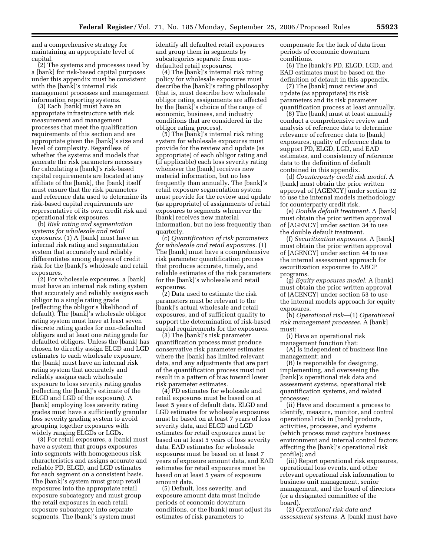and a comprehensive strategy for maintaining an appropriate level of capital.

(2) The systems and processes used by a [bank] for risk-based capital purposes under this appendix must be consistent with the [bank]'s internal risk management processes and management information reporting systems.

(3) Each [bank] must have an appropriate infrastructure with risk measurement and management processes that meet the qualification requirements of this section and are appropriate given the [bank]'s size and level of complexity. Regardless of whether the systems and models that generate the risk parameters necessary for calculating a [bank]'s risk-based capital requirements are located at any affiliate of the [bank], the [bank] itself must ensure that the risk parameters and reference data used to determine its risk-based capital requirements are representative of its own credit risk and operational risk exposures.

(b) *Risk rating and segmentation systems for wholesale and retail exposures.* (1) A [bank] must have an internal risk rating and segmentation system that accurately and reliably differentiates among degrees of credit risk for the [bank]'s wholesale and retail exposures.

(2) For wholesale exposures, a [bank] must have an internal risk rating system that accurately and reliably assigns each obligor to a single rating grade (reflecting the obligor's likelihood of default). The [bank]'s wholesale obligor rating system must have at least seven discrete rating grades for non-defaulted obligors and at least one rating grade for defaulted obligors. Unless the [bank] has chosen to directly assign ELGD and LGD estimates to each wholesale exposure, the [bank] must have an internal risk rating system that accurately and reliably assigns each wholesale exposure to loss severity rating grades (reflecting the [bank]'s estimate of the ELGD and LGD of the exposure). A [bank] employing loss severity rating grades must have a sufficiently granular loss severity grading system to avoid grouping together exposures with widely ranging ELGDs or LGDs.

(3) For retail exposures, a [bank] must have a system that groups exposures into segments with homogeneous risk characteristics and assigns accurate and reliable PD, ELGD, and LGD estimates for each segment on a consistent basis. The [bank]'s system must group retail exposures into the appropriate retail exposure subcategory and must group the retail exposures in each retail exposure subcategory into separate segments. The [bank]'s system must

identify all defaulted retail exposures and group them in segments by subcategories separate from nondefaulted retail exposures.

(4) The [bank]'s internal risk rating policy for wholesale exposures must describe the [bank]'s rating philosophy (that is, must describe how wholesale obligor rating assignments are affected by the [bank]'s choice of the range of economic, business, and industry conditions that are considered in the obligor rating process).

(5) The [bank]'s internal risk rating system for wholesale exposures must provide for the review and update (as appropriate) of each obligor rating and (if applicable) each loss severity rating whenever the [bank] receives new material information, but no less frequently than annually. The [bank]'s retail exposure segmentation system must provide for the review and update (as appropriate) of assignments of retail exposures to segments whenever the [bank] receives new material information, but no less frequently than quarterly.

(c) *Quantification of risk parameters for wholesale and retail exposures.* (1) The [bank] must have a comprehensive risk parameter quantification process that produces accurate, timely, and reliable estimates of the risk parameters for the [bank]'s wholesale and retail exposures.

(2) Data used to estimate the risk parameters must be relevant to the [bank]'s actual wholesale and retail exposures, and of sufficient quality to support the determination of risk-based capital requirements for the exposures.

(3) The [bank]'s risk parameter quantification process must produce conservative risk parameter estimates where the [bank] has limited relevant data, and any adjustments that are part of the quantification process must not result in a pattern of bias toward lower risk parameter estimates.

(4) PD estimates for wholesale and retail exposures must be based on at least 5 years of default data. ELGD and LGD estimates for wholesale exposures must be based on at least 7 years of loss severity data, and ELGD and LGD estimates for retail exposures must be based on at least 5 years of loss severity data. EAD estimates for wholesale exposures must be based on at least 7 years of exposure amount data, and EAD estimates for retail exposures must be based on at least 5 years of exposure amount data.

(5) Default, loss severity, and exposure amount data must include periods of economic downturn conditions, or the [bank] must adjust its estimates of risk parameters to

compensate for the lack of data from periods of economic downturn conditions.

(6) The [bank]'s PD, ELGD, LGD, and EAD estimates must be based on the definition of default in this appendix.

(7) The [bank] must review and update (as appropriate) its risk parameters and its risk parameter quantification process at least annually.

(8) The [bank] must at least annually conduct a comprehensive review and analysis of reference data to determine relevance of reference data to [bank] exposures, quality of reference data to support PD, ELGD, LGD, and EAD estimates, and consistency of reference data to the definition of default contained in this appendix.

(d) *Counterparty credit risk model.* A [bank] must obtain the prior written approval of [AGENCY] under section 32 to use the internal models methodology for counterparty credit risk.

(e) *Double default treatment.* A [bank] must obtain the prior written approval of [AGENCY] under section 34 to use the double default treatment.

(f) *Securitization exposures.* A [bank] must obtain the prior written approval of [AGENCY] under section 44 to use the internal assessment approach for securitization exposures to ABCP programs.

(g) *Equity exposures model.* A [bank] must obtain the prior written approval of [AGENCY] under section 53 to use the internal models approach for equity exposures.

(h) *Operational risk*—(1) *Operational risk management processes.* A [bank] must:

(i) Have an operational risk management function that:

(A) Is independent of business line management; and

(B) Is responsible for designing, implementing, and overseeing the [bank]'s operational risk data and assessment systems, operational risk quantification systems, and related processes;

(ii) Have and document a process to identify, measure, monitor, and control operational risk in [bank] products, activities, processes, and systems (which process must capture business environment and internal control factors affecting the [bank]'s operational risk profile); and

(iii) Report operational risk exposures, operational loss events, and other relevant operational risk information to business unit management, senior management, and the board of directors (or a designated committee of the board).

(2) *Operational risk data and assessment systems.* A [bank] must have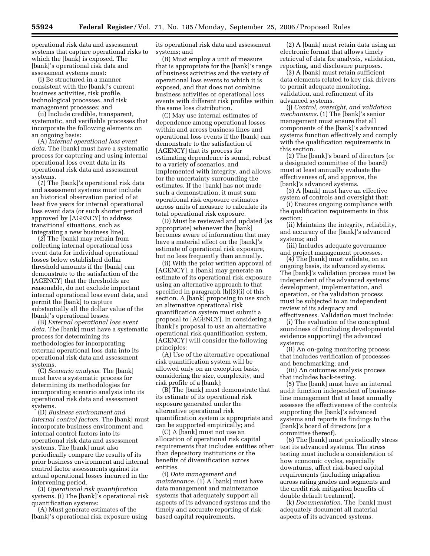operational risk data and assessment systems that capture operational risks to which the [bank] is exposed. The [bank]'s operational risk data and assessment systems must:

(i) Be structured in a manner consistent with the [bank]'s current business activities, risk profile, technological processes, and risk management processes; and

(ii) Include credible, transparent, systematic, and verifiable processes that incorporate the following elements on an ongoing basis:

(A) *Internal operational loss event data.* The [bank] must have a systematic process for capturing and using internal operational loss event data in its operational risk data and assessment systems.

(*1*) The [bank]'s operational risk data and assessment systems must include an historical observation period of at least five years for internal operational loss event data (or such shorter period approved by [AGENCY] to address transitional situations, such as integrating a new business line).

(*2*) The [bank] may refrain from collecting internal operational loss event data for individual operational losses below established dollar threshold amounts if the [bank] can demonstrate to the satisfaction of the [AGENCY] that the thresholds are reasonable, do not exclude important internal operational loss event data, and permit the [bank] to capture substantially all the dollar value of the [bank]'s operational losses.

(B) *External operational loss event data.* The [bank] must have a systematic process for determining its methodologies for incorporating external operational loss data into its operational risk data and assessment systems.

(C) *Scenario analysis.* The [bank] must have a systematic process for determining its methodologies for incorporating scenario analysis into its operational risk data and assessment systems.

(D) *Business environment and internal control factors.* The [bank] must incorporate business environment and internal control factors into its operational risk data and assessment systems. The [bank] must also periodically compare the results of its prior business environment and internal control factor assessments against its actual operational losses incurred in the intervening period.

(3) *Operational risk quantification systems.* (i) The [bank]'s operational risk quantification systems:

(A) Must generate estimates of the [bank]'s operational risk exposure using its operational risk data and assessment systems; and

(B) Must employ a unit of measure that is appropriate for the [bank]'s range of business activities and the variety of operational loss events to which it is exposed, and that does not combine business activities or operational loss events with different risk profiles within the same loss distribution.

(C) May use internal estimates of dependence among operational losses within and across business lines and operational loss events if the [bank] can demonstrate to the satisfaction of [AGENCY] that its process for estimating dependence is sound, robust to a variety of scenarios, and implemented with integrity, and allows for the uncertainty surrounding the estimates. If the [bank] has not made such a demonstration, it must sum operational risk exposure estimates across units of measure to calculate its total operational risk exposure.

(D) Must be reviewed and updated (as appropriate) whenever the [bank] becomes aware of information that may have a material effect on the [bank]'s estimate of operational risk exposure, but no less frequently than annually.

(ii) With the prior written approval of [AGENCY], a [bank] may generate an estimate of its operational risk exposure using an alternative approach to that specified in paragraph (h)(3)(i) of this section. A [bank] proposing to use such an alternative operational risk quantification system must submit a proposal to [AGENCY]. In considering a [bank]'s proposal to use an alternative operational risk quantification system, [AGENCY] will consider the following principles:

(A) Use of the alternative operational risk quantification system will be allowed only on an exception basis, considering the size, complexity, and risk profile of a [bank];

(B) The [bank] must demonstrate that its estimate of its operational risk exposure generated under the alternative operational risk quantification system is appropriate and can be supported empirically; and

(C) A [bank] must not use an allocation of operational risk capital requirements that includes entities other than depository institutions or the benefits of diversification across entities.

(i) *Data management and maintenance.* (1) A [bank] must have data management and maintenance systems that adequately support all aspects of its advanced systems and the timely and accurate reporting of riskbased capital requirements.

(2) A [bank] must retain data using an electronic format that allows timely retrieval of data for analysis, validation, reporting, and disclosure purposes.

(3) A [bank] must retain sufficient data elements related to key risk drivers to permit adequate monitoring, validation, and refinement of its advanced systems.

(j) *Control, oversight, and validation mechanisms.* (1) The [bank]'s senior management must ensure that all components of the [bank]'s advanced systems function effectively and comply with the qualification requirements in this section.

(2) The [bank]'s board of directors (or a designated committee of the board) must at least annually evaluate the effectiveness of, and approve, the [bank]'s advanced systems.

(3) A [bank] must have an effective system of controls and oversight that:

(i) Ensures ongoing compliance with the qualification requirements in this section;

(ii) Maintains the integrity, reliability, and accuracy of the [bank]'s advanced systems; and

(iii) Includes adequate governance and project management processes.

(4) The [bank] must validate, on an ongoing basis, its advanced systems. The [bank]'s validation process must be independent of the advanced systems' development, implementation, and operation, or the validation process must be subjected to an independent review of its adequacy and effectiveness. Validation must include:

(i) The evaluation of the conceptual soundness of (including developmental evidence supporting) the advanced systems;

(ii) An on-going monitoring process that includes verification of processes and benchmarking; and

(iii) An outcomes analysis process that includes back-testing.

(5) The [bank] must have an internal audit function independent of businessline management that at least annually assesses the effectiveness of the controls supporting the [bank]'s advanced systems and reports its findings to the [bank]'s board of directors (or a committee thereof).

(6) The [bank] must periodically stress test its advanced systems. The stress testing must include a consideration of how economic cycles, especially downturns, affect risk-based capital requirements (including migration across rating grades and segments and the credit risk mitigation benefits of double default treatment).

(k) *Documentation.* The [bank] must adequately document all material aspects of its advanced systems.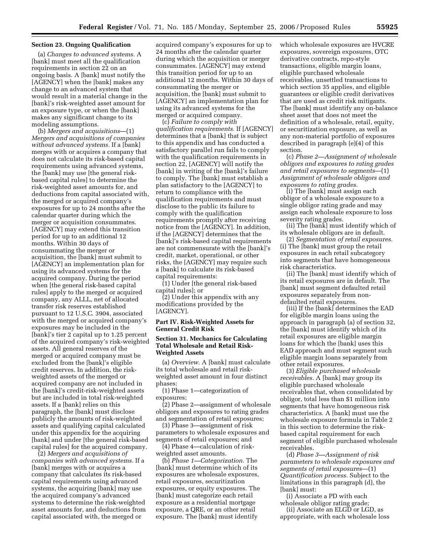## **Section 23. Ongoing Qualification**

(a) *Changes to advanced systems.* A [bank] must meet all the qualification requirements in section 22 on an ongoing basis. A [bank] must notify the [AGENCY] when the [bank] makes any change to an advanced system that would result in a material change in the [bank]'s risk-weighted asset amount for an exposure type, or when the [bank] makes any significant change to its modeling assumptions.

(b) *Mergers and acquisitions*—(1) *Mergers and acquisitions of companies without advanced systems.* If a [bank] merges with or acquires a company that does not calculate its risk-based capital requirements using advanced systems, the [bank] may use [the general riskbased capital rules] to determine the risk-weighted asset amounts for, and deductions from capital associated with, the merged or acquired company's exposures for up to 24 months after the calendar quarter during which the merger or acquisition consummates. [AGENCY] may extend this transition period for up to an additional 12 months. Within 30 days of consummating the merger or acquisition, the [bank] must submit to [AGENCY] an implementation plan for using its advanced systems for the acquired company. During the period when [the general risk-based capital rules] apply to the merged or acquired company, any ALLL, net of allocated transfer risk reserves established pursuant to 12 U.S.C. 3904, associated with the merged or acquired company's exposures may be included in the [bank]'s tier 2 capital up to 1.25 percent of the acquired company's risk-weighted assets. All general reserves of the merged or acquired company must be excluded from the [bank]'s eligible credit reserves. In addition, the riskweighted assets of the merged or acquired company are not included in the [bank]'s credit-risk-weighted assets but are included in total risk-weighted assets. If a [bank] relies on this paragraph, the [bank] must disclose publicly the amounts of risk-weighted assets and qualifying capital calculated under this appendix for the acquiring [bank] and under [the general risk-based capital rules] for the acquired company.

(2) *Mergers and acquisitions of companies with advanced systems.* If a [bank] merges with or acquires a company that calculates its risk-based capital requirements using advanced systems, the acquiring [bank] may use the acquired company's advanced systems to determine the risk-weighted asset amounts for, and deductions from capital associated with, the merged or

acquired company's exposures for up to 24 months after the calendar quarter during which the acquisition or merger consummates. [AGENCY] may extend this transition period for up to an additional 12 months. Within 30 days of consummating the merger or acquisition, the [bank] must submit to [AGENCY] an implementation plan for using its advanced systems for the merged or acquired company.

(c) *Failure to comply with qualification requirements.* If [AGENCY] determines that a [bank] that is subject to this appendix and has conducted a satisfactory parallel run fails to comply with the qualification requirements in section 22, [AGENCY] will notify the [bank] in writing of the [bank]'s failure to comply. The [bank] must establish a plan satisfactory to the [AGENCY] to return to compliance with the qualification requirements and must disclose to the public its failure to comply with the qualification requirements promptly after receiving notice from the [AGENCY]. In addition, if the [AGENCY] determines that the [bank]'s risk-based capital requirements are not commensurate with the [bank]'s credit, market, operational, or other risks, the [AGENCY] may require such a [bank] to calculate its risk-based capital requirements:

(1) Under [the general risk-based capital rules]; or

(2) Under this appendix with any modifications provided by the [AGENCY].

## **Part IV. Risk-Weighted Assets for General Credit Risk**

# **Section 31. Mechanics for Calculating Total Wholesale and Retail Risk-Weighted Assets**

(a) *Overview.* A [bank] must calculate its total wholesale and retail riskweighted asset amount in four distinct phases:

(1) Phase 1—categorization of exposures;

(2) Phase 2—assignment of wholesale obligors and exposures to rating grades and segmentation of retail exposures;

(3) Phase 3—assignment of risk parameters to wholesale exposures and segments of retail exposures; and

(4) Phase 4—calculation of riskweighted asset amounts.

(b) *Phase 1—Categorization.* The [bank] must determine which of its exposures are wholesale exposures, retail exposures, securitization exposures, or equity exposures. The [bank] must categorize each retail exposure as a residential mortgage exposure, a QRE, or an other retail exposure. The [bank] must identify

which wholesale exposures are HVCRE exposures, sovereign exposures, OTC derivative contracts, repo-style transactions, eligible margin loans, eligible purchased wholesale receivables, unsettled transactions to which section 35 applies, and eligible guarantees or eligible credit derivatives that are used as credit risk mitigants. The [bank] must identify any on-balance sheet asset that does not meet the definition of a wholesale, retail, equity, or securitization exposure, as well as any non-material portfolio of exposures described in paragraph (e)(4) of this section.

(c) *Phase 2—Assignment of wholesale obligors and exposures to rating grades and retail exposures to segments*—(1) *Assignment of wholesale obligors and exposures to rating grades.* 

(i) The [bank] must assign each obligor of a wholesale exposure to a single obligor rating grade and may assign each wholesale exposure to loss severity rating grades.

(ii) The [bank] must identify which of its wholesale obligors are in default.

(2) *Segmentation of retail exposures.*  (i) The [bank] must group the retail exposures in each retail subcategory into segments that have homogeneous risk characteristics.

(ii) The [bank] must identify which of its retail exposures are in default. The [bank] must segment defaulted retail exposures separately from nondefaulted retail exposures.

(iii) If the [bank] determines the EAD for eligible margin loans using the approach in paragraph (a) of section 32, the [bank] must identify which of its retail exposures are eligible margin loans for which the [bank] uses this EAD approach and must segment such eligible margin loans separately from other retail exposures.

(3) *Eligible purchased wholesale receivables.* A [bank] may group its eligible purchased wholesale receivables that, when consolidated by obligor, total less than \$1 million into segments that have homogeneous risk characteristics. A [bank] must use the wholesale exposure formula in Table 2 in this section to determine the riskbased capital requirement for each segment of eligible purchased wholesale receivables.

(d) *Phase 3—Assignment of risk parameters to wholesale exposures and segments of retail exposures*—(1) *Quantification process.* Subject to the limitations in this paragraph (d), the [bank] must:

(i) Associate a PD with each wholesale obligor rating grade;

(ii) Associate an ELGD or LGD, as appropriate, with each wholesale loss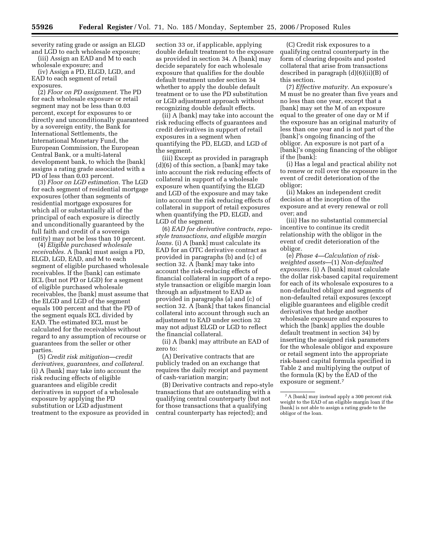severity rating grade or assign an ELGD and LGD to each wholesale exposure; (iii) Assign an EAD and M to each

wholesale exposure; and (iv) Assign a PD, ELGD, LGD, and EAD to each segment of retail

exposures. (2) *Floor on PD assignment.* The PD for each wholesale exposure or retail segment may not be less than 0.03 percent, except for exposures to or directly and unconditionally guaranteed by a sovereign entity, the Bank for International Settlements, the International Monetary Fund, the European Commission, the European Central Bank, or a multi-lateral development bank, to which the [bank] assigns a rating grade associated with a PD of less than 0.03 percent.

(3) *Floor on LGD estimation.* The LGD for each segment of residential mortgage exposures (other than segments of residential mortgage exposures for which all or substantially all of the principal of each exposure is directly and unconditionally guaranteed by the full faith and credit of a sovereign entity) may not be less than 10 percent.

(4) *Eligible purchased wholesale receivables.* A [bank] must assign a PD, ELGD, LGD, EAD, and M to each segment of eligible purchased wholesale receivables. If the [bank] can estimate ECL (but not PD or LGD) for a segment of eligible purchased wholesale receivables, the [bank] must assume that the ELGD and LGD of the segment equals 100 percent and that the PD of the segment equals ECL divided by EAD. The estimated ECL must be calculated for the receivables without regard to any assumption of recourse or guarantees from the seller or other parties.

(5) *Credit risk mitigation—credit derivatives, guarantees, and collateral.*  (i) A [bank] may take into account the risk reducing effects of eligible guarantees and eligible credit derivatives in support of a wholesale exposure by applying the PD substitution or LGD adjustment treatment to the exposure as provided in section 33 or, if applicable, applying double default treatment to the exposure as provided in section 34. A [bank] may decide separately for each wholesale exposure that qualifies for the double default treatment under section 34 whether to apply the double default treatment or to use the PD substitution or LGD adjustment approach without recognizing double default effects.

(ii) A [bank] may take into account the risk reducing effects of guarantees and credit derivatives in support of retail exposures in a segment when quantifying the PD, ELGD, and LGD of the segment.

(iii) Except as provided in paragraph (d)(6) of this section, a [bank] may take into account the risk reducing effects of collateral in support of a wholesale exposure when quantifying the ELGD and LGD of the exposure and may take into account the risk reducing effects of collateral in support of retail exposures when quantifying the PD, ELGD, and LGD of the segment.

(6) *EAD for derivative contracts, repostyle transactions, and eligible margin loans.* (i) A [bank] must calculate its EAD for an OTC derivative contract as provided in paragraphs (b) and (c) of section 32. A [bank] may take into account the risk-reducing effects of financial collateral in support of a repostyle transaction or eligible margin loan through an adjustment to EAD as provided in paragraphs (a) and (c) of section 32. A [bank] that takes financial collateral into account through such an adjustment to EAD under section 32 may not adjust ELGD or LGD to reflect the financial collateral.

(ii) A [bank] may attribute an EAD of zero to:

(A) Derivative contracts that are publicly traded on an exchange that requires the daily receipt and payment of cash-variation margin;

(B) Derivative contracts and repo-style transactions that are outstanding with a qualifying central counterparty (but not for those transactions that a qualifying central counterparty has rejected); and

(C) Credit risk exposures to a qualifying central counterparty in the form of clearing deposits and posted collateral that arise from transactions described in paragraph (d)(6)(ii)(B) of this section.

(7) *Effective maturity.* An exposure's M must be no greater than five years and no less than one year, except that a [bank] may set the M of an exposure equal to the greater of one day or M if the exposure has an original maturity of less than one year and is not part of the [bank]'s ongoing financing of the obligor. An exposure is not part of a [bank]'s ongoing financing of the obligor if the [bank]:

(i) Has a legal and practical ability not to renew or roll over the exposure in the event of credit deterioration of the obligor;

(ii) Makes an independent credit decision at the inception of the exposure and at every renewal or roll over; and

(iii) Has no substantial commercial incentive to continue its credit relationship with the obligor in the event of credit deterioration of the obligor.

(e) *Phase 4—Calculation of riskweighted assets*—(1) *Non-defaulted exposures.* (i) A [bank] must calculate the dollar risk-based capital requirement for each of its wholesale exposures to a non-defaulted obligor and segments of non-defaulted retail exposures (except eligible guarantees and eligible credit derivatives that hedge another wholesale exposure and exposures to which the [bank] applies the double default treatment in section 34) by inserting the assigned risk parameters for the wholesale obligor and exposure or retail segment into the appropriate risk-based capital formula specified in Table 2 and multiplying the output of the formula (K) by the EAD of the exposure or segment.7

<sup>7</sup>A [bank] may instead apply a 300 percent risk weight to the EAD of an eligible margin loan if the [bank] is not able to assign a rating grade to the obligor of the loan.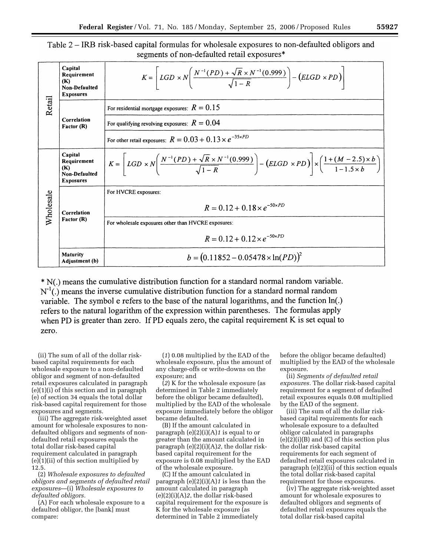# Table 2 – IRB risk-based capital formulas for wholesale exposures to non-defaulted obligors and segments of non-defaulted retail exposures\*

|               | Capital<br>Requirement<br>(K)<br>Non-Defaulted<br><b>Exposures</b> | $K = \left[ LGD \times N \left( \frac{N^{-1}(PD) + \sqrt{R} \times N^{-1}(0.999)}{\sqrt{1-R}} \right) - (ELGD \times PD) \right]$                                                                       |
|---------------|--------------------------------------------------------------------|---------------------------------------------------------------------------------------------------------------------------------------------------------------------------------------------------------|
| <b>Retail</b> | Correlation<br>Factor (R)                                          | For residential mortgage exposures: $R = 0.15$                                                                                                                                                          |
|               |                                                                    | For qualifying revolving exposures: $R = 0.04$                                                                                                                                                          |
|               |                                                                    | For other retail exposures: $R = 0.03 + 0.13 \times e^{-35 \times PD}$                                                                                                                                  |
|               | Capital<br>Requirement<br>(K)<br>Non-Defaulted<br><b>Exposures</b> | $K = \left[ LGD \times N \left( \frac{N^{-1}(PD) + \sqrt{R} \times N^{-1}(0.999)}{\sqrt{1-R}} \right) - (ELGD \times PD) \right] \times \left( \frac{1 + (M - 2.5) \times b}{1 - 1.5 \times b} \right)$ |
| Wholesale     | Correlation<br>Factor (R)                                          | For HVCRE exposures:                                                                                                                                                                                    |
|               |                                                                    | $R = 0.12 + 0.18 \times e^{-50 \times PD}$                                                                                                                                                              |
|               |                                                                    | For wholesale exposures other than HVCRE exposures:                                                                                                                                                     |
|               |                                                                    | $R = 0.12 + 0.12 \times e^{-50 \times PD}$                                                                                                                                                              |
|               | <b>Maturity</b><br>Adjustment (b)                                  | $b = (0.11852 - 0.05478 \times \ln(PD))^{2}$                                                                                                                                                            |

\* N(.) means the cumulative distribution function for a standard normal random variable.  $N<sup>-1</sup>$ (.) means the inverse cumulative distribution function for a standard normal random variable. The symbol e refers to the base of the natural logarithms, and the function ln(.) refers to the natural logarithm of the expression within parentheses. The formulas apply when PD is greater than zero. If PD equals zero, the capital requirement K is set equal to zero.

(ii) The sum of all of the dollar riskbased capital requirements for each wholesale exposure to a non-defaulted obligor and segment of non-defaulted retail exposures calculated in paragraph (e)(1)(i) of this section and in paragraph (e) of section 34 equals the total dollar risk-based capital requirement for those exposures and segments.

(iii) The aggregate risk-weighted asset amount for wholesale exposures to nondefaulted obligors and segments of nondefaulted retail exposures equals the total dollar risk-based capital requirement calculated in paragraph (e)(1)(ii) of this section multiplied by 12.5.

(2) *Wholesale exposures to defaulted obligors and segments of defaulted retail exposures*—(i) *Wholesale exposures to defaulted obligors.* 

(A) For each wholesale exposure to a defaulted obligor, the [bank] must compare:

(*1*) 0.08 multiplied by the EAD of the wholesale exposure, plus the amount of any charge-offs or write-downs on the exposure; and

(*2*) K for the wholesale exposure (as determined in Table 2 immediately before the obligor became defaulted), multiplied by the EAD of the wholesale exposure immediately before the obligor became defaulted.

(B) If the amount calculated in paragraph (e)(2)(i)(A)*1* is equal to or greater than the amount calculated in paragraph (e)(2)(i)(A)*2*, the dollar riskbased capital requirement for the exposure is 0.08 multiplied by the EAD of the wholesale exposure.

(C) If the amount calculated in paragraph (e)(2)(i)(A)*1* is less than the amount calculated in paragraph (e)(2)(i)(A)*2*, the dollar risk-based capital requirement for the exposure is K for the wholesale exposure (as determined in Table 2 immediately

before the obligor became defaulted) multiplied by the EAD of the wholesale exposure.

(ii) *Segments of defaulted retail exposures.* The dollar risk-based capital requirement for a segment of defaulted retail exposures equals 0.08 multiplied by the EAD of the segment.

(iii) The sum of all the dollar riskbased capital requirements for each wholesale exposure to a defaulted obligor calculated in paragraphs (e)(2)(i)(B) and (C) of this section plus the dollar risk-based capital requirements for each segment of defaulted retail exposures calculated in paragraph  $(e)(2)(ii)$  of this section equals the total dollar risk-based capital requirement for those exposures.

(iv) The aggregate risk-weighted asset amount for wholesale exposures to defaulted obligors and segments of defaulted retail exposures equals the total dollar risk-based capital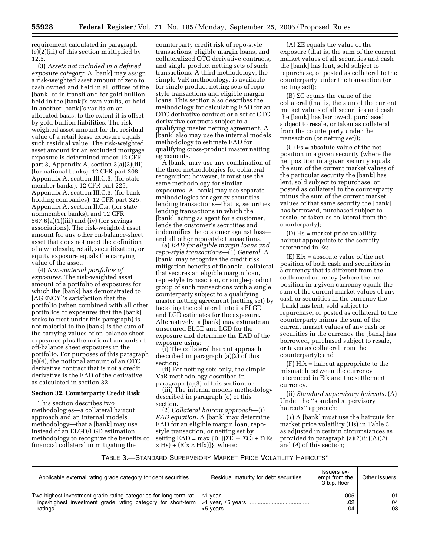requirement calculated in paragraph (e)(2)(iii) of this section multiplied by 12.5.

(3) *Assets not included in a defined exposure category.* A [bank] may assign a risk-weighted asset amount of zero to cash owned and held in all offices of the [bank] or in transit and for gold bullion held in the [bank]'s own vaults, or held in another [bank]'s vaults on an allocated basis, to the extent it is offset by gold bullion liabilities. The riskweighted asset amount for the residual value of a retail lease exposure equals such residual value. The risk-weighted asset amount for an excluded mortgage exposure is determined under 12 CFR part 3, Appendix A, section 3(a)(3)(iii) (for national banks), 12 CFR part 208, Appendix A, section III.C.3. (for state member banks), 12 CFR part 225, Appendix A, section III.C.3. (for bank holding companies), 12 CFR part 325, Appendix A, section II.C.a. (for state nonmember banks), and 12 CFR  $567.6(a)(1)(iii)$  and (iv) (for savings associations). The risk-weighted asset amount for any other on-balance-sheet asset that does not meet the definition of a wholesale, retail, securitization, or equity exposure equals the carrying value of the asset.

(4) *Non-material portfolios of exposures.* The risk-weighted asset amount of a portfolio of exposures for which the [bank] has demonstrated to [AGENCY]'s satisfaction that the portfolio (when combined with all other portfolios of exposures that the [bank] seeks to treat under this paragraph) is not material to the [bank] is the sum of the carrying values of on-balance sheet exposures plus the notional amounts of off-balance sheet exposures in the portfolio. For purposes of this paragraph (e)(4), the notional amount of an OTC derivative contract that is not a credit derivative is the EAD of the derivative as calculated in section 32.

## **Section 32. Counterparty Credit Risk**

This section describes two methodologies—a collateral haircut approach and an internal models methodology—that a [bank] may use instead of an ELGD/LGD estimation methodology to recognize the benefits of financial collateral in mitigating the

counterparty credit risk of repo-style transactions, eligible margin loans, and collateralized OTC derivative contracts, and single product netting sets of such transactions. A third methodology, the simple VaR methodology, is available for single product netting sets of repostyle transactions and eligible margin loans. This section also describes the methodology for calculating EAD for an OTC derivative contract or a set of OTC derivative contracts subject to a qualifying master netting agreement. A [bank] also may use the internal models methodology to estimate EAD for qualifying cross-product master netting agreements.

A [bank] may use any combination of the three methodologies for collateral recognition; however, it must use the same methodology for similar exposures. A [bank] may use separate methodologies for agency securities lending transactions—that is, securities lending transactions in which the [bank], acting as agent for a customer, lends the customer's securities and indemnifies the customer against loss and all other repo-style transactions.

(a) *EAD for eligible margin loans and repo-style transactions*—(1) *General.* A [bank] may recognize the credit risk mitigation benefits of financial collateral that secures an eligible margin loan, repo-style transaction, or single-product group of such transactions with a single counterparty subject to a qualifying master netting agreement (netting set) by factoring the collateral into its ELGD and LGD estimates for the exposure. Alternatively, a [bank] may estimate an unsecured ELGD and LGD for the exposure and determine the EAD of the exposure using:

(i) The collateral haircut approach described in paragraph (a)(2) of this section;

(ii) For netting sets only, the simple VaR methodology described in paragraph (a)(3) of this section; or

(iii) The internal models methodology described in paragraph (c) of this section.

(2) *Collateral haircut approach*—(i) *EAD equation.* A [bank] may determine EAD for an eligible margin loan, repostyle transaction, or netting set by setting EAD = max {0,  $[(\Sigma E - \Sigma C) + \Sigma (Es$  $\times$  Hs) + (Efx  $\times$  Hfx)]}, where:

(A)  $\Sigma E$  equals the value of the exposure (that is, the sum of the current market values of all securities and cash the [bank] has lent, sold subject to repurchase, or posted as collateral to the counterparty under the transaction (or netting set));

 $(B)$   $\Sigma C$  equals the value of the collateral (that is, the sum of the current market values of all securities and cash the [bank] has borrowed, purchased subject to resale, or taken as collateral from the counterparty under the transaction (or netting set));

(C) Es = absolute value of the net position in a given security (where the net position in a given security equals the sum of the current market values of the particular security the [bank] has lent, sold subject to repurchase, or posted as collateral to the counterparty minus the sum of the current market values of that same security the [bank] has borrowed, purchased subject to resale, or taken as collateral from the counterparty);

(D) Hs = market price volatility haircut appropriate to the security referenced in Es;

 $(E) Efx = absolute value of the net$ position of both cash and securities in a currency that is different from the settlement currency (where the net position in a given currency equals the sum of the current market values of any cash or securities in the currency the [bank] has lent, sold subject to repurchase, or posted as collateral to the counterparty minus the sum of the current market values of any cash or securities in the currency the [bank] has borrowed, purchased subject to resale, or taken as collateral from the counterparty); and

(F) Hfx = haircut appropriate to the mismatch between the currency referenced in Efx and the settlement currency.

(ii) *Standard supervisory haircuts.* (A) Under the ''standard supervisory haircuts'' approach:

(*1*) A [bank] must use the haircuts for market price volatility (Hs) in Table 3, as adjusted in certain circumstances as provided in paragraph (a)(2)(ii)(A)(*3*) and (*4*) of this section;

# TABLE 3.—STANDARD SUPERVISORY MARKET PRICE VOLATILITY HAIRCUTS\*

| Applicable external rating grade category for debt securities | Residual maturity for debt securities | Issuers ex-<br>empt from the<br>3 b.p. floor | Other issuers |
|---------------------------------------------------------------|---------------------------------------|----------------------------------------------|---------------|
|                                                               |                                       | .005                                         | .01           |
|                                                               |                                       | .02                                          | .04           |
| ratings.                                                      |                                       | .04                                          | .08           |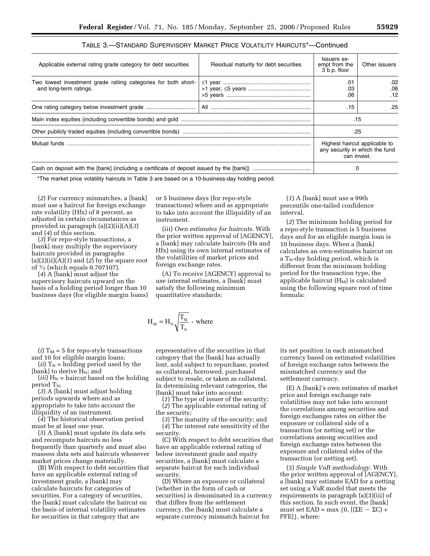| TABLE 3.—STANDARD SUPERVISORY MARKET PRICE VOLATILITY HAIRCUTS*—Continued |
|---------------------------------------------------------------------------|
|---------------------------------------------------------------------------|

| Applicable external rating grade category for debt securities                            | Residual maturity for debt securities | Issuers ex-<br>empt from the<br>3 b.p. floor | Other issuers                                                                  |  |  |
|------------------------------------------------------------------------------------------|---------------------------------------|----------------------------------------------|--------------------------------------------------------------------------------|--|--|
| Two lowest investment grade ratiing categories for both short-<br>and long-term ratings. |                                       | .01<br>.03<br>.06                            | .02<br>.06<br>.12                                                              |  |  |
|                                                                                          |                                       | .15                                          | .25                                                                            |  |  |
|                                                                                          | .15                                   |                                              |                                                                                |  |  |
|                                                                                          |                                       |                                              | .25                                                                            |  |  |
| Mutual funds                                                                             |                                       |                                              | Highest haircut applicable to<br>any security in which the fund<br>can invest. |  |  |
|                                                                                          |                                       |                                              | 0                                                                              |  |  |

\*The market price volatility haircuts in Table 3 are based on a 10-business-day holding period.

(*2*) For currency mismatches, a [bank] must use a haircut for foreign exchange rate volatility (Hfx) of 8 percent, as adjusted in certain circumstances as provided in paragraph (a)(2)(ii)(A)(*3*) and (*4*) of this section.

(*3*) For repo-style transactions, a [bank] may multiply the supervisory haircuts provided in paragraphs (a)(2)(ii)(A)(*1*) and (*2*) by the square root of 1⁄2 (which equals 0.707107).

(*4*) A [bank] must adjust the supervisory haircuts upward on the basis of a holding period longer than 10 business days (for eligible margin loans)

(*i*)  $T_M = 5$  for repo-style transactions and 10 for eligible margin loans;

(*ii*)  $T_N$  = holding period used by the [bank] to derive  $H_N$ ; and

(*iii*)  $H_N$  = haircut based on the holding period  $T_N$ .

(*3*) A [bank] must adjust holding periods upwards where and as appropriate to take into account the illiquidity of an instrument.

(*4*) The historical observation period must be at least one year.

(*5*) A [bank] must update its data sets and recompute haircuts no less frequently than quarterly and must also reassess data sets and haircuts whenever market prices change materially.

(B) With respect to debt securities that have an applicable external rating of investment grade, a [bank] may calculate haircuts for categories of securities. For a category of securities, the [bank] must calculate the haircut on the basis of internal volatility estimates for securities in that category that are

or 5 business days (for repo-style transactions) where and as appropriate to take into account the illiquidity of an instrument.

(iii) *Own estimates for haircuts.* With the prior written approval of [AGENCY], a [bank] may calculate haircuts (Hs and Hfx) using its own internal estimates of the volatilities of market prices and foreign exchange rates.

(A) To receive [AGENCY] approval to use internal estimates, a [bank] must satisfy the following minimum quantitative standards:

$$
H_M = H_N \sqrt{\frac{T_M}{T_N}}
$$
, where

representative of the securities in that category that the [bank] has actually lent, sold subject to repurchase, posted as collateral, borrowed, purchased subject to resale, or taken as collateral. In determining relevant categories, the [bank] must take into account:

(*1*) The type of issuer of the security; (*2*) The applicable external rating of the security;

(*3*) The maturity of the security; and (*4*) The interest rate sensitivity of the security.

(C) With respect to debt securities that have an applicable external rating of below investment grade and equity securities, a [bank] must calculate a separate haircut for each individual security.

(D) Where an exposure or collateral (whether in the form of cash or securities) is denominated in a currency that differs from the settlement currency, the [bank] must calculate a separate currency mismatch haircut for

its net position in each mismatched currency based on estimated volatilities of foreign exchange rates between the mismatched currency and the settlement currency.

(E) A [bank]'s own estimates of market price and foreign exchange rate volatilities may not take into account the correlations among securities and foreign exchanges rates on either the exposure or collateral side of a transaction (or netting set) or the correlations among securities and foreign exchange rates between the exposure and collateral sides of the transaction (or netting set).

(3) *Simple VaR methodology*. With the prior written approval of [AGENCY], a [bank] may estimate EAD for a netting set using a VaR model that meets the requirements in paragraph (a)(3)(iii) of this section. In such event, the [bank] must set  $EAD = max \{0, [(\Sigma E - \Sigma C) +$ PFE]}, where:

(*1*) A [bank] must use a 99th percentile one-tailed confidence interval.

(*2*) The minimum holding period for a repo-style transaction is 5 business days and for an eligible margin loan is 10 business days. When a [bank] calculates an own-estimates haircut on a  $T_N$ -day holding period, which is different from the minimum holding period for the transaction type, the applicable haircut  $(H_M)$  is calculated using the following square root of time formula: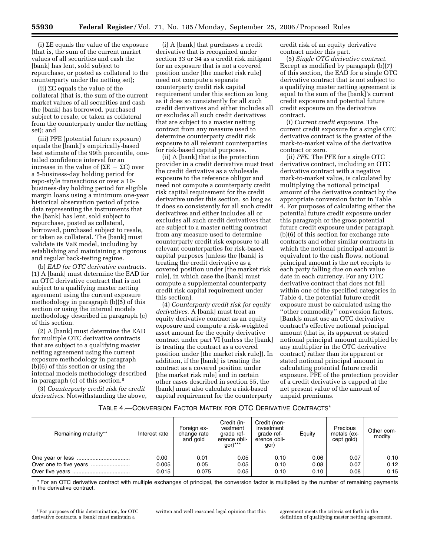(i)  $\Sigma$  equals the value of the exposure (that is, the sum of the current market values of all securities and cash the [bank] has lent, sold subject to repurchase, or posted as collateral to the counterparty under the netting set);

(ii)  $\Sigma C$  equals the value of the collateral (that is, the sum of the current market values of all securities and cash the [bank] has borrowed, purchased subject to resale, or taken as collateral from the counterparty under the netting set); and

(iii) PFE (potential future exposure) equals the [bank]'s empirically-based best estimate of the 99th percentile, onetailed confidence interval for an increase in the value of  $(\Sigma E - \Sigma C)$  over a 5-business-day holding period for repo-style transactions or over a 10 business-day holding period for eligible margin loans using a minimum one-year historical observation period of price data representing the instruments that the [bank] has lent, sold subject to repurchase, posted as collateral, borrowed, purchased subject to resale, or taken as collateral. The [bank] must validate its VaR model, including by establishing and maintaining a rigorous and regular back-testing regime.

(b) *EAD for OTC derivative contracts*. (1) A [bank] must determine the EAD for an OTC derivative contract that is not subject to a qualifying master netting agreement using the current exposure methodology in paragraph (b)(5) of this section or using the internal models methodology described in paragraph (c) of this section.

(2) A [bank] must determine the EAD for multiple OTC derivative contracts that are subject to a qualifying master netting agreement using the current exposure methodology in paragraph (b)(6) of this section or using the internal models methodology described in paragraph (c) of this section.8

(3) *Counterparty credit risk for credit derivatives*. Notwithstanding the above,

(i) A [bank] that purchases a credit derivative that is recognized under section 33 or 34 as a credit risk mitigant for an exposure that is not a covered position under [the market risk rule] need not compute a separate counterparty credit risk capital requirement under this section so long as it does so consistently for all such credit derivatives and either includes all or excludes all such credit derivatives that are subject to a master netting contract from any measure used to determine counterparty credit risk exposure to all relevant counterparties for risk-based capital purposes.

(ii) A [bank] that is the protection provider in a credit derivative must treat the credit derivative as a wholesale exposure to the reference obligor and need not compute a counterparty credit risk capital requirement for the credit derivative under this section, so long as it does so consistently for all such credit derivatives and either includes all or excludes all such credit derivatives that are subject to a master netting contract from any measure used to determine counterparty credit risk exposure to all relevant counterparties for risk-based capital purposes (unless the [bank] is treating the credit derivative as a covered position under [the market risk rule], in which case the [bank] must compute a supplemental counterparty credit risk capital requirement under this section).

(4) *Counterparty credit risk for equity derivatives*. A [bank] must treat an equity derivative contract as an equity exposure and compute a risk-weighted asset amount for the equity derivative contract under part VI (unless the [bank] is treating the contract as a covered position under [the market risk rule]). In addition, if the [bank] is treating the contract as a covered position under [the market risk rule] and in certain other cases described in section 55, the [bank] must also calculate a risk-based capital requirement for the counterparty

credit risk of an equity derivative contract under this part.

(5) *Single OTC derivative contract*. Except as modified by paragraph (b)(7) of this section, the EAD for a single OTC derivative contract that is not subject to a qualifying master netting agreement is equal to the sum of the [bank]'s current credit exposure and potential future credit exposure on the derivative contract.

(i) *Current credit exposure*. The current credit exposure for a single OTC derivative contract is the greater of the mark-to-market value of the derivative contract or zero.

(ii) *PFE*. The PFE for a single OTC derivative contract, including an OTC derivative contract with a negative mark-to-market value, is calculated by multiplying the notional principal amount of the derivative contract by the appropriate conversion factor in Table 4. For purposes of calculating either the potential future credit exposure under this paragraph or the gross potential future credit exposure under paragraph (b)(6) of this section for exchange rate contracts and other similar contracts in which the notional principal amount is equivalent to the cash flows, notional principal amount is the net receipts to each party falling due on each value date in each currency. For any OTC derivative contract that does not fall within one of the specified categories in Table 4, the potential future credit exposure must be calculated using the "other commodity" conversion factors. [Bank]s must use an OTC derivative contract's effective notional principal amount (that is, its apparent or stated notional principal amount multiplied by any multiplier in the OTC derivative contract) rather than its apparent or stated notional principal amount in calculating potential future credit exposure. PFE of the protection provider of a credit derivative is capped at the net present value of the amount of unpaid premiums.

## TABLE 4.—CONVERSION FACTOR MATRIX FOR OTC DERIVATIVE CONTRACTS\*

| Remaining maturity** | Interest rate | Foreign ex-<br>change rate<br>and gold | Credit (in-<br>vestment<br>grade ref-<br>erence obli-<br>$gor)***$ | Credit (non-<br>investment<br>grade ref-<br>erence obli-<br>gor) | Equity | Precious<br>metals (ex-<br>cept gold) | Other com-<br>modity |
|----------------------|---------------|----------------------------------------|--------------------------------------------------------------------|------------------------------------------------------------------|--------|---------------------------------------|----------------------|
|                      | 0.00          | 0.01                                   | 0.05                                                               | 0.10                                                             | 0.06   | 0.07                                  | 0.10                 |
|                      | 0.005         | 0.05                                   | 0.05                                                               | 0.10                                                             | 0.08   | 0.07                                  | 0.12                 |
|                      | 0.015         | 0.075                                  | 0.05                                                               | 0.10                                                             | 0.10   | 0.08                                  | 0.15                 |

\* For an OTC derivative contract with multiple exchanges of principal, the conversion factor is multiplied by the number of remaining payments in the derivative contract.

<sup>8</sup>For purposes of this determination, for OTC derivative contracts, a [bank] must maintain a

written and well reasoned legal opinion that this agreement meets the criteria set forth in the

definition of qualifying master netting agreement.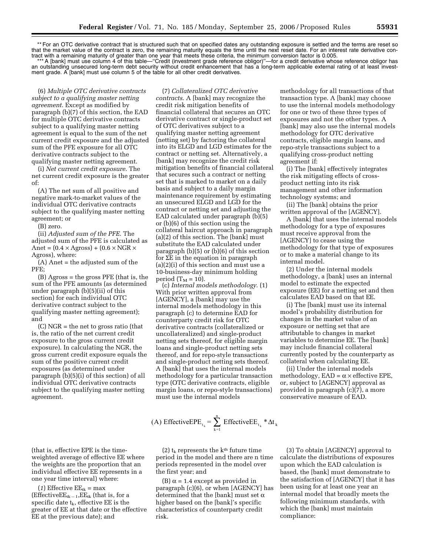\*\* For an OTC derivative contract that is structured such that on specified dates any outstanding exposure is settled and the terms are reset so that the market value of the contract is zero, the remaining maturity equals the time until the next reset date. For an interest rate derivative contract with a remaining maturity of greater than one year that meets these criteria, the minimum conversion factor is 0.005.

\*\*\* A [bank] must use column 4 of this table—"Credit (investment grade reference obligor)"—for a credit derivative whose reference obligor has an outstanding unsecured long-term debt security without credit enhancement that has a long-term applicable external rating of at least investment grade. A [bank] must use column 5 of the table for all other credit derivatives.

(7) *Collateralized OTC derivative* 

(6) *Multiple OTC derivative contracts subject to a qualifying master netting agreement*. Except as modified by paragraph (b)(7) of this section, the EAD for multiple OTC derivative contracts subject to a qualifying master netting agreement is equal to the sum of the net current credit exposure and the adjusted sum of the PFE exposure for all OTC derivative contracts subject to the qualifying master netting agreement.

(i) *Net current credit exposure*. The net current credit exposure is the greater of:

(A) The net sum of all positive and negative mark-to-market values of the individual OTC derivative contracts subject to the qualifying master netting agreement; or

(B) zero.

(ii) *Adjusted sum of the PFE*. The adjusted sum of the PFE is calculated as Anet =  $(0.4 \times \text{Agross}) + (0.6 \times \text{NGR} \times$ Agross), where:

(A) Anet = the adjusted sum of the PFE;

(B) Agross = the gross PFE (that is, the sum of the PFE amounts (as determined under paragraph (b)(5)(ii) of this section) for each individual OTC derivative contract subject to the qualifying master netting agreement); and

(C) NGR = the net to gross ratio (that is, the ratio of the net current credit exposure to the gross current credit exposure). In calculating the NGR, the gross current credit exposure equals the sum of the positive current credit exposures (as determined under paragraph (b)(5)(i) of this section) of all individual OTC derivative contracts subject to the qualifying master netting agreement.

(that is, effective EPE is the timeweighted average of effective EE where the weights are the proportion that an individual effective EE represents in a one year time interval) where: (1) Effective  $EE_{tk} = max$ (Effective $EE_{tk-1},EE_{tk}$  (that is, for a specific date  $t_k$ , effective EE is the greater of EE at that date or the effective

EE at the previous date); and

*contracts*. A [bank] may recognize the credit risk mitigation benefits of financial collateral that secures an OTC derivative contract or single-product set of OTC derivatives subject to a qualifying master netting agreement (netting set) by factoring the collateral into its ELGD and LGD estimates for the contract or netting set. Alternatively, a [bank] may recognize the credit risk mitigation benefits of financial collateral that secures such a contract or netting set that is marked to market on a daily basis and subject to a daily margin maintenance requirement by estimating an unsecured ELGD and LGD for the contract or netting set and adjusting the EAD calculated under paragraph (b)(5) or (b)(6) of this section using the collateral haircut approach in paragraph (a)(2) of this section. The [bank] must substitute the EAD calculated under paragraph (b)(5) or (b)(6) of this section for SE in the equation in paragraph (a)(2)(i) of this section and must use a 10-business-day minimum holding period  $(T_M = 10)$ .

(c) *Internal models methodology*. (1) With prior written approval from [AGENCY], a [bank] may use the internal models methodology in this paragraph (c) to determine EAD for counterparty credit risk for OTC derivative contracts (collateralized or uncollateralized) and single-product netting sets thereof, for eligible margin loans and single-product netting sets thereof, and for repo-style transactions and single-product netting sets thereof. A [bank] that uses the internal models methodology for a particular transaction type (OTC derivative contracts, eligible margin loans, or repo-style transactions) must use the internal models

(A) EffectiveEPE<sub>t<sub>k</sub></sub> = 
$$
\sum_{k=1}^{n}
$$
 EffectiveEE<sub>t<sub>k</sub></sub> \*  $\Delta t_k$ 

(2)  $t_k$  represents the k<sup>th</sup> future time period in the model and there are n time periods represented in the model over the first year; and

(B)  $\alpha$  = 1.4 except as provided in paragraph (c)(6), or when [AGENCY] has determined that the [bank] must set  $\alpha$ higher based on the [bank]'s specific characteristics of counterparty credit risk.

methodology for all transactions of that transaction type. A [bank] may choose to use the internal models methodology for one or two of these three types of exposures and not the other types. A [bank] may also use the internal models methodology for OTC derivative contracts, eligible margin loans, and repo-style transactions subject to a qualifying cross-product netting agreement if:

(i) The [bank] effectively integrates the risk mitigating effects of crossproduct netting into its risk management and other information technology systems; and

(ii) The [bank] obtains the prior written approval of the [AGENCY].

A [bank] that uses the internal models methodology for a type of exposures must receive approval from the [AGENCY] to cease using the methodology for that type of exposures or to make a material change to its internal model.

(2) Under the internal models methodology, a [bank] uses an internal model to estimate the expected exposure (EE) for a netting set and then calculates EAD based on that EE.

(i) The [bank] must use its internal model's probability distribution for changes in the market value of an exposure or netting set that are attributable to changes in market variables to determine EE. The [bank] may include financial collateral currently posted by the counterparty as collateral when calculating EE.

(ii) Under the internal models methodology,  $EAD = \alpha \times$  effective EPE, or, subject to [AGENCY] approval as provided in paragraph (c)(7), a more conservative measure of EAD.

(3) To obtain [AGENCY] approval to calculate the distributions of exposures upon which the EAD calculation is based, the [bank] must demonstrate to the satisfaction of [AGENCY] that it has been using for at least one year an internal model that broadly meets the following minimum standards, with which the [bank] must maintain compliance: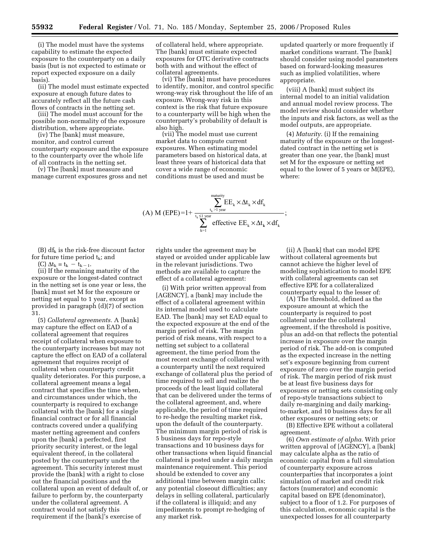(i) The model must have the systems capability to estimate the expected exposure to the counterparty on a daily basis (but is not expected to estimate or report expected exposure on a daily basis).

(ii) The model must estimate expected exposure at enough future dates to accurately reflect all the future cash flows of contracts in the netting set.

(iii) The model must account for the possible non-normality of the exposure distribution, where appropriate.

(iv) The [bank] must measure, monitor, and control current counterparty exposure and the exposure to the counterparty over the whole life of all contracts in the netting set.

(v) The [bank] must measure and manage current exposures gross and net

of collateral held, where appropriate. The [bank] must estimate expected exposures for OTC derivative contracts both with and without the effect of collateral agreements.

(vi) The [bank] must have procedures to identify, monitor, and control specific wrong-way risk throughout the life of an exposure. Wrong-way risk in this context is the risk that future exposure to a counterparty will be high when the counterparty's probability of default is also high.

(vii) The model must use current market data to compute current exposures. When estimating model parameters based on historical data, at least three years of historical data that cover a wide range of economic conditions must be used and must be

updated quarterly or more frequently if market conditions warrant. The [bank] should consider using model parameters based on forward-looking measures such as implied volatilities, where appropriate.

(viii) A [bank] must subject its internal model to an initial validation and annual model review process. The model review should consider whether the inputs and risk factors, as well as the model outputs, are appropriate.

(4) *Maturity*. (i) If the remaining maturity of the exposure or the longestdated contract in the netting set is greater than one year, the [bank] must set M for the exposure or netting set equal to the lower of 5 years or M(EPE), where:

A) M (EPE)=1+ 
$$
\sum_{t_k > 1 \text{ year}}^{\text{matrix}} EE_k \times \Delta t_k \times df_k
$$

$$
\sum_{k=1}^{\text{matrix}} \text{effective } EE_k \times \Delta t_k \times df_k;
$$

 $(B) df_k$  is the risk-free discount factor for future time period  $t_k$ ; and

 $\left($ 

(C)  $\Delta t_k = t_k - t_{k-1}$ .

(ii) If the remaining maturity of the exposure or the longest-dated contract in the netting set is one year or less, the [bank] must set M for the exposure or netting set equal to 1 year, except as provided in paragraph (d)(7) of section 31.

(5) *Collateral agreements.* A [bank] may capture the effect on EAD of a collateral agreement that requires receipt of collateral when exposure to the counterparty increases but may not capture the effect on EAD of a collateral agreement that requires receipt of collateral when counterparty credit quality deteriorates. For this purpose, a collateral agreement means a legal contract that specifies the time when, and circumstances under which, the counterparty is required to exchange collateral with the [bank] for a single financial contract or for all financial contracts covered under a qualifying master netting agreement and confers upon the [bank] a perfected, first priority security interest, or the legal equivalent thereof, in the collateral posted by the counterparty under the agreement. This security interest must provide the [bank] with a right to close out the financial positions and the collateral upon an event of default of, or failure to perform by, the counterparty under the collateral agreement. A contract would not satisfy this requirement if the [bank]'s exercise of

rights under the agreement may be stayed or avoided under applicable law in the relevant jurisdictions. Two methods are available to capture the effect of a collateral agreement:

(i) With prior written approval from [AGENCY], a [bank] may include the effect of a collateral agreement within its internal model used to calculate EAD. The [bank] may set EAD equal to the expected exposure at the end of the margin period of risk. The margin period of risk means, with respect to a netting set subject to a collateral agreement, the time period from the most recent exchange of collateral with a counterparty until the next required exchange of collateral plus the period of time required to sell and realize the proceeds of the least liquid collateral that can be delivered under the terms of the collateral agreement, and, where applicable, the period of time required to re-hedge the resulting market risk, upon the default of the counterparty. The minimum margin period of risk is 5 business days for repo-style transactions and 10 business days for other transactions when liquid financial collateral is posted under a daily margin maintenance requirement. This period should be extended to cover any additional time between margin calls; any potential closeout difficulties; any delays in selling collateral, particularly if the collateral is illiquid; and any impediments to prompt re-hedging of any market risk.

(ii) A [bank] that can model EPE without collateral agreements but cannot achieve the higher level of modeling sophistication to model EPE with collateral agreements can set effective EPE for a collateralized counterparty equal to the lesser of:

(A) The threshold, defined as the exposure amount at which the counterparty is required to post collateral under the collateral agreement, if the threshold is positive, plus an add-on that reflects the potential increase in exposure over the margin period of risk. The add-on is computed as the expected increase in the netting set's exposure beginning from current exposure of zero over the margin period of risk. The margin period of risk must be at least five business days for exposures or netting sets consisting only of repo-style transactions subject to daily re-margining and daily markingto-market, and 10 business days for all other exposures or netting sets; or

(B) Effective EPE without a collateral agreement.

(6) *Own estimate of alpha.* With prior written approval of [AGENCY], a [bank] may calculate alpha as the ratio of economic capital from a full simulation of counterparty exposure across counterparties that incorporates a joint simulation of market and credit risk factors (numerator) and economic capital based on EPE (denominator), subject to a floor of 1.2. For purposes of this calculation, economic capital is the unexpected losses for all counterparty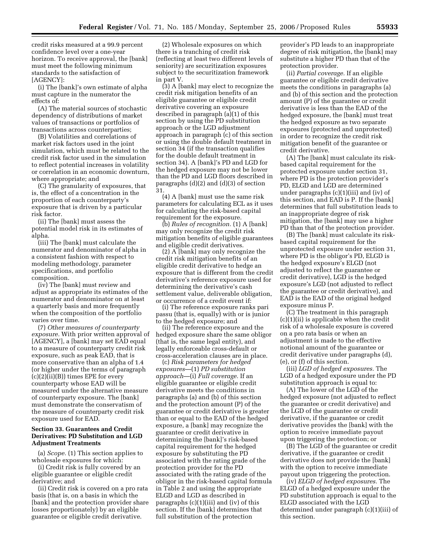credit risks measured at a 99.9 percent confidence level over a one-year horizon. To receive approval, the [bank] must meet the following minimum standards to the satisfaction of [AGENCY]:

(i) The [bank]'s own estimate of alpha must capture in the numerator the effects of:

(A) The material sources of stochastic dependency of distributions of market values of transactions or portfolios of transactions across counterparties;

(B) Volatilities and correlations of market risk factors used in the joint simulation, which must be related to the credit risk factor used in the simulation to reflect potential increases in volatility or correlation in an economic downturn, where appropriate; and

(C) The granularity of exposures, that is, the effect of a concentration in the proportion of each counterparty's exposure that is driven by a particular risk factor.

(ii) The [bank] must assess the potential model risk in its estimates of alpha.

(iii) The [bank] must calculate the numerator and denominator of alpha in a consistent fashion with respect to modeling methodology, parameter specifications, and portfolio composition.

(iv) The [bank] must review and adjust as appropriate its estimates of the numerator and denominator on at least a quarterly basis and more frequently when the composition of the portfolio varies over time.

(7) *Other measures of counterparty exposure.* With prior written approval of [AGENCY], a [bank] may set EAD equal to a measure of counterparty credit risk exposure, such as peak EAD, that is more conservative than an alpha of 1.4 (or higher under the terms of paragraph (c)(2)(ii)(B)) times EPE for every counterparty whose EAD will be measured under the alternative measure of counterparty exposure. The [bank] must demonstrate the conservatism of the measure of counterparty credit risk exposure used for EAD.

# **Section 33. Guarantees and Credit Derivatives: PD Substitution and LGD Adjustment Treatments**

(a) *Scope.* (1) This section applies to wholesale exposures for which:

(i) Credit risk is fully covered by an eligible guarantee or eligible credit derivative; and

(ii) Credit risk is covered on a pro rata basis (that is, on a basis in which the [bank] and the protection provider share losses proportionately) by an eligible guarantee or eligible credit derivative.

(2) Wholesale exposures on which there is a tranching of credit risk (reflecting at least two different levels of seniority) are securitization exposures subject to the securitization framework in part V.

(3) A [bank] may elect to recognize the credit risk mitigation benefits of an eligible guarantee or eligible credit derivative covering an exposure described in paragraph (a)(1) of this section by using the PD substitution approach or the LGD adjustment approach in paragraph (c) of this section or using the double default treatment in section 34 (if the transaction qualifies for the double default treatment in section 34). A [bank]'s PD and LGD for the hedged exposure may not be lower than the PD and LGD floors described in paragraphs (d)(2) and (d)(3) of section 31.

(4) A [bank] must use the same risk parameters for calculating ECL as it uses for calculating the risk-based capital requirement for the exposure.

(b) *Rules of recognition.* (1) A [bank] may only recognize the credit risk mitigation benefits of eligible guarantees and eligible credit derivatives.

(2) A [bank] may only recognize the credit risk mitigation benefits of an eligible credit derivative to hedge an exposure that is different from the credit derivative's reference exposure used for determining the derivative's cash settlement value, deliverable obligation, or occurrence of a credit event if:

(i) The reference exposure ranks pari passu (that is, equally) with or is junior to the hedged exposure; and

(ii) The reference exposure and the hedged exposure share the same obligor (that is, the same legal entity), and legally enforceable cross-default or cross-acceleration clauses are in place.

(c) *Risk parameters for hedged exposures*—(1) *PD substitution approach*—(i) *Full coverage.* If an eligible guarantee or eligible credit derivative meets the conditions in paragraphs (a) and (b) of this section and the protection amount (P) of the guarantee or credit derivative is greater than or equal to the EAD of the hedged exposure, a [bank] may recognize the guarantee or credit derivative in determining the [bank]'s risk-based capital requirement for the hedged exposure by substituting the PD associated with the rating grade of the protection provider for the PD associated with the rating grade of the obligor in the risk-based capital formula in Table 2 and using the appropriate ELGD and LGD as described in paragraphs (c)(1)(iii) and (iv) of this section. If the [bank] determines that full substitution of the protection

provider's PD leads to an inappropriate degree of risk mitigation, the [bank] may substitute a higher PD than that of the protection provider.

(ii) *Partial coverage.* If an eligible guarantee or eligible credit derivative meets the conditions in paragraphs (a) and (b) of this section and the protection amount (P) of the guarantee or credit derivative is less than the EAD of the hedged exposure, the [bank] must treat the hedged exposure as two separate exposures (protected and unprotected) in order to recognize the credit risk mitigation benefit of the guarantee or credit derivative.

(A) The [bank] must calculate its riskbased capital requirement for the protected exposure under section 31, where PD is the protection provider's PD, ELGD and LGD are determined under paragraphs (c)(1)(iii) and (iv) of this section, and EAD is P. If the [bank] determines that full substitution leads to an inappropriate degree of risk mitigation, the [bank] may use a higher PD than that of the protection provider.

(B) The [bank] must calculate its riskbased capital requirement for the unprotected exposure under section 31, where PD is the obligor's PD, ELGD is the hedged exposure's ELGD (not adjusted to reflect the guarantee or credit derivative), LGD is the hedged exposure's LGD (not adjusted to reflect the guarantee or credit derivative), and EAD is the EAD of the original hedged exposure minus P.

(C) The treatment in this paragraph (c)(1)(ii) is applicable when the credit risk of a wholesale exposure is covered on a pro rata basis or when an adjustment is made to the effective notional amount of the guarantee or credit derivative under paragraphs (d), (e), or (f) of this section.

(iii) *LGD of hedged exposures.* The LGD of a hedged exposure under the PD substitution approach is equal to:

(A) The lower of the LGD of the hedged exposure (not adjusted to reflect the guarantee or credit derivative) and the LGD of the guarantee or credit derivative, if the guarantee or credit derivative provides the [bank] with the option to receive immediate payout upon triggering the protection; or

(B) The LGD of the guarantee or credit derivative, if the guarantee or credit derivative does not provide the [bank] with the option to receive immediate payout upon triggering the protection.

(iv) *ELGD of hedged exposures.* The ELGD of a hedged exposure under the PD substitution approach is equal to the ELGD associated with the LGD determined under paragraph (c)(1)(iii) of this section.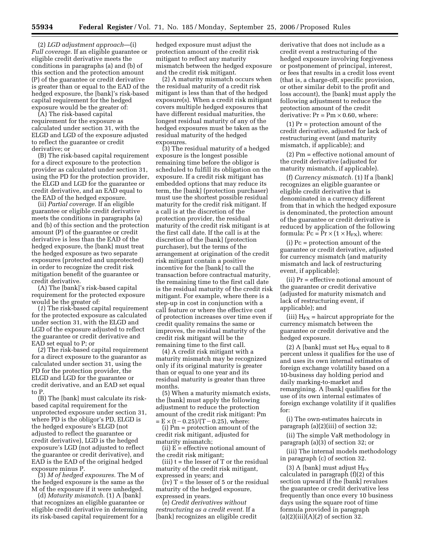(2) *LGD adjustment approach*—(i) *Full coverage.* If an eligible guarantee or eligible credit derivative meets the conditions in paragraphs (a) and (b) of this section and the protection amount (P) of the guarantee or credit derivative is greater than or equal to the EAD of the hedged exposure, the [bank]'s risk-based capital requirement for the hedged exposure would be the greater of:

(A) The risk-based capital requirement for the exposure as calculated under section 31, with the ELGD and LGD of the exposure adjusted to reflect the guarantee or credit derivative; or

(B) The risk-based capital requirement for a direct exposure to the protection provider as calculated under section 31, using the PD for the protection provider, the ELGD and LGD for the guarantee or credit derivative, and an EAD equal to the EAD of the hedged exposure.

(ii) *Partial coverage.* If an eligible guarantee or eligible credit derivative meets the conditions in paragraphs (a) and (b) of this section and the protection amount (P) of the guarantee or credit derivative is less than the EAD of the hedged exposure, the [bank] must treat the hedged exposure as two separate exposures (protected and unprotected) in order to recognize the credit risk mitigation benefit of the guarantee or credit derivative.

(A) The [bank]'s risk-based capital requirement for the protected exposure would be the greater of:

(*1*) The risk-based capital requirement for the protected exposure as calculated under section 31, with the ELGD and LGD of the exposure adjusted to reflect the guarantee or credit derivative and EAD set equal to P; or

(*2*) The risk-based capital requirement for a direct exposure to the guarantor as calculated under section 31, using the PD for the protection provider, the ELGD and LGD for the guarantee or credit derivative, and an EAD set equal to P.

(B) The [bank] must calculate its riskbased capital requirement for the unprotected exposure under section 31, where PD is the obligor's PD, ELGD is the hedged exposure's ELGD (not adjusted to reflect the guarantee or credit derivative), LGD is the hedged exposure's LGD (not adjusted to reflect the guarantee or credit derivative), and EAD is the EAD of the original hedged exposure minus P.

(3) *M of hedged exposures.* The M of the hedged exposure is the same as the M of the exposure if it were unhedged.

(d) *Maturity mismatch.* (1) A [bank] that recognizes an eligible guarantee or eligible credit derivative in determining its risk-based capital requirement for a

hedged exposure must adjust the protection amount of the credit risk mitigant to reflect any maturity mismatch between the hedged exposure and the credit risk mitigant.

(2) A maturity mismatch occurs when the residual maturity of a credit risk mitigant is less than that of the hedged exposure(s). When a credit risk mitigant covers multiple hedged exposures that have different residual maturities, the longest residual maturity of any of the hedged exposures must be taken as the residual maturity of the hedged exposures.

(3) The residual maturity of a hedged exposure is the longest possible remaining time before the obligor is scheduled to fulfill its obligation on the exposure. If a credit risk mitigant has embedded options that may reduce its term, the [bank] (protection purchaser) must use the shortest possible residual maturity for the credit risk mitigant. If a call is at the discretion of the protection provider, the residual maturity of the credit risk mitigant is at the first call date. If the call is at the discretion of the [bank] (protection purchaser), but the terms of the arrangement at origination of the credit risk mitigant contain a positive incentive for the [bank] to call the transaction before contractual maturity, the remaining time to the first call date is the residual maturity of the credit risk mitigant. For example, where there is a step-up in cost in conjunction with a call feature or where the effective cost of protection increases over time even if credit quality remains the same or improves, the residual maturity of the credit risk mitigant will be the remaining time to the first call.

(4) A credit risk mitigant with a maturity mismatch may be recognized only if its original maturity is greater than or equal to one year and its residual maturity is greater than three months.

(5) When a maturity mismatch exists, the [bank] must apply the following adjustment to reduce the protection amount of the credit risk mitigant: Pm  $= E \times (t - 0.25)/(T - 0.25)$ , where:

(i) Pm = protection amount of the credit risk mitigant, adjusted for maturity mismatch;

(ii)  $E =$  effective notional amount of the credit risk mitigant;

 $(iii) t = the lesser of T or the residual$ maturity of the credit risk mitigant, expressed in years; and

 $(iv)$  T = the lesser of 5 or the residual maturity of the hedged exposure, expressed in years.

(e) *Credit derivatives without restructuring as a credit event.* If a [bank] recognizes an eligible credit

derivative that does not include as a credit event a restructuring of the hedged exposure involving forgiveness or postponement of principal, interest, or fees that results in a credit loss event (that is, a charge-off, specific provision, or other similar debit to the profit and loss account), the [bank] must apply the following adjustment to reduce the protection amount of the credit derivative:  $Pr = Pm \times 0.60$ , where:

(1) Pr = protection amount of the credit derivative, adjusted for lack of restructuring event (and maturity mismatch, if applicable); and

(2) Pm = effective notional amount of the credit derivative (adjusted for maturity mismatch, if applicable).

(f) *Currency mismatch.* (1) If a [bank] recognizes an eligible guarantee or eligible credit derivative that is denominated in a currency different from that in which the hedged exposure is denominated, the protection amount of the guarantee or credit derivative is reduced by application of the following formula:  $Pc = Pr \times (1 \times H_{FX})$ , where:

(i) Pc = protection amount of the guarantee or credit derivative, adjusted for currency mismatch (and maturity mismatch and lack of restructuring event, if applicable);

(ii) Pr = effective notional amount of the guarantee or credit derivative (adjusted for maturity mismatch and lack of restructuring event, if applicable); and

(iii)  $H_{FX}$  = haircut appropriate for the currency mismatch between the guarantee or credit derivative and the hedged exposure.

(2) A [bank] must set  $H_{FX}$  equal to 8 percent unless it qualifies for the use of and uses its own internal estimates of foreign exchange volatility based on a 10-business day holding period and daily marking-to-market and remargining. A [bank] qualifies for the use of its own internal estimates of foreign exchange volatility if it qualifies for:

(i) The own-estimates haircuts in paragraph (a)(2)(iii) of section 32;

(ii) The simple VaR methodology in paragraph (a)(3) of section 32; or

(iii) The internal models methodology in paragraph (c) of section 32.

(3) A [bank] must adjust  $H_{FX}$ calculated in paragraph (f)(2) of this section upward if the [bank] revalues the guarantee or credit derivative less frequently than once every 10 business days using the square root of time formula provided in paragraph (a)(2)(iii)(A)(*2*) of section 32.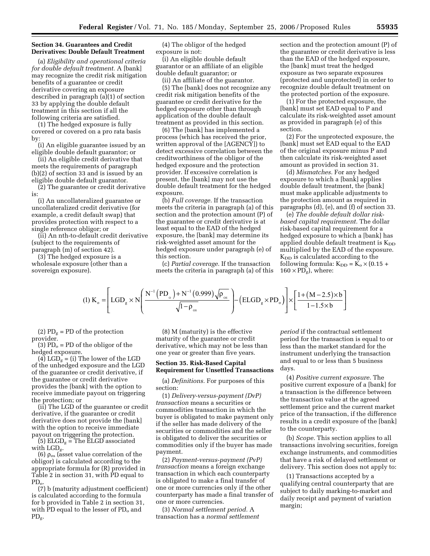## **Section 34. Guarantees and Credit Derivatives: Double Default Treatment**

(a) *Eligibility and operational criteria for double default treatment.* A [bank] may recognize the credit risk mitigation benefits of a guarantee or credit derivative covering an exposure described in paragraph (a)(1) of section 33 by applying the double default treatment in this section if all the following criteria are satisfied.

(1) The hedged exposure is fully covered or covered on a pro rata basis by:

(i) An eligible guarantee issued by an eligible double default guarantor; or

(ii) An eligible credit derivative that meets the requirements of paragraph (b)(2) of section 33 and is issued by an eligible double default guarantor.

(2) The guarantee or credit derivative is:

(i) An uncollateralized guarantee or uncollateralized credit derivative (for example, a credit default swap) that provides protection with respect to a single reference obligor; or

(ii) An nth-to-default credit derivative (subject to the requirements of paragraph (m) of section 42).

(3) The hedged exposure is a wholesale exposure (other than a sovereign exposure).

(4) The obligor of the hedged exposure is not:

(i) An eligible double default guarantor or an affiliate of an eligible double default guarantor; or

(ii) An affiliate of the guarantor.

(5) The [bank] does not recognize any credit risk mitigation benefits of the guarantee or credit derivative for the hedged exposure other than through application of the double default treatment as provided in this section.

(6) The [bank] has implemented a process (which has received the prior, written approval of the [AGENCY]) to detect excessive correlation between the creditworthiness of the obligor of the hedged exposure and the protection provider. If excessive correlation is present, the [bank] may not use the double default treatment for the hedged exposure.

(b) *Full coverage.* If the transaction meets the criteria in paragraph (a) of this section and the protection amount (P) of the guarantee or credit derivative is at least equal to the EAD of the hedged exposure, the [bank] may determine its risk-weighted asset amount for the hedged exposure under paragraph (e) of this section.

(c) *Partial coverage.* If the transaction meets the criteria in paragraph (a) of this

section and the protection amount (P) of the guarantee or credit derivative is less than the EAD of the hedged exposure, the [bank] must treat the hedged exposure as two separate exposures (protected and unprotected) in order to recognize double default treatment on the protected portion of the exposure.

(1) For the protected exposure, the [bank] must set EAD equal to P and calculate its risk-weighted asset amount as provided in paragraph (e) of this section.

(2) For the unprotected exposure, the [bank] must set EAD equal to the EAD of the original exposure minus P and then calculate its risk-weighted asset amount as provided in section 31.

(d) *Mismatches.* For any hedged exposure to which a [bank] applies double default treatment, the [bank] must make applicable adjustments to the protection amount as required in paragraphs (d), (e), and (f) of section 33.

(e) *The double default dollar riskbased capital requirement.* The dollar risk-based capital requirement for a hedged exposure to which a [bank] has applied double default treatment is  $K_{DD}$ multiplied by the EAD of the exposure.  $K_{DD}$  is calculated according to the following formula:  $K_{DD} = K_o \times (0.15 +$  $160 \times \text{PD}_{\text{g}}$  ), where:

$$
(1) K_{\circ} = \left[ LGD_{g} \times N \left( \frac{N^{-1} (PD_{\circ}) + N^{-1} (0.999) \sqrt{\rho_{\circ s}}}{\sqrt{1 - \rho_{\circ s}}} \right) - \left( ELGD_{g} \times PD_{\circ} \right) \right] \times \left[ \frac{1 + (M - 2.5) \times b}{1 - 1.5 \times b} \right]
$$

(2)  $PD_g = PD$  of the protection provider.

(3)  $PD<sub>o</sub> = PD$  of the obligor of the hedged exposure.

(4)  $LGD_g =$  (i) The lower of the LGD of the unhedged exposure and the LGD of the guarantee or credit derivative, if the guarantee or credit derivative provides the [bank] with the option to receive immediate payout on triggering the protection; or

(ii) The LGD of the guarantee or credit derivative, if the guarantee or credit derivative does not provide the [bank] with the option to receive immediate payout on triggering the protection.

(5)  $ELGD_g = The ELGD$  associated with LGD<sub>g</sub>.

(6)  $\rho_{\rm os}$  (asset value correlation of the obligor) is calculated according to the appropriate formula for (R) provided in Table 2 in section 31, with PD equal to  $PD<sub>o</sub>$ 

(7) b (maturity adjustment coefficient) is calculated according to the formula for b provided in Table 2 in section 31, with PD equal to the lesser of PD<sub>o</sub> and PDg.

(8) M (maturity) is the effective maturity of the guarantee or credit derivative, which may not be less than one year or greater than five years.

# **Section 35. Risk-Based Capital Requirement for Unsettled Transactions**

(a) *Definitions.* For purposes of this section:

(1) *Delivery-versus-payment (DvP) transaction* means a securities or commodities transaction in which the buyer is obligated to make payment only if the seller has made delivery of the securities or commodities and the seller is obligated to deliver the securities or commodities only if the buyer has made payment.

(2) *Payment-versus-payment (PvP) transaction* means a foreign exchange transaction in which each counterparty is obligated to make a final transfer of one or more currencies only if the other counterparty has made a final transfer of one or more currencies.

(3) *Normal settlement period.* A transaction has a *normal settlement* 

*period* if the contractual settlement period for the transaction is equal to or less than the market standard for the instrument underlying the transaction and equal to or less than 5 business days.

J  $\overline{\phantom{a}}$ 

(4) *Positive current exposure.* The positive current exposure of a [bank] for a transaction is the difference between the transaction value at the agreed settlement price and the current market price of the transaction, if the difference results in a credit exposure of the [bank] to the counterparty.

(b) *Scope.* This section applies to all transactions involving securities, foreign exchange instruments, and commodities that have a risk of delayed settlement or delivery. This section does not apply to:

(1) Transactions accepted by a qualifying central counterparty that are subject to daily marking-to-market and daily receipt and payment of variation margin;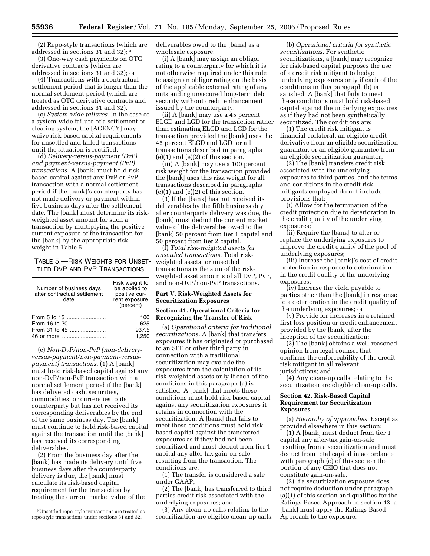(2) Repo-style transactions (which are addressed in sections 31 and 32); 9

(3) One-way cash payments on OTC derivative contracts (which are addressed in sections 31 and 32); or

(4) Transactions with a contractual settlement period that is longer than the normal settlement period (which are treated as OTC derivative contracts and addressed in sections 31 and 32).

(c) *System-wide failures.* In the case of a system-wide failure of a settlement or clearing system, the [AGENCY] may waive risk-based capital requirements for unsettled and failed transactions until the situation is rectified.

(d) *Delivery-versus-payment (DvP) and payment-versus-payment (PvP) transactions.* A [bank] must hold riskbased capital against any DvP or PvP transaction with a normal settlement period if the [bank]'s counterparty has not made delivery or payment within five business days after the settlement date. The [bank] must determine its riskweighted asset amount for such a transaction by multiplying the positive current exposure of the transaction for the [bank] by the appropriate risk weight in Table 5.

# TABLE 5.—RISK WEIGHTS FOR UNSET-TLED DVP AND PVP TRANSACTIONS

| Number of business days<br>after contractual settlement<br>date | Risk weight to<br>be applied to<br>positive cur-<br>rent exposure<br>(percent) |
|-----------------------------------------------------------------|--------------------------------------------------------------------------------|
| From 5 to 15                                                    | 100                                                                            |
| From 16 to 30                                                   | 625                                                                            |
| From 31 to 45                                                   | 937.5                                                                          |
| 46 or more                                                      | 1.250                                                                          |

(e) *Non-DvP/non-PvP (non-deliveryversus-payment/non-payment-versuspayment) transactions.* (1) A [bank] must hold risk-based capital against any non-DvP/non-PvP transaction with a normal settlement period if the [bank] has delivered cash, securities, commodities, or currencies to its counterparty but has not received its corresponding deliverables by the end of the same business day. The [bank] must continue to hold risk-based capital against the transaction until the [bank] has received its corresponding deliverables.

(2) From the business day after the [bank] has made its delivery until five business days after the counterparty delivery is due, the [bank] must calculate its risk-based capital requirement for the transaction by treating the current market value of the deliverables owed to the [bank] as a wholesale exposure.

(i) A [bank] may assign an obligor rating to a counterparty for which it is not otherwise required under this rule to assign an obligor rating on the basis of the applicable external rating of any outstanding unsecured long-term debt security without credit enhancement issued by the counterparty.

(ii) A [bank] may use a 45 percent ELGD and LGD for the transaction rather than estimating ELGD and LGD for the transaction provided the [bank] uses the 45 percent ELGD and LGD for all transactions described in paragraphs  $(e)(1)$  and  $(e)(2)$  of this section.

(iii) A [bank] may use a 100 percent risk weight for the transaction provided the [bank] uses this risk weight for all transactions described in paragraphs  $(e)(1)$  and  $(e)(2)$  of this section.

(3) If the [bank] has not received its deliverables by the fifth business day after counterparty delivery was due, the [bank] must deduct the current market value of the deliverables owed to the [bank] 50 percent from tier 1 capital and 50 percent from tier 2 capital.

(f) *Total risk-weighted assets for unsettled transactions.* Total riskweighted assets for unsettled transactions is the sum of the riskweighted asset amounts of all DvP, PvP, and non-DvP/non-PvP transactions.

# **Part V. Risk-Weighted Assets for Securitization Exposures**

#### **Section 41. Operational Criteria for Recognizing the Transfer of Risk**

(a) *Operational criteria for traditional securitizations.* A [bank] that transfers exposures it has originated or purchased to an SPE or other third party in connection with a traditional securitization may exclude the exposures from the calculation of its risk-weighted assets only if each of the conditions in this paragraph (a) is satisfied. A [bank] that meets these conditions must hold risk-based capital against any securitization exposures it retains in connection with the securitization. A [bank] that fails to meet these conditions must hold riskbased capital against the transferred exposures as if they had not been securitized and must deduct from tier 1 capital any after-tax gain-on-sale resulting from the transaction. The conditions are:

(1) The transfer is considered a sale under GAAP;

(2) The [bank] has transferred to third parties credit risk associated with the underlying exposures; and

(3) Any clean-up calls relating to the securitization are eligible clean-up calls.

(b) *Operational criteria for synthetic securitizations.* For synthetic securitizations, a [bank] may recognize for risk-based capital purposes the use of a credit risk mitigant to hedge underlying exposures only if each of the conditions in this paragraph (b) is satisfied. A [bank] that fails to meet these conditions must hold risk-based capital against the underlying exposures as if they had not been synthetically securitized. The conditions are:

(1) The credit risk mitigant is financial collateral, an eligible credit derivative from an eligible securitization guarantor, or an eligible guarantee from an eligible securitization guarantor;

(2) The [bank] transfers credit risk associated with the underlying exposures to third parties, and the terms and conditions in the credit risk mitigants employed do not include provisions that:

(i) Allow for the termination of the credit protection due to deterioration in the credit quality of the underlying exposures;

(ii) Require the [bank] to alter or replace the underlying exposures to improve the credit quality of the pool of underlying exposures;

(iii) Increase the [bank]'s cost of credit protection in response to deterioration in the credit quality of the underlying exposures;

(iv) Increase the yield payable to parties other than the [bank] in response to a deterioration in the credit quality of the underlying exposures; or

(v) Provide for increases in a retained first loss position or credit enhancement provided by the [bank] after the inception of the securitization;

(3) The [bank] obtains a well-reasoned opinion from legal counsel that confirms the enforceability of the credit risk mitigant in all relevant jurisdictions; and

(4) Any clean-up calls relating to the securitization are eligible clean-up calls.

# **Section 42. Risk-Based Capital Requirement for Securitization Exposures**

(a) *Hierarchy of approaches.* Except as provided elsewhere in this section:

(1) A [bank] must deduct from tier 1 capital any after-tax gain-on-sale resulting from a securitization and must deduct from total capital in accordance with paragraph (c) of this section the portion of any CEIO that does not constitute gain-on-sale.

(2) If a securitization exposure does not require deduction under paragraph (a)(1) of this section and qualifies for the Ratings-Based Approach in section 43, a [bank] must apply the Ratings-Based Approach to the exposure.

<sup>9</sup>Unsettled repo-style transactions are treated as repo-style transactions under sections 31 and 32.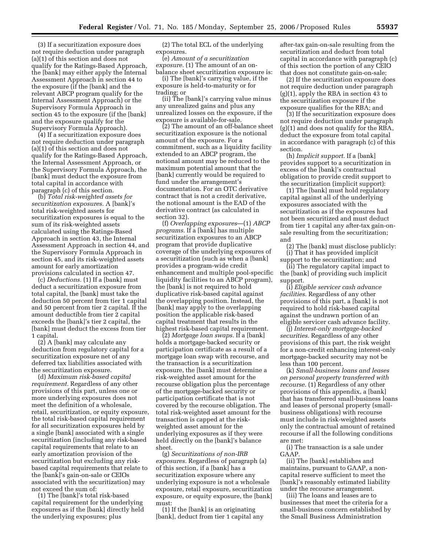(3) If a securitization exposure does not require deduction under paragraph (a)(1) of this section and does not qualify for the Ratings-Based Approach, the [bank] may either apply the Internal Assessment Approach in section 44 to the exposure (if the [bank] and the relevant ABCP program qualify for the Internal Assessment Approach) or the Supervisory Formula Approach in section 45 to the exposure (if the [bank] and the exposure qualify for the Supervisory Formula Approach).

(4) If a securitization exposure does not require deduction under paragraph (a)(1) of this section and does not qualify for the Ratings-Based Approach, the Internal Assessment Approach, or the Supervisory Formula Approach, the [bank] must deduct the exposure from total capital in accordance with paragraph (c) of this section.

(b) *Total risk-weighted assets for securitization exposures.* A [bank]'s total risk-weighted assets for securitization exposures is equal to the sum of its risk-weighted assets calculated using the Ratings-Based Approach in section 43, the Internal Assessment Approach in section 44, and the Supervisory Formula Approach in section 45, and its risk-weighted assets amount for early amortization provisions calculated in section 47.

(c) *Deductions.* (1) If a [bank] must deduct a securitization exposure from total capital, the [bank] must take the deduction 50 percent from tier 1 capital and 50 percent from tier 2 capital. If the amount deductible from tier 2 capital exceeds the [bank]'s tier 2 capital, the [bank] must deduct the excess from tier 1 capital.

(2) A [bank] may calculate any deduction from regulatory capital for a securitization exposure net of any deferred tax liabilities associated with the securitization exposure.

(d) *Maximum risk-based capital requirement.* Regardless of any other provisions of this part, unless one or more underlying exposures does not meet the definition of a wholesale, retail, securitization, or equity exposure, the total risk-based capital requirement for all securitization exposures held by a single [bank] associated with a single securitization (including any risk-based capital requirements that relate to an early amortization provision of the securitization but excluding any riskbased capital requirements that relate to the [bank]'s gain-on-sale or CEIOs associated with the securitization) may not exceed the sum of:

(1) The [bank]'s total risk-based capital requirement for the underlying exposures as if the [bank] directly held the underlying exposures; plus

(2) The total ECL of the underlying exposures.

(e) *Amount of a securitization exposure.* (1) The amount of an onbalance sheet securitization exposure is:

(i) The [bank]'s carrying value, if the exposure is held-to-maturity or for trading; or

(ii) The [bank]'s carrying value minus any unrealized gains and plus any unrealized losses on the exposure, if the exposure is available-for-sale.

(2) The amount of an off-balance sheet securitization exposure is the notional amount of the exposure. For a commitment, such as a liquidity facility extended to an ABCP program, the notional amount may be reduced to the maximum potential amount that the [bank] currently would be required to fund under the arrangement's documentation. For an OTC derivative contract that is not a credit derivative, the notional amount is the EAD of the derivative contract (as calculated in section 32).

(f) *Overlapping exposures*—(1) *ABCP programs.* If a [bank] has multiple securitization exposures to an ABCP program that provide duplicative coverage of the underlying exposures of a securitization (such as when a [bank] provides a program-wide credit enhancement and multiple pool-specific liquidity facilities to an ABCP program), the [bank] is not required to hold duplicative risk-based capital against the overlapping position. Instead, the [bank] may apply to the overlapping position the applicable risk-based capital treatment that results in the highest risk-based capital requirement.

(2) *Mortgage loan swaps.* If a [bank] holds a mortgage-backed security or participation certificate as a result of a mortgage loan swap with recourse, and the transaction is a securitization exposure, the [bank] must determine a risk-weighted asset amount for the recourse obligation plus the percentage of the mortgage-backed security or participation certificate that is not covered by the recourse obligation. The total risk-weighted asset amount for the transaction is capped at the riskweighted asset amount for the underlying exposures as if they were held directly on the [bank]'s balance sheet.

(g) *Securitizations of non-IRB exposures.* Regardless of paragraph (a) of this section, if a [bank] has a securitization exposure where any underlying exposure is not a wholesale exposure, retail exposure, securitization exposure, or equity exposure, the [bank] must:

(1) If the [bank] is an originating [bank], deduct from tier 1 capital any after-tax gain-on-sale resulting from the securitization and deduct from total capital in accordance with paragraph (c) of this section the portion of any CEIO that does not constitute gain-on-sale;

(2) If the securitization exposure does not require deduction under paragraph (g)(1), apply the RBA in section 43 to the securitization exposure if the exposure qualifies for the RBA; and

(3) If the securitization exposure does not require deduction under paragraph (g)(1) and does not qualify for the RBA, deduct the exposure from total capital in accordance with paragraph (c) of this section.

(h) *Implicit support.* If a [bank] provides support to a securitization in excess of the [bank]'s contractual obligation to provide credit support to the securitization (implicit support):

(1) The [bank] must hold regulatory capital against all of the underlying exposures associated with the securitization as if the exposures had not been securitized and must deduct from tier 1 capital any after-tax gain-onsale resulting from the securitization; and

(2) The [bank] must disclose publicly: (i) That it has provided implicit support to the securitization; and

(ii) The regulatory capital impact to the [bank] of providing such implicit support.

(i) *Eligible servicer cash advance facilities.* Regardless of any other provisions of this part, a [bank] is not required to hold risk-based capital against the undrawn portion of an eligible servicer cash advance facility.

(j) *Interest-only mortgage-backed securities.* Regardless of any other provisions of this part, the risk weight for a non-credit enhancing interest-only mortgage-backed security may not be less than 100 percent.

(k) *Small-business loans and leases on personal property transferred with recourse.* (1) Regardless of any other provisions of this appendix, a [bank] that has transferred small-business loans and leases of personal property (smallbusiness obligations) with recourse must include in risk-weighted assets only the contractual amount of retained recourse if all the following conditions are met:

(i) The transaction is a sale under GAAP.

(ii) The [bank] establishes and maintains, pursuant to GAAP, a noncapital reserve sufficient to meet the [bank]'s reasonably estimated liability under the recourse arrangement.

(iii) The loans and leases are to businesses that meet the criteria for a small-business concern established by the Small Business Administration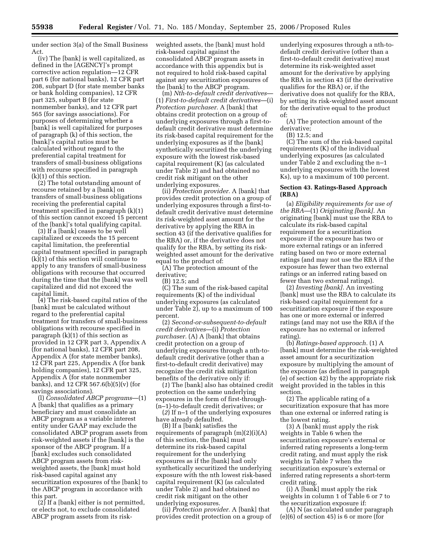under section 3(a) of the Small Business Act.

(iv) The [bank] is well capitalized, as defined in the [AGENCY]'s prompt corrective action regulation—12 CFR part 6 (for national banks), 12 CFR part 208, subpart D (for state member banks or bank holding companies), 12 CFR part 325, subpart B (for state nonmember banks), and 12 CFR part 565 (for savings associations). For purposes of determining whether a [bank] is well capitalized for purposes of paragraph (k) of this section, the [bank]'s capital ratios must be calculated without regard to the preferential capital treatment for transfers of small-business obligations with recourse specified in paragraph (k)(1) of this section.

(2) The total outstanding amount of recourse retained by a [bank] on transfers of small-business obligations receiving the preferential capital treatment specified in paragraph (k)(1) of this section cannot exceed 15 percent of the [bank]'s total qualifying capital.

(3) If a [bank] ceases to be well capitalized or exceeds the 15 percent capital limitation, the preferential capital treatment specified in paragraph (k)(1) of this section will continue to apply to any transfers of small-business obligations with recourse that occurred during the time that the [bank] was well capitalized and did not exceed the capital limit.

(4) The risk-based capital ratios of the [bank] must be calculated without regard to the preferential capital treatment for transfers of small-business obligations with recourse specified in paragraph (k)(1) of this section as provided in 12 CFR part 3, Appendix A (for national banks), 12 CFR part 208, Appendix A (for state member banks), 12 CFR part 225, Appendix A (for bank holding companies), 12 CFR part 325, Appendix A (for state nonmember banks), and 12 CFR 567.6(b)(5)(v) (for savings associations).

(l) *Consolidated ABCP programs*—(1) A [bank] that qualifies as a primary beneficiary and must consolidate an ABCP program as a variable interest entity under GAAP may exclude the consolidated ABCP program assets from risk-weighted assets if the [bank] is the sponsor of the ABCP program. If a [bank] excludes such consolidated ABCP program assets from riskweighted assets, the [bank] must hold risk-based capital against any securitization exposures of the [bank] to the ABCP program in accordance with this part.

(2) If a [bank] either is not permitted, or elects not, to exclude consolidated ABCP program assets from its riskweighted assets, the [bank] must hold risk-based capital against the consolidated ABCP program assets in accordance with this appendix but is not required to hold risk-based capital against any securitization exposures of the [bank] to the ABCP program.

(m) *Nth-to-default credit derivatives*— (1) *First-to-default credit derivatives*—(i) *Protection purchaser.* A [bank] that obtains credit protection on a group of underlying exposures through a first-todefault credit derivative must determine its risk-based capital requirement for the underlying exposures as if the [bank] synthetically securitized the underlying exposure with the lowest risk-based capital requirement (K) (as calculated under Table 2) and had obtained no credit risk mitigant on the other underlying exposures.

(ii) *Protection provider.* A [bank] that provides credit protection on a group of underlying exposures through a first-todefault credit derivative must determine its risk-weighted asset amount for the derivative by applying the RBA in section 43 (if the derivative qualifies for the RBA) or, if the derivative does not qualify for the RBA, by setting its riskweighted asset amount for the derivative equal to the product of:

(A) The protection amount of the derivative;

(B) 12.5; and

(C) The sum of the risk-based capital requirements (K) of the individual underlying exposures (as calculated under Table 2), up to a maximum of 100 percent.

(2) *Second-or-subsequent-to-default credit derivatives*—(i) *Protection purchaser.* (A) A [bank] that obtains credit protection on a group of underlying exposures through a nth-todefault credit derivative (other than a first-to-default credit derivative) may recognize the credit risk mitigation benefits of the derivative only if:

(*1*) The [bank] also has obtained credit protection on the same underlying exposures in the form of first-through- (n–1)-to-default credit derivatives; or

(*2*) If n–1 of the underlying exposures have already defaulted.

(B) If a [bank] satisfies the requirements of paragraph  $(m)(2)(i)(A)$ of this section, the [bank] must determine its risk-based capital requirement for the underlying exposures as if the [bank] had only synthetically securitized the underlying exposure with the nth lowest risk-based capital requirement (K) (as calculated under Table 2) and had obtained no credit risk mitigant on the other underlying exposures.

(ii) *Protection provider.* A [bank] that provides credit protection on a group of

underlying exposures through a nth-todefault credit derivative (other than a first-to-default credit derivative) must determine its risk-weighted asset amount for the derivative by applying the RBA in section 43 (if the derivative qualifies for the RBA) or, if the derivative does not qualify for the RBA, by setting its risk-weighted asset amount for the derivative equal to the product of:

(A) The protection amount of the derivative;

(B) 12.5; and

(C) The sum of the risk-based capital requirements (K) of the individual underlying exposures (as calculated under Table 2 and excluding the n–1 underlying exposures with the lowest Ks), up to a maximum of 100 percent.

#### **Section 43. Ratings-Based Approach (RBA)**

(a) *Eligibility requirements for use of the RBA*—(1) *Originating [bank].* An originating [bank] must use the RBA to calculate its risk-based capital requirement for a securitization exposure if the exposure has two or more external ratings or an inferred rating based on two or more external ratings (and may not use the RBA if the exposure has fewer than two external ratings or an inferred rating based on fewer than two external ratings).

(2) *Investing [bank].* An investing [bank] must use the RBA to calculate its risk-based capital requirement for a securitization exposure if the exposure has one or more external or inferred ratings (and may not use the RBA if the exposure has no external or inferred rating).

(b) *Ratings-based approach.* (1) A [bank] must determine the risk-weighted asset amount for a securitization exposure by multiplying the amount of the exposure (as defined in paragraph (e) of section 42) by the appropriate risk weight provided in the tables in this section.

(2) The applicable rating of a securitization exposure that has more than one external or inferred rating is the lowest rating.

(3) A [bank] must apply the risk weights in Table 6 when the securitization exposure's external or inferred rating represents a long-term credit rating, and must apply the risk weights in Table 7 when the securitization exposure's external or inferred rating represents a short-term credit rating.

(i) A [bank] must apply the risk weights in column 1 of Table 6 or 7 to the securitization exposure if:

(A) N (as calculated under paragraph (e)(6) of section 45) is 6 or more (for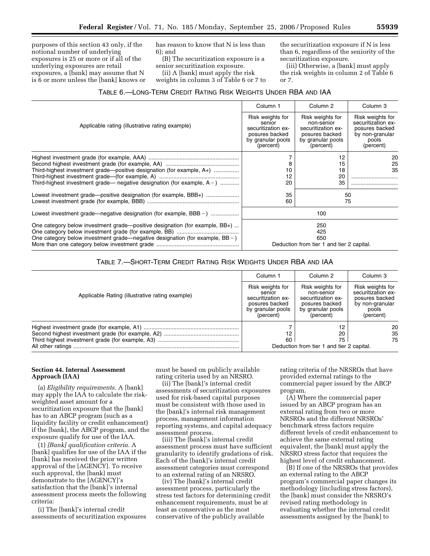purposes of this section 43 only, if the notional number of underlying exposures is 25 or more or if all of the underlying exposures are retail exposures, a [bank] may assume that N is 6 or more unless the [bank] knows or has reason to know that N is less than 6); and

(B) The securitization exposure is a senior securitization exposure.

(ii) A [bank] must apply the risk weights in column 3 of Table 6 or 7 to the securitization exposure if N is less than 6, regardless of the seniority of the securitization exposure.

(iii) Otherwise, a [bank] must apply the risk weights in column 2 of Table 6 or 7.

### TABLE 6.—LONG-TERM CREDIT RATING RISK WEIGHTS UNDER RBA AND IAA

|                                                                                                                                                    | Column 1                                  | Column <sub>2</sub>        | Column <sub>3</sub> |
|----------------------------------------------------------------------------------------------------------------------------------------------------|-------------------------------------------|----------------------------|---------------------|
| Applicable rating (illustrative rating example)                                                                                                    | Risk weights for                          | Risk weights for           | Risk weights for    |
|                                                                                                                                                    | senior                                    | non-senior                 | securitization ex-  |
|                                                                                                                                                    | securitization ex-                        | securitization ex-         | posures backed      |
|                                                                                                                                                    | posures backed                            | posures backed             | by non-granular     |
|                                                                                                                                                    | by granular pools                         | by granular pools          | pools               |
|                                                                                                                                                    | (percent)                                 | (percent)                  | (percent)           |
| Third-highest investment grade-positive designation (for example, A+)<br>Third-highest investment grade— negative designation (for example, $A-$ ) | 8<br>10<br>12<br>20                       | 12<br>15<br>18<br>20<br>35 | 20<br>25<br>35      |
| Lowest investment grade-positive designation (for example, BBB+)                                                                                   | 35                                        |                            | 50                  |
|                                                                                                                                                    | 60                                        |                            | 75                  |
| Lowest investment grade—negative designation (for example, BBB – )                                                                                 | 100                                       |                            |                     |
| One category below investment grade—positive designation (for example, BB+)                                                                        | 250                                       |                            |                     |
|                                                                                                                                                    | 425                                       |                            |                     |
| One category below investment grade—negative designation (for example, $BB -$ )                                                                    | 650                                       |                            |                     |
|                                                                                                                                                    | Deduction from tier 1 and tier 2 capital. |                            |                     |

### TABLE 7.—SHORT-TERM CREDIT RATING RISK WEIGHTS UNDER RBA AND IAA

|                                                 | Column 1                                                                                             | Column 2                                                                                                 | Column 3                                                                                          |
|-------------------------------------------------|------------------------------------------------------------------------------------------------------|----------------------------------------------------------------------------------------------------------|---------------------------------------------------------------------------------------------------|
| Applicable Rating (illustrative rating example) | Risk weights for<br>senior<br>securitization ex-<br>posures backed<br>by granular pools<br>(percent) | Risk weights for<br>non-senior<br>securitization ex-<br>posures backed<br>by granular pools<br>(percent) | Risk weights for<br>securitization ex-<br>posures backed<br>by non-granular<br>pools<br>(percent) |
|                                                 | 12<br>60                                                                                             | 20<br>75<br>Deduction from tier 1 and tier 2 capital.                                                    | 20<br>35<br>75                                                                                    |

#### **Section 44. Internal Assessment Approach (IAA)**

(a) *Eligibility requirements.* A [bank] may apply the IAA to calculate the riskweighted asset amount for a securitization exposure that the [bank] has to an ABCP program (such as a liquidity facility or credit enhancement) if the [bank], the ABCP program, and the exposure qualify for use of the IAA.

(1) *[Bank] qualification criteria.* A [bank] qualifies for use of the IAA if the [bank] has received the prior written approval of the [AGENCY]. To receive such approval, the [bank] must demonstrate to the [AGENCY]'s satisfaction that the [bank]'s internal assessment process meets the following criteria:

(i) The [bank]'s internal credit assessments of securitization exposures

must be based on publicly available rating criteria used by an NRSRO.

(ii) The [bank]'s internal credit assessments of securitization exposures used for risk-based capital purposes must be consistent with those used in the [bank]'s internal risk management process, management information reporting systems, and capital adequacy assessment process.

(iii) The [bank]'s internal credit assessment process must have sufficient granularity to identify gradations of risk. Each of the [bank]'s internal credit assessment categories must correspond to an external rating of an NRSRO.

(iv) The [bank]'s internal credit assessment process, particularly the stress test factors for determining credit enhancement requirements, must be at least as conservative as the most conservative of the publicly available

rating criteria of the NRSROs that have provided external ratings to the commercial paper issued by the ABCP program.

(A) Where the commercial paper issued by an ABCP program has an external rating from two or more NRSROs and the different NRSROs' benchmark stress factors require different levels of credit enhancement to achieve the same external rating equivalent, the [bank] must apply the NRSRO stress factor that requires the highest level of credit enhancement.

(B) If one of the NRSROs that provides an external rating to the ABCP program's commercial paper changes its methodology (including stress factors), the [bank] must consider the NRSRO's revised rating methodology in evaluating whether the internal credit assessments assigned by the [bank] to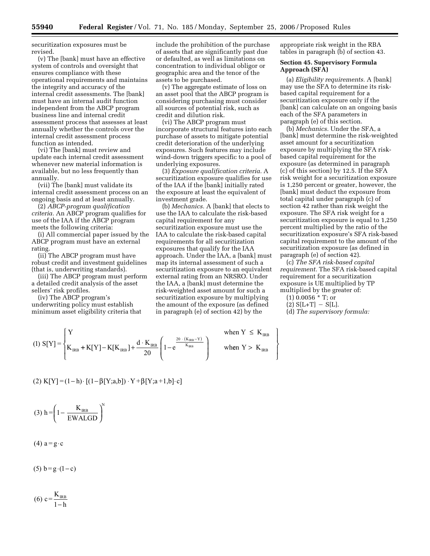securitization exposures must be revised.

(v) The [bank] must have an effective system of controls and oversight that ensures compliance with these operational requirements and maintains the integrity and accuracy of the internal credit assessments. The [bank] must have an internal audit function independent from the ABCP program business line and internal credit assessment process that assesses at least annually whether the controls over the internal credit assessment process function as intended.

(vi) The [bank] must review and update each internal credit assessment whenever new material information is available, but no less frequently than annually.

(vii) The [bank] must validate its internal credit assessment process on an ongoing basis and at least annually.

(2) *ABCP-program qualification criteria.* An ABCP program qualifies for use of the IAA if the ABCP program meets the following criteria:

(i) All commercial paper issued by the ABCP program must have an external rating.

(ii) The ABCP program must have robust credit and investment guidelines (that is, underwriting standards).

(iii) The ABCP program must perform a detailed credit analysis of the asset sellers' risk profiles.

(iv) The ABCP program's underwriting policy must establish minimum asset eligibility criteria that

include the prohibition of the purchase of assets that are significantly past due or defaulted, as well as limitations on concentration to individual obligor or geographic area and the tenor of the assets to be purchased.

(v) The aggregate estimate of loss on an asset pool that the ABCP program is considering purchasing must consider all sources of potential risk, such as credit and dilution risk.

(vi) The ABCP program must incorporate structural features into each purchase of assets to mitigate potential credit deterioration of the underlying exposures. Such features may include wind-down triggers specific to a pool of underlying exposures.

(3) *Exposure qualification criteria.* A securitization exposure qualifies for use of the IAA if the [bank] initially rated the exposure at least the equivalent of investment grade.

(b) *Mechanics.* A [bank] that elects to use the IAA to calculate the risk-based capital requirement for any securitization exposure must use the IAA to calculate the risk-based capital requirements for all securitization exposures that qualify for the IAA approach. Under the IAA, a [bank] must map its internal assessment of such a securitization exposure to an equivalent external rating from an NRSRO. Under the IAA, a [bank] must determine the risk-weighted asset amount for such a securitization exposure by multiplying the amount of the exposure (as defined in paragraph (e) of section 42) by the

appropriate risk weight in the RBA tables in paragraph (b) of section 43.

#### **Section 45. Supervisory Formula Approach (SFA)**

(a) *Eligibility requirements.* A [bank] may use the SFA to determine its riskbased capital requirement for a securitization exposure only if the [bank] can calculate on an ongoing basis each of the SFA parameters in paragraph (e) of this section.

(b) *Mechanics.* Under the SFA, a [bank] must determine the risk-weighted asset amount for a securitization exposure by multiplying the SFA riskbased capital requirement for the exposure (as determined in paragraph (c) of this section) by 12.5. If the SFA risk weight for a securitization exposure is 1,250 percent or greater, however, the [bank] must deduct the exposure from total capital under paragraph (c) of section 42 rather than risk weight the exposure. The SFA risk weight for a securitization exposure is equal to 1,250 percent multiplied by the ratio of the securitization exposure's SFA risk-based capital requirement to the amount of the securitization exposure (as defined in paragraph (e) of section 42).

(c) *The SFA risk-based capital requirement.* The SFA risk-based capital requirement for a securitization exposure is UE multiplied by TP multiplied by the greater of:

(1) 0.0056 \* T; or

 $(2) S[L+T] - S[L].$ 

 $\mathbf{I}$ r  $\overline{1}$ 

J  $\mathsf{l}$  (d) *The supervisory formula:* 

(1) 
$$
S[Y] = \begin{cases} Y & \text{when } Y \leq K_{\text{IRB}} \\ K_{\text{IRB}} + K[Y] - K[K_{\text{IRB}}] + \frac{d \cdot K_{\text{IRB}}}{20} \left( 1 - e^{\frac{20 \cdot (K_{\text{IRB}} - Y)}{K_{\text{IRB}}}} \right) & \text{when } Y > K_{\text{IRB}} \end{cases}
$$

(2) 
$$
K[Y] = (1-h) \cdot [(1-\beta[Y;a,b]) \cdot Y + \beta[Y;a+1,b] \cdot c]
$$

$$
(3) h = \left(1 - \frac{K_{\text{IRB}}}{\text{EWALGD}}\right)^{N}
$$

 $(4)$  a = g · c

 $(5) b = g \cdot (1 - c)$ 

$$
(6) \text{ } c = \frac{\text{K}_{\text{IRB}}}{1 - h}
$$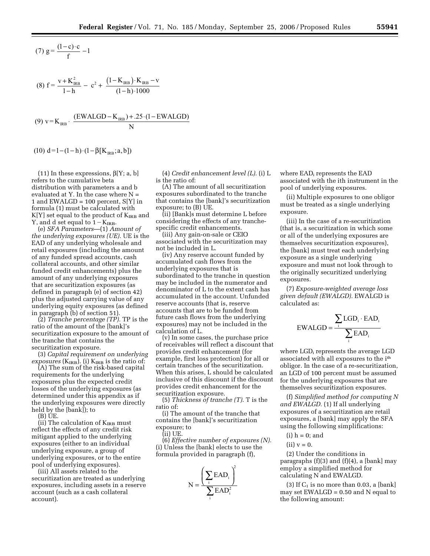(7) 
$$
g = \frac{(1-c)\cdot c}{f} - 1
$$

$$
(8) f = \frac{v + K_{IRB}^2}{1 - h} - c^2 + \frac{(1 - K_{IRB}) \cdot K_{IRB} - v}{(1 - h) \cdot 1000}
$$

(9) 
$$
v = K_{RB}
$$
. 
$$
\frac{(EWALGD - K_{RB}) + .25 \cdot (1 - EWALGD)}{N}
$$

$$
(10) d=1-(1-h)\cdot (1-\beta[K_{\text{IRB}};a,b])
$$

(11) In these expressions,  $\beta[Y; a, b]$ refers to the cumulative beta distribution with parameters a and b evaluated at Y. In the case where  $N =$ 1 and EWALGD =  $100$  percent, S[Y] in formula (1) must be calculated with  $K[Y]$  set equal to the product of  $K_{IRB}$  and Y, and d set equal to  $1 - K_{IRB}$ .

(e) *SFA Parameters*—(1) *Amount of the underlying exposures (UE).* UE is the EAD of any underlying wholesale and retail exposures (including the amount of any funded spread accounts, cash collateral accounts, and other similar funded credit enhancements) plus the amount of any underlying exposures that are securitization exposures (as defined in paragraph (e) of section 42) plus the adjusted carrying value of any underlying equity exposures (as defined in paragraph (b) of section 51).

(2) *Tranche percentage (TP).* TP is the ratio of the amount of the [bank]'s securitization exposure to the amount of the tranche that contains the securitization exposure.

(3) *Capital requirement on underlying*   $exposures$  ( $K_{IRB}$ ). (i)  $K_{IRB}$  is the ratio of:

(A) The sum of the risk-based capital requirements for the underlying exposures plus the expected credit losses of the underlying exposures (as determined under this appendix as if the underlying exposures were directly held by the [bank]); to

(B) UE.

(ii) The calculation of  $K_{IRB}$  must reflect the effects of any credit risk mitigant applied to the underlying exposures (either to an individual underlying exposure, a group of underlying exposures, or to the entire pool of underlying exposures).

(iii) All assets related to the securitization are treated as underlying exposures, including assets in a reserve account (such as a cash collateral account).

(4) *Credit enhancement level (L).* (i) L is the ratio of:

(A) The amount of all securitization exposures subordinated to the tranche that contains the [bank]'s securitization exposure; to (B) UE.

(ii) [Bank]s must determine L before considering the effects of any tranchespecific credit enhancements.

(iii) Any gain-on-sale or CEIO associated with the securitization may not be included in L.

(iv) Any reserve account funded by accumulated cash flows from the underlying exposures that is subordinated to the tranche in question may be included in the numerator and denominator of L to the extent cash has accumulated in the account. Unfunded reserve accounts (that is, reserve accounts that are to be funded from future cash flows from the underlying exposures) may not be included in the calculation of L.

(v) In some cases, the purchase price of receivables will reflect a discount that provides credit enhancement (for example, first loss protection) for all or certain tranches of the securitization. When this arises, L should be calculated inclusive of this discount if the discount provides credit enhancement for the securitization exposure.

(5) *Thickness of tranche (T).* T is the ratio of:

(i) The amount of the tranche that contains the [bank]'s securitization exposure; to

(ii) UE.

(6) *Effective number of exposures (N).*  (i) Unless the [bank] elects to use the formula provided in paragraph (f),



where EADi represents the EAD associated with the ith instrument in the pool of underlying exposures.

(ii) Multiple exposures to one obligor must be treated as a single underlying exposure.

(iii) In the case of a re-securitization (that is, a securitization in which some or all of the underlying exposures are themselves securitization exposures), the [bank] must treat each underlying exposure as a single underlying exposure and must not look through to the originally securitized underlying exposures.

(7) *Exposure-weighted average loss given default (EWALGD).* EWALGD is calculated as:

$$
EWALGD = \frac{\sum_{i} LGD_{i} \cdot EAD_{i}}{\sum_{i} EAD_{i}}
$$

where LGD<sub>i</sub> represents the average LGD associated with all exposures to the ith obligor. In the case of a re-securitization, an LGD of 100 percent must be assumed for the underlying exposures that are themselves securitization exposures.

(f) *Simplified method for computing N and EWALGD.* (1) If all underlying exposures of a securitization are retail exposures, a [bank] may apply the SFA using the following simplifications:

 $(i)$  h = 0; and

 $(ii)$   $v = 0$ .

(2) Under the conditions in paragraphs  $(f)(3)$  and  $(f)(4)$ , a [bank] may employ a simplified method for calculating N and EWALGD.

(3) If  $C_1$  is no more than 0.03, a [bank] may set EWALGD = 0.50 and N equal to the following amount: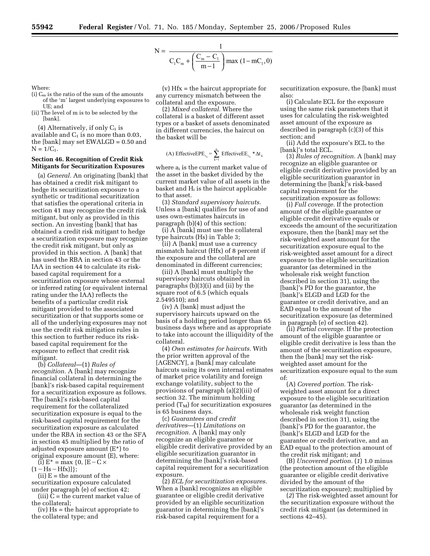$$
N = \frac{1}{C_{1}C_{m} + \left(\frac{C_{m} - C_{1}}{m - 1}\right) \max(1 - mC_{1}, 0)}
$$

Where:

- (i)  $C_m$  is the ratio of the sum of the amounts of the 'm' largest underlying exposures to UE; and
- (ii) The level of m is to be selected by the [bank].

(4) Alternatively, if only  $C_1$  is

available and  $C_1$  is no more than 0.03, the [bank] may set EWALGD = 0.50 and  $N = 1/C_1$ .

### **Section 46. Recognition of Credit Risk Mitigants for Securitization Exposures**

(a) *General.* An originating [bank] that has obtained a credit risk mitigant to hedge its securitization exposure to a synthetic or traditional securitization that satisfies the operational criteria in section 41 may recognize the credit risk mitigant, but only as provided in this section. An investing [bank] that has obtained a credit risk mitigant to hedge a securitization exposure may recognize the credit risk mitigant, but only as provided in this section. A [bank] that has used the RBA in section 43 or the IAA in section 44 to calculate its riskbased capital requirement for a securitization exposure whose external or inferred rating (or equivalent internal rating under the IAA) reflects the benefits of a particular credit risk mitigant provided to the associated securitization or that supports some or all of the underlying exposures may not use the credit risk mitigation rules in this section to further reduce its riskbased capital requirement for the exposure to reflect that credit risk mitigant.

(b) *Collateral*—(1) *Rules of recognition.* A [bank] may recognize financial collateral in determining the [bank]'s risk-based capital requirement for a securitization exposure as follows. The [bank]'s risk-based capital requirement for the collateralized securitization exposure is equal to the risk-based capital requirement for the securitization exposure as calculated under the RBA in section 43 or the SFA in section 45 multiplied by the ratio of adjusted exposure amount (E\*) to original exposure amount (E), where:

(i)  $E^*$  = max {0, [E – C  $\times$  $(1-Hs-Hfx)]$ ;

 $(ii) E =$  the amount of the

securitization exposure calculated under paragraph (e) of section 42;

(iii) C = the current market value of the collateral;

(iv) Hs = the haircut appropriate to the collateral type; and

(v) Hfx = the haircut appropriate for any currency mismatch between the collateral and the exposure.

(2) *Mixed collateral.* Where the collateral is a basket of different asset types or a basket of assets denominated in different currencies, the haircut on the basket will be

(A) EffectiveEPE<sub>t<sub>k</sub></sub> = 
$$
\sum_{k=1}^{n}
$$
 EffectiveEE<sub>t<sub>k</sub></sub> \*  $\Delta t_k$ 

where  $a_i$  is the current market value of the asset in the basket divided by the current market value of all assets in the basket and  $H_i$  is the haircut applicable to that asset.

(3) *Standard supervisory haircuts.*  Unless a [bank] qualifies for use of and uses own-estimates haircuts in paragraph (b)(4) of this section:

(i) A [bank] must use the collateral type haircuts (Hs) in Table 3;

(ii) A [bank] must use a currency mismatch haircut (Hfx) of 8 percent if the exposure and the collateral are denominated in different currencies;

(iii) A [bank] must multiply the supervisory haircuts obtained in paragraphs (b)(3)(i) and (ii) by the square root of 6.5 (which equals 2.549510); and

(iv) A [bank] must adjust the supervisory haircuts upward on the basis of a holding period longer than 65 business days where and as appropriate to take into account the illiquidity of the collateral.

(4) *Own estimates for haircuts.* With the prior written approval of the [AGENCY], a [bank] may calculate haircuts using its own internal estimates of market price volatility and foreign exchange volatility, subject to the provisions of paragraph (a)(2)(iii) of section 32. The minimum holding period  $(T_M)$  for securitization exposures is 65 business days.

(c) *Guarantees and credit derivatives*—(1) *Limitations on recognition.* A [bank] may only recognize an eligible guarantee or eligible credit derivative provided by an eligible securitization guarantor in determining the [bank]'s risk-based capital requirement for a securitization exposure.

(2) *ECL for securitization exposures.*  When a [bank] recognizes an eligible guarantee or eligible credit derivative provided by an eligible securitization guarantor in determining the [bank]'s risk-based capital requirement for a

securitization exposure, the [bank] must also:

(i) Calculate ECL for the exposure using the same risk parameters that it uses for calculating the risk-weighted asset amount of the exposure as described in paragraph (c)(3) of this section; and

(ii) Add the exposure's ECL to the [bank]'s total ECL.

(3) *Rules of recognition.* A [bank] may recognize an eligible guarantee or eligible credit derivative provided by an eligible securitization guarantor in determining the [bank]'s risk-based capital requirement for the securitization exposure as follows:

(i) *Full coverage.* If the protection amount of the eligible guarantee or eligible credit derivative equals or exceeds the amount of the securitization exposure, then the [bank] may set the risk-weighted asset amount for the securitization exposure equal to the risk-weighted asset amount for a direct exposure to the eligible securitization guarantor (as determined in the wholesale risk weight function described in section 31), using the [bank]'s PD for the guarantor, the [bank]'s ELGD and LGD for the guarantee or credit derivative, and an EAD equal to the amount of the securitization exposure (as determined in paragraph (e) of section 42).

(ii) *Partial coverage.* If the protection amount of the eligible guarantee or eligible credit derivative is less than the amount of the securitization exposure, then the [bank] may set the riskweighted asset amount for the securitization exposure equal to the sum of:

(A) *Covered portion.* The riskweighted asset amount for a direct exposure to the eligible securitization guarantor (as determined in the wholesale risk weight function described in section 31), using the [bank]'s PD for the guarantor, the [bank]'s ELGD and LGD for the guarantee or credit derivative, and an EAD equal to the protection amount of the credit risk mitigant; and

(B) *Uncovered portion.* (*1*) 1.0 minus (the protection amount of the eligible guarantee or eligible credit derivative divided by the amount of the securitization exposure); multiplied by

(*2*) The risk-weighted asset amount for the securitization exposure without the credit risk mitigant (as determined in sections 42–45).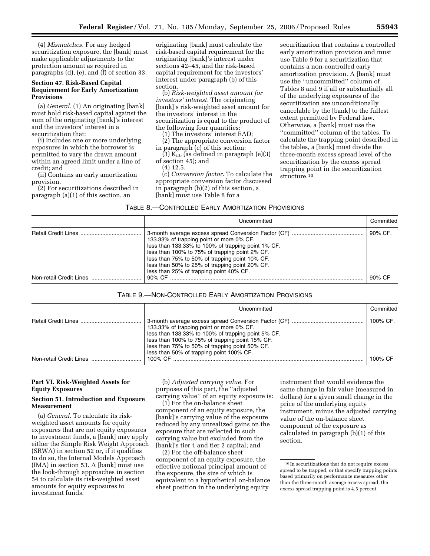(4) *Mismatches.* For any hedged securitization exposure, the [bank] must make applicable adjustments to the protection amount as required in paragraphs (d), (e), and (f) of section 33.

#### **Section 47. Risk-Based Capital Requirement for Early Amortization Provisions**

(a) *General.* (1) An originating [bank] must hold risk-based capital against the sum of the originating [bank]'s interest and the investors' interest in a securitization that:

(i) Includes one or more underlying exposures in which the borrower is permitted to vary the drawn amount within an agreed limit under a line of credit; and

(ii) Contains an early amortization provision.

(2) For securitizations described in paragraph (a)(1) of this section, an

originating [bank] must calculate the risk-based capital requirement for the originating [bank]'s interest under sections 42–45, and the risk-based capital requirement for the investors' interest under paragraph (b) of this section.

(b) *Risk-weighted asset amount for investors' interest.* The originating [bank]'s risk-weighted asset amount for the investors' interest in the securitization is equal to the product of the following four quantities:

(1) The investors' interest EAD;

(2) The appropriate conversion factor in paragraph (c) of this section;

 $(3)$  K<sub>irb</sub> (as defined in paragraph  $(e)(3)$ of section 45); and

(4) 12.5.

(c) *Conversion factor*. To calculate the appropriate conversion factor discussed in paragraph (b)(2) of this section, a [bank] must use Table 8 for a

securitization that contains a controlled early amortization provision and must use Table 9 for a securitization that contains a non-controlled early amortization provision. A [bank] must use the ''uncommitted'' column of Tables 8 and 9 if all or substantially all of the underlying exposures of the securitization are unconditionally cancelable by the [bank] to the fullest extent permitted by Federal law. Otherwise, a [bank] must use the ''committed'' column of the tables. To calculate the trapping point described in the tables, a [bank] must divide the three-month excess spread level of the securitization by the excess spread trapping point in the securitization structure.10

| Uncommitted                                                                                                                                                                                                                                                                                     | Committed |
|-------------------------------------------------------------------------------------------------------------------------------------------------------------------------------------------------------------------------------------------------------------------------------------------------|-----------|
| 133.33% of trapping point or more 0% CF.<br>less than 133.33% to 100% of trapping point 1% CF.<br>less than 100% to 75% of trapping point 2% CF.<br>less than 75% to 50% of trapping point 10% CF.<br>less than 50% to 25% of trapping point 20% CF.<br>less than 25% of trapping point 40% CF. | 90% CF.   |
|                                                                                                                                                                                                                                                                                                 | 90% CF    |

#### TABLE 9.—NON-CONTROLLED EARLY AMORTIZATION PROVISIONS

|                         | Uncommitted                                                                                                                                                                                                                                     | Committed |
|-------------------------|-------------------------------------------------------------------------------------------------------------------------------------------------------------------------------------------------------------------------------------------------|-----------|
|                         | 133.33% of trapping point or more 0% CF.<br>less than 133.33% to 100% of trapping point 5% CF.<br>less than 100% to 75% of trapping point 15% CF.<br>less than 75% to 50% of trapping point 50% CF.<br>less than 50% of trapping point 100% CF. | 100% CF.  |
| Non-retail Credit Lines |                                                                                                                                                                                                                                                 | 100% CF   |

### **Part VI. Risk-Weighted Assets for Equity Exposures**

#### **Section 51. Introduction and Exposure Measurement**

(a) *General.* To calculate its riskweighted asset amounts for equity exposures that are not equity exposures to investment funds, a [bank] may apply either the Simple Risk Weight Approach (SRWA) in section 52 or, if it qualifies to do so, the Internal Models Approach (IMA) in section 53. A [bank] must use the look-through approaches in section 54 to calculate its risk-weighted asset amounts for equity exposures to investment funds.

(b) *Adjusted carrying value.* For purposes of this part, the ''adjusted carrying value'' of an equity exposure is:

(1) For the on-balance sheet component of an equity exposure, the [bank]'s carrying value of the exposure reduced by any unrealized gains on the exposure that are reflected in such carrying value but excluded from the [bank]'s tier 1 and tier 2 capital; and

(2) For the off-balance sheet component of an equity exposure, the effective notional principal amount of the exposure, the size of which is equivalent to a hypothetical on-balance sheet position in the underlying equity

instrument that would evidence the same change in fair value (measured in dollars) for a given small change in the price of the underlying equity instrument, minus the adjusted carrying value of the on-balance sheet component of the exposure as calculated in paragraph (b)(1) of this section.

<sup>10</sup> In securitizations that do not require excess spread to be trapped, or that specify trapping points based primarily on performance measures other than the three-month average excess spread, the excess spread trapping point is 4.5 percent.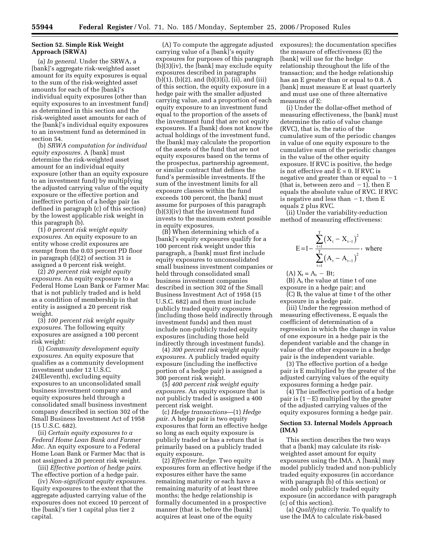#### **Section 52. Simple Risk Weight Approach (SRWA)**

(a) *In general.* Under the SRWA, a [bank]'s aggregate risk-weighted asset amount for its equity exposures is equal to the sum of the risk-weighted asset amounts for each of the [bank]'s individual equity exposures (other than equity exposures to an investment fund) as determined in this section and the risk-weighted asset amounts for each of the [bank]'s individual equity exposures to an investment fund as determined in section 54.

(b) *SRWA computation for individual equity exposures.* A [bank] must determine the risk-weighted asset amount for an individual equity exposure (other than an equity exposure to an investment fund) by multiplying the adjusted carrying value of the equity exposure or the effective portion and ineffective portion of a hedge pair (as defined in paragraph (c) of this section) by the lowest applicable risk weight in this paragraph (b).

(1) *0 percent risk weight equity exposures.* An equity exposure to an entity whose credit exposures are exempt from the 0.03 percent PD floor in paragraph (d)(2) of section 31 is assigned a 0 percent risk weight.

(2) *20 percent risk weight equity exposures.* An equity exposure to a Federal Home Loan Bank or Farmer Mac that is not publicly traded and is held as a condition of membership in that entity is assigned a 20 percent risk weight.

(3) *100 percent risk weight equity exposures.* The following equity exposures are assigned a 100 percent risk weight:

(i) *Community development equity exposures.* An equity exposure that qualifies as a community development investment under 12 U.S.C. 24(Eleventh), excluding equity exposures to an unconsolidated small business investment company and equity exposures held through a consolidated small business investment company described in section 302 of the Small Business Investment Act of 1958 (15 U.S.C. 682).

(ii) *Certain equity exposures to a Federal Home Loan Bank and Farmer Mac.* An equity exposure to a Federal Home Loan Bank or Farmer Mac that is not assigned a 20 percent risk weight.

(iii) *Effective portion of hedge pairs.*  The effective portion of a hedge pair.

(iv) *Non-significant equity exposures.*  Equity exposures to the extent that the aggregate adjusted carrying value of the exposures does not exceed 10 percent of the [bank]'s tier 1 capital plus tier 2 capital.

(A) To compute the aggregate adjusted carrying value of a [bank]'s equity exposures for purposes of this paragraph (b)(3)(iv), the [bank] may exclude equity exposures described in paragraphs (b)(1), (b)(2), and (b)(3)(i), (ii), and (iii) of this section, the equity exposure in a hedge pair with the smaller adjusted carrying value, and a proportion of each equity exposure to an investment fund equal to the proportion of the assets of the investment fund that are not equity exposures. If a [bank] does not know the actual holdings of the investment fund, the [bank] may calculate the proportion of the assets of the fund that are not equity exposures based on the terms of the prospectus, partnership agreement, or similar contract that defines the fund's permissible investments. If the sum of the investment limits for all exposure classes within the fund exceeds 100 percent, the [bank] must assume for purposes of this paragraph (b)(3)(iv) that the investment fund invests to the maximum extent possible in equity exposures.

(B) When determining which of a [bank]'s equity exposures qualify for a 100 percent risk weight under this paragraph, a [bank] must first include equity exposures to unconsolidated small business investment companies or held through consolidated small business investment companies described in section 302 of the Small Business Investment Act of 1958 (15 U.S.C. 682) and then must include publicly traded equity exposures (including those held indirectly through investment funds) and then must include non-publicly traded equity exposures (including those held indirectly through investment funds).

(4) *300 percent risk weight equity exposures.* A publicly traded equity exposure (including the ineffective portion of a hedge pair) is assigned a 300 percent risk weight.

(5) *400 percent risk weight equity exposures.* An equity exposure that is not publicly traded is assigned a 400 percent risk weight.

(c) *Hedge transactions*—(1) *Hedge pair.* A hedge pair is two equity exposures that form an effective hedge so long as each equity exposure is publicly traded or has a return that is primarily based on a publicly traded equity exposure.

(2) *Effective hedge.* Two equity exposures form an effective hedge if the exposures either have the same remaining maturity or each have a remaining maturity of at least three months; the hedge relationship is formally documented in a prospective manner (that is, before the [bank] acquires at least one of the equity

exposures); the documentation specifies the measure of effectiveness (E) the [bank] will use for the hedge relationship throughout the life of the transaction; and the hedge relationship has an E greater than or equal to 0.8. A [bank] must measure E at least quarterly and must use one of three alternative measures of E:

(i) Under the dollar-offset method of measuring effectiveness, the [bank] must determine the ratio of value change (RVC), that is, the ratio of the cumulative sum of the periodic changes in value of one equity exposure to the cumulative sum of the periodic changes in the value of the other equity exposure. If RVC is positive, the hedge is not effective and  $E = 0$ . If RVC is negative and greater than or equal to  $-1$ (that is, between zero and  $-1$ ), then E equals the absolute value of RVC. If RVC is negative and less than  $-1$ , then E equals 2 plus RVC.

(ii) Under the variability-reduction method of measuring effectiveness:

$$
E = 1 - \frac{\sum_{t=1}^{T} (X_t - X_{t-1})^2}{\sum_{t=1}^{T} (A_t - A_{t-1})^2}
$$
, where

(A)  $X_t = A_t - Bt$ ;

 $(B)$  A<sub>t</sub> the value at time t of one exposure in a hedge pair; and

(C)  $B_t$  the value at time t of the other exposure in a hedge pair.

(iii) Under the regression method of measuring effectiveness, E equals the coefficient of determination of a regression in which the change in value of one exposure in a hedge pair is the dependent variable and the change in value of the other exposure in a hedge pair is the independent variable.

(3) The effective portion of a hedge pair is E multiplied by the greater of the adjusted carrying values of the equity exposures forming a hedge pair.

(4) The ineffective portion of a hedge pair is  $(1-E)$  multiplied by the greater of the adjusted carrying values of the equity exposures forming a hedge pair.

#### **Section 53. Internal Models Approach (IMA)**

This section describes the two ways that a [bank] may calculate its riskweighted asset amount for equity exposures using the IMA. A [bank] may model publicly traded and non-publicly traded equity exposures (in accordance with paragraph (b) of this section) or model only publicly traded equity exposure (in accordance with paragraph (c) of this section).

(a) *Qualifying criteria.* To qualify to use the IMA to calculate risk-based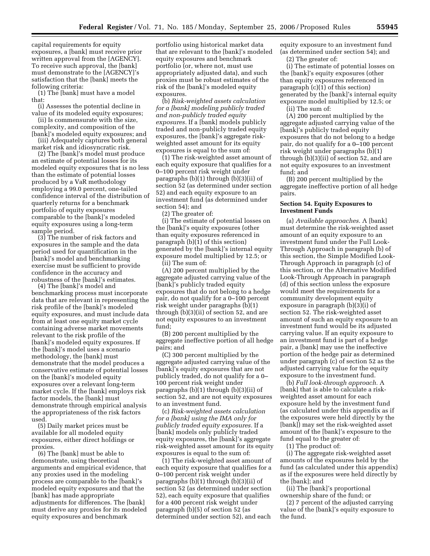capital requirements for equity exposures, a [bank] must receive prior written approval from the [AGENCY]. To receive such approval, the [bank] must demonstrate to the [AGENCY]'s satisfaction that the [bank] meets the following criteria:

(1) The [bank] must have a model that:

(i) Assesses the potential decline in value of its modeled equity exposures;

(ii) Is commensurate with the size, complexity, and composition of the [bank]'s modeled equity exposures; and

(iii) Adequately captures both general market risk and idiosyncratic risk.

(2) The [bank]'s model must produce an estimate of potential losses for its modeled equity exposures that is no less than the estimate of potential losses produced by a VaR methodology employing a 99.0 percent, one-tailed confidence interval of the distribution of quarterly returns for a benchmark portfolio of equity exposures comparable to the [bank]'s modeled equity exposures using a long-term sample period.

(3) The number of risk factors and exposures in the sample and the data period used for quantification in the [bank]'s model and benchmarking exercise must be sufficient to provide confidence in the accuracy and robustness of the [bank]'s estimates.

(4) The [bank]'s model and benchmarking process must incorporate data that are relevant in representing the risk profile of the [bank]'s modeled equity exposures, and must include data from at least one equity market cycle containing adverse market movements relevant to the risk profile of the [bank]'s modeled equity exposures. If the [bank]'s model uses a scenario methodology, the [bank] must demonstrate that the model produces a conservative estimate of potential losses on the [bank]'s modeled equity exposures over a relevant long-term market cycle. If the [bank] employs risk factor models, the [bank] must demonstrate through empirical analysis the appropriateness of the risk factors used.

(5) Daily market prices must be available for all modeled equity exposures, either direct holdings or proxies.

(6) The [bank] must be able to demonstrate, using theoretical arguments and empirical evidence, that any proxies used in the modeling process are comparable to the [bank]'s modeled equity exposures and that the [bank] has made appropriate adjustments for differences. The [bank] must derive any proxies for its modeled equity exposures and benchmark

portfolio using historical market data that are relevant to the [bank]'s modeled equity exposures and benchmark portfolio (or, where not, must use appropriately adjusted data), and such proxies must be robust estimates of the risk of the [bank]'s modeled equity exposures.

(b) *Risk-weighted assets calculation for a [bank] modeling publicly traded and non-publicly traded equity exposures.* If a [bank] models publicly traded and non-publicly traded equity exposures, the [bank]'s aggregate riskweighted asset amount for its equity exposures is equal to the sum of:

(1) The risk-weighted asset amount of each equity exposure that qualifies for a 0–100 percent risk weight under paragraphs (b)(1) through (b)(3)(ii) of section 52 (as determined under section 52) and each equity exposure to an investment fund (as determined under section 54); and

(2) The greater of:

(i) The estimate of potential losses on the [bank]'s equity exposures (other than equity exposures referenced in paragraph (b)(1) of this section) generated by the [bank]'s internal equity exposure model multiplied by 12.5; or (ii) The sum of:

(A) 200 percent multiplied by the aggregate adjusted carrying value of the [bank]'s publicly traded equity exposures that do not belong to a hedge pair, do not qualify for a 0–100 percent risk weight under paragraphs (b)(1) through (b)(3)(ii) of section 52, and are not equity exposures to an investment fund;

(B) 200 percent multiplied by the aggregate ineffective portion of all hedge pairs; and

(C) 300 percent multiplied by the aggregate adjusted carrying value of the [bank]'s equity exposures that are not publicly traded, do not qualify for a 0– 100 percent risk weight under paragraphs (b)(1) through (b)(3)(ii) of section 52, and are not equity exposures to an investment fund.

(c) *Risk-weighted assets calculation for a [bank] using the IMA only for publicly traded equity exposures.* If a [bank] models only publicly traded equity exposures, the [bank]'s aggregate risk-weighted asset amount for its equity exposures is equal to the sum of:

(1) The risk-weighted asset amount of each equity exposure that qualifies for a 0–100 percent risk weight under paragraphs (b)(1) through (b)(3)(ii) of section 52 (as determined under section 52), each equity exposure that qualifies for a 400 percent risk weight under paragraph (b)(5) of section 52 (as determined under section 52), and each

equity exposure to an investment fund (as determined under section 54); and (2) The greater of:

(i) The estimate of potential losses on the [bank]'s equity exposures (other than equity exposures referenced in paragraph  $(c)(1)$  of this section) generated by the [bank]'s internal equity exposure model multiplied by 12.5; or

(ii) The sum of:

(A) 200 percent multiplied by the aggregate adjusted carrying value of the [bank]'s publicly traded equity exposures that do not belong to a hedge pair, do not qualify for a 0–100 percent risk weight under paragraphs (b)(1) through (b)(3)(ii) of section 52, and are not equity exposures to an investment fund; and

(B) 200 percent multiplied by the aggregate ineffective portion of all hedge pairs.

#### **Section 54. Equity Exposures to Investment Funds**

(a) *Available approaches.* A [bank] must determine the risk-weighted asset amount of an equity exposure to an investment fund under the Full Look-Through Approach in paragraph (b) of this section, the Simple Modified Look-Through Approach in paragraph (c) of this section, or the Alternative Modified Look-Through Approach in paragraph (d) of this section unless the exposure would meet the requirements for a community development equity exposure in paragraph (b)(3)(i) of section 52. The risk-weighted asset amount of such an equity exposure to an investment fund would be its adjusted carrying value. If an equity exposure to an investment fund is part of a hedge pair, a [bank] may use the ineffective portion of the hedge pair as determined under paragraph (c) of section 52 as the adjusted carrying value for the equity exposure to the investment fund.

(b) *Full look-through approach.* A [bank] that is able to calculate a riskweighted asset amount for each exposure held by the investment fund (as calculated under this appendix as if the exposures were held directly by the [bank]) may set the risk-weighted asset amount of the [bank]'s exposure to the fund equal to the greater of:

(1) The product of:

(i) The aggregate risk-weighted asset amounts of the exposures held by the fund (as calculated under this appendix) as if the exposures were held directly by the [bank]; and

(ii) The [bank]'s proportional ownership share of the fund; or

(2) 7 percent of the adjusted carrying value of the [bank]'s equity exposure to the fund.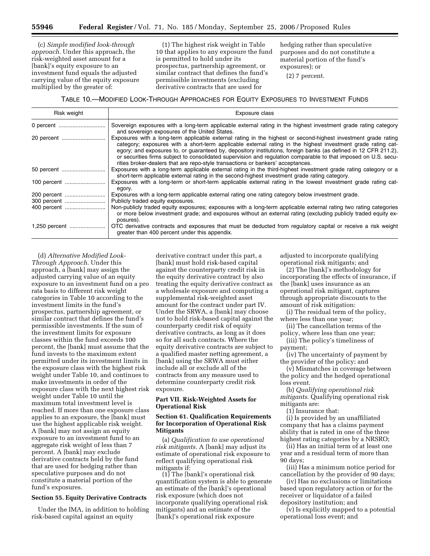(c) *Simple modified look-through approach.* Under this approach, the risk-weighted asset amount for a [bank]'s equity exposure to an investment fund equals the adjusted carrying value of the equity exposure multiplied by the greater of:

(1) The highest risk weight in Table 10 that applies to any exposure the fund is permitted to hold under its prospectus, partnership agreement, or similar contract that defines the fund's permissible investments (excluding derivative contracts that are used for

hedging rather than speculative purposes and do not constitute a material portion of the fund's exposures); or

(2) 7 percent.

#### TABLE 10.—MODIFIED LOOK-THROUGH APPROACHES FOR EQUITY EXPOSURES TO INVESTMENT FUNDS

| Risk weight   | Exposure class                                                                                                                                                                                                                                                                                                                                                                                                                                                                                                                                          |
|---------------|---------------------------------------------------------------------------------------------------------------------------------------------------------------------------------------------------------------------------------------------------------------------------------------------------------------------------------------------------------------------------------------------------------------------------------------------------------------------------------------------------------------------------------------------------------|
| 0 percent     | Sovereign exposures with a long-term applicable external rating in the highest investment grade rating category<br>and sovereign exposures of the United States.                                                                                                                                                                                                                                                                                                                                                                                        |
|               | Exposures with a long-term applicable external rating in the highest or second-highest investment grade rating<br>category; exposures with a short-term applicable external rating in the highest investment grade rating cat-<br>egory; and exposures to, or guaranteed by, depository institutions, foreign banks (as defined in 12 CFR 211.2),<br>or securities firms subject to consolidated supervision and regulation comparable to that imposed on U.S. secu-<br>rities broker-dealers that are repo-style transactions or bankers' acceptances. |
| 50 percent    | Exposures with a long-term applicable external rating in the third-highest investment grade rating category or a<br>short-term applicable external rating in the second-highest investment grade rating category.                                                                                                                                                                                                                                                                                                                                       |
| 100 percent   | Exposures with a long-term or short-term applicable external rating in the lowest investment grade rating cat-<br>egory.                                                                                                                                                                                                                                                                                                                                                                                                                                |
| 200 percent   | Exposures with a long-term applicable external rating one rating category below investment grade.<br>Publicly traded equity exposures.                                                                                                                                                                                                                                                                                                                                                                                                                  |
|               | Non-publicly traded equity exposures; exposures with a long-term applicable external rating two rating categories<br>or more below investment grade; and exposures without an external rating (excluding publicly traded equity ex-<br>posures).                                                                                                                                                                                                                                                                                                        |
| 1,250 percent | OTC derivative contracts and exposures that must be deducted from regulatory capital or receive a risk weight<br>greater than 400 percent under this appendix.                                                                                                                                                                                                                                                                                                                                                                                          |

(d) *Alternative Modified Look-Through Approach.* Under this approach, a [bank] may assign the adjusted carrying value of an equity exposure to an investment fund on a pro rata basis to different risk weight categories in Table 10 according to the investment limits in the fund's prospectus, partnership agreement, or similar contract that defines the fund's permissible investments. If the sum of the investment limits for exposure classes within the fund exceeds 100 percent, the [bank] must assume that the fund invests to the maximum extent permitted under its investment limits in the exposure class with the highest risk weight under Table 10, and continues to make investments in order of the exposure class with the next highest risk weight under Table 10 until the maximum total investment level is reached. If more than one exposure class applies to an exposure, the [bank] must use the highest applicable risk weight. A [bank] may not assign an equity exposure to an investment fund to an aggregate risk weight of less than 7 percent. A [bank] may exclude derivative contracts held by the fund that are used for hedging rather than speculative purposes and do not constitute a material portion of the fund's exposures.

#### **Section 55. Equity Derivative Contracts**

Under the IMA, in addition to holding risk-based capital against an equity

derivative contract under this part, a [bank] must hold risk-based capital against the counterparty credit risk in the equity derivative contract by also treating the equity derivative contract as a wholesale exposure and computing a supplemental risk-weighted asset amount for the contract under part IV. Under the SRWA, a [bank] may choose not to hold risk-based capital against the counterparty credit risk of equity derivative contracts, as long as it does so for all such contracts. Where the equity derivative contracts are subject to a qualified master netting agreement, a [bank] using the SRWA must either include all or exclude all of the contracts from any measure used to determine counterparty credit risk exposure.

### **Part VII. Risk-Weighted Assets for Operational Risk**

#### **Section 61. Qualification Requirements for Incorporation of Operational Risk Mitigants**

(a) *Qualification to use operational risk mitigants.* A [bank] may adjust its estimate of operational risk exposure to reflect qualifying operational risk mitigants if:

(1) The [bank]'s operational risk quantification system is able to generate an estimate of the [bank]'s operational risk exposure (which does not incorporate qualifying operational risk mitigants) and an estimate of the [bank]'s operational risk exposure

adjusted to incorporate qualifying operational risk mitigants; and

(2) The [bank]'s methodology for incorporating the effects of insurance, if the [bank] uses insurance as an operational risk mitigant, captures through appropriate discounts to the amount of risk mitigation:

(i) The residual term of the policy, where less than one year;

(ii) The cancellation terms of the policy, where less than one year;

(iii) The policy's timeliness of payment;

(iv) The uncertainty of payment by the provider of the policy; and

(v) Mismatches in coverage between the policy and the hedged operational loss event.

(b) *Qualifying operational risk mitigants.* Qualifying operational risk mitigants are:

(1) Insurance that:

(i) Is provided by an unaffiliated company that has a claims payment ability that is rated in one of the three highest rating categories by a NRSRO;

(ii) Has an initial term of at least one year and a residual term of more than 90 days;

(iii) Has a minimum notice period for cancellation by the provider of 90 days;

(iv) Has no exclusions or limitations based upon regulatory action or for the receiver or liquidator of a failed depository institution; and

(v) Is explicitly mapped to a potential operational loss event; and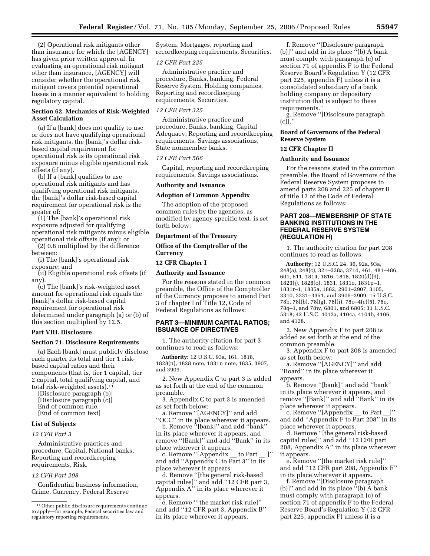(2) Operational risk mitigants other than insurance for which the [AGENCY] has given prior written approval. In evaluating an operational risk mitigant other than insurance, [AGENCY] will consider whether the operational risk mitigant covers potential operational losses in a manner equivalent to holding regulatory capital.

### **Section 62. Mechanics of Risk-Weighted Asset Calculation**

(a) If a [bank] does not qualify to use or does not have qualifying operational risk mitigants, the [bank]'s dollar riskbased capital requirement for operational risk is its operational risk exposure minus eligible operational risk offsets (if any).

(b) If a [bank] qualifies to use operational risk mitigants and has qualifying operational risk mitigants, the [bank]'s dollar risk-based capital requirement for operational risk is the greater of:

(1) The [bank]'s operational risk exposure adjusted for qualifying operational risk mitigants minus eligible operational risk offsets (if any); or

(2) 0.8 multiplied by the difference between:

(i) The [bank]'s operational risk exposure; and

(ii) Eligible operational risk offsets (if any).

(c) The [bank]'s risk-weighted asset amount for operational risk equals the [bank]'s dollar risk-based capital requirement for operational risk determined under paragraph (a) or (b) of this section multiplied by 12.5.

#### **Part VIII. Disclosure**

#### **Section 71. Disclosure Requirements**

(a) Each [bank] must publicly disclose each quarter its total and tier 1 riskbased capital ratios and their components (that is, tier 1 capital, tier 2 capital, total qualifying capital, and total risk-weighted assets).11

[Disclosure paragraph (b)] [Disclosure paragraph (c)] End of common rule. [End of common text]

#### **List of Subjects**

#### *12 CFR Part 3*

Administrative practices and procedure, Capital, National banks, Reporting and recordkeeping requirements, Risk.

#### *12 CFR Part 208*

Confidential business information, Crime, Currency, Federal Reserve

System, Mortgages, reporting and recordkeeping requirements, Securities.

#### *12 CFR Part 225*

Administrative practice and procedure, Banks, banking, Federal Reserve System, Holding companies, Reporting and recordkeeping requirements, Securities.

#### *12 CFR Part 325*

Administrative practice and procedure, Banks, banking, Capital Adequacy, Reporting and recordkeeping requirements, Savings associations, State nonmember banks.

#### *12 CFR Part 566*

Capital, reporting and recordkeeping requirements, Savings associations.

#### **Authority and Issuance**

#### **Adoption of Common Appendix**

The adoption of the proposed common rules by the agencies, as modified by agency-specific text, is set forth below:

#### **Department of the Treasury**

## **Office of the Comptroller of the Currency**

#### **12 CFR Chapter I**

#### **Authority and Issuance**

For the reasons stated in the common preamble, the Office of the Comptroller of the Currency proposes to amend Part 3 of chapter I of Title 12, Code of Federal Regulations as follows:

#### **PART 3—MINIMUM CAPITAL RATIOS; ISSUANCE OF DIRECTIVES**

1. The authority citation for part 3 continues to read as follows:

**Authority:** 12 U.S.C. 93a, 161, 1818, 1828(n), 1828 note, 1831n note, 1835, 3907, and 3909.

2. New Appendix C to part 3 is added as set forth at the end of the common preamble.

3. Appendix C to part 3 is amended as set forth below:

a. Remove ''[AGENCY]'' and add ''OCC'' in its place wherever it appears.

b. Remove ''[bank]'' and add ''bank'' in its place wherever it appears, and remove ''[Bank]'' and add ''Bank'' in its

place wherever it appears.<br>c. Remove "[Appendix \_ c. Remove "[Appendix \_ to Part \_ ]''<br>and add "Appendix C to Part 3'' in its place wherever it appears.

d. Remove ''[the general risk-based capital rules]'' and add ''12 CFR part 3, Appendix A'' in its place wherever it appears.

e. Remove ''[the market risk rule]'' and add ''12 CFR part 3, Appendix B'' in its place wherever it appears.

f. Remove ''[Disclosure paragraph (b)]'' and add in its place ''(b) A bank must comply with paragraph (c) of section 71 of appendix F to the Federal Reserve Board's Regulation Y (12 CFR part 225, appendix F) unless it is a consolidated subsidiary of a bank holding company or depository institution that is subject to these requirements.''

g. Remove ''[Disclosure paragraph (c)].''

#### **Board of Governors of the Federal Reserve System**

#### **12 CFR Chapter II**

### **Authority and Issuance**

For the reasons stated in the common preamble, the Board of Governors of the Federal Reserve System proposes to amend parts 208 and 225 of chapter II of title 12 of the Code of Federal Regulations as follows:

#### **PART 208—MEMBERSHIP OF STATE BANKING INSTITUTIONS IN THE FEDERAL RESERVE SYSTEM (REGULATION H)**

1. The authority citation for part 208 continues to read as follows:

**Authority:** 12 U.S.C. 24, 36, 92a, 93a, 248(a), 248(c), 321–338a, 371d, 461, 481–486, 601, 611, 1814, 1816, 1818, 1820(d)(9), 1823(j), 1828(o), 1831, 1831o, 1831p–1, 1831r–1, 1835a, 1882, 2901–2907, 3105, 3310, 3331–3351, and 3906–3909; 15 U.S.C. 78b, 78l(b), 78l(g), 78l(i), 78o–4(c)(5), 78q, 78q–1, and 78w, 6801, and 6805; 31 U.S.C. 5318; 42 U.S.C. 4012a, 4104a, 4104b, 4106, and 4128.

2. New Appendix F to part 208 is added as set forth at the end of the common preamble.

3. Appendix F to part 208 is amended as set forth below:

a. Remove ''[AGENCY]'' and add ''Board'' in its place wherever it appears.

b. Remove ''[bank]'' and add ''bank'' in its place wherever it appears, and remove ''[Bank]'' and add ''Bank'' in its place wherever it appears.<br>c. Remove "[Appendix

c. Remove ''[Appendix \_ to Part \_]''<br>and add ''Appendix F to Part 208'' in its place wherever it appears.

d. Remove ''[the general risk-based capital rules]'' and add ''12 CFR part 208, Appendix A'' in its place wherever it appears.

e. Remove ''[the market risk rule]'' and add ''12 CFR part 208, Appendix E'' in its place wherever it appears.

f. Remove ''[Disclosure paragraph (b)]'' and add in its place ''(b) A bank must comply with paragraph (c) of section 71 of appendix F to the Federal Reserve Board's Regulation Y (12 CFR part 225, appendix F) unless it is a

<sup>11</sup>Other public disclosure requirements continue to apply—for example, Federal securities law and regulatory reporting requirements.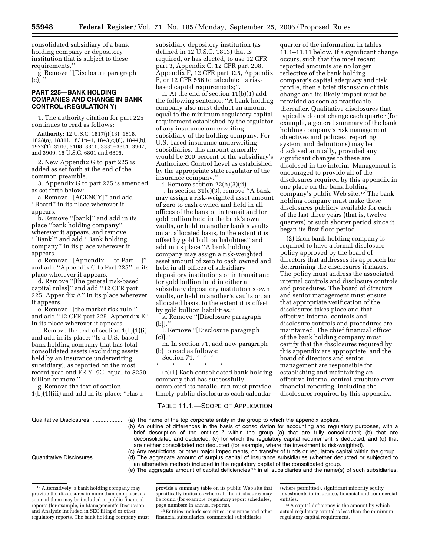consolidated subsidiary of a bank holding company or depository institution that is subject to these requirements.''

g. Remove ''[Disclosure paragraph (c)].''

### **PART 225—BANK HOLDING COMPANIES AND CHANGE IN BANK CONTROL (REGULATION Y)**

1. The authority citation for part 225 continues to read as follows:

**Authority:** 12 U.S.C. 1817(j)(13), 1818, 1828(o), 1831i, 1831p–1, 1843(c)(8), 1844(b), 1972(1), 3106, 3108, 3310, 3331–3351, 3907, and 3909; 15 U.S.C. 6801 and 6805.

2. New Appendix G to part 225 is added as set forth at the end of the common preamble.

3. Appendix G to part 225 is amended as set forth below:

a. Remove ''[AGENCY]'' and add ''Board'' in its place wherever it appears.

b. Remove ''[bank]'' and add in its place ''bank holding company'' wherever it appears, and remove ''[Bank]'' and add ''Bank holding company'' in its place wherever it appears.

c. Remove ''[Appendix \_\_ to Part \_]''<br>and add ''Appendix G to Part 225'' in its place wherever it appears.

d. Remove ''[the general risk-based capital rules]'' and add ''12 CFR part 225, Appendix A'' in its place wherever it appears.

e. Remove ''[the market risk rule]'' and add ''12 CFR part 225, Appendix E'' in its place wherever it appears.

f. Remove the text of section 1(b)(1)(i) and add in its place: ''Is a U.S.-based bank holding company that has total consolidated assets (excluding assets held by an insurance underwriting subsidiary), as reported on the most recent year-end FR Y–9C, equal to \$250 billion or more;''.

g. Remove the text of section  $1(b)(1)(iii)$  and add in its place: "Has a subsidiary depository institution (as defined in 12 U.S.C. 1813) that is required, or has elected, to use 12 CFR part 3, Appendix C, 12 CFR part 208, Appendix F, 12 CFR part 325, Appendix F, or 12 CFR 556 to calculate its riskbased capital requirements;"

h. At the end of section 11(b)(1) add the following sentence: ''A bank holding company also must deduct an amount equal to the minimum regulatory capital requirement established by the regulator of any insurance underwriting subsidiary of the holding company. For U.S.-based insurance underwriting subsidiaries, this amount generally would be 200 percent of the subsidiary's Authorized Control Level as established by the appropriate state regulator of the insurance company.''

i. Remove section 22(h)(3)(ii).

j. In section 31(e)(3), remove ''A bank may assign a risk-weighted asset amount of zero to cash owned and held in all offices of the bank or in transit and for gold bullion held in the bank's own vaults, or held in another bank's vaults on an allocated basis, to the extent it is offset by gold bullion liabilities'' and add in its place ''A bank holding company may assign a risk-weighted asset amount of zero to cash owned and held in all offices of subsidiary depository institutions or in transit and for gold bullion held in either a subsidiary depository institution's own vaults, or held in another's vaults on an allocated basis, to the extent it is offset by gold bullion liabilities.''

k. Remove ''[Disclosure paragraph (b)].''

l. Remove ''[Disclosure paragraph  $(c)$ ].'

m. In section 71, add new paragraph (b) to read as follows:

Section 71. \* \* \*

\* \* \* \* \* (b)(1) Each consolidated bank holding company that has successfully completed its parallel run must provide

quarter of the information in tables 11.1–11.11 below. If a significant change occurs, such that the most recent reported amounts are no longer reflective of the bank holding company's capital adequacy and risk profile, then a brief discussion of this change and its likely impact must be provided as soon as practicable thereafter. Qualitative disclosures that typically do not change each quarter (for example, a general summary of the bank holding company's risk management objectives and policies, reporting system, and definitions) may be disclosed annually, provided any significant changes to these are disclosed in the interim. Management is encouraged to provide all of the disclosures required by this appendix in one place on the bank holding company's public Web site.12 The bank holding company must make these disclosures publicly available for each of the last three years (that is, twelve quarters) or such shorter period since it began its first floor period.

(2) Each bank holding company is required to have a formal disclosure policy approved by the board of directors that addresses its approach for determining the disclosures it makes. The policy must address the associated internal controls and disclosure controls and procedures. The board of directors and senior management must ensure that appropriate verification of the disclosures takes place and that effective internal controls and disclosure controls and procedures are maintained. The chief financial officer of the bank holding company must certify that the disclosures required by this appendix are appropriate, and the board of directors and senior management are responsible for establishing and maintaining an effective internal control structure over financial reporting, including the disclosures required by this appendix.

# timely public disclosures each calendar TABLE 11.1.—SCOPE OF APPLICATION

| Qualitative Disclosures  | (a) The name of the top corporate entity in the group to which the appendix applies.<br>(b) An outline of differences in the basis of consolidation for accounting and regulatory purposes, with a<br>brief description of the entities <sup>13</sup> within the group (a) that are fully consolidated; (b) that are<br>deconsolidated and deducted; (c) for which the regulatory capital requirement is deducted; and (d) that<br>are neither consolidated nor deducted (for example, where the investment is risk-weighted).<br>(c) Any restrictions, or other major impediments, on transfer of funds or regulatory capital within the group. |
|--------------------------|--------------------------------------------------------------------------------------------------------------------------------------------------------------------------------------------------------------------------------------------------------------------------------------------------------------------------------------------------------------------------------------------------------------------------------------------------------------------------------------------------------------------------------------------------------------------------------------------------------------------------------------------------|
| Quantitative Disclosures | (d) The aggregate amount of surplus capital of insurance subsidiaries (whether deducted or subjected to<br>an alternative method) included in the regulatory capital of the consolidated group.<br>(e) The aggregate amount of capital deficiencies <sup>14</sup> in all subsidiaries and the name(s) of such subsidiaries.                                                                                                                                                                                                                                                                                                                      |

12Alternatively, a bank holding company may provide the disclosures in more than one place, as some of them may be included in public financial reports (for example, in Management's Discussion and Analysis included in SEC filings) or other regulatory reports. The bank holding company must

provide a summary table on its public Web site that specifically indicates where all the disclosures may be found (for example, regulatory report schedules, page numbers in annual reports).

13Entities include securities, insurance and other financial subsidiaries, commercial subsidiaries

(where permitted), significant minority equity investments in insurance, financial and commercial entities.

14A capital deficiency is the amount by which actual regulatory capital is less than the minimum regulatory capital requirement.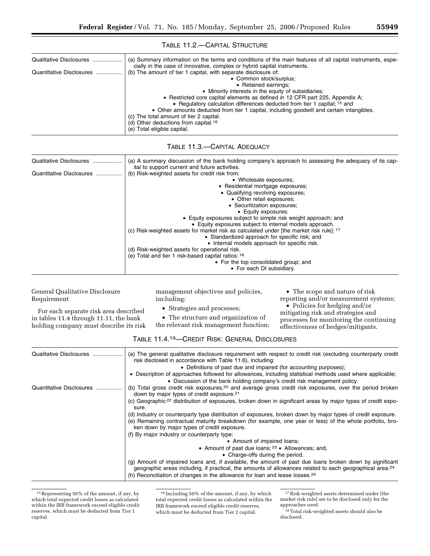## TABLE 11.2.—CAPITAL STRUCTURE

| Qualitative Disclosures  | (a) Summary information on the terms and conditions of the main features of all capital instruments, espe- |
|--------------------------|------------------------------------------------------------------------------------------------------------|
|                          | cially in the case of innovative, complex or hybrid capital instruments.                                   |
| Quantitative Disclosures | (b) The amount of tier 1 capital, with separate disclosure of:                                             |
|                          | • Common stock/surplus;                                                                                    |
|                          | • Retained earnings:                                                                                       |
|                          | • Minority interests in the equity of subsidiaries;                                                        |
|                          | • Restricted core capital elements as defined in 12 CFR part 225, Appendix A;                              |
|                          | • Regulatory calculation differences deducted from tier 1 capital; <sup>15</sup> and                       |
|                          | • Other amounts deducted from tier 1 capital, including goodwill and certain intangibles.                  |
|                          | (c) The total amount of tier 2 capital.                                                                    |
|                          | (d) Other deductions from capital. <sup>16</sup>                                                           |
|                          | (e) Total eligible capital.                                                                                |
|                          |                                                                                                            |

## TABLE 11.3.—CAPITAL ADEQUACY

| Qualitative Disclosures  | (a) A summary discussion of the bank holding company's approach to assessing the adequacy of its cap-                                                                                                                                                                                                                                                                                                                                                                                                                                                                                                                                                                                                                                                                                            |
|--------------------------|--------------------------------------------------------------------------------------------------------------------------------------------------------------------------------------------------------------------------------------------------------------------------------------------------------------------------------------------------------------------------------------------------------------------------------------------------------------------------------------------------------------------------------------------------------------------------------------------------------------------------------------------------------------------------------------------------------------------------------------------------------------------------------------------------|
| Quantitative Disclosures | ital to support current and future activities.<br>(b) Risk-weighted assets for credit risk from:<br>• Wholesale exposures;<br>• Residential mortgage exposures;<br>• Qualifying revolving exposures;<br>• Other retail exposures;<br>• Securitization exposures;<br>• Equity exposures:<br>• Equity exposures subject to simple risk weight approach; and<br>• Equity exposures subject to internal models approach.<br>(c) Risk-weighted assets for market risk as calculated under [the market risk rule]: 17<br>• Standardized approach for specific risk; and<br>• Internal models approach for specific risk.<br>(d) Risk-weighted assets for operational risk.<br>(e) Total and tier 1 risk-based capital ratios: 18<br>• For the top consolidated group; and<br>• For each DI subsidiary. |
|                          |                                                                                                                                                                                                                                                                                                                                                                                                                                                                                                                                                                                                                                                                                                                                                                                                  |

### General Qualitative Disclosure Requirement

management objectives and policies, including:

• Strategies and processes;

• The scope and nature of risk reporting and/or measurement systems; • Policies for hedging and/or mitigating risk and strategies and processes for monitoring the continuing effectiveness of hedges/mitigants.

For each separate risk area described in tables 11.4 through 11.11, the bank holding company must describe its risk

• The structure and organization of the relevant risk management function;

| Qualitative Disclosures  | (a) The general qualitative disclosure requirement with respect to credit risk (excluding counterparty credit<br>risk disclosed in accordance with Table 11.6), including:<br>• Definitions of past due and impaired (for accounting purposes);<br>• Description of approaches followed for allowances, including statistical methods used where applicable; |
|--------------------------|--------------------------------------------------------------------------------------------------------------------------------------------------------------------------------------------------------------------------------------------------------------------------------------------------------------------------------------------------------------|
|                          | • Discussion of the bank holding company's credit risk management policy.                                                                                                                                                                                                                                                                                    |
| Quantitative Disclosures | (b) Total gross credit risk exposures, <sup>20</sup> and average gross credit risk exposures, over the period broken<br>down by major types of credit exposure. <sup>21</sup>                                                                                                                                                                                |
|                          | (c) Geographic <sup>22</sup> distribution of exposures, broken down in significant areas by major types of credit expo-<br>sure.                                                                                                                                                                                                                             |
|                          | (d) Industry or counterparty type distribution of exposures, broken down by major types of credit exposure.<br>(e) Remaining contractual maturity breakdown (for example, one year or less) of the whole portfolio, bro-<br>ken down by major types of credit exposure.                                                                                      |
|                          | (f) By major industry or counterparty type:                                                                                                                                                                                                                                                                                                                  |
|                          | • Amount of impaired loans:                                                                                                                                                                                                                                                                                                                                  |
|                          | • Amount of past due loans; $23$ • Allowances; and,                                                                                                                                                                                                                                                                                                          |
|                          | • Charge-offs during the period.                                                                                                                                                                                                                                                                                                                             |
|                          | (g) Amount of impaired loans and, if available, the amount of past due loans broken down by significant<br>geographic areas including, if practical, the amounts of allowances related to each geographical area. <sup>24</sup><br>(h) Reconciliation of changes in the allowance for loan and lease losses. <sup>25</sup>                                   |

<sup>15</sup>Representing 50% of the amount, if any, by which total expected credit losses as calculated within the IRB framework exceed eligible credit reserves, which must be deducted from Tier 1 capital.

 $^{\rm 16}\,$  Including 50% of the amount, if any, by which total expected credit losses as calculated within the IRB framework exceed eligible credit reserves, which must be deducted from Tier 2 capital.

 $^{\rm 17}\!$  Risk-weighted assets determined under [the market risk rule] are to be disclosed only for the approaches used.

<sup>18</sup>Total risk-weighted assets should also be disclosed.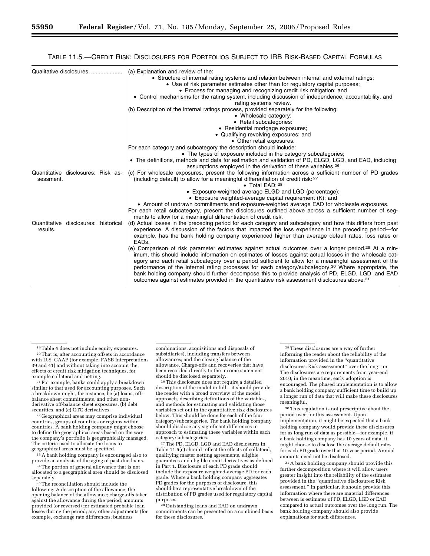### TABLE 11.5.—CREDIT RISK: DISCLOSURES FOR PORTFOLIOS SUBJECT TO IRB RISK-BASED CAPITAL FORMULAS

| Qualitative disclosures                          | (a) Explanation and review of the:<br>• Structure of internal rating systems and relation between internal and external ratings;<br>• Use of risk parameter estimates other than for regulatory capital purposes;<br>• Process for managing and recognizing credit risk mitigation; and<br>• Control mechanisms for the rating system, including discussion of independence, accountability, and<br>rating systems review.<br>(b) Description of the internal ratings process, provided separately for the following:<br>• Wholesale category;<br>• Retail subcategories:<br>• Residential mortgage exposures;<br>• Qualifying revolving exposures; and<br>• Other retail exposures.<br>For each category and subcategory the description should include:<br>• The types of exposure included in the category subcategories;<br>• The definitions, methods and data for estimation and validation of PD, ELGD, LGD, and EAD, including<br>assumptions employed in the derivation of these variables. <sup>26</sup>            |
|--------------------------------------------------|-------------------------------------------------------------------------------------------------------------------------------------------------------------------------------------------------------------------------------------------------------------------------------------------------------------------------------------------------------------------------------------------------------------------------------------------------------------------------------------------------------------------------------------------------------------------------------------------------------------------------------------------------------------------------------------------------------------------------------------------------------------------------------------------------------------------------------------------------------------------------------------------------------------------------------------------------------------------------------------------------------------------------------|
| Quantitative disclosures: Risk as-<br>sessment.  | (c) For wholesale exposures, present the following information across a sufficient number of PD grades<br>(including default) to allow for a meaningful differentiation of credit risk: 27<br>• Total EAD: 28<br>• Exposure-weighted average ELGD and LGD (percentage);<br>• Exposure weighted-average capital requirement (K); and<br>• Amount of undrawn commitments and exposure-weighted average EAD for wholesale exposures.<br>For each retail subcategory, present the disclosures outlined above across a sufficient number of seg-<br>ments to allow for a meaningful differentiation of credit risk.                                                                                                                                                                                                                                                                                                                                                                                                                |
| Quantitative disclosures: historical<br>results. | (d) Actual losses in the preceding period for each category and subcategory and how this differs from past<br>experience. A discussion of the factors that impacted the loss experience in the preceding period—for<br>example, has the bank holding company experienced higher than average default rates, loss rates or<br>EAD <sub>s</sub> .<br>(e) Comparison of risk parameter estimates against actual outcomes over a longer period. <sup>29</sup> At a min-<br>imum, this should include information on estimates of losses against actual losses in the wholesale cat-<br>egory and each retail subcategory over a period sufficient to allow for a meaningful assessment of the<br>performance of the internal rating processes for each category/subcategory. <sup>30</sup> Where appropriate, the<br>bank holding company should further decompose this to provide analysis of PD, ELGD, LGD, and EAD<br>outcomes against estimates provided in the quantitative risk assessment disclosures above. <sup>31</sup> |

 $^\mathrm{19}\mathrm{T}$ able 4 does not include equity exposures.  $^\mathrm{20}\mathrm{T}$  and is, after accounting offsets in accordance with U.S. GAAP (for example, FASB Interpretations 39 and 41) and without taking into account the effects of credit risk mitigation techniques, for

 $21$  For example, banks could apply a breakdown similar to that used for accounting purposes. Such a breakdown might, for instance, be (a) loans, offbalance sheet commitments, and other nonderivative off-balance sheet exposures, (b) debt<br>securities, and (c) OTC derivatives.

<sup>22</sup> Geographical areas may comprise individual countries, groups of countries or regions within countries. A bank holding company might choose to define the geographical areas based on the way the company's portfolio is geographically managed. The criteria used to allocate the loans to

geographical areas must be specified.<br><sup>23</sup> A bank holding company is encouraged also to<br>provide an analysis of the aging of past-due loans.

<sup>24</sup> The portion of general allowance that is not allocated to a geographical area should be disclosed

<sup>25</sup> The reconciliation should include the following: A description of the allowance; the opening balance of the allowance; charge-offs taken against the allowance during the period; amounts provided (or reversed) for estimated probable loan losses during the period; any other adjustments (for example, exchange rate differences, business

combinations, acquisitions and disposals of subsidiaries), including transfers between allowances; and the closing balance of the allowance. Charge-offs and recoveries that have been recorded directly to the income statement should be disclosed separately.

26This disclosure does not require a detailed description of the model in full—it should provide the reader with a broad overview of the model approach, describing definitions of the variables, and methods for estimating and validating those variables set out in the quantitative risk disclosures below. This should be done for each of the four category/subcategories. The bank holding company should disclose any significant differences in approach to estimating these variables within each category/subcategories.

27The PD, ELGD, LGD and EAD disclosures in Table 11.5(c) should reflect the effects of collateral, qualifying master netting agreements, eligible guarantees and eligible credit derivatives as defined in Part 1. Disclosure of each PD grade should include the exposure weighted-average PD for each grade. Where a bank holding company aggregates PD grades for the purposes of disclosure, this should be a representative breakdown of the distribution of PD grades used for regulatory capital purposes.

28Outstanding loans and EAD on undrawn commitments can be presented on a combined basis for these disclosures.

29These disclosures are a way of further informing the reader about the reliability of the information provided in the ''quantitative disclosures: Risk assessment'' over the long run. The disclosures are requirements from year-end 2010; in the meantime, early adoption is encouraged. The phased implementation is to allow a bank holding company sufficient time to build up a longer run of data that will make these disclosures meaningful.

30This regulation is not prescriptive about the period used for this assessment. Upon implementation, it might be expected that a bank holding company would provide these disclosures for as long run of data as possible—for example, if a bank holding company has 10 years of data, it might choose to disclose the average default rates for each PD grade over that 10-year period. Annual amounts need not be disclosed.

31A bank holding company should provide this further decomposition where it will allow users greater insight into the reliability of the estimates provided in the ''quantitative disclosures: Risk assessment.'' In particular, it should provide this information where there are material differences between is estimates of PD, ELGD, LGD or EAD compared to actual outcomes over the long run. The bank holding company should also provide explanations for such differences.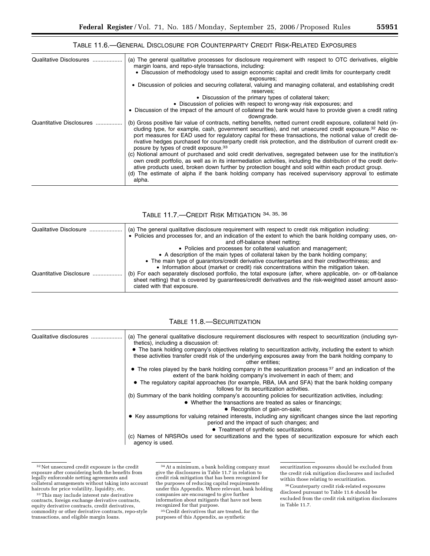## TABLE 11.6.—GENERAL DISCLOSURE FOR COUNTERPARTY CREDIT RISK-RELATED EXPOSURES

| Qualitative Disclosures  | (a) The general qualitative processes for disclosure requirement with respect to OTC derivatives, eligible<br>margin loans, and repo-style transactions, including:<br>• Discussion of methodology used to assign economic capital and credit limits for counterparty credit<br>exposures;<br>• Discussion of policies and securing collateral, valuing and managing collateral, and establishing credit<br>reserves;<br>• Discussion of the primary types of collateral taken;<br>• Discussion of policies with respect to wrong-way risk exposures; and |
|--------------------------|-----------------------------------------------------------------------------------------------------------------------------------------------------------------------------------------------------------------------------------------------------------------------------------------------------------------------------------------------------------------------------------------------------------------------------------------------------------------------------------------------------------------------------------------------------------|
|                          | • Discussion of the impact of the amount of collateral the bank would have to provide given a credit rating<br>downgrade.                                                                                                                                                                                                                                                                                                                                                                                                                                 |
| Quantitative Disclosures | (b) Gross positive fair value of contracts, netting benefits, netted current credit exposure, collateral held (in-<br>cluding type, for example, cash, government securities), and net unsecured credit exposure. <sup>32</sup> Also re-<br>port measures for EAD used for regulatory capital for these transactions, the notional value of credit de-<br>rivative hedges purchased for counterparty credit risk protection, and the distribution of current credit ex-<br>posure by types of credit exposure. <sup>33</sup>                              |
|                          | (c) Notional amount of purchased and sold credit derivatives, segregated between use for the institution's<br>own credit portfolio, as well as in its intermediation activities, including the distribution of the credit deriv-<br>ative products used, broken down further by protection bought and sold within each product group.<br>(d) The estimate of alpha if the bank holding company has received supervisory approval to estimate<br>alpha.                                                                                                    |

## TABLE 11.7.—CREDIT RISK MITIGATION 34, 35, 36

| Qualitative Disclosure  | (a) The general qualitative disclosure requirement with respect to credit risk mitigation including:<br>• Policies and processes for, and an indication of the extent to which the bank holding company uses, on-<br>and off-balance sheet netting;<br>• Policies and processes for collateral valuation and management;<br>• A description of the main types of collateral taken by the bank holding company;                                      |
|-------------------------|-----------------------------------------------------------------------------------------------------------------------------------------------------------------------------------------------------------------------------------------------------------------------------------------------------------------------------------------------------------------------------------------------------------------------------------------------------|
| Quantitative Disclosure | • The main type of quarantors/credit derivative counterparties and their creditworthiness; and<br>• Information about (market or credit) risk concentrations within the mitigation taken.<br>(b) For each separately disclosed portfolio, the total exposure (after, where applicable, on- or off-balance<br>sheet netting) that is covered by quarantees/credit derivatives and the risk-weighted asset amount asso-<br>ciated with that exposure. |

## TABLE 11.8.—SECURITIZATION

| Qualitative disclosures | (a) The general qualitative disclosure requirement disclosures with respect to securitization (including syn-                                                                       |
|-------------------------|-------------------------------------------------------------------------------------------------------------------------------------------------------------------------------------|
|                         | thetics), including a discussion of:                                                                                                                                                |
|                         | • The bank holding company's objectives relating to securitization activity, including the extent to which                                                                          |
|                         | these activities transfer credit risk of the underlying exposures away from the bank holding company to                                                                             |
|                         | other entities:                                                                                                                                                                     |
|                         | • The roles played by the bank holding company in the securitization process $37$ and an indication of the<br>extent of the bank holding company's involvement in each of them; and |
|                         | • The regulatory capital approaches (for example, RBA, IAA and SFA) that the bank holding company<br>follows for its securitization activities.                                     |
|                         | (b) Summary of the bank holding company's accounting policies for securitization activities, including:                                                                             |
|                         | • Whether the transactions are treated as sales or financings;                                                                                                                      |
|                         | • Recognition of gain-on-sale:                                                                                                                                                      |
|                         | • Key assumptions for valuing retained interests, including any significant changes since the last reporting<br>period and the impact of such changes; and                          |
|                         | • Treatment of synthetic securitizations.                                                                                                                                           |
|                         | (c) Names of NRSROs used for securitizations and the types of securitization exposure for which each<br>agency is used.                                                             |

32Net unsecured credit exposure is the credit exposure after considering both the benefits from legally enforceable netting agreements and collateral arrangements without taking into account

<sup>33</sup>This may include interest rate derivative contracts, foreign exchange derivative contracts, equity derivative contracts, credit derivatives, commodity or other derivative contracts, repo-style transactions, and eligible margin loans.

34At a minimum, a bank holding company must give the disclosures in Table 11.7 in relation to credit risk mitigation that has been recognized for the purposes of reducing capital requirements under this Appendix. Where relevant, bank holding companies are encouraged to give further information about mitigants that have not been

<sup>35</sup> Credit derivatives that are treated, for the purposes of this Appendix, as synthetic

securitization exposures should be excluded from the credit risk mitigation disclosures and included within those relating to securitization.

36Counterparty credit risk-related exposures disclosed pursuant to Table 11.6 should be excluded from the credit risk mitigation disclosures in Table 11.7.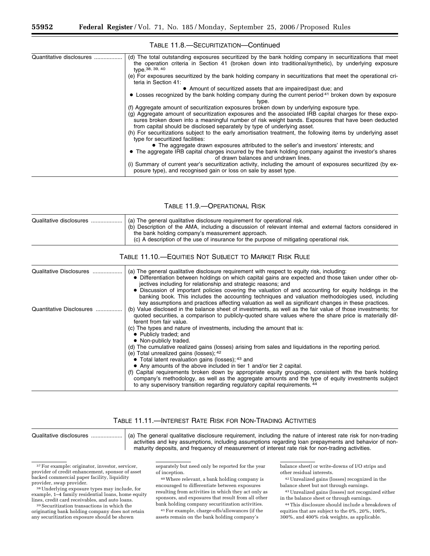| Quantitative disclosures | (d) The total outstanding exposures securitized by the bank holding company in securitizations that meet<br>the operation criteria in Section 41 (broken down into traditional/synthetic), by underlying exposure<br>type. 38, 39, 40<br>(e) For exposures securitized by the bank holding company in securitizations that meet the operational cri-<br>teria in Section 41:<br>• Amount of securitized assets that are impaired/past due; and<br>• Losses recognized by the bank holding company during the current period <sup>41</sup> broken down by exposure<br>type.<br>(f) Aggregate amount of securitization exposures broken down by underlying exposure type.<br>(g) Aggregate amount of securitization exposures and the associated IRB capital charges for these expo-<br>sures broken down into a meaningful number of risk weight bands. Exposures that have been deducted<br>from capital should be disclosed separately by type of underlying asset.<br>(h) For securitizations subject to the early amortisation treatment, the following items by underlying asset<br>type for securitized facilities:<br>• The aggregate drawn exposures attributed to the seller's and investors' interests; and<br>• The aggregate IRB capital charges incurred by the bank holding company against the investor's shares<br>of drawn balances and undrawn lines. |
|--------------------------|------------------------------------------------------------------------------------------------------------------------------------------------------------------------------------------------------------------------------------------------------------------------------------------------------------------------------------------------------------------------------------------------------------------------------------------------------------------------------------------------------------------------------------------------------------------------------------------------------------------------------------------------------------------------------------------------------------------------------------------------------------------------------------------------------------------------------------------------------------------------------------------------------------------------------------------------------------------------------------------------------------------------------------------------------------------------------------------------------------------------------------------------------------------------------------------------------------------------------------------------------------------------------------------------------------------------------------------------------------------------|
|                          | (i) Summary of current year's securitization activity, including the amount of exposures securitized (by ex-<br>posure type), and recognised gain or loss on sale by asset type.                                                                                                                                                                                                                                                                                                                                                                                                                                                                                                                                                                                                                                                                                                                                                                                                                                                                                                                                                                                                                                                                                                                                                                                       |

TABLE 11.8.—SECURITIZATION—Continued

TABLE 11.9.—OPERATIONAL RISK

| Qualitative disclosures  | (a) The general qualitative disclosure requirement for operational risk.<br>(b) Description of the AMA, including a discussion of relevant internal and external factors considered in<br>the bank holding company's measurement approach.<br>(c) A description of the use of insurance for the purpose of mitigating operational risk.                                                                                                                                                                                                                                                                                                                                                                                                                                                                                                                                                                                                                             |
|--------------------------|---------------------------------------------------------------------------------------------------------------------------------------------------------------------------------------------------------------------------------------------------------------------------------------------------------------------------------------------------------------------------------------------------------------------------------------------------------------------------------------------------------------------------------------------------------------------------------------------------------------------------------------------------------------------------------------------------------------------------------------------------------------------------------------------------------------------------------------------------------------------------------------------------------------------------------------------------------------------|
|                          | Table 11.10.—Equities Not Subject to Market Risk Rule                                                                                                                                                                                                                                                                                                                                                                                                                                                                                                                                                                                                                                                                                                                                                                                                                                                                                                               |
| Qualitative Disclosures  | (a) The general qualitative disclosure requirement with respect to equity risk, including:<br>• Differentiation between holdings on which capital gains are expected and those taken under other ob-<br>jectives including for relationship and strategic reasons; and<br>• Discussion of important policies covering the valuation of and accounting for equity holdings in the<br>banking book. This includes the accounting techniques and valuation methodologies used, including<br>key assumptions and practices affecting valuation as well as significant changes in these practices.                                                                                                                                                                                                                                                                                                                                                                       |
| Quantitative Disclosures | (b) Value disclosed in the balance sheet of investments, as well as the fair value of those investments; for<br>quoted securities, a comparison to publicly-quoted share values where the share price is materially dif-<br>ferent from fair value.<br>(c) The types and nature of investments, including the amount that is:<br>• Publicly traded; and<br>• Non-publicly traded.<br>(d) The cumulative realized gains (losses) arising from sales and liquidations in the reporting period.<br>(e) Total unrealized gains (losses); 42<br>• Total latent revaluation gains (losses); 43 and<br>• Any amounts of the above included in tier 1 and/or tier 2 capital.<br>(f) Capital requirements broken down by appropriate equity groupings, consistent with the bank holding<br>company's methodology, as well as the aggregate amounts and the type of equity investments subject<br>to any supervisory transition regarding regulatory capital requirements. 44 |

#### TABLE 11.11.—INTEREST RATE RISK FOR NON-TRADING ACTIVITIES

<sup>37</sup>For example: originator, investor, servicer, provider of credit enhancement, sponsor of asset backed commercial paper facility, liquidity

<sup>38</sup> Underlying exposure types may include, for example, 1–4 family residential loans, home equity<br>lines, credit card receivables, and auto loans.

<sup>39</sup> Securitization transactions in which the originating bank holding company does not retain any securitization exposure should be shown

separately but need only be reported for the year of inception.

40Where relevant, a bank holding company is encouraged to differentiate between exposures resulting from activities in which they act only as sponsors, and exposures that result from all other bank holding company securitization activities.

41For example, charge-offs/allowances (if the assets remain on the bank holding company's

balance sheet) or write-downs of I/O strips and other residual interests.

42Unrealized gains (losses) recognized in the balance sheet but not through earnings.

43Unrealized gains (losses) not recognized either in the balance sheet or through earnings.

44This disclosure should include a breakdown of equities that are subject to the 0%, 20%, 100%, 300%, and 400% risk weights, as applicable.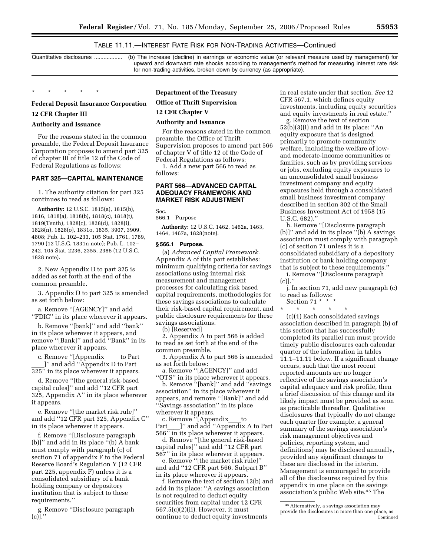## TABLE 11.11.—INTEREST RATE RISK FOR NON-TRADING ACTIVITIES—Continued

| Quantitative disclosures   (b) The increase (decline) in earnings or economic value (or relevant measure used by management) for |
|----------------------------------------------------------------------------------------------------------------------------------|
| upward and downward rate shocks according to management's method for measuring interest rate risk                                |
| for non-trading activities, broken down by currency (as appropriate).                                                            |
|                                                                                                                                  |

#### \* \* \* \* \*

## **Federal Deposit Insurance Corporation**

## **12 CFR Chapter III**

#### **Authority and Issuance**

For the reasons stated in the common preamble, the Federal Deposit Insurance Corporation proposes to amend part 325 of chapter III of title 12 of the Code of Federal Regulations as follows:

#### **PART 325—CAPITAL MAINTENANCE**

1. The authority citation for part 325 continues to read as follows:

**Authority:** 12 U.S.C. 1815(a), 1815(b), 1816, 1818(a), 1818(b), 1818(c), 1818(t), 1819(Tenth), 1828(c), 1828(d), 1828(i), 1828(n), 1828(o), 1831o, 1835, 3907, 3909, 4808; Pub. L. 102–233, 105 Stat. 1761, 1789, 1790 (12 U.S.C. 1831n note); Pub. L. 102– 242, 105 Stat. 2236, 2355, 2386 (12 U.S.C. 1828 note).

2. New Appendix D to part 325 is added as set forth at the end of the common preamble.

3. Appendix D to part 325 is amended as set forth below:

a. Remove ''[AGENCY]'' and add ''FDIC'' in its place wherever it appears.

b. Remove ''[bank]'' and add ''bank'' in its place wherever it appears, and remove ''[Bank]'' and add ''Bank'' in its place wherever it appears.

c. Remove "[Appendix \_\_\_\_ to Part l'' and add "Appendix D to Part

325'' in its place wherever it appears.

d. Remove ''[the general risk-based capital rules]'' and add ''12 CFR part 325, Appendix A'' in its place wherever it appears.

e. Remove ''[the market risk rule]'' and add ''12 CFR part 325, Appendix C'' in its place wherever it appears.

f. Remove ''[Disclosure paragraph (b)]'' and add in its place ''(b) A bank must comply with paragraph (c) of section 71 of appendix F to the Federal Reserve Board's Regulation Y (12 CFR part 225, appendix F) unless it is a consolidated subsidiary of a bank holding company or depository institution that is subject to these requirements.''

g. Remove ''Disclosure paragraph  $(c)$ ]."

### **Department of the Treasury**

## **Office of Thrift Supervision**

## **12 CFR Chapter V**

#### **Authority and Issuance**

For the reasons stated in the common preamble, the Office of Thrift Supervision proposes to amend part 566 of chapter V of title 12 of the Code of Federal Regulations as follows:

1. Add a new part 566 to read as follows:

### **PART 566—ADVANCED CAPITAL ADEQUACY FRAMEWORK AND MARKET RISK ADJUSTMENT**

Sec.

566.1 Purpose

**Authority:** 12 U.S.C. 1462, 1462a, 1463, 1464, 1467a, 1828(note).

#### **§ 566.1 Purpose.**

(a) *Advanced Capital Framework.*  Appendix A of this part establishes: minimum qualifying criteria for savings associations using internal risk measurement and management processes for calculating risk based capital requirements, methodologies for these savings associations to calculate their risk-based capital requirement, and public disclosure requirements for these savings associations.

(b) [Reserved]

2. Appendix A to part 566 is added to read as set forth at the end of the common preamble.

3. Appendix A to part 566 is amended as set forth below:

a. Remove ''[AGENCY]'' and add ''OTS'' in its place wherever it appears.

b. Remove ''[bank]'' and add ''savings association'' in its place wherever it appears, and remove ''[Bank]'' and add ''Savings association'' in its place wherever it appears.

c. Remove  $\lceil A \rceil$  (Appendix to Part ) and add "Appendix" ]'' and add "Appendix A to Part 566'' in its place wherever it appears.

d. Remove ''[the general risk-based capital rules]'' and add ''12 CFR part 567'' in its place wherever it appears.

e. Remove ''[the market risk rule]'' and add ''12 CFR part 566, Subpart B'' in its place wherever it appears.

f. Remove the text of section 12(b) and add in its place: ''A savings association is not required to deduct equity securities from capital under 12 CFR 567.5(c)(2)(ii). However, it must continue to deduct equity investments

in real estate under that section. *See* 12 CFR 567.1, which defines equity investments, including equity securities and equity investments in real estate.''

g. Remove the text of section 52(b)(3)(i) and add in its place: ''An equity exposure that is designed primarily to promote community welfare, including the welfare of lowand moderate-income communities or families, such as by providing services or jobs, excluding equity exposures to an unconsolidated small business investment company and equity exposures held through a consolidated small business investment company described in section 302 of the Small Business Investment Act of 1958 (15 U.S.C. 682).''

h. Remove ''[Disclosure paragraph (b)]'' and add in its place ''(b) A savings association must comply with paragraph (c) of section 71 unless it is a consolidated subsidiary of a depository institution or bank holding company that is subject to these requirements.''

i. Remove ''[Disclosure paragraph  $(c)$ ].'

j. In section 71, add new paragraph (c) to read as follows:

Section 71  $*$   $*$   $*$ 

\* \* \* \* \* (c)(1) Each consolidated savings association described in paragraph (b) of this section that has successfully completed its parallel run must provide timely public disclosures each calendar quarter of the information in tables 11.1–11.11 below. If a significant change occurs, such that the most recent reported amounts are no longer reflective of the savings association's capital adequacy and risk profile, then a brief discussion of this change and its likely impact must be provided as soon as practicable thereafter. Qualitative disclosures that typically do not change each quarter (for example, a general summary of the savings association's risk management objectives and policies, reporting system, and definitions) may be disclosed annually, provided any significant changes to these are disclosed in the interim. Management is encouraged to provide all of the disclosures required by this appendix in one place on the savings association's public Web site.45 The

<sup>45</sup>Alternatively, a savings association may provide the disclosures in more than one place, as Continued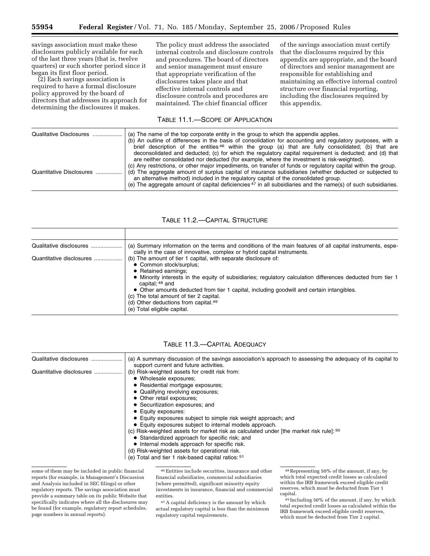savings association must make these disclosures publicly available for each of the last three years (that is, twelve quarters) or such shorter period since it began its first floor period.

(2) Each savings association is required to have a formal disclosure policy approved by the board of directors that addresses its approach for determining the disclosures it makes.

The policy must address the associated internal controls and disclosure controls and procedures. The board of directors and senior management must ensure that appropriate verification of the disclosures takes place and that effective internal controls and disclosure controls and procedures are maintained. The chief financial officer

of the savings association must certify that the disclosures required by this appendix are appropriate, and the board of directors and senior management are responsible for establishing and maintaining an effective internal control structure over financial reporting, including the disclosures required by this appendix.

### TABLE 11.1.—SCOPE OF APPLICATION

| Qualitative Disclosures  | (a) The name of the top corporate entity in the group to which the appendix applies.<br>(b) An outline of differences in the basis of consolidation for accounting and regulatory purposes, with a<br>brief description of the entities <sup>46</sup> within the group (a) that are fully consolidated; (b) that are<br>deconsolidated and deducted; (c) for which the regulatory capital requirement is deducted; and (d) that<br>are neither consolidated nor deducted (for example, where the investment is risk-weighted). |  |
|--------------------------|--------------------------------------------------------------------------------------------------------------------------------------------------------------------------------------------------------------------------------------------------------------------------------------------------------------------------------------------------------------------------------------------------------------------------------------------------------------------------------------------------------------------------------|--|
| Quantitative Disclosures | (c) Any restrictions, or other major impediments, on transfer of funds or regulatory capital within the group.<br>(d) The aggregate amount of surplus capital of insurance subsidiaries (whether deducted or subjected to<br>an alternative method) included in the regulatory capital of the consolidated group.<br>(e) The aggregate amount of capital deficiencies $47$ in all subsidiaries and the name(s) of such subsidiaries.                                                                                           |  |

## TABLE 11.2.—CAPITAL STRUCTURE

| Qualitative disclosures  | (a) Summary information on the terms and conditions of the main features of all capital instruments, espe-<br>cially in the case of innovative, complex or hybrid capital instruments.                                                                                                                                                                                                                                                                                         |
|--------------------------|--------------------------------------------------------------------------------------------------------------------------------------------------------------------------------------------------------------------------------------------------------------------------------------------------------------------------------------------------------------------------------------------------------------------------------------------------------------------------------|
| Quantitative disclosures | (b) The amount of tier 1 capital, with separate disclosure of:<br>• Common stock/surplus;<br>• Retained earnings;<br>• Minority interests in the equity of subsidiaries; regulatory calculation differences deducted from tier 1<br>capital: 48 and<br>• Other amounts deducted from tier 1 capital, including goodwill and certain intangibles.<br>(c) The total amount of tier 2 capital.<br>(d) Other deductions from capital. <sup>49</sup><br>(e) Total eligible capital. |

| Qualitative disclosures  | (a) A summary discussion of the savings association's approach to assessing the adequacy of its capital to<br>support current and future activities. |
|--------------------------|------------------------------------------------------------------------------------------------------------------------------------------------------|
| Quantitative disclosures | (b) Risk-weighted assets for credit risk from:                                                                                                       |
|                          | • Wholesale exposures;                                                                                                                               |
|                          | • Residential mortgage exposures;                                                                                                                    |
|                          | • Qualifying revolving exposures;                                                                                                                    |
|                          | • Other retail exposures:                                                                                                                            |
|                          | • Securitization exposures; and                                                                                                                      |
|                          | • Equity exposures:                                                                                                                                  |
|                          | • Equity exposures subject to simple risk weight approach; and                                                                                       |
|                          | • Equity exposures subject to internal models approach.                                                                                              |
|                          | (c) Risk-weighted assets for market risk as calculated under [the market risk rule]: 50                                                              |
|                          | • Standardized approach for specific risk; and                                                                                                       |
|                          | • Internal models approach for specific risk.                                                                                                        |
|                          |                                                                                                                                                      |
|                          | (d) Risk-weighted assets for operational risk.                                                                                                       |
|                          | (e) Total and tier 1 risk-based capital ratios: 51                                                                                                   |

TABLE 11.3.—CAPITAL ADEQUACY

46Entities include securities, insurance and other financial subsidiaries, commercial subsidiaries (where permitted), significant minority equity investments in insurance, financial and commercial entities.

47A capital deficiency is the amount by which actual regulatory capital is less than the minimum regulatory capital requirements.

some of them may be included in public financial reports (for example, in Management's Discussion and Analysis included in SEC filings) or other regulatory reports. The savings association must provide a summary table on its public Website that specifically indicates where all the disclosures may be found (for example, regulatory report schedules, page numbers in annual reports).

<sup>48</sup>Representing 50% of the amount, if any, by which total expected credit losses as calculated within the IRB framework exceed eligible credit reserves, which must be deducted from Tier 1 capital.

<sup>49</sup> Including 50% of the amount, if any, by which total expected credit losses as calculated within the IRB framework exceed eligible credit reserves, which must be deducted from Tier 2 capital.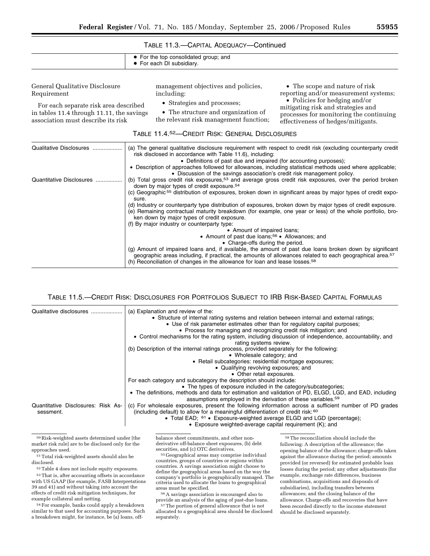| TABLE 11.3.-CAPITAL ADEQUACY-Continued |  |
|----------------------------------------|--|
|----------------------------------------|--|

| • For the top consolidated group; and<br>• For each DI subsidiary. |
|--------------------------------------------------------------------|
|                                                                    |

General Qualitative Disclosure Requirement

For each separate risk area described in tables 11.4 through 11.11, the savings association must describe its risk

management objectives and policies, including:

- Strategies and processes;
- The structure and organization of

• The scope and nature of risk reporting and/or measurement systems; • Policies for hedging and/or mitigating risk and strategies and processes for monitoring the continuing

effectiveness of hedges/mitigants.

the relevant risk management function;

| (a) The general qualitative disclosure requirement with respect to credit risk (excluding counterparty credit<br>risk disclosed in accordance with Table 11.6), including:                                                                                                                                                 |
|----------------------------------------------------------------------------------------------------------------------------------------------------------------------------------------------------------------------------------------------------------------------------------------------------------------------------|
| • Definitions of past due and impaired (for accounting purposes);                                                                                                                                                                                                                                                          |
| • Description of approaches followed for allowances, including statistical methods used where applicable;<br>• Discussion of the savings association's credit risk management policy.                                                                                                                                      |
| (b) Total gross credit risk exposures, <sup>53</sup> and average gross credit risk exposures, over the period broken<br>down by major types of credit exposure. <sup>54</sup>                                                                                                                                              |
| (c) Geographic <sup>55</sup> distribution of exposures, broken down in significant areas by major types of credit expo-<br>sure.                                                                                                                                                                                           |
| (d) Industry or counterparty type distribution of exposures, broken down by major types of credit exposure.<br>(e) Remaining contractual maturity breakdown (for example, one year or less) of the whole portfolio, bro-                                                                                                   |
| ken down by major types of credit exposure.                                                                                                                                                                                                                                                                                |
| (f) By major industry or counterparty type:<br>• Amount of impaired loans;                                                                                                                                                                                                                                                 |
| • Amount of past due loans; <sup>56</sup> • Allowances; and                                                                                                                                                                                                                                                                |
| • Charge-offs during the period.                                                                                                                                                                                                                                                                                           |
| (g) Amount of impaired loans and, if available, the amount of past due loans broken down by significant<br>geographic areas including, if practical, the amounts of allowances related to each geographical area. <sup>57</sup><br>(h) Reconciliation of changes in the allowance for loan and lease losses. <sup>58</sup> |
|                                                                                                                                                                                                                                                                                                                            |

## TABLE 11.5.—CREDIT RISK: DISCLOSURES FOR PORTFOLIOS SUBJECT TO IRB RISK-BASED CAPITAL FORMULAS

| Qualitative disclosures                         | (a) Explanation and review of the:<br>• Structure of internal rating systems and relation between internal and external ratings;<br>• Use of risk parameter estimates other than for regulatory capital purposes;<br>• Process for managing and recognizing credit risk mitigation; and |
|-------------------------------------------------|-----------------------------------------------------------------------------------------------------------------------------------------------------------------------------------------------------------------------------------------------------------------------------------------|
|                                                 | • Control mechanisms for the rating system, including discussion of independence, accountability, and<br>rating systems review.                                                                                                                                                         |
|                                                 | (b) Description of the internal ratings process, provided separately for the following:                                                                                                                                                                                                 |
|                                                 | • Wholesale category; and                                                                                                                                                                                                                                                               |
|                                                 | • Retail subcategories: residential mortgage exposures;                                                                                                                                                                                                                                 |
|                                                 | • Qualifying revolving exposures; and                                                                                                                                                                                                                                                   |
|                                                 | • Other retail exposures.                                                                                                                                                                                                                                                               |
|                                                 | For each category and subcategory the description should include:                                                                                                                                                                                                                       |
|                                                 | • The types of exposure included in the category/subcategories;                                                                                                                                                                                                                         |
|                                                 | • The definitions, methods and data for estimation and validation of PD, ELGD, LGD, and EAD, including<br>assumptions employed in the derivation of these variables. <sup>59</sup>                                                                                                      |
| Quantitative Disclosures: Risk As-<br>sessment. | (c) For wholesale exposures, present the following information across a sufficient number of PD grades<br>(including default) to allow for a meaningful differentiation of credit risk: $60$                                                                                            |
|                                                 | • Total EAD; $61 \cdot$ Exposure-weighted average ELGD and LGD (percentage);<br>• Exposure weighted-average capital requirement (K); and                                                                                                                                                |

50Risk-weighted assets determined under [the market risk rule] are to be disclosed only for the approaches used.

<sup>51</sup> Total risk-weighted assets should also be disclosed.

52Table 4 does not include equity exposures.

53That is, after accounting offsets in accordance with US GAAP (for example, FASB Interpretations 39 and 41) and without taking into account the effects of credit risk mitigation techniques, for example collateral and netting.

54For example, banks could apply a breakdown similar to that used for accounting purposes. Such a breakdown might, for instance, be (a) loans, offbalance sheet commitments, and other nonderivative off-balance sheet exposures, (b) debt<br>securities, and (c) OTC derivatives.

<sup>55</sup> Geographical areas may comprise individual countries, groups of countries or regions within countries. A savings association might choose to define the geographical areas based on the way the company's portfolio is geographically managed. The criteria used to allocate the loans to geographical

 $56$  A savings association is encouraged also to provide an analysis of the aging of past-due loans.

<sup>57</sup> The portion of general allowance that is not allocated to a geographical area should be disclosed separately.

58The reconciliation should include the following: A description of the allowance; the opening balance of the allowance; charge-offs taken against the allowance during the period; amounts provided (or reversed) for estimated probable loan losses during the period; any other adjustments (for example, exchange rate differences, business combinations, acquisitions and disposals of subsidiaries), including transfers between allowances; and the closing balance of the allowance. Charge-offs and recoveries that have been recorded directly to the income statement should be disclosed separately.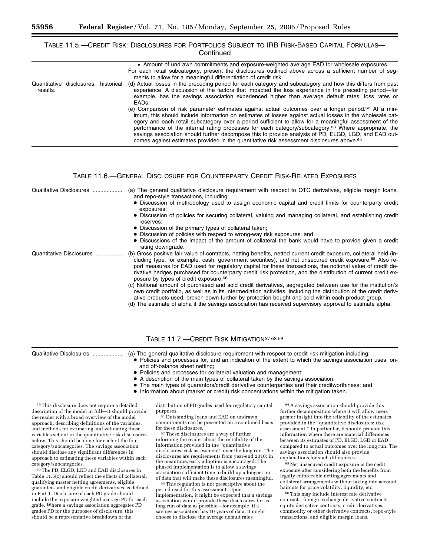### TABLE 11.5.—CREDIT RISK: DISCLOSURES FOR PORTFOLIOS SUBJECT TO IRB RISK-BASED CAPITAL FORMULAS— **Continued**

|                                                  | • Amount of undrawn commitments and exposure-weighted average EAD for wholesale exposures.<br>For each retail subcategory, present the disclosures outlined above across a sufficient number of seq-<br>ments to allow for a meaningful differentiation of credit risk.                                                                                                                                                                                                                                                                                                                                                                                                     |
|--------------------------------------------------|-----------------------------------------------------------------------------------------------------------------------------------------------------------------------------------------------------------------------------------------------------------------------------------------------------------------------------------------------------------------------------------------------------------------------------------------------------------------------------------------------------------------------------------------------------------------------------------------------------------------------------------------------------------------------------|
| Quantitative disclosures: historical<br>results. | (d) Actual losses in the preceding period for each category and subcategory and how this differs from past<br>experience. A discussion of the factors that impacted the loss experience in the preceding period—for<br>example, has the savings association experienced higher than average default rates, loss rates or<br>EADs.                                                                                                                                                                                                                                                                                                                                           |
|                                                  | (e) Comparison of risk parameter estimates against actual outcomes over a longer period. <sup>62</sup> At a min-<br>imum, this should include information on estimates of losses against actual losses in the wholesale cat-<br>egory and each retail subcategory over a period sufficient to allow for a meaningful assessment of the<br>performance of the internal rating processes for each category/subcategory. <sup>63</sup> Where appropriate, the<br>savings association should further decompose this to provide analysis of PD, ELGD, LGD, and EAD out-<br>comes against estimates provided in the quantitative risk assessment disclosures above. <sup>64</sup> |

### TABLE 11.6.—GENERAL DISCLOSURE FOR COUNTERPARTY CREDIT RISK-RELATED EXPOSURES

| Qualitative Disclosures  | (a) The general qualitative disclosure requirement with respect to OTC derivatives, eligible margin loans,<br>and repo-style transactions, including:<br>• Discussion of methodology used to assign economic capital and credit limits for counterparty credit<br>exposures;<br>• Discussion of policies for securing collateral, valuing and managing collateral, and establishing credit<br>reserves;                                                                                                                      |
|--------------------------|------------------------------------------------------------------------------------------------------------------------------------------------------------------------------------------------------------------------------------------------------------------------------------------------------------------------------------------------------------------------------------------------------------------------------------------------------------------------------------------------------------------------------|
|                          | • Discussion of the primary types of collateral taken;                                                                                                                                                                                                                                                                                                                                                                                                                                                                       |
|                          | • Discussion of policies with respect to wrong-way risk exposures; and                                                                                                                                                                                                                                                                                                                                                                                                                                                       |
|                          | • Discussions of the impact of the amount of collateral the bank would have to provide given a credit<br>rating downgrade.                                                                                                                                                                                                                                                                                                                                                                                                   |
| Quantitative Disclosures | (b) Gross positive fair value of contracts, netting benefits, netted current credit exposure, collateral held (in-<br>cluding type, for example, cash, government securities), and net unsecured credit exposure. <sup>65</sup> Also re-<br>port measures for EAD used for regulatory capital for these transactions, the notional value of credit de-<br>rivative hedges purchased for counterparty credit risk protection, and the distribution of current credit ex-<br>posure by types of credit exposure. <sup>66</sup> |
|                          | (c) Notional amount of purchased and sold credit derivatives, segregated between use for the institution's<br>own credit portfolio, as well as in its intermediation activities, including the distribution of the credit deriv-<br>ative products used, broken down further by protection bought and sold within each product group.<br>(d) The estimate of alpha if the savings association has received supervisory approval to estimate alpha.                                                                           |

| Qualitative Disclosures   (a) The general qualitative disclosure requirement with respect to credit risk mitigation including:<br>• Policies and processes for, and an indication of the extent to which the savings association uses, on-<br>and off-balance sheet netting;<br>• Policies and processes for collateral valuation and management;<br>• A description of the main types of collateral taken by the savings association; |
|----------------------------------------------------------------------------------------------------------------------------------------------------------------------------------------------------------------------------------------------------------------------------------------------------------------------------------------------------------------------------------------------------------------------------------------|
| • The main types of quarantors/credit derivative counterparties and their creditworthiness; and<br>• Information about (market or credit) risk concentrations within the mitigation taken.                                                                                                                                                                                                                                             |

#### TABLE 11.7.—CREDIT RISK MITIGATION67 68 69

59This disclosure does not require a detailed description of the model in full—it should provide the reader with a broad overview of the model approach, describing definitions of the variables, and methods for estimating and validating those variables set out in the quantitative risk disclosures below. This should be done for each of the four category/subcategories. The savings association should disclose any significant differences in approach to estimating these variables within each category/subcategories.

60The PD, ELGD, LGD and EAD disclosures in Table 11.5(c) should reflect the effects of collateral, qualifying master netting agreements, eligible guarantees and eligible credit derivatives as defined in Part 1. Disclosure of each PD grade should include the exposure weighted-average PD for each grade. Where a savings association aggregates PD grades PD for the purposes of disclosure, this should be a representative breakdown of the

distribution of PD grades used for regulatory capital

<sup>61</sup>Outstanding loans and EAD on undrawn commitments can be presented on a combined basis

 $62$  These disclosures are a way of further informing the reader about the reliability of the information provided in the ''quantitative disclosures: risk assessment'' over the long run. The disclosures are requirements from year-end 2010; in the meantime, early adoption is encouraged. The phased implementation is to allow a savings association sufficient time to build up a longer run<br>of data that will make these disclosures meaningful.

<sup>63</sup> This regulation is not prescriptive about the period used for this assessment. Upon implementation, it might be expected that a savings association would provide these disclosures for as long run of data as possible—for example, if a savings association has 10 years of data, it might choose to disclose the average default rates

64A savings association should provide this further decomposition where it will allow users greater insight into the reliability of the estimates provided in the ''quantitative disclosures: risk assessment.'' In particular, it should provide this information where there are material differences between its estimates of PD, ELGD, LGD or EAD compared to actual outcomes over the long run. The savings association should also provide explanations for such differences.

65Net unsecured credit exposure is the cedit exposure after considering both the benefits from legally enforceable netting agreements and collateral arrangements without taking into account haircuts for price volatility, liquidity, etc.

66This may include interest rate derivative contracts, foreign exchange derivative contracts, equity derivative contracts, credit derivatives, commodity or other derivative contracts, repo-style transactions, and eligible margin loans.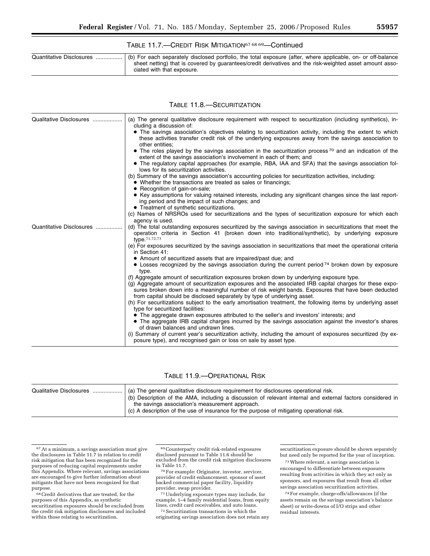## TABLE 11.7.—CREDIT RISK MITIGATION67 68 69—Continued

| Quantitative Disclosures  (b) For each separately disclosed portfolio, the total exposure (after, where applicable, on- or off-balance<br>sheet netting) that is covered by quarantees/credit derivatives and the risk-weighted asset amount asso-<br>ciated with that exposure. |
|----------------------------------------------------------------------------------------------------------------------------------------------------------------------------------------------------------------------------------------------------------------------------------|
|                                                                                                                                                                                                                                                                                  |

### TABLE 11.8.—SECURITIZATION

| Qualitative Disclosures  | (a) The general qualitative disclosure requirement with respect to securitization (including synthetics), in-                                                                                                                                                                                                                                                                          |
|--------------------------|----------------------------------------------------------------------------------------------------------------------------------------------------------------------------------------------------------------------------------------------------------------------------------------------------------------------------------------------------------------------------------------|
|                          | cluding a discussion of:                                                                                                                                                                                                                                                                                                                                                               |
|                          | • The savings association's objectives relating to securitization activity, including the extent to which<br>these activities transfer credit risk of the underlying exposures away from the savings association to<br>other entities:                                                                                                                                                 |
|                          | • The roles played by the savings association in the securitization process <sup>70</sup> and an indication of the<br>extent of the savings association's involvement in each of them; and<br>• The regulatory capital approaches (for example, RBA, IAA and SFA) that the savings association fol-                                                                                    |
|                          | lows for its securitization activities.                                                                                                                                                                                                                                                                                                                                                |
|                          | (b) Summary of the savings association's accounting policies for securitization activities, including:<br>• Whether the transactions are treated as sales or financings;<br>• Recognition of gain-on-sale;                                                                                                                                                                             |
|                          | • Key assumptions for valuing retained interests, including any significant changes since the last report-<br>ing period and the impact of such changes; and<br>• Treatment of synthetic securitizations.                                                                                                                                                                              |
|                          | (c) Names of NRSROs used for securitizations and the types of securitization exposure for which each                                                                                                                                                                                                                                                                                   |
|                          | agency is used.                                                                                                                                                                                                                                                                                                                                                                        |
| Quantitative Disclosures | (d) The total outstanding exposures securitized by the savings association in securitizations that meet the<br>operation criteria in Section 41 (broken down into traditional/synthetic), by underlying exposure<br>type. <sup>71,72,73</sup>                                                                                                                                          |
|                          | (e) For exposures securitized by the savings association in securitizations that meet the operational criteria<br>in Section 41:                                                                                                                                                                                                                                                       |
|                          | • Amount of securitized assets that are impaired/past due; and                                                                                                                                                                                                                                                                                                                         |
|                          | • Losses recognized by the savings association during the current period <sup>74</sup> broken down by exposure<br>type.                                                                                                                                                                                                                                                                |
|                          | (f) Aggregate amount of securitization exposures broken down by underlying exposure type.<br>(g) Aggregate amount of securitization exposures and the associated IRB capital charges for these expo-<br>sures broken down into a meaningful number of risk weight bands. Exposures that have been deducted<br>from capital should be disclosed separately by type of underlying asset. |
|                          | (h) For securitizations subject to the early amortisation treatment, the following items by underlying asset<br>type for securitized facilities:                                                                                                                                                                                                                                       |
|                          | • The aggregate drawn exposures attributed to the seller's and investors' interests; and                                                                                                                                                                                                                                                                                               |
|                          | • The aggregate IRB capital charges incurred by the savings association against the investor's shares<br>of drawn balances and undrawn lines.                                                                                                                                                                                                                                          |
|                          | (i) Summary of current year's securitization activity, including the amount of exposures securitized (by ex-<br>posure type), and recognised gain or loss on sale by asset type.                                                                                                                                                                                                       |

### TABLE 11.9.—OPERATIONAL RISK

| (a) The general qualitative disclosure requirement for disclosures operational risk.                       |
|------------------------------------------------------------------------------------------------------------|
| (b) Description of the AMA, including a discussion of relevant internal and external factors considered in |
| the savings association's measurement approach.                                                            |
| (c) A description of the use of insurance for the purpose of mitigating operational risk.                  |

<sup>72</sup> Securitization transactions in which the originating savings association does not retain any

securitization exposure should be shown separately but need only be reported for the year of inception.

73Where relevant, a savings association is encouraged to differentiate between exposures resulting from activities in which they act only as sponsors, and exposures that result from all other savings association securitization activities.

74For example, charge-offs/allowances (if the assets remain on the savings association's balance sheet) or write-downs of I/O strips and other residual interests.

<sup>67</sup>At a minimum, a savings association must give the disclosures in Table 11.7 in relation to credit risk mitigation that has been recognized for the purposes of reducing capital requirements under this Appendix. Where relevant, savings associations are encouraged to give further information about mitigants that have not been recognized for that purpose.

 $^{68}\rm{Cred}$ t derivatives that are treated, for the purposes of this Appendix, as synthetic securitization exposures should be excluded from the credit risk mitigation disclosures and included within those relating to securitization.

<sup>69</sup>Counterparty credit risk-related exposures disclosed pursuant to Table 11.6 should be excluded from the credit risk mitgation disclosures<br>in Table 11.7.

<sup>&</sup>lt;sup>70</sup> For example: Originator, investor, servicer, provider of credit enhancement, sponsor of asset backed commercial paper facility, liquidity

<sup>&</sup>lt;sup>71</sup> Underlying exposure types may include, for example, 1–4 family residential loans, from equity